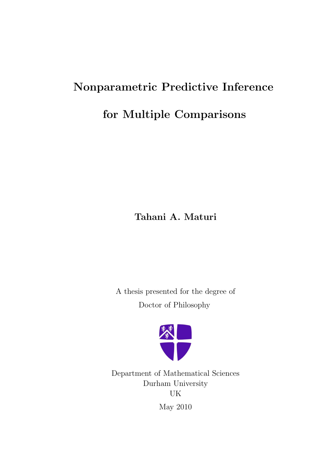# Nonparametric Predictive Inference for Multiple Comparisons

Tahani A. Maturi

A thesis presented for the degree of Doctor of Philosophy



Department of Mathematical Sciences Durham University UK May 2010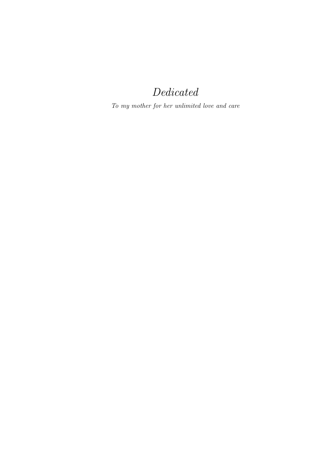## Dedicated

To my mother for her unlimited love and care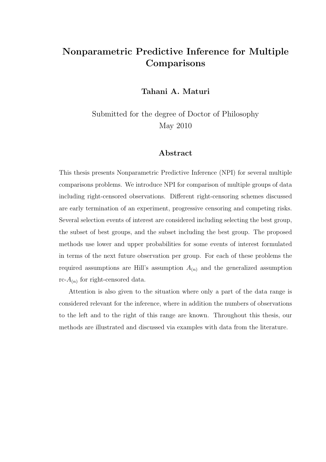## Nonparametric Predictive Inference for Multiple **Comparisons**

Tahani A. Maturi

Submitted for the degree of Doctor of Philosophy May 2010

#### Abstract

This thesis presents Nonparametric Predictive Inference (NPI) for several multiple comparisons problems. We introduce NPI for comparison of multiple groups of data including right-censored observations. Different right-censoring schemes discussed are early termination of an experiment, progressive censoring and competing risks. Several selection events of interest are considered including selecting the best group, the subset of best groups, and the subset including the best group. The proposed methods use lower and upper probabilities for some events of interest formulated in terms of the next future observation per group. For each of these problems the required assumptions are Hill's assumption  $A_{(n)}$  and the generalized assumption rc- $A_{(n)}$  for right-censored data.

Attention is also given to the situation where only a part of the data range is considered relevant for the inference, where in addition the numbers of observations to the left and to the right of this range are known. Throughout this thesis, our methods are illustrated and discussed via examples with data from the literature.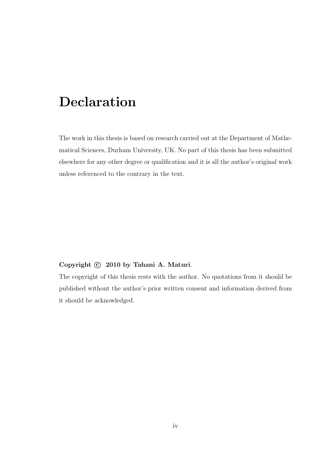## Declaration

The work in this thesis is based on research carried out at the Department of Mathematical Sciences, Durham University, UK. No part of this thesis has been submitted elsewhere for any other degree or qualification and it is all the author's original work unless referenced to the contrary in the text.

#### Copyright  $\odot$  2010 by Tahani A. Maturi.

The copyright of this thesis rests with the author. No quotations from it should be published without the author's prior written consent and information derived from it should be acknowledged.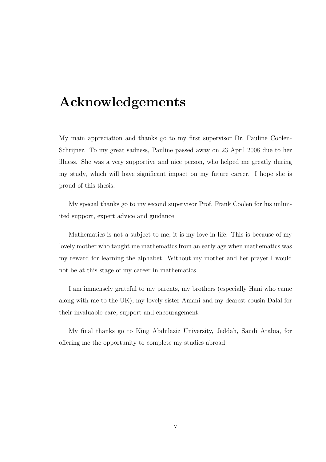## Acknowledgements

My main appreciation and thanks go to my first supervisor Dr. Pauline Coolen-Schrijner. To my great sadness, Pauline passed away on 23 April 2008 due to her illness. She was a very supportive and nice person, who helped me greatly during my study, which will have significant impact on my future career. I hope she is proud of this thesis.

My special thanks go to my second supervisor Prof. Frank Coolen for his unlimited support, expert advice and guidance.

Mathematics is not a subject to me; it is my love in life. This is because of my lovely mother who taught me mathematics from an early age when mathematics was my reward for learning the alphabet. Without my mother and her prayer I would not be at this stage of my career in mathematics.

I am immensely grateful to my parents, my brothers (especially Hani who came along with me to the UK), my lovely sister Amani and my dearest cousin Dalal for their invaluable care, support and encouragement.

My final thanks go to King Abdulaziz University, Jeddah, Saudi Arabia, for offering me the opportunity to complete my studies abroad.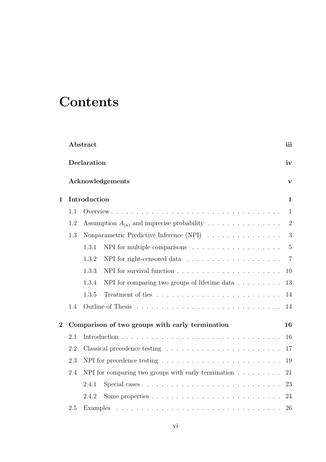## **Contents**

|                | Abstract<br>Declaration |                                                                               |                |  |  |  |  |  |  |  |  |  |  |
|----------------|-------------------------|-------------------------------------------------------------------------------|----------------|--|--|--|--|--|--|--|--|--|--|
|                |                         |                                                                               |                |  |  |  |  |  |  |  |  |  |  |
|                |                         | Acknowledgements                                                              | V              |  |  |  |  |  |  |  |  |  |  |
| $\mathbf 1$    |                         | Introduction                                                                  |                |  |  |  |  |  |  |  |  |  |  |
|                | 1.1                     |                                                                               | $\mathbf{1}$   |  |  |  |  |  |  |  |  |  |  |
|                | 1.2                     | Assumption $A_{(n)}$ and imprecise probability                                | $\overline{2}$ |  |  |  |  |  |  |  |  |  |  |
|                | 1.3                     | Nonparametric Predictive Inference (NPI)                                      | $\mathfrak{Z}$ |  |  |  |  |  |  |  |  |  |  |
|                |                         | NPI for multiple comparisons $\dots \dots \dots \dots \dots \dots$<br>1.3.1   | $\overline{5}$ |  |  |  |  |  |  |  |  |  |  |
|                |                         | 1.3.2                                                                         | $\overline{7}$ |  |  |  |  |  |  |  |  |  |  |
|                |                         | 1.3.3                                                                         | 10             |  |  |  |  |  |  |  |  |  |  |
|                |                         | 1.3.4<br>NPI for comparing two groups of lifetime data $\ldots \ldots \ldots$ | 13             |  |  |  |  |  |  |  |  |  |  |
|                |                         | 1.3.5                                                                         | 14             |  |  |  |  |  |  |  |  |  |  |
|                | 1.4                     |                                                                               | 14             |  |  |  |  |  |  |  |  |  |  |
| $\overline{2}$ |                         | Comparison of two groups with early termination                               | 16             |  |  |  |  |  |  |  |  |  |  |
|                | 2.1                     |                                                                               | 16             |  |  |  |  |  |  |  |  |  |  |
|                | 2.2                     |                                                                               | 17             |  |  |  |  |  |  |  |  |  |  |
|                | 2.3                     |                                                                               | 19             |  |  |  |  |  |  |  |  |  |  |
|                | 2.4                     | NPI for comparing two groups with early termination $\ldots \ldots \ldots$    | 21             |  |  |  |  |  |  |  |  |  |  |
|                |                         | 2.4.1                                                                         | 23             |  |  |  |  |  |  |  |  |  |  |
|                |                         | 2.4.2                                                                         | 24             |  |  |  |  |  |  |  |  |  |  |
|                | 2.5                     | Examples                                                                      |                |  |  |  |  |  |  |  |  |  |  |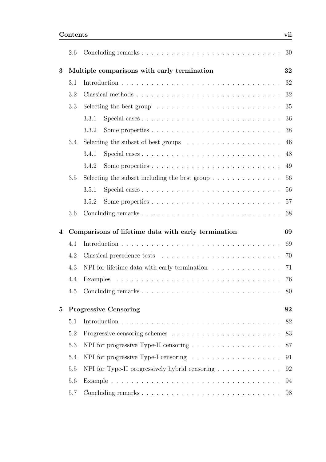|   | 2.6 |                                                                                      | 30  |
|---|-----|--------------------------------------------------------------------------------------|-----|
| 3 |     | Multiple comparisons with early termination                                          | 32  |
|   | 3.1 |                                                                                      | 32  |
|   | 3.2 |                                                                                      | 32  |
|   | 3.3 | Selecting the best group $\ldots \ldots \ldots \ldots \ldots \ldots \ldots \ldots$   | 35  |
|   |     | 3.3.1                                                                                | 36  |
|   |     | 3.3.2                                                                                | 38  |
|   | 3.4 | Selecting the subset of best groups $\dots \dots \dots \dots \dots \dots \dots$      | 46  |
|   |     | 3.4.1                                                                                | 48  |
|   |     | 3.4.2                                                                                | 49  |
|   | 3.5 | Selecting the subset including the best group $\dots \dots \dots \dots \dots$        | -56 |
|   |     | 3.5.1                                                                                | 56  |
|   |     | 3.5.2                                                                                | 57  |
|   | 3.6 |                                                                                      | 68  |
|   |     |                                                                                      |     |
| 4 |     | Comparisons of lifetime data with early termination                                  | 69  |
|   | 4.1 |                                                                                      | 69  |
|   | 4.2 |                                                                                      | 70  |
|   | 4.3 | NPI for lifetime data with early termination $\ldots \ldots \ldots \ldots$           | 71  |
|   | 4.4 |                                                                                      | 76  |
|   |     |                                                                                      | 80  |
|   |     |                                                                                      |     |
| 5 |     | <b>Progressive Censoring</b>                                                         | 82  |
|   | 5.1 |                                                                                      | 82  |
|   | 5.2 |                                                                                      |     |
|   | 5.3 | NPI for progressive Type-II censoring $\ldots \ldots \ldots \ldots \ldots \ldots 87$ |     |
|   | 5.4 |                                                                                      | 91  |
|   | 5.5 | NPI for Type-II progressively hybrid censoring                                       | 92  |
|   | 5.6 |                                                                                      | 94  |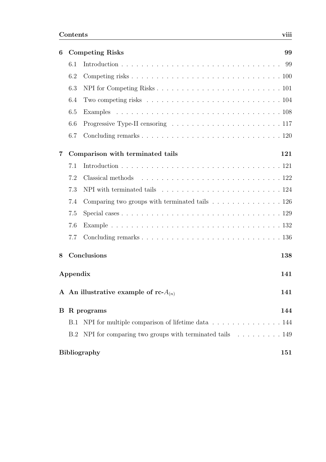| 6              | <b>Competing Risks</b> |                                                                                                 |     |  |  |  |  |  |
|----------------|------------------------|-------------------------------------------------------------------------------------------------|-----|--|--|--|--|--|
|                | 6.1                    |                                                                                                 | 99  |  |  |  |  |  |
|                | 6.2                    |                                                                                                 |     |  |  |  |  |  |
|                | 6.3                    |                                                                                                 |     |  |  |  |  |  |
|                | 6.4                    | Two competing risks $\ldots \ldots \ldots \ldots \ldots \ldots \ldots \ldots \ldots \ldots 104$ |     |  |  |  |  |  |
|                | 6.5                    |                                                                                                 |     |  |  |  |  |  |
|                | 6.6                    |                                                                                                 |     |  |  |  |  |  |
|                | 6.7                    |                                                                                                 |     |  |  |  |  |  |
| $\overline{7}$ |                        | Comparison with terminated tails                                                                | 121 |  |  |  |  |  |
|                | 7.1                    |                                                                                                 |     |  |  |  |  |  |
|                | 7.2                    | Classical methods                                                                               |     |  |  |  |  |  |
|                | 7.3                    | NPI with terminated tails $\ldots \ldots \ldots \ldots \ldots \ldots \ldots \ldots 124$         |     |  |  |  |  |  |
|                | 7.4                    | Comparing two groups with terminated tails $\ldots \ldots \ldots \ldots \ldots 126$             |     |  |  |  |  |  |
|                | 7.5                    |                                                                                                 |     |  |  |  |  |  |
|                | 7.6                    |                                                                                                 |     |  |  |  |  |  |
|                | 7.7                    |                                                                                                 |     |  |  |  |  |  |
| 8              |                        | Conclusions                                                                                     | 138 |  |  |  |  |  |
|                | Appendix               |                                                                                                 | 141 |  |  |  |  |  |
|                |                        | A An illustrative example of rc- $A_{(n)}$                                                      | 141 |  |  |  |  |  |
|                |                        | <b>B</b> R programs                                                                             | 144 |  |  |  |  |  |
|                | B.1                    | NPI for multiple comparison of lifetime data 144                                                |     |  |  |  |  |  |
|                | B.2                    | NPI for comparing two groups with terminated tails $\ldots \ldots \ldots 149$                   |     |  |  |  |  |  |
|                |                        | <b>Bibliography</b>                                                                             | 151 |  |  |  |  |  |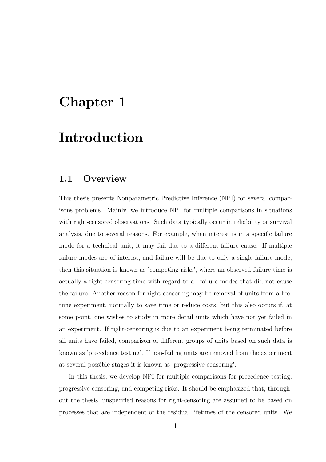## Chapter 1

## Introduction

### 1.1 Overview

This thesis presents Nonparametric Predictive Inference (NPI) for several comparisons problems. Mainly, we introduce NPI for multiple comparisons in situations with right-censored observations. Such data typically occur in reliability or survival analysis, due to several reasons. For example, when interest is in a specific failure mode for a technical unit, it may fail due to a different failure cause. If multiple failure modes are of interest, and failure will be due to only a single failure mode, then this situation is known as 'competing risks', where an observed failure time is actually a right-censoring time with regard to all failure modes that did not cause the failure. Another reason for right-censoring may be removal of units from a lifetime experiment, normally to save time or reduce costs, but this also occurs if, at some point, one wishes to study in more detail units which have not yet failed in an experiment. If right-censoring is due to an experiment being terminated before all units have failed, comparison of different groups of units based on such data is known as 'precedence testing'. If non-failing units are removed from the experiment at several possible stages it is known as 'progressive censoring'.

In this thesis, we develop NPI for multiple comparisons for precedence testing, progressive censoring, and competing risks. It should be emphasized that, throughout the thesis, unspecified reasons for right-censoring are assumed to be based on processes that are independent of the residual lifetimes of the censored units. We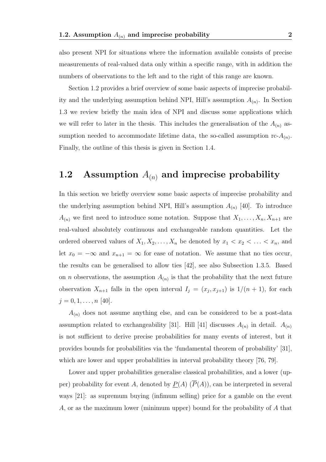also present NPI for situations where the information available consists of precise measurements of real-valued data only within a specific range, with in addition the numbers of observations to the left and to the right of this range are known.

Section 1.2 provides a brief overview of some basic aspects of imprecise probability and the underlying assumption behind NPI, Hill's assumption  $A_{(n)}$ . In Section 1.3 we review briefly the main idea of NPI and discuss some applications which we will refer to later in the thesis. This includes the generalisation of the  $A_{(n)}$  assumption needed to accommodate lifetime data, the so-called assumption  $\text{rc-}A_{(n)}$ . Finally, the outline of this thesis is given in Section 1.4.

### 1.2 Assumption  $A_{(n)}$  and imprecise probability

In this section we briefly overview some basic aspects of imprecise probability and the underlying assumption behind NPI, Hill's assumption  $A_{(n)}$  [40]. To introduce  $A_{(n)}$  we first need to introduce some notation. Suppose that  $X_1, \ldots, X_n, X_{n+1}$  are real-valued absolutely continuous and exchangeable random quantities. Let the ordered observed values of  $X_1, X_2, \ldots, X_n$  be denoted by  $x_1 < x_2 < \ldots < x_n$ , and let  $x_0 = -\infty$  and  $x_{n+1} = \infty$  for ease of notation. We assume that no ties occur, the results can be generalised to allow ties [42], see also Subsection 1.3.5. Based on *n* observations, the assumption  $A_{(n)}$  is that the probability that the next future observation  $X_{n+1}$  falls in the open interval  $I_j = (x_j, x_{j+1})$  is  $1/(n+1)$ , for each  $j = 0, 1, \ldots, n$  [40].

 $A_{(n)}$  does not assume anything else, and can be considered to be a post-data assumption related to exchangeability [31]. Hill [41] discusses  $A_{(n)}$  in detail.  $A_{(n)}$ is not sufficient to derive precise probabilities for many events of interest, but it provides bounds for probabilities via the 'fundamental theorem of probability' [31], which are lower and upper probabilities in interval probability theory [76, 79].

Lower and upper probabilities generalise classical probabilities, and a lower (upper) probability for event A, denoted by  $\underline{P}(A)$  ( $\overline{P}(A)$ ), can be interpreted in several ways [21]: as supremum buying (infimum selling) price for a gamble on the event A, or as the maximum lower (minimum upper) bound for the probability of A that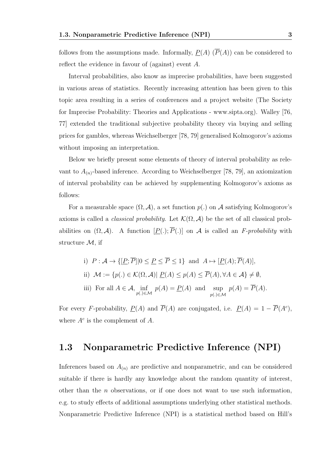follows from the assumptions made. Informally,  $\underline{P}(A)$  ( $\overline{P}(A)$ ) can be considered to reflect the evidence in favour of (against) event A.

Interval probabilities, also know as imprecise probabilities, have been suggested in various areas of statistics. Recently increasing attention has been given to this topic area resulting in a series of conferences and a project website (The Society for Imprecise Probability: Theories and Applications - www.sipta.org). Walley [76, 77] extended the traditional subjective probability theory via buying and selling prices for gambles, whereas Weichselberger [78, 79] generalised Kolmogorov's axioms without imposing an interpretation.

Below we briefly present some elements of theory of interval probability as relevant to  $A_{(n)}$ -based inference. According to Weichselberger [78, 79], an axiomization of interval probability can be achieved by supplementing Kolmogorov's axioms as follows:

For a measurable space  $(\Omega, \mathcal{A})$ , a set function  $p(.)$  on  $\mathcal{A}$  satisfying Kolmogorov's axioms is called a *classical probability*. Let  $\mathcal{K}(\Omega, \mathcal{A})$  be the set of all classical probabilities on  $(\Omega, \mathcal{A})$ . A function  $[P(.); \overline{P}(.)]$  on A is called an F-probability with structure  $M$ , if

\n- i) 
$$
P: \mathcal{A} \to \{[\underline{P}; \overline{P}]|0 \leq \underline{P} \leq \overline{P} \leq 1\}
$$
 and  $A \mapsto [\underline{P}(A); \overline{P}(A)],$
\n- ii)  $\mathcal{M} := \{p(.) \in \mathcal{K}(\Omega, \mathcal{A})| \underline{P}(A) \leq p(A) \leq \overline{P}(A), \forall A \in \mathcal{A}\} \neq \emptyset,$
\n- iii) For all  $A \in \mathcal{A}$ ,  $\inf_{p(.) \in \mathcal{M}} p(A) = \underline{P}(A)$  and  $\sup_{p(.) \in \mathcal{M}} p(A) = \overline{P}(A).$
\n

For every F-probability,  $\underline{P}(A)$  and  $\overline{P}(A)$  are conjugated, i.e.  $\underline{P}(A) = 1 - \overline{P}(A^c)$ , where  $A^c$  is the complement of A.

### 1.3 Nonparametric Predictive Inference (NPI)

Inferences based on  $A_{(n)}$  are predictive and nonparametric, and can be considered suitable if there is hardly any knowledge about the random quantity of interest, other than the  $n$  observations, or if one does not want to use such information. e.g. to study effects of additional assumptions underlying other statistical methods. Nonparametric Predictive Inference (NPI) is a statistical method based on Hill's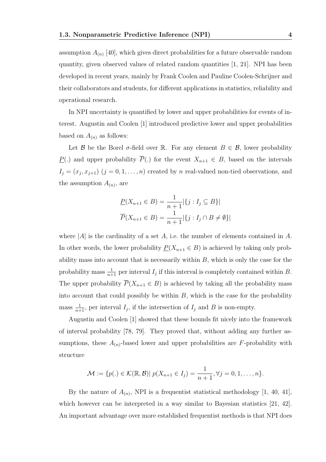assumption  $A_{(n)}$  [40], which gives direct probabilities for a future observable random quantity, given observed values of related random quantities [1, 21]. NPI has been developed in recent years, mainly by Frank Coolen and Pauline Coolen-Schrijner and their collaborators and students, for different applications in statistics, reliability and operational research.

In NPI uncertainty is quantified by lower and upper probabilities for events of interest. Augustin and Coolen [1] introduced predictive lower and upper probabilities based on  $A_{(n)}$  as follows:

Let B be the Borel  $\sigma$ -field over R. For any element  $B \in \mathcal{B}$ , lower probability P(.) and upper probability  $\overline{P}(.)$  for the event  $X_{n+1} \in B$ , based on the intervals  $I_j = (x_j, x_{j+1})$   $(j = 0, 1, \ldots, n)$  created by n real-valued non-tied observations, and the assumption  $A_{(n)}$ , are

$$
\underline{P}(X_{n+1} \in B) = \frac{1}{n+1} |\{j : I_j \subseteq B\}|
$$
  

$$
\overline{P}(X_{n+1} \in B) = \frac{1}{n+1} |\{j : I_j \cap B \neq \emptyset\}|
$$

where  $|A|$  is the cardinality of a set A, i.e. the number of elements contained in A. In other words, the lower probability  $\underline{P}(X_{n+1} \in B)$  is achieved by taking only probability mass into account that is necessarily within  $B$ , which is only the case for the probability mass  $\frac{1}{n+1}$  per interval  $I_j$  if this interval is completely contained within B. The upper probability  $\overline{P}(X_{n+1} \in B)$  is achieved by taking all the probability mass into account that could possibly be within  $B$ , which is the case for the probability mass  $\frac{1}{n+1}$ , per interval  $I_j$ , if the intersection of  $I_j$  and B is non-empty.

Augustin and Coolen [1] showed that these bounds fit nicely into the framework of interval probability [78, 79]. They proved that, without adding any further assumptions, these  $A_{(n)}$ -based lower and upper probabilities are F-probability with structure

$$
\mathcal{M} := \{p(.) \in \mathcal{K}(\mathbb{R}, \mathcal{B}) | p(X_{n+1} \in I_j) = \frac{1}{n+1}, \forall j = 0, 1, ..., n\}.
$$

By the nature of  $A_{(n)}$ , NPI is a frequentist statistical methodology [1, 40, 41], which however can be interpreted in a way similar to Bayesian statistics [21, 42]. An important advantage over more established frequentist methods is that NPI does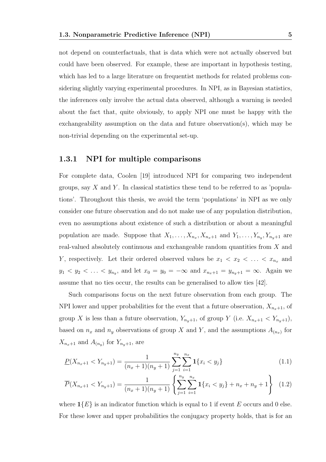not depend on counterfactuals, that is data which were not actually observed but could have been observed. For example, these are important in hypothesis testing, which has led to a large literature on frequentist methods for related problems considering slightly varying experimental procedures. In NPI, as in Bayesian statistics, the inferences only involve the actual data observed, although a warning is needed about the fact that, quite obviously, to apply NPI one must be happy with the exchangeability assumption on the data and future observation(s), which may be non-trivial depending on the experimental set-up.

#### 1.3.1 NPI for multiple comparisons

For complete data, Coolen [19] introduced NPI for comparing two independent groups, say  $X$  and  $Y$ . In classical statistics these tend to be referred to as 'populations'. Throughout this thesis, we avoid the term 'populations' in NPI as we only consider one future observation and do not make use of any population distribution, even no assumptions about existence of such a distribution or about a meaningful population are made. Suppose that  $X_1, \ldots, X_{n_x}, X_{n_x+1}$  and  $Y_1, \ldots, Y_{n_y}, Y_{n_y+1}$  are real-valued absolutely continuous and exchangeable random quantities from X and Y, respectively. Let their ordered observed values be  $x_1 < x_2 < \ldots < x_{n_x}$  and  $y_1 < y_2 < \ldots < y_{n_y}$ , and let  $x_0 = y_0 = -\infty$  and  $x_{n_x+1} = y_{n_y+1} = \infty$ . Again we assume that no ties occur, the results can be generalised to allow ties [42].

Such comparisons focus on the next future observation from each group. The NPI lower and upper probabilities for the event that a future observation,  $X_{n_x+1}$ , of group X is less than a future observation,  $Y_{n_y+1}$ , of group Y (i.e.  $X_{n_x+1} < Y_{n_y+1}$ ), based on  $n_x$  and  $n_y$  observations of group X and Y, and the assumptions  $A_{(n_x)}$  for  $X_{n_x+1}$  and  $A_{(n_y)}$  for  $Y_{n_y+1}$ , are

$$
\underline{P}(X_{n_x+1} < Y_{n_y+1}) = \frac{1}{(n_x+1)(n_y+1)} \sum_{j=1}^{n_y} \sum_{i=1}^{n_x} \mathbf{1}\{x_i < y_j\} \tag{1.1}
$$

$$
\overline{P}(X_{n_x+1} < Y_{n_y+1}) = \frac{1}{(n_x+1)(n_y+1)} \left\{ \sum_{j=1}^{n_y} \sum_{i=1}^{n_x} \mathbf{1} \{x_i < y_j\} + n_x + n_y + 1 \right\} \tag{1.2}
$$

where  $\mathbb{1}{E}$  is an indicator function which is equal to 1 if event E occurs and 0 else. For these lower and upper probabilities the conjugacy property holds, that is for an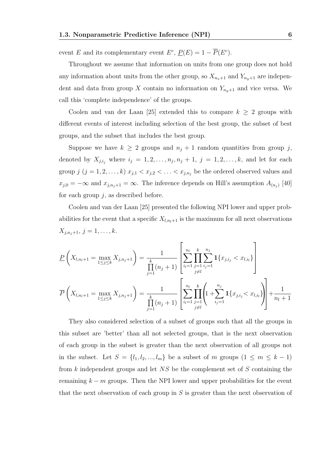event E and its complementary event  $E^c$ ,  $\underline{P}(E) = 1 - \overline{P}(E^c)$ .

Throughout we assume that information on units from one group does not hold any information about units from the other group, so  $X_{n_x+1}$  and  $Y_{n_y+1}$  are independent and data from group X contain no information on  $Y_{n_{y}+1}$  and vice versa. We call this 'complete independence' of the groups.

Coolen and van der Laan [25] extended this to compare  $k \geq 2$  groups with different events of interest including selection of the best group, the subset of best groups, and the subset that includes the best group.

Suppose we have  $k \geq 2$  groups and  $n_j + 1$  random quantities from group j, denoted by  $X_{j,i_j}$  where  $i_j = 1, 2, \ldots, n_j, n_j + 1, j = 1, 2, \ldots, k$ , and let for each group  $j$   $(j = 1, 2, \ldots, k)$   $x_{j,1} < x_{j,2} < \ldots < x_{j,n_j}$  be the ordered observed values and  $x_{j,0} = -\infty$  and  $x_{j,n_j+1} = \infty$ . The inference depends on Hill's assumption  $A_{(n_j)}$  [40] for each group  $j$ , as described before.

Coolen and van der Laan [25] presented the following NPI lower and upper probabilities for the event that a specific  $X_{l,n_l+1}$  is the maximum for all next observations  $X_{j,n_j+1}, j = 1, \ldots, k.$ 

$$
\underline{P}\left(X_{l,n_l+1} = \max_{1 \leq j \leq k} X_{j,n_j+1}\right) = \frac{1}{\prod_{j=1}^k (n_j+1)} \left[\sum_{i_l=1}^{n_l} \prod_{\substack{j=1 \ j \neq l}}^{k} \sum_{j_l=1}^{n_j} \mathbf{1}\{x_{j,i_j} < x_{l,i_l}\} \right]
$$
\n
$$
\overline{P}\left(X_{l,n_l+1} = \max_{1 \leq j \leq k} X_{j,n_j+1}\right) = \frac{1}{\prod_{j=1}^k (n_j+1)} \left[\sum_{i_l=1}^{n_l} \prod_{\substack{j=1 \ j \neq l}}^{k} \left(1 + \sum_{i_j=1}^{n_j} \mathbf{1}\{x_{j,i_j} < x_{l,i_l}\}\right)\right] + \frac{1}{n_l+1}
$$

They also considered selection of a subset of groups such that all the groups in this subset are 'better' than all not selected groups, that is the next observation of each group in the subset is greater than the next observation of all groups not in the subset. Let  $S = \{l_1, l_2, ..., l_m\}$  be a subset of m groups  $(1 \le m \le k - 1)$ from  $k$  independent groups and let  $NS$  be the complement set of  $S$  containing the remaining  $k - m$  groups. Then the NPI lower and upper probabilities for the event that the next observation of each group in  $S$  is greater than the next observation of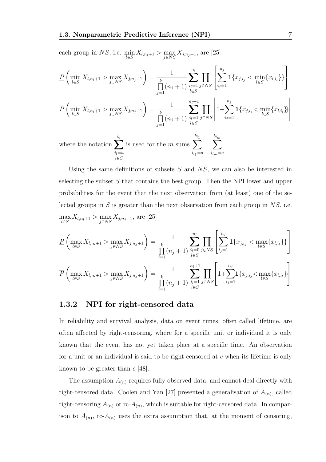each group in  $NS$ , i.e.  $\min_{l \in S} X_{l,n_l+1} > \max_{j \in NS} X_{j,n_j+1}$ , are [25]

$$
\underline{P}\left(\min_{l\in S} X_{l,n_{l}+1} > \max_{j\in NS} X_{j,n_{j}+1}\right) = \frac{1}{\prod_{j=1}^{k} (n_{j}+1)} \sum_{\substack{i_{l}=1 \ i\in S}}^{n_{l}} \prod_{j\in NS} \left[\sum_{i_{j}=1}^{n_{j}} 1\{x_{j,i_{j}} < \min_{l\in S} \{x_{l,i_{l}}\}\}\right]
$$
\n
$$
\overline{P}\left(\min_{l\in S} X_{l,n_{l}+1} > \max_{j\in NS} X_{j,n_{j}+1}\right) = \frac{1}{\prod_{j=1}^{k} (n_{j}+1)} \sum_{\substack{i_{l}=1 \ i\in S}}^{n_{l}+1} \prod_{j\in NS} \left[1+\sum_{i_{j}=1}^{n_{j}} 1\{x_{j,i_{j}} < \min_{l\in S} \{x_{l,i_{l}}\}\right]
$$
\nwhere the notation  $\sum_{i_{l}=a}^{b_{l}}$  is used for the *m* sums  $\sum_{i_{l}=a}^{b_{l_{1}}} \dots \sum_{i_{l}=a}^{b_{l_{m}}} \frac{1}{i_{m}=a}.$ 

Using the same definitions of subsets  $S$  and  $NS$ , we can also be interested in selecting the subset  $S$  that contains the best group. Then the NPI lower and upper probabilities for the event that the next observation from (at least) one of the selected groups in  $S$  is greater than the next observation from each group in  $NS$ , i.e.  $\max_{l \in S} X_{l,n_l+1} > \max_{j \in NS} X_{j,n_j+1}$ , are [25]

$$
\underline{P}\left(\max_{l\in S} X_{l,n_l+1} > \max_{j\in NS} X_{j,n_j+1}\right) = \frac{1}{\prod_{j=1}^k (n_j+1)} \sum_{\substack{i_l=0 \ i\in S}}^{n_l} \prod_{j\in NS} \left[\sum_{i_j=1}^{n_j} \mathbf{1}\{x_{j,i_j} < \max_{l\in S} \{x_{l,i_l}\}\}\right]
$$

$$
\overline{P}\left(\max_{l\in S} X_{l,n_l+1} > \max_{j\in NS} X_{j,n_j+1}\right) = \frac{1}{\prod_{j=1}^k (n_j+1)} \sum_{\substack{i_l=1 \ i\in S}}^{n_l+1} \prod_{j\in NS} \left[1 + \sum_{i_j=1}^{n_j} \mathbf{1}\{x_{j,i_j} < \max_{l\in S} \{x_{l,i_l}\}\}\right]
$$

#### 1.3.2 NPI for right-censored data

l∈S

In reliability and survival analysis, data on event times, often called lifetime, are often affected by right-censoring, where for a specific unit or individual it is only known that the event has not yet taken place at a specific time. An observation for a unit or an individual is said to be right-censored at c when its lifetime is only known to be greater than  $c$  [48].

The assumption  $A_{(n)}$  requires fully observed data, and cannot deal directly with right-censored data. Coolen and Yan [27] presented a generalisation of  $A_{(n)}$ , called right-censoring  $A_{(n)}$  or rc- $A_{(n)}$ , which is suitable for right-censored data. In comparison to  $A_{(n)}$ , rc- $A_{(n)}$  uses the extra assumption that, at the moment of censoring,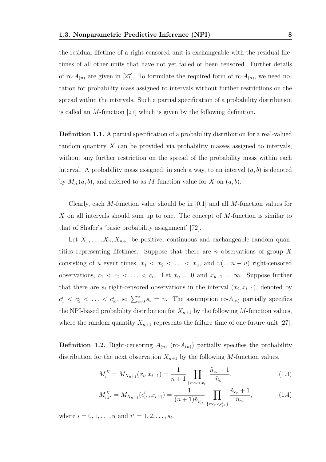the residual lifetime of a right-censored unit is exchangeable with the residual lifetimes of all other units that have not yet failed or been censored. Further details of rc- $A_{(n)}$  are given in [27]. To formulate the required form of rc- $A_{(n)}$ , we need notation for probability mass assigned to intervals without further restrictions on the spread within the intervals. Such a partial specification of a probability distribution is called an M-function [27] which is given by the following definition.

Definition 1.1. A partial specification of a probability distribution for a real-valued random quantity X can be provided via probability masses assigned to intervals, without any further restriction on the spread of the probability mass within each interval. A probability mass assigned, in such a way, to an interval  $(a, b)$  is denoted by  $M_X(a, b)$ , and referred to as M-function value for X on  $(a, b)$ .

Clearly, each M-function value should be in  $[0,1]$  and all M-function values for X on all intervals should sum up to one. The concept of M-function is similar to that of Shafer's 'basic probability assignment' [72].

Let  $X_1, \ldots, X_n, X_{n+1}$  be positive, continuous and exchangeable random quantities representing lifetimes. Suppose that there are  $n$  observations of group  $X$ consisting of u event times,  $x_1 < x_2 < \ldots < x_u$ , and  $v (= n - u)$  right-censored observations,  $c_1 < c_2 < \ldots < c_v$ . Let  $x_0 = 0$  and  $x_{u+1} = \infty$ . Suppose further that there are  $s_i$  right-censored observations in the interval  $(x_i, x_{i+1})$ , denoted by  $c_1^i < c_2^i < \ldots < c_{s_i}^i$ , so  $\sum_{i=0}^u s_i = v$ . The assumption rc- $A_{(n)}$  partially specifies the NPI-based probability distribution for  $X_{n+1}$  by the following M-function values, where the random quantity  $X_{n+1}$  represents the failure time of one future unit [27].

**Definition 1.2.** Right-censoring  $A_{(n)}$  (rc- $A_{(n)}$ ) partially specifies the probability distribution for the next observation  $X_{n+1}$  by the following M-function values,

$$
M_i^X = M_{X_{n+1}}(x_i, x_{i+1}) = \frac{1}{n+1} \prod_{\{r:c_r < x_i\}} \frac{\tilde{n}_{c_r} + 1}{\tilde{n}_{c_r}},\tag{1.3}
$$

$$
M_{i,i^*}^X = M_{X_{n+1}}(c_{i^*}^i, x_{i+1}) = \frac{1}{(n+1)\tilde{n}_{c_{i^*}^i}} \prod_{\{r:c_r < c_{i^*}^i\}} \frac{\tilde{n}_{c_r} + 1}{\tilde{n}_{c_r}},\tag{1.4}
$$

where  $i = 0, 1, ..., u$  and  $i^* = 1, 2, ..., s_i$ .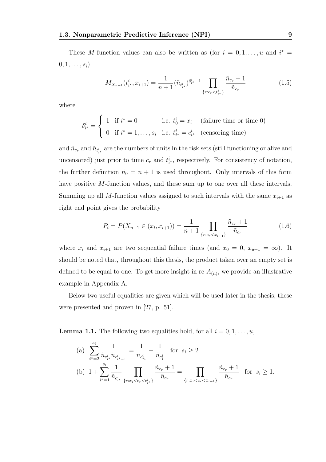These M-function values can also be written as (for  $i = 0, 1, \ldots, u$  and  $i^* =$  $0, 1, \ldots, s_i)$ 

$$
M_{X_{n+1}}(t_i^i, x_{i+1}) = \frac{1}{n+1} (\tilde{n}_{t_i^i})^{\delta_i^i - 1} \prod_{\{r:c_r < t_i^i\}} \frac{\tilde{n}_{c_r} + 1}{\tilde{n}_{c_r}} \tag{1.5}
$$

where

$$
\delta_{i^*}^i = \begin{cases} 1 & \text{if } i^* = 0 \\ 0 & \text{if } i^* = 1, \dots, s_i \quad \text{i.e. } t_{i^*}^i = c_{i^*}^i \quad \text{(eensoring time)} \end{cases}
$$

and  $\tilde{n}_{c_r}$  and  $\tilde{n}_{t_{i^*}^i}$  are the numbers of units in the risk sets (still functioning or alive and uncensored) just prior to time  $c_r$  and  $t_{i^*}^i$ , respectively. For consistency of notation, the further definition  $\tilde{n}_0 = n + 1$  is used throughout. Only intervals of this form have positive M-function values, and these sum up to one over all these intervals. Summing up all M-function values assigned to such intervals with the same  $x_{i+1}$  as right end point gives the probability

$$
P_i = P(X_{n+1} \in (x_i, x_{i+1})) = \frac{1}{n+1} \prod_{\{r:c_r < x_{i+1}\}} \frac{\tilde{n}_{c_r} + 1}{\tilde{n}_{c_r}} \tag{1.6}
$$

where  $x_i$  and  $x_{i+1}$  are two sequential failure times (and  $x_0 = 0$ ,  $x_{u+1} = \infty$ ). It should be noted that, throughout this thesis, the product taken over an empty set is defined to be equal to one. To get more insight in  $\text{rc-}A_{(n)}$ , we provide an illustrative example in Appendix A.

Below two useful equalities are given which will be used later in the thesis, these were presented and proven in [27, p. 51].

**Lemma 1.1.** The following two equalities hold, for all  $i = 0, 1, \ldots, u$ ,

(a) 
$$
\sum_{i^{*}=2}^{s_{i}} \frac{1}{\tilde{n}_{c_{i^{*}}^{i}} \tilde{n}_{c_{i^{*}-1}^{i}}} = \frac{1}{\tilde{n}_{c_{s_{i}}^{i}}} - \frac{1}{\tilde{n}_{c_{1}^{i}}} \quad \text{for} \quad s_{i} \geq 2
$$
  
\n(b) 
$$
1 + \sum_{i^{*}=1}^{s_{i}} \frac{1}{\tilde{n}_{c_{i^{*}}^{i}}} \prod_{\{r:x_{i} < c_{r} < c_{i^{*}}\}} \frac{\tilde{n}_{c_{r}} + 1}{\tilde{n}_{c_{r}}} = \prod_{\{r:x_{i} < c_{r} < x_{i+1}\}} \frac{\tilde{n}_{c_{r}} + 1}{\tilde{n}_{c_{r}}} \quad \text{for} \quad s_{i} \geq 1.
$$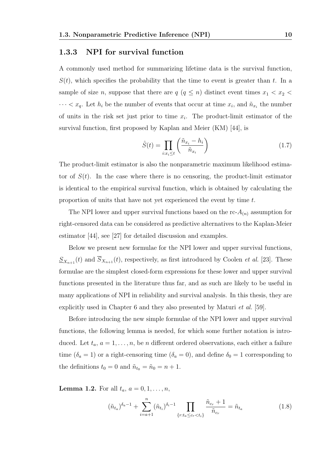#### 1.3.3 NPI for survival function

A commonly used method for summarizing lifetime data is the survival function,  $S(t)$ , which specifies the probability that the time to event is greater than t. In a sample of size *n*, suppose that there are  $q$  ( $q \leq n$ ) distinct event times  $x_1 < x_2$  $\cdots < x_q$ . Let  $h_i$  be the number of events that occur at time  $x_i$ , and  $\tilde{n}_{x_i}$  the number of units in the risk set just prior to time  $x_i$ . The product-limit estimator of the survival function, first proposed by Kaplan and Meier (KM) [44], is

$$
\hat{S}(t) = \prod_{i:x_i \le t} \left( \frac{\tilde{n}_{x_i} - h_i}{\tilde{n}_{x_i}} \right) \tag{1.7}
$$

The product-limit estimator is also the nonparametric maximum likelihood estimator of  $S(t)$ . In the case where there is no censoring, the product-limit estimator is identical to the empirical survival function, which is obtained by calculating the proportion of units that have not yet experienced the event by time t.

The NPI lower and upper survival functions based on the  $\text{rc-}A_{(n)}$  assumption for right-censored data can be considered as predictive alternatives to the Kaplan-Meier estimator [44], see [27] for detailed discussion and examples.

Below we present new formulae for the NPI lower and upper survival functions,  $S_{X_{n+1}}(t)$  and  $S_{X_{n+1}}(t)$ , respectively, as first introduced by Coolen *et al.* [23]. These formulae are the simplest closed-form expressions for these lower and upper survival functions presented in the literature thus far, and as such are likely to be useful in many applications of NPI in reliability and survival analysis. In this thesis, they are explicitly used in Chapter 6 and they also presented by Maturi et al. [59].

Before introducing the new simple formulae of the NPI lower and upper survival functions, the following lemma is needed, for which some further notation is introduced. Let  $t_a$ ,  $a = 1, \ldots, n$ , be n different ordered observations, each either a failure time ( $\delta_a = 1$ ) or a right-censoring time ( $\delta_a = 0$ ), and define  $\delta_0 = 1$  corresponding to the definitions  $t_0 = 0$  and  $\tilde{n}_{t_0} = \tilde{n}_0 = n + 1$ .

**Lemma 1.2.** For all  $t_a$ ,  $a = 0, 1, \ldots, n$ ,

$$
(\tilde{n}_{t_a})^{\delta_a - 1} + \sum_{i = a + 1}^{n} (\tilde{n}_{t_i})^{\delta_i - 1} \prod_{\{r : t_a \le c_r < t_i\}} \frac{\tilde{n}_{c_r} + 1}{\tilde{n}_{c_r}} = \tilde{n}_{t_a} \tag{1.8}
$$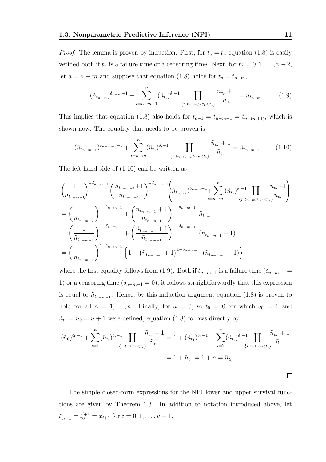*Proof.* The lemma is proven by induction. First, for  $t_a = t_n$  equation (1.8) is easily verified both if  $t_n$  is a failure time or a censoring time. Next, for  $m = 0, 1, \ldots, n-2$ , let  $a = n - m$  and suppose that equation (1.8) holds for  $t_a = t_{n-m}$ ,

$$
(\tilde{n}_{t_{n-m}})^{\delta_{n-m}-1} + \sum_{i=n-m+1}^{n} (\tilde{n}_{t_i})^{\delta_i-1} \prod_{\{r:t_{n-m} \le c_r < t_i\}} \frac{\tilde{n}_{c_r} + 1}{\tilde{n}_{c_r}} = \tilde{n}_{t_{n-m}}
$$
(1.9)

This implies that equation (1.8) also holds for  $t_{a-1} = t_{n-m-1} = t_{n-(m+1)}$ , which is shown now. The equality that needs to be proven is

$$
(\tilde{n}_{t_{n-m-1}})^{\delta_{n-m-1}-1} + \sum_{i=n-m}^{n} (\tilde{n}_{t_i})^{\delta_i-1} \prod_{\{r:t_{n-m-1} \le c_r < t_i\}} \frac{\tilde{n}_{c_r} + 1}{\tilde{n}_{c_r}} = \tilde{n}_{t_{n-m-1}} \tag{1.10}
$$

The left hand side of (1.10) can be written as

$$
\left(\frac{1}{\tilde{n}_{t_{n-m-1}}}\right)^{1-\delta_{n-m-1}} + \left(\frac{\tilde{n}_{t_{n-m-1}}+1}{\tilde{n}_{t_{n-m-1}}}\right)^{1-\delta_{n-m-1}} \left(\tilde{n}_{t_{n-m}}\right)^{\delta_{n-m-1}} + \sum_{i=n-m+1}^{n} (\tilde{n}_{t_{i}})^{\delta_{i}-1} \prod_{\{r:t_{n-m}\leq c_{r}< t_{i}\}} \frac{\tilde{n}_{c_{r}}+1}{\tilde{n}_{c_{r}}}\right)
$$
\n
$$
= \left(\frac{1}{\tilde{n}_{t_{n-m-1}}}\right)^{1-\delta_{n-m-1}} + \left(\frac{\tilde{n}_{t_{n-m-1}}+1}{\tilde{n}_{t_{n-m-1}}}\right)^{1-\delta_{n-m-1}} \tilde{n}_{t_{n-m}}
$$
\n
$$
= \left(\frac{1}{\tilde{n}_{t_{n-m-1}}}\right)^{1-\delta_{n-m-1}} + \left(\frac{\tilde{n}_{t_{n-m-1}}+1}{\tilde{n}_{t_{n-m-1}}}\right)^{1-\delta_{n-m-1}} \left(\tilde{n}_{t_{n-m-1}}-1\right)
$$
\n
$$
= \left(\frac{1}{\tilde{n}_{t_{n-m-1}}}\right)^{1-\delta_{n-m-1}} \left\{1 + \left(\tilde{n}_{t_{n-m-1}}+1\right)^{1-\delta_{n-m-1}} \left(\tilde{n}_{t_{n-m-1}}-1\right)\right\}
$$

where the first equality follows from (1.9). Both if  $t_{n-m-1}$  is a failure time ( $\delta_{n-m-1}$  = 1) or a censoring time ( $\delta_{n-m-1} = 0$ ), it follows straightforwardly that this expression is equal to  $\tilde{n}_{t_{n-m-1}}$ . Hence, by this induction argument equation (1.8) is proven to hold for all  $a = 1, ..., n$ . Finally, for  $a = 0$ , so  $t_0 = 0$  for which  $\delta_0 = 1$  and  $\tilde{n}_{t_0} = \tilde{n}_0 = n + 1$  were defined, equation (1.8) follows directly by

$$
(\tilde{n}_0)^{\delta_0 - 1} + \sum_{i=1}^n (\tilde{n}_{t_i})^{\delta_i - 1} \prod_{\{r : t_0 \le c_r < t_i\}} \frac{\tilde{n}_{c_r} + 1}{\tilde{n}_{c_r}} = 1 + (\tilde{n}_{t_1})^{\delta_1 - 1} + \sum_{i=2}^n (\tilde{n}_{t_i})^{\delta_i - 1} \prod_{\{r : t_1 \le c_r < t_i\}} \frac{\tilde{n}_{c_r} + 1}{\tilde{n}_{c_r}}
$$

$$
= 1 + \tilde{n}_{t_1} = 1 + n = \tilde{n}_{t_0}
$$

The simple closed-form expressions for the NPI lower and upper survival functions are given by Theorem 1.3. In addition to notation introduced above, let  $t_{s_i+1}^i = t_0^{i+1} = x_{i+1}$  for  $i = 0, 1, \ldots, u-1$ .

 $\Box$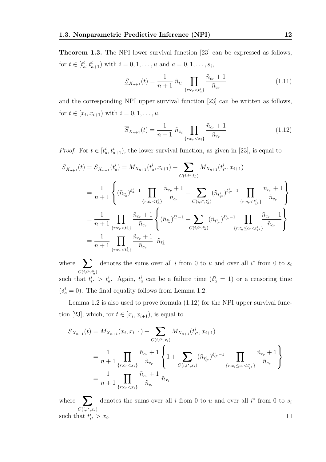Theorem 1.3. The NPI lower survival function [23] can be expressed as follows, for  $t \in [t_a^i, t_{a+1}^i)$  with  $i = 0, 1, ..., u$  and  $a = 0, 1, ..., s_i$ ,

$$
S_{X_{n+1}}(t) = \frac{1}{n+1} \tilde{n}_{t_a^i} \prod_{\{r:c_r < t_a^i\}} \frac{\tilde{n}_{c_r} + 1}{\tilde{n}_{c_r}} \tag{1.11}
$$

and the corresponding NPI upper survival function [23] can be written as follows, for  $t \in [x_i, x_{i+1})$  with  $i = 0, 1, ..., u$ ,

$$
\overline{S}_{X_{n+1}}(t) = \frac{1}{n+1} \tilde{n}_{x_i} \prod_{\{r:c_r < x_i\}} \frac{\tilde{n}_{c_r} + 1}{\tilde{n}_{c_r}} \tag{1.12}
$$

*Proof.* For  $t \in [t_a^i, t_{a+1}^i)$ , the lower survival function, as given in [23], is equal to

$$
\begin{split} \underline{S}_{X_{n+1}}(t) &= \underline{S}_{X_{n+1}}(t_a^i) = M_{X_{n+1}}(t_a^i, x_{i+1}) + \sum_{C(i,i^*,t_a^i)} M_{X_{n+1}}(t_{i^*}^i, x_{i+1}) \\ &= \frac{1}{n+1} \left\{ (\tilde{n}_{t_a^i})^{\delta_a^i - 1} \prod_{\{r:c_r < t_a^i\}} \frac{\tilde{n}_{c_r} + 1}{\tilde{n}_{c_r}} + \sum_{C(i,i^*,t_a^i)} (\tilde{n}_{t_{i^*}^i})^{\delta_{i^*}^i - 1} \prod_{\{r:c_r < t_{i^*}^i\}} \frac{\tilde{n}_{c_r} + 1}{\tilde{n}_{c_r}} \right\} \\ &= \frac{1}{n+1} \prod_{\{r:c_r < t_a^i\}} \frac{\tilde{n}_{c_r} + 1}{\tilde{n}_{c_r}} \left\{ (\tilde{n}_{t_a^i})^{\delta_a^i - 1} + \sum_{C(i,i^*,t_a^i)} (\tilde{n}_{t_{i^*}^i})^{\delta_{i^*}^i - 1} \prod_{\{r:t_a^i \le c_r < t_{i^*}^i\}} \frac{\tilde{n}_{c_r} + 1}{\tilde{n}_{c_r}} \right\} \\ &= \frac{1}{n+1} \prod_{\{r:c_r < t_a^i\}} \frac{\tilde{n}_{c_r} + 1}{\tilde{n}_{c_r}} \quad \tilde{n}_{t_a^i} \end{split}
$$

where  $\sum$  $C(i,i^*,t_a^i)$ denotes the sums over all i from 0 to u and over all  $i^*$  from 0 to  $s_i$ such that  $t_{i^*}^i > t_a^i$ . Again,  $t_a^i$  can be a failure time  $(\delta_a^i = 1)$  or a censoring time  $(\delta_a^i = 0)$ . The final equality follows from Lemma 1.2.

Lemma 1.2 is also used to prove formula (1.12) for the NPI upper survival function [23], which, for  $t \in [x_i, x_{i+1})$ , is equal to

$$
\overline{S}_{X_{n+1}}(t) = M_{X_{n+1}}(x_i, x_{i+1}) + \sum_{C(i,i^*,x_i)} M_{X_{n+1}}(t_i^i, x_{i+1})
$$
\n
$$
= \frac{1}{n+1} \prod_{\{r:c_r < x_i\}} \frac{\tilde{n}_{c_r} + 1}{\tilde{n}_{c_r}} \left\{ 1 + \sum_{C(i,i^*,x_i)} (\tilde{n}_{t_i^i})^{\delta_{i^*}^{i-1}} \prod_{\{r:x_i \le c_r < t_{i^*}^{i}\}} \frac{\tilde{n}_{c_r} + 1}{\tilde{n}_{c_r}} \right\}
$$
\n
$$
= \frac{1}{n+1} \prod_{\{r:c_r < x_i\}} \frac{\tilde{n}_{c_r} + 1}{\tilde{n}_{c_r}} \tilde{n}_{x_i}
$$

where  $\sum$ denotes the sums over all i from 0 to u and over all  $i^*$  from 0 to  $s_i$  $C(i,i^*,x_i)$ such that  $t_{i^*}^i > x_i$ .  $\Box$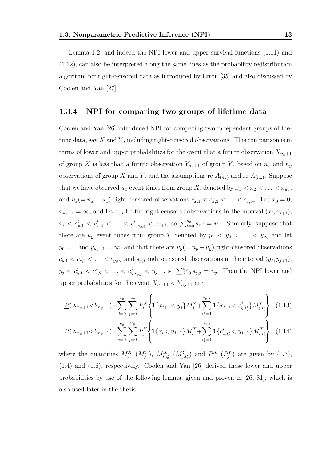Lemma 1.2, and indeed the NPI lower and upper survival functions (1.11) and (1.12), can also be interpreted along the same lines as the probability redistribution algorithm for right-censored data as introduced by Efron [35] and also discussed by Coolen and Yan [27].

#### 1.3.4 NPI for comparing two groups of lifetime data

Coolen and Yan [26] introduced NPI for comparing two independent groups of lifetime data, say  $X$  and  $Y$ , including right-censored observations. This comparison is in terms of lower and upper probabilities for the event that a future observation  $X_{n_x+1}$ of group X is less than a future observation  $Y_{n_y+1}$  of group Y, based on  $n_x$  and  $n_y$ observations of group X and Y, and the assumptions  $\text{rc-}A_{(n_x)}$  and  $\text{rc-}A_{(n_y)}$ . Suppose that we have observed  $u_x$  event times from group X, denoted by  $x_1 < x_2 < \ldots < x_{u_x}$ , and  $v_x(= n_x - u_x)$  right-censored observations  $c_{x,1} < c_{x,2} < \ldots < c_{x,v_x}$ . Let  $x_0 = 0$ ,  $x_{u_x+1} = \infty$ , and let  $s_{x,i}$  be the right-censored observations in the interval  $(x_i, x_{i+1})$ ,  $x_i < c_{x,1}^i < c_{x,2}^i < \ldots < c_{x,s_{x,i}}^i < x_{i+1}$ , so  $\sum_{i=0}^{u_x} s_{x,i} = v_x$ . Similarly, suppose that there are  $u_y$  event times from group Y denoted by  $y_1 \, < \, y_2 \, < \, \ldots \, < \, y_{u_y}$  and let  $y_0 = 0$  and  $y_{u_y+1} = \infty$ , and that there are  $v_y(= n_y - u_y)$  right-censored observations  $c_{y,1} < c_{y,2} < \ldots < c_{y,v_y}$  and  $s_{y,j}$  right-censored observations in the interval  $(y_j, y_{j+1}),$  $y_j < c_{y,1}^j < c_{y,2}^j < \ldots < c_{y,s_{y,j}}^j < y_{j+1}$ , so  $\sum_{j=0}^{u_y} s_{y,j} = v_y$ . Then the NPI lower and upper probabilities for the event  $X_{n_x+1} < Y_{n_y+1}$  are

$$
\underline{P}(X_{n_x+1} < Y_{n_y+1}) = \sum_{i=0}^{u_x} \sum_{j=0}^{u_y} P_i^X \left\{ \mathbf{1} \{x_{i+1} < y_j\} M_j^Y + \sum_{i_y^* = 1}^{s_{y,j}} \mathbf{1} \{x_{i+1} < c_{y,i_y^*}^j\} M_{j,i_y^*}^Y \right\} \tag{1.13}
$$

$$
\overline{P}(X_{n_x+1} < Y_{n_y+1}) = \sum_{i=0}^{u_x} \sum_{j=0}^{u_y} P_j^Y \left\{ \mathbf{1} \{ x_i < y_{j+1} \} M_i^X + \sum_{i_x^* = 1}^{s_{x,i}} \mathbf{1} \{ c_{x,i_x^*}^i < y_{j+1} \} M_{i,i_x^*}^X \right\} \tag{1.14}
$$

where the quantities  $M_i^X$   $(M_j^Y)$ ,  $M_{i,i_x}^X$   $(M_{j,i_y}^Y)$  and  $P_i^X$   $(P_j^Y)$  are given by (1.3), (1.4) and (1.6), respectively. Coolen and Yan [26] derived these lower and upper probabilities by use of the following lemma, given and proven in [26, 81], which is also used later in the thesis.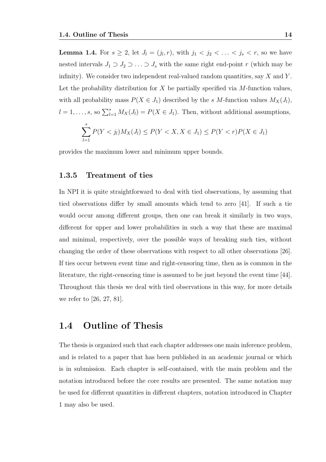**Lemma 1.4.** For  $s \ge 2$ , let  $J_l = (j_l, r)$ , with  $j_1 < j_2 < ... < j_s < r$ , so we have nested intervals  $J_1 \supset J_2 \supset \ldots \supset J_s$  with the same right end-point r (which may be infinity). We consider two independent real-valued random quantities, say  $X$  and  $Y$ . Let the probability distribution for  $X$  be partially specified via  $M$ -function values, with all probability mass  $P(X \in J_1)$  described by the s M-function values  $M_X(J_l)$ ,  $l = 1, \ldots, s$ , so  $\sum_{l=1}^{s} M_X(J_l) = P(X \in J_1)$ . Then, without additional assumptions,

$$
\sum_{l=1}^{s} P(Y < j_l) M_X(J_l) \le P(Y < X, X \in J_1) \le P(Y < r) P(X \in J_1)
$$

provides the maximum lower and minimum upper bounds.

#### 1.3.5 Treatment of ties

In NPI it is quite straightforward to deal with tied observations, by assuming that tied observations differ by small amounts which tend to zero [41]. If such a tie would occur among different groups, then one can break it similarly in two ways, different for upper and lower probabilities in such a way that these are maximal and minimal, respectively, over the possible ways of breaking such ties, without changing the order of these observations with respect to all other observations [26]. If ties occur between event time and right-censoring time, then as is common in the literature, the right-censoring time is assumed to be just beyond the event time [44]. Throughout this thesis we deal with tied observations in this way, for more details we refer to [26, 27, 81].

### 1.4 Outline of Thesis

The thesis is organized such that each chapter addresses one main inference problem, and is related to a paper that has been published in an academic journal or which is in submission. Each chapter is self-contained, with the main problem and the notation introduced before the core results are presented. The same notation may be used for different quantities in different chapters, notation introduced in Chapter 1 may also be used.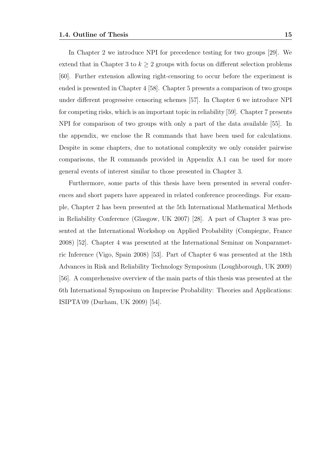In Chapter 2 we introduce NPI for precedence testing for two groups [29]. We extend that in Chapter 3 to  $k \geq 2$  groups with focus on different selection problems [60]. Further extension allowing right-censoring to occur before the experiment is ended is presented in Chapter 4 [58]. Chapter 5 presents a comparison of two groups under different progressive censoring schemes [57]. In Chapter 6 we introduce NPI for competing risks, which is an important topic in reliability [59]. Chapter 7 presents NPI for comparison of two groups with only a part of the data available [55]. In the appendix, we enclose the R commands that have been used for calculations. Despite in some chapters, due to notational complexity we only consider pairwise comparisons, the R commands provided in Appendix A.1 can be used for more general events of interest similar to those presented in Chapter 3.

Furthermore, some parts of this thesis have been presented in several conferences and short papers have appeared in related conference proceedings. For example, Chapter 2 has been presented at the 5th International Mathematical Methods in Reliability Conference (Glasgow, UK 2007) [28]. A part of Chapter 3 was presented at the International Workshop on Applied Probability (Compiegne, France 2008) [52]. Chapter 4 was presented at the International Seminar on Nonparametric Inference (Vigo, Spain 2008) [53]. Part of Chapter 6 was presented at the 18th Advances in Risk and Reliability Technology Symposium (Loughborough, UK 2009) [56]. A comprehensive overview of the main parts of this thesis was presented at the 6th International Symposium on Imprecise Probability: Theories and Applications: ISIPTA'09 (Durham, UK 2009) [54].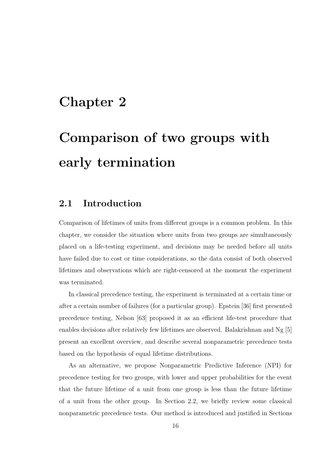## Chapter 2

# Comparison of two groups with early termination

### 2.1 Introduction

Comparison of lifetimes of units from different groups is a common problem. In this chapter, we consider the situation where units from two groups are simultaneously placed on a life-testing experiment, and decisions may be needed before all units have failed due to cost or time considerations, so the data consist of both observed lifetimes and observations which are right-censored at the moment the experiment was terminated.

In classical precedence testing, the experiment is terminated at a certain time or after a certain number of failures (for a particular group). Epstein [36] first presented precedence testing, Nelson [63] proposed it as an efficient life-test procedure that enables decisions after relatively few lifetimes are observed. Balakrishnan and Ng [5] present an excellent overview, and describe several nonparametric precedence tests based on the hypothesis of equal lifetime distributions.

As an alternative, we propose Nonparametric Predictive Inference (NPI) for precedence testing for two groups, with lower and upper probabilities for the event that the future lifetime of a unit from one group is less than the future lifetime of a unit from the other group. In Section 2.2, we briefly review some classical nonparametric precedence tests. Our method is introduced and justified in Sections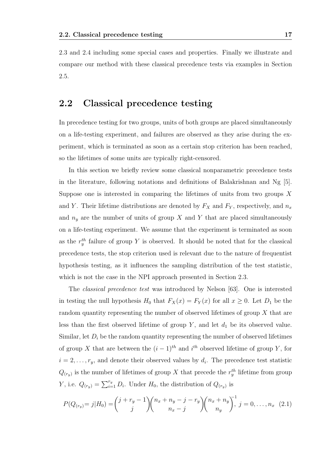2.3 and 2.4 including some special cases and properties. Finally we illustrate and compare our method with these classical precedence tests via examples in Section 2.5.

### 2.2 Classical precedence testing

In precedence testing for two groups, units of both groups are placed simultaneously on a life-testing experiment, and failures are observed as they arise during the experiment, which is terminated as soon as a certain stop criterion has been reached, so the lifetimes of some units are typically right-censored.

In this section we briefly review some classical nonparametric precedence tests in the literature, following notations and definitions of Balakrishnan and Ng  $[5]$ . Suppose one is interested in comparing the lifetimes of units from two groups X and Y. Their lifetime distributions are denoted by  $F_X$  and  $F_Y$ , respectively, and  $n_x$ and  $n_y$  are the number of units of group X and Y that are placed simultaneously on a life-testing experiment. We assume that the experiment is terminated as soon as the  $r_y^{th}$  failure of group Y is observed. It should be noted that for the classical precedence tests, the stop criterion used is relevant due to the nature of frequentist hypothesis testing, as it influences the sampling distribution of the test statistic, which is not the case in the NPI approach presented in Section 2.3.

The classical precedence test was introduced by Nelson [63]. One is interested in testing the null hypothesis  $H_0$  that  $F_X(x) = F_Y(x)$  for all  $x \ge 0$ . Let  $D_1$  be the random quantity representing the number of observed lifetimes of group  $X$  that are less than the first observed lifetime of group  $Y$ , and let  $d_1$  be its observed value. Similar, let  $D_i$  be the random quantity representing the number of observed lifetimes of group X that are between the  $(i-1)$ <sup>th</sup> and  $i$ <sup>th</sup> observed lifetime of group Y, for  $i = 2, \ldots, r_y$ , and denote their observed values by  $d_i$ . The precedence test statistic  $Q_{(r_y)}$  is the number of lifetimes of group X that precede the  $r_y^{th}$  lifetime from group *Y*, i.e.  $Q_{(r_y)} = \sum_{i=1}^{r_y} D_i$ . Under  $H_0$ , the distribution of  $Q_{(r_y)}$  is

$$
P(Q_{(r_y)}=j|H_0) = {j+r_y-1 \choose j} {n_x+n_y-j-r_y \choose n_x-j} {n_x+n_y \choose n_y}, j=0,\ldots,n_x \quad (2.1)
$$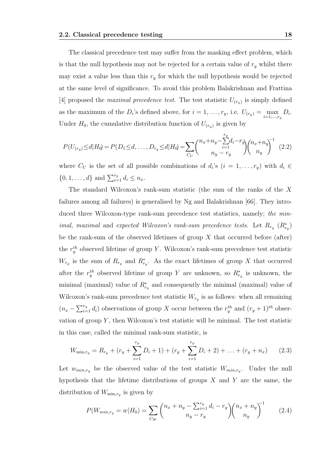The classical precedence test may suffer from the masking effect problem, which is that the null hypothesis may not be rejected for a certain value of  $r_y$  whilst there may exist a value less than this  $r_y$  for which the null hypothesis would be rejected at the same level of significance. To avoid this problem Balakrishnan and Frattina [4] proposed the *maximal precedence test*. The test statistic  $U_{(r_y)}$  is simply defined as the maximum of the  $D_i$ 's defined above, for  $i = 1, \ldots, r_y$ , i.e.  $U_{(r_y)} = \max_{i=1,\ldots,r_y} D_i$ . Under  $H_0$ , the cumulative distribution function of  $U_{(r_y)}$  is given by

$$
P(U_{(r_y)} \le d | H_0) = P(D_1 \le d, \dots, D_{r_y} \le d | H_0) = \sum_{C_U} {n_x + n_y - \sum_{i=1}^{r_y} d_i - r_y \choose n_y - r_y} {n_x + n_y \choose n_y}^{-1}
$$
(2.2)

where  $C_U$  is the set of all possible combinations of  $d_i$ 's  $(i = 1, \ldots, r_y)$  with  $d_i \in$  $\{0, 1, \ldots, d\}$  and  $\sum_{i=1}^{r_y} d_i \leq n_x$ .

The standard Wilcoxon's rank-sum statistic (the sum of the ranks of the X failures among all failures) is generalised by Ng and Balakrishnan [66]. They introduced three Wilcoxon-type rank-sum precedence test statistics, namely; the min*imal, maximal and expected Wilcoxon's rank-sum precedence tests.* Let  $R_{r_y}$   $(R_{r_y}^*)$ be the rank-sum of the observed lifetimes of group  $X$  that occurred before (after) the  $r_y^{th}$  observed lifetime of group Y. Wilcoxon's rank-sum precedence test statistic  $W_{r_y}$  is the sum of  $R_{r_y}$  and  $R_{r_y}^*$ . As the exact lifetimes of group X that occurred after the  $r_y^{th}$  observed lifetime of group Y are unknown, so  $R_{r_y}^*$  is unknown, the minimal (maximal) value of  $R_{r_y}^*$  and consequently the minimal (maximal) value of Wilcoxon's rank-sum precedence test statistic  $W_{r_y}$  is as follows: when all remaining  $(n_x - \sum_{i=1}^{r_y} d_i)$  observations of group X occur between the  $r_y^{th}$  and  $(r_y + 1)^{th}$  observation of group  $Y$ , then Wilcoxon's test statistic will be minimal. The test statistic in this case, called the minimal rank-sum statistic, is

$$
W_{\min,r_y} = R_{r_y} + (r_y + \sum_{i=1}^{r_y} D_i + 1) + (r_y + \sum_{i=1}^{r_y} D_i + 2) + \ldots + (r_y + n_x)
$$
 (2.3)

Let  $w_{min,r_y}$  be the observed value of the test statistic  $W_{min,r_y}$ . Under the null hypothesis that the lifetime distributions of groups  $X$  and  $Y$  are the same, the distribution of  $W_{\min,r_y}$  is given by

$$
P(W_{min,ry} = w | H_0) = \sum_{C_W} {n_x + n_y - \sum_{i=1}^{r_y} d_i - r_y \choose n_y - r_y} {n_x + n_y \choose n_y}^{-1}
$$
(2.4)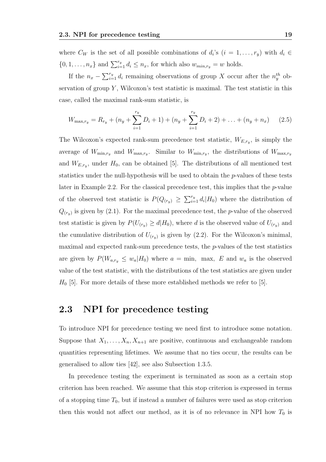where  $C_W$  is the set of all possible combinations of  $d_i$ 's  $(i = 1, \ldots, r_y)$  with  $d_i \in$  $\{0, 1, \ldots, n_x\}$  and  $\sum_{i=1}^{r_y} d_i \leq n_x$ , for which also  $w_{min,r_y} = w$  holds.

If the  $n_x - \sum_{i=1}^{r_y} d_i$  remaining observations of group X occur after the  $n_y^{th}$  observation of group  $Y$ , Wilcoxon's test statistic is maximal. The test statistic in this case, called the maximal rank-sum statistic, is

$$
W_{\max,r_y} = R_{r_y} + (n_y + \sum_{i=1}^{r_y} D_i + 1) + (n_y + \sum_{i=1}^{r_y} D_i + 2) + \ldots + (n_y + n_x) \tag{2.5}
$$

The Wilcoxon's expected rank-sum precedence test statistic,  $W_{E,r_y}$ , is simply the average of  $W_{\min,r_y}$  and  $W_{\max,r_y}$ . Similar to  $W_{\min,r_y}$ , the distributions of  $W_{\max,r_y}$ and  $W_{E,r_y}$ , under  $H_0$ , can be obtained [5]. The distributions of all mentioned test statistics under the null-hypothesis will be used to obtain the p-values of these tests later in Example 2.2. For the classical precedence test, this implies that the  $p$ -value of the observed test statistic is  $P(Q_{(r_y)} \geq \sum_{i=1}^{r_y} d_i | H_0)$  where the distribution of  $Q_{(r_y)}$  is given by (2.1). For the maximal precedence test, the *p*-value of the observed test statistic is given by  $P(U_{(r_y)} \ge d | H_0)$ , where d is the observed value of  $U_{(r_y)}$  and the cumulative distribution of  $U_{(r_y)}$  is given by (2.2). For the Wilcoxon's minimal, maximal and expected rank-sum precedence tests, the  $p$ -values of the test statistics are given by  $P(W_{a,r_y} \leq w_a|H_0)$  where  $a = \min$ , max, E and  $w_a$  is the observed value of the test statistic, with the distributions of the test statistics are given under  $H_0$  [5]. For more details of these more established methods we refer to [5].

### 2.3 NPI for precedence testing

To introduce NPI for precedence testing we need first to introduce some notation. Suppose that  $X_1, \ldots, X_n, X_{n+1}$  are positive, continuous and exchangeable random quantities representing lifetimes. We assume that no ties occur, the results can be generalised to allow ties [42], see also Subsection 1.3.5.

In precedence testing the experiment is terminated as soon as a certain stop criterion has been reached. We assume that this stop criterion is expressed in terms of a stopping time  $T_0$ , but if instead a number of failures were used as stop criterion then this would not affect our method, as it is of no relevance in NPI how  $T_0$  is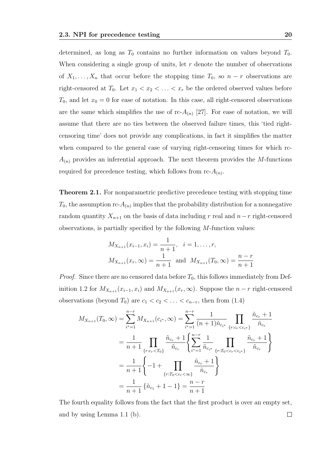determined, as long as  $T_0$  contains no further information on values beyond  $T_0$ . When considering a single group of units, let  $r$  denote the number of observations of  $X_1, \ldots, X_n$  that occur before the stopping time  $T_0$ , so  $n-r$  observations are right-censored at  $T_0$ . Let  $x_1 < x_2 < \ldots < x_r$  be the ordered observed values before  $T_0$ , and let  $x_0 = 0$  for ease of notation. In this case, all right-censored observations are the same which simplifies the use of rc- $A_{(n)}$  [27]. For ease of notation, we will assume that there are no ties between the observed failure times, this 'tied rightcensoring time' does not provide any complications, in fact it simplifies the matter when compared to the general case of varying right-censoring times for which rc- $A_{(n)}$  provides an inferential approach. The next theorem provides the M-functions required for precedence testing, which follows from  $rc\text{-}A_{(n)}$ .

Theorem 2.1. For nonparametric predictive precedence testing with stopping time  $T_0$ , the assumption rc- $A_{(n)}$  implies that the probability distribution for a nonnegative random quantity  $X_{n+1}$  on the basis of data including r real and  $n-r$  right-censored observations, is partially specified by the following  $M$ -function values:

$$
M_{X_{n+1}}(x_{i-1}, x_i) = \frac{1}{n+1}, \quad i = 1, \dots, r,
$$
  

$$
M_{X_{n+1}}(x_r, \infty) = \frac{1}{n+1} \text{ and } M_{X_{n+1}}(T_0, \infty) = \frac{n-r}{n+1}
$$

*Proof.* Since there are no censored data before  $T_0$ , this follows immediately from Definition 1.2 for  $M_{X_{n+1}}(x_{i-1}, x_i)$  and  $M_{X_{n+1}}(x_r, \infty)$ . Suppose the  $n-r$  right-censored observations (beyond  $T_0$ ) are  $c_1 < c_2 < \ldots < c_{n-r}$ , then from (1.4)

$$
M_{X_{n+1}}(T_0, \infty) = \sum_{i^*=1}^{n-r} M_{X_{n+1}}(c_{i^*}, \infty) = \sum_{i^*=1}^{n-r} \frac{1}{(n+1)\tilde{n}_{c_{i^*}}} \prod_{\{r:c_r < c_{i^*}\}} \frac{\tilde{n}_{c_r} + 1}{\tilde{n}_{c_r}}
$$
  
\n
$$
= \frac{1}{n+1} \prod_{\{r:c_r < T_0\}} \frac{\tilde{n}_{c_r} + 1}{\tilde{n}_{c_r}} \left\{ \sum_{i^*=1}^{n-r} \frac{1}{\tilde{n}_{c_{i^*}}} \prod_{\{r:T_0 < c_r < c_{i^*}\}} \frac{\tilde{n}_{c_r} + 1}{\tilde{n}_{c_r}} \right\}
$$
  
\n
$$
= \frac{1}{n+1} \left\{ -1 + \prod_{\{r:T_0 < c_r < \infty\}} \frac{\tilde{n}_{c_r} + 1}{\tilde{n}_{c_r}} \right\}
$$
  
\n
$$
= \frac{1}{n+1} \left\{ \tilde{n}_{c_1} + 1 - 1 \right\} = \frac{n-r}{n+1}
$$

The fourth equality follows from the fact that the first product is over an empty set, and by using Lemma 1.1 (b). $\Box$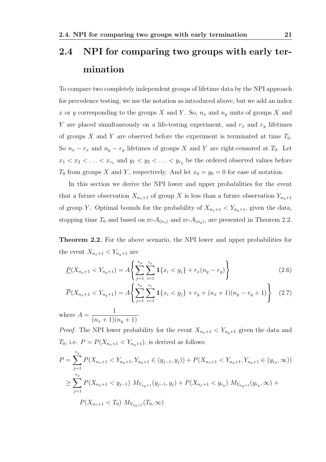## 2.4 NPI for comparing two groups with early termination

To compare two completely independent groups of lifetime data by the NPI approach for precedence testing, we use the notation as introduced above, but we add an index x or y corresponding to the groups X and Y. So,  $n_x$  and  $n_y$  units of groups X and Y are placed simultaneously on a life-testing experiment, and  $r_x$  and  $r_y$  lifetimes of groups X and Y are observed before the experiment is terminated at time  $T_0$ . So  $n_x - r_x$  and  $n_y - r_y$  lifetimes of groups X and Y are right-censored at  $T_0$ . Let  $x_1 < x_2 < \ldots < x_{r_x}$  and  $y_1 < y_2 < \ldots < y_{r_y}$  be the ordered observed values before  $T_0$  from groups X and Y, respectively. And let  $x_0 = y_0 = 0$  for ease of notation.

In this section we derive the NPI lower and upper probabilities for the event that a future observation  $X_{n_x+1}$  of group X is less than a future observation  $Y_{n_y+1}$ of group Y. Optimal bounds for the probability of  $X_{n_x+1} < Y_{n_y+1}$ , given the data, stopping time  $T_0$  and based on rc- $A_{(n_x)}$  and rc- $A_{(n_y)}$ , are presented in Theorem 2.2.

Theorem 2.2. For the above scenario, the NPI lower and upper probabilities for the event  $X_{n_x+1} < Y_{n_y+1}$  are

$$
\underline{P}(X_{n_x+1} < Y_{n_y+1}) = A \left\{ \sum_{j=1}^{r_y} \sum_{i=1}^{r_x} \mathbf{1} \{ x_i < y_j \} + r_x(n_y - r_y) \right\} \tag{2.6}
$$

$$
\overline{P}(X_{n_x+1} < Y_{n_y+1}) = A \left\{ \sum_{j=1}^{r_y} \sum_{i=1}^{r_x} \mathbf{1} \{x_i < y_j\} + r_y + (n_x + 1)(n_y - r_y + 1) \right\} \tag{2.7}
$$

where  $A =$ 1  $\frac{(n_x+1)(n_y+1)}{n_y+1}$ 

*Proof.* The NPI lower probability for the event  $X_{n_x+1} < Y_{n_y+1}$  given the data and  $T_0$ , i.e.  $P = P(X_{n_x+1} < Y_{n_y+1})$ , is derived as follows:

$$
P = \sum_{j=1}^{r_y} P(X_{n_x+1} < Y_{n_y+1}, Y_{n_y+1} \in (y_{j-1}, y_j)) + P(X_{n_x+1} < Y_{n_y+1}, Y_{n_y+1} \in (y_{r_y}, \infty))
$$
\n
$$
\geq \sum_{j=1}^{r_y} P(X_{n_x+1} < y_{j-1}) M_{Y_{n_y+1}}(y_{j-1}, y_j) + P(X_{n_x+1} < y_{r_y}) M_{Y_{n_y+1}}(y_{r_y}, \infty) + P(X_{n_x+1} < T_0) M_{Y_{n_y+1}}(T_0, \infty)
$$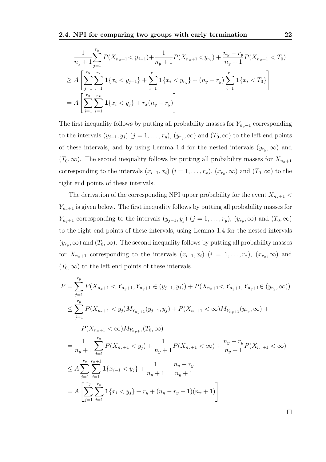$$
= \frac{1}{n_y+1} \sum_{j=1}^{r_y} P(X_{n_x+1} < y_{j-1}) + \frac{1}{n_y+1} P(X_{n_x+1} < y_{r_y}) + \frac{n_y - r_y}{n_y+1} P(X_{n_x+1} < T_0)
$$
\n
$$
\geq A \left[ \sum_{j=1}^{r_y} \sum_{i=1}^{r_x} \mathbf{1} \{x_i < y_{j-1}\} + \sum_{i=1}^{r_x} \mathbf{1} \{x_i < y_{r_y}\} + (n_y - r_y) \sum_{i=1}^{r_x} \mathbf{1} \{x_i < T_0\} \right]
$$
\n
$$
= A \left[ \sum_{j=1}^{r_y} \sum_{i=1}^{r_x} \mathbf{1} \{x_i < y_j\} + r_x(n_y - r_y) \right].
$$

The first inequality follows by putting all probability masses for  $Y_{n_y+1}$  corresponding to the intervals  $(y_{j-1}, y_j)$   $(j = 1, \ldots, r_y)$ ,  $(y_{r_y}, \infty)$  and  $(T_0, \infty)$  to the left end points of these intervals, and by using Lemma 1.4 for the nested intervals  $(y_{r_y}, \infty)$  and  $(T_0, \infty)$ . The second inequality follows by putting all probability masses for  $X_{n_x+1}$ corresponding to the intervals  $(x_{i-1}, x_i)$   $(i = 1, \ldots, r_x)$ ,  $(x_{r_x}, \infty)$  and  $(T_0, \infty)$  to the right end points of these intervals.

The derivation of the corresponding NPI upper probability for the event  $X_{n_x+1}$  <  $Y_{n_y+1}$  is given below. The first inequality follows by putting all probability masses for  $Y_{n_y+1}$  corresponding to the intervals  $(y_{j-1}, y_j)$   $(j = 1, \ldots, r_y)$ ,  $(y_{r_y}, \infty)$  and  $(T_0, \infty)$ to the right end points of these intervals, using Lemma 1.4 for the nested intervals  $(y_{r_y}, \infty)$  and  $(T_0, \infty)$ . The second inequality follows by putting all probability masses for  $X_{n_x+1}$  corresponding to the intervals  $(x_{i-1}, x_i)$   $(i = 1, \ldots, r_x)$ ,  $(x_{r_x}, \infty)$  and  $(T_0, \infty)$  to the left end points of these intervals.

$$
P = \sum_{j=1}^{r_y} P(X_{n_x+1} < Y_{n_y+1}, Y_{n_y+1} \in (y_{j-1}, y_j)) + P(X_{n_x+1} < Y_{n_y+1}, Y_{n_y+1} \in (y_{r_y}, \infty))
$$
\n
$$
\leq \sum_{j=1}^{r_y} P(X_{n_x+1} < y_j) M_{Y_{n_y+1}}(y_{j-1}, y_j) + P(X_{n_x+1} < \infty) M_{Y_{n_y+1}}(y_{r_y}, \infty) + P(X_{n_x+1} < \infty) M_{Y_{n_y+1}}(T_0, \infty)
$$
\n
$$
= \frac{1}{n_y+1} \sum_{j=1}^{r_y} P(X_{n_x+1} < y_j) + \frac{1}{n_y+1} P(X_{n_x+1} < \infty) + \frac{n_y - r_y}{n_y+1} P(X_{n_x+1} < \infty)
$$
\n
$$
\leq A \sum_{j=1}^{r_y} \sum_{i=1}^{r_x+1} \mathbf{1} \{x_{i-1} < y_j\} + \frac{1}{n_y+1} + \frac{n_y - r_y}{n_y+1}
$$
\n
$$
= A \left[ \sum_{j=1}^{r_y} \sum_{i=1}^{r_x} \mathbf{1} \{x_i < y_j\} + r_y + (n_y - r_y + 1)(n_x + 1) \right]
$$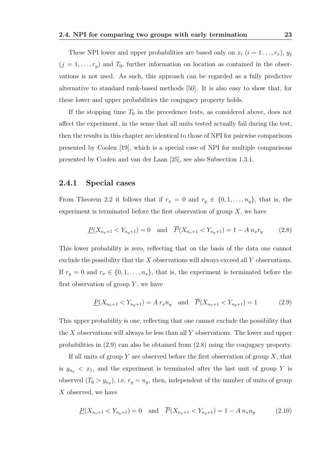These NPI lower and upper probabilities are based only on  $x_i$   $(i = 1 \ldots, r_x)$ ,  $y_j$  $(j = 1, \ldots, r_y)$  and  $T_0$ , further information on location as contained in the observations is not used. As such, this approach can be regarded as a fully predictive alternative to standard rank-based methods [50]. It is also easy to show that, for these lower and upper probabilities the conjugacy property holds.

If the stopping time  $T_0$  in the precedence tests, as considered above, does not affect the experiment, in the sense that all units tested actually fail during the test, then the results in this chapter are identical to those of NPI for pairwise comparisons presented by Coolen [19], which is a special case of NPI for multiple comparisons presented by Coolen and van der Laan [25], see also Subsection 1.3.1.

#### 2.4.1 Special cases

From Theorem 2.2 it follows that if  $r_x = 0$  and  $r_y \in \{0, 1, \ldots, n_y\}$ , that is, the experiment is terminated before the first observation of group  $X$ , we have

$$
\underline{P}(X_{n_x+1} < Y_{n_y+1}) = 0 \quad \text{and} \quad \overline{P}(X_{n_x+1} < Y_{n_y+1}) = 1 - A n_x r_y \tag{2.8}
$$

This lower probability is zero, reflecting that on the basis of the data one cannot exclude the possibility that the  $X$  observations will always exceed all  $Y$  observations. If  $r_y = 0$  and  $r_x \in \{0, 1, \ldots, n_x\}$ , that is, the experiment is terminated before the first observation of group  $Y$ , we have

$$
\underline{P}(X_{n_x+1} < Y_{n_y+1}) = A r_x n_y \quad \text{and} \quad \overline{P}(X_{n_x+1} < Y_{n_y+1}) = 1 \tag{2.9}
$$

This upper probability is one, reflecting that one cannot exclude the possibility that the  $X$  observations will always be less than all  $Y$  observations. The lower and upper probabilities in (2.9) can also be obtained from (2.8) using the conjugacy property.

If all units of group Y are observed before the first observation of group  $X$ , that is  $y_{n_y} < x_1$ , and the experiment is terminated after the last unit of group Y is observed  $(T_0 > y_{n_y})$ , i.e.  $r_y = n_y$ , then, independent of the number of units of group X observed, we have

$$
\underline{P}(X_{n_x+1} < Y_{n_y+1}) = 0 \quad \text{and} \quad \overline{P}(X_{n_x+1} < Y_{n_y+1}) = 1 - A n_x n_y \tag{2.10}
$$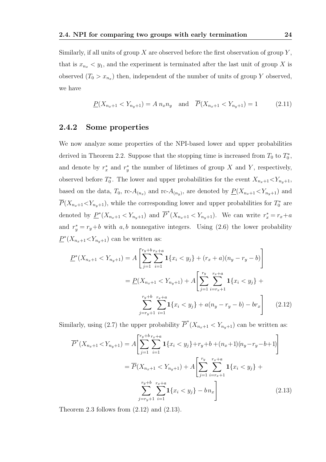Similarly, if all units of group  $X$  are observed before the first observation of group  $Y$ , that is  $x_{n_x} < y_1$ , and the experiment is terminated after the last unit of group X is observed  $(T_0 > x_{n_x})$  then, independent of the number of units of group Y observed, we have

$$
\underline{P}(X_{n_x+1} < Y_{n_y+1}) = A \, n_x n_y \quad \text{and} \quad \overline{P}(X_{n_x+1} < Y_{n_y+1}) = 1 \tag{2.11}
$$

#### 2.4.2 Some properties

We now analyze some properties of the NPI-based lower and upper probabilities derived in Theorem 2.2. Suppose that the stopping time is increased from  $T_0$  to  $T_0^*$ , and denote by  $r_x^*$  and  $r_y^*$  the number of lifetimes of group X and Y, respectively, observed before  $T_0^*$ . The lower and upper probabilities for the event  $X_{n_x+1} < Y_{n_y+1}$ , based on the data,  $T_0$ , rc- $A_{(n_x)}$  and rc- $A_{(n_y)}$ , are denoted by  $\underline{P}(X_{n_x+1} < Y_{n_y+1})$  and  $\overline{P}(X_{n_x+1} < Y_{n_y+1})$ , while the corresponding lower and upper probabilities for  $T_0^*$  are denoted by  $\underline{P}^*(X_{n_x+1} < Y_{n_y+1})$  and  $\overline{P}^*(X_{n_x+1} < Y_{n_y+1})$ . We can write  $r_x^* = r_x + a$ and  $r_y^* = r_y + b$  with a, b nonnegative integers. Using (2.6) the lower probability  $\underline{P}^*(X_{n_x+1} < Y_{n_y+1})$  can be written as:

$$
\underline{P}^*(X_{n_x+1} < Y_{n_y+1}) = A \left[ \sum_{j=1}^{r_y + b} \sum_{i=1}^{r_x + a} \mathbf{1} \{ x_i < y_j \} + (r_x + a)(n_y - r_y - b) \right]
$$
\n
$$
= \underline{P}(X_{n_x+1} < Y_{n_y+1}) + A \left[ \sum_{j=1}^{r_y} \sum_{i=r_x+1}^{r_x + a} \mathbf{1} \{ x_i < y_j \} + \sum_{j=r_y+1}^{r_y + b} \sum_{i=1}^{r_x + a} \mathbf{1} \{ x_i < y_j \} + a(n_y - r_y - b) - br_x \right] \tag{2.12}
$$

Similarly, using (2.7) the upper probability  $\overline{P}^*(X_{n_x+1} < Y_{n_y+1})$  can be written as:

$$
\overline{P}^*(X_{n_x+1} < Y_{n_y+1}) = A \left[ \sum_{j=1}^{r_y+b} \sum_{i=1}^{r_{x+a}} \mathbf{1} \{ x_i < y_j \} + r_y + b + (n_x+1)(n_y - r_y - b + 1) \right]
$$
\n
$$
= \overline{P}(X_{n_x+1} < Y_{n_y+1}) + A \left[ \sum_{j=1}^{r_y} \sum_{i=r_x+1}^{r_x+a} \mathbf{1} \{ x_i < y_j \} + \sum_{j=r_y+1}^{r_y+b} \sum_{i=1}^{r_x+a} \mathbf{1} \{ x_i < y_j \} - b n_x \right] \tag{2.13}
$$

Theorem 2.3 follows from  $(2.12)$  and  $(2.13)$ .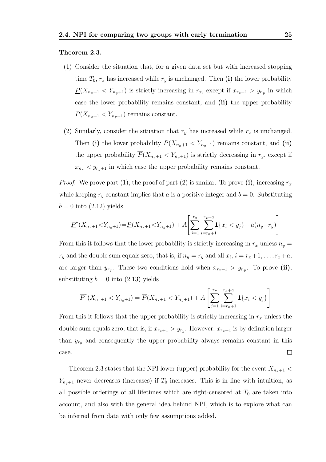#### Theorem 2.3.

- (1) Consider the situation that, for a given data set but with increased stopping time  $T_0$ ,  $r_x$  has increased while  $r_y$  is unchanged. Then (i) the lower probability  $\underline{P}(X_{n_x+1} < Y_{n_y+1})$  is strictly increasing in  $r_x$ , except if  $x_{r_x+1} > y_{n_y}$  in which case the lower probability remains constant, and (ii) the upper probability  $\overline{P}(X_{n_x+1} < Y_{n_y+1})$  remains constant.
- (2) Similarly, consider the situation that  $r_y$  has increased while  $r_x$  is unchanged. Then (i) the lower probability  $P(X_{n_x+1} < Y_{n_y+1})$  remains constant, and (ii) the upper probability  $\overline{P}(X_{n_x+1} < Y_{n_y+1})$  is strictly decreasing in  $r_y$ , except if  $x_{n_x}$   $\lt y_{r_y+1}$  in which case the upper probability remains constant.

*Proof.* We prove part (1), the proof of part (2) is similar. To prove (i), increasing  $r_x$ while keeping  $r_y$  constant implies that a is a positive integer and  $b = 0$ . Substituting  $b = 0$  into  $(2.12)$  yields

$$
\underline{P}^*(X_{n_x+1} < Y_{n_y+1}) = \underline{P}(X_{n_x+1} < Y_{n_y+1}) + A \left[ \sum_{j=1}^{r_y} \sum_{i=r_x+1}^{r_x+a} \mathbf{1}\{x_i < y_j\} + a(n_y - r_y) \right]
$$

From this it follows that the lower probability is strictly increasing in  $r_x$  unless  $n_y =$  $r_y$  and the double sum equals zero, that is, if  $n_y = r_y$  and all  $x_i$ ,  $i = r_x + 1, \ldots, r_x + a$ , are larger than  $y_{r_y}$ . These two conditions hold when  $x_{r_x+1} > y_{n_y}$ . To prove (ii), substituting  $b = 0$  into (2.13) yields

$$
\overline{P}^*(X_{n_x+1} < Y_{n_y+1}) = \overline{P}(X_{n_x+1} < Y_{n_y+1}) + A \left[ \sum_{j=1}^{r_y} \sum_{i=r_x+1}^{r_x+a} \mathbf{1} \{x_i < y_j\} \right]
$$

From this it follows that the upper probability is strictly increasing in  $r_x$  unless the double sum equals zero, that is, if  $x_{r_x+1} > y_{r_y}$ . However,  $x_{r_x+1}$  is by definition larger than  $y_{r_y}$  and consequently the upper probability always remains constant in this case.  $\Box$ 

Theorem 2.3 states that the NPI lower (upper) probability for the event  $X_{n_x+1}$  <  $Y_{n_{u}+1}$  never decreases (increases) if  $T_0$  increases. This is in line with intuition, as all possible orderings of all lifetimes which are right-censored at  $T_0$  are taken into account, and also with the general idea behind NPI, which is to explore what can be inferred from data with only few assumptions added.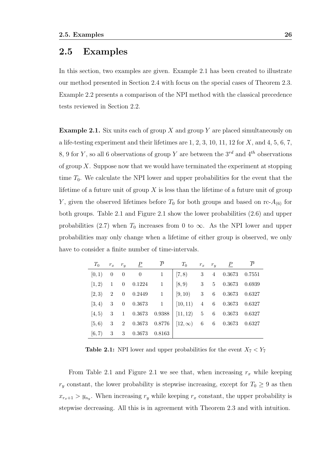### 2.5 Examples

In this section, two examples are given. Example 2.1 has been created to illustrate our method presented in Section 2.4 with focus on the special cases of Theorem 2.3. Example 2.2 presents a comparison of the NPI method with the classical precedence tests reviewed in Section 2.2.

**Example 2.1.** Six units each of group X and group Y are placed simultaneously on a life-testing experiment and their lifetimes are  $1, 2, 3, 10, 11, 12$  for  $X$ , and  $4, 5, 6, 7$ , 8, 9 for Y, so all 6 observations of group Y are between the  $3^{rd}$  and  $4^{th}$  observations of group  $X$ . Suppose now that we would have terminated the experiment at stopping time  $T_0$ . We calculate the NPI lower and upper probabilities for the event that the lifetime of a future unit of group  $X$  is less than the lifetime of a future unit of group Y, given the observed lifetimes before  $T_0$  for both groups and based on rc- $A_{(6)}$  for both groups. Table 2.1 and Figure 2.1 show the lower probabilities (2.6) and upper probabilities (2.7) when  $T_0$  increases from 0 to  $\infty$ . As the NPI lower and upper probabilities may only change when a lifetime of either group is observed, we only have to consider a finite number of time-intervals.

|  | $T_0$ $r_x$ $r_y$ $\underline{P}$ $\overline{P}$ | $T_0$                                                                                                                 |  | $r_x \quad r_y \quad P$ | $\overline{P}$ |
|--|--------------------------------------------------|-----------------------------------------------------------------------------------------------------------------------|--|-------------------------|----------------|
|  | $[0,1)$ 0 0 0 1                                  | $\begin{array}{ c c c c c c } \hline 7,8 & 3 & 4 & 0.3673 & 0.7551 \ \hline \end{array}$                              |  |                         |                |
|  |                                                  | $[1,2) \quad 1 \quad 0 \quad 0.1224 \qquad 1 \quad \, \big  \,\, [8,9) \qquad 3 \quad \, 5 \quad 0.3673 \quad 0.6939$ |  |                         |                |
|  |                                                  | $[2,3)$ 2 0 0.2449 1 $[9,10)$ 3 6 0.3673 0.6327                                                                       |  |                         |                |
|  |                                                  | $[3, 4)$ 3 0 0.3673 1 $[10, 11)$ 4 6 0.3673 0.6327                                                                    |  |                         |                |
|  |                                                  | $[4,5)$ 3 1 0.3673 0.9388 $[11,12)$ 5 6 0.3673 0.6327                                                                 |  |                         |                |
|  |                                                  | $[5,6)$ 3 2 0.3673 0.8776 $[12,\infty)$ 6 6 0.3673 0.6327                                                             |  |                         |                |
|  | $[6,7)$ 3 3 0.3673 0.8163                        |                                                                                                                       |  |                         |                |

**Table 2.1:** NPI lower and upper probabilities for the event  $X_7 < Y_7$ 

From Table 2.1 and Figure 2.1 we see that, when increasing  $r_x$  while keeping  $r_y$  constant, the lower probability is stepwise increasing, except for  $T_0 \geq 9$  as then  $x_{r_x+1} > y_{n_y}$ . When increasing  $r_y$  while keeping  $r_x$  constant, the upper probability is stepwise decreasing. All this is in agreement with Theorem 2.3 and with intuition.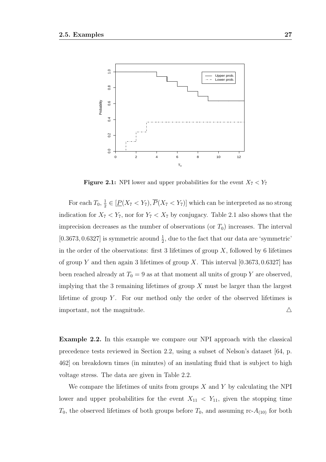

**Figure 2.1:** NPI lower and upper probabilities for the event  $X_7 < Y_7$ 

For each  $T_0, \frac{1}{2}$  $\frac{1}{2} \in [\underline{P}(X_7 \le Y_7), P(X_7 \le Y_7)]$  which can be interpreted as no strong indication for  $X_7 < Y_7$ , nor for  $Y_7 < X_7$  by conjugacy. Table 2.1 also shows that the imprecision decreases as the number of observations (or  $T_0$ ) increases. The interval [0.3673, 0.6327] is symmetric around  $\frac{1}{2}$ , due to the fact that our data are 'symmetric' in the order of the observations: first 3 lifetimes of group  $X$ , followed by 6 lifetimes of group Y and then again 3 lifetimes of group X. This interval  $[0.3673, 0.6327]$  has been reached already at  $T_0 = 9$  as at that moment all units of group Y are observed, implying that the 3 remaining lifetimes of group  $X$  must be larger than the largest lifetime of group  $Y$ . For our method only the order of the observed lifetimes is important, not the magnitude.  $\triangle$ 

Example 2.2. In this example we compare our NPI approach with the classical precedence tests reviewed in Section 2.2, using a subset of Nelson's dataset [64, p. 462] on breakdown times (in minutes) of an insulating fluid that is subject to high voltage stress. The data are given in Table 2.2.

We compare the lifetimes of units from groups  $X$  and  $Y$  by calculating the NPI lower and upper probabilities for the event  $X_{11} < Y_{11}$ , given the stopping time  $T_0$ , the observed lifetimes of both groups before  $T_0$ , and assuming rc- $A_{(10)}$  for both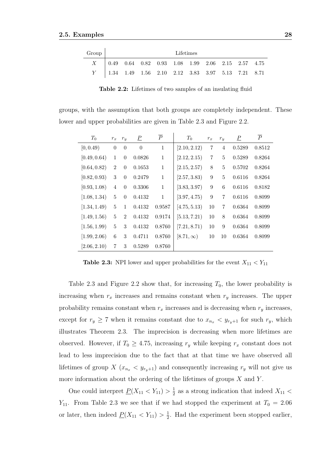| Group | Lifetimes |                                                                                                         |  |  |  |  |  |  |  |  |
|-------|-----------|---------------------------------------------------------------------------------------------------------|--|--|--|--|--|--|--|--|
|       |           | $X = \begin{bmatrix} 0.49 & 0.64 & 0.82 & 0.93 & 1.08 & 1.99 & 2.06 & 2.15 & 2.57 & 4.75 \end{bmatrix}$ |  |  |  |  |  |  |  |  |
|       |           | $Y$   1.34 1.49 1.56 2.10 2.12 3.83 3.97 5.13 7.21 8.71                                                 |  |  |  |  |  |  |  |  |

Table 2.2: Lifetimes of two samples of an insulating fluid

groups, with the assumption that both groups are completely independent. These lower and upper probabilities are given in Table 2.3 and Figure 2.2.

| $T_0$        | $r_x$            | $r_y$            | $\overline{P}$   | $\overline{P}$ | $T_0$           | $r_x$          | $r_y$          | $\overline{P}$ | $\overline{P}$ |
|--------------|------------------|------------------|------------------|----------------|-----------------|----------------|----------------|----------------|----------------|
| [0, 0.49)    | $\boldsymbol{0}$ | $\boldsymbol{0}$ | $\boldsymbol{0}$ | $\,1\,$        | [2.10, 2.12)    | 7              | $\overline{4}$ | 0.5289         | 0.8512         |
| [0.49, 0.64) | 1                | $\theta$         | 0.0826           | $\,1\,$        | [2.12, 2.15]    | $\overline{7}$ | 5              | 0.5289         | 0.8264         |
| [0.64, 0.82) | $\overline{2}$   | $\theta$         | 0.1653           | $\mathbf{1}$   | [2.15, 2.57)    | 8              | 5              | 0.5702         | 0.8264         |
| [0.82, 0.93) | 3                | $\theta$         | 0.2479           | $\mathbf{1}$   | [2.57, 3.83]    | 9              | $\overline{5}$ | 0.6116         | 0.8264         |
| [0.93, 1.08) | 4                | $\theta$         | 0.3306           | $\,1\,$        | [3.83, 3.97]    | 9              | 6              | 0.6116         | 0.8182         |
| [1.08, 1.34) | 5                | $\theta$         | 0.4132           | $\mathbf{1}$   | [3.97, 4.75)    | 9              | $\overline{7}$ | 0.6116         | 0.8099         |
| [1.34, 1.49] | 5                | 1                | 0.4132           | 0.9587         | [4.75, 5.13]    | 10             | $\overline{7}$ | 0.6364         | 0.8099         |
| [1.49, 1.56] | 5                | $\overline{2}$   | 0.4132           | 0.9174         | [5.13, 7.21)    | 10             | 8              | 0.6364         | 0.8099         |
| [1.56, 1.99] | 5                | 3                | 0.4132           | 0.8760         | [7.21, 8.71)    | 10             | 9              | 0.6364         | 0.8099         |
| [1.99, 2.06] | 6                | 3                | 0.4711           | 0.8760         | $[8.71,\infty)$ | 10             | 10             | 0.6364         | 0.8099         |
| [2.06, 2.10) | 7                | 3                | 0.5289           | 0.8760         |                 |                |                |                |                |

**Table 2.3:** NPI lower and upper probabilities for the event  $X_{11} < Y_{11}$ 

Table 2.3 and Figure 2.2 show that, for increasing  $T_0$ , the lower probability is increasing when  $r_x$  increases and remains constant when  $r_y$  increases. The upper probability remains constant when  $r_x$  increases and is decreasing when  $r_y$  increases, except for  $r_y \ge 7$  when it remains constant due to  $x_{n_x} < y_{r_y+1}$  for such  $r_y$ , which illustrates Theorem 2.3. The imprecision is decreasing when more lifetimes are observed. However, if  $T_0 \geq 4.75$ , increasing  $r_y$  while keeping  $r_x$  constant does not lead to less imprecision due to the fact that at that time we have observed all lifetimes of group X  $(x_{n_x} < y_{r_y+1})$  and consequently increasing  $r_y$  will not give us more information about the ordering of the lifetimes of groups  $X$  and  $Y$ .

One could interpret  $\underline{P}(X_{11} < Y_{11}) > \frac{1}{2}$  $\frac{1}{2}$  as a strong indication that indeed  $X_{11}$  <  $Y_{11}$ . From Table 2.3 we see that if we had stopped the experiment at  $T_0 = 2.06$ or later, then indeed  $\underline{P}(X_{11} < Y_{11}) > \frac{1}{2}$  $\frac{1}{2}$ . Had the experiment been stopped earlier,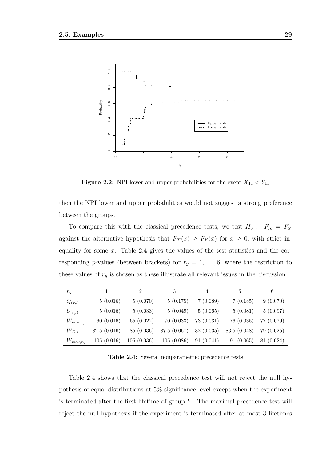

**Figure 2.2:** NPI lower and upper probabilities for the event  $X_{11} < Y_{11}$ 

then the NPI lower and upper probabilities would not suggest a strong preference between the groups.

To compare this with the classical precedence tests, we test  $H_0: F_X = F_Y$ against the alternative hypothesis that  $F_X(x) \geq F_Y(x)$  for  $x \geq 0$ , with strict inequality for some  $x$ . Table 2.4 gives the values of the test statistics and the corresponding p-values (between brackets) for  $r_y = 1, \ldots, 6$ , where the restriction to these values of  $r_y$  is chosen as these illustrate all relevant issues in the discussion.

| $r_y$          |             | $\mathcal{D}_{\mathcal{L}}$ | 3            | 4          | 5           | 6          |
|----------------|-------------|-----------------------------|--------------|------------|-------------|------------|
| $Q_{(r_y)}$    | 5(0.016)    | 5(0.070)                    | 5(0.175)     | 7(0.089)   | 7(0.185)    | 9(0.070)   |
| $U_{(r_y)}$    | 5(0.016)    | 5(0.033)                    | 5(0.049)     | 5(0.065)   | 5(0.081)    | 5(0.097)   |
| $W_{\min,r_y}$ | 60(0.016)   | 65(0.022)                   | 70(0.033)    | 73(0.031)  | 76(0.035)   | 77 (0.029) |
| $W_{E,r_y}$    | 82.5(0.016) | 85 (0.036)                  | 87.5 (0.067) | 82 (0.035) | 83.5(0.048) | 79 (0.025) |
| $W_{\max,r_u}$ | 105(0.016)  | 105(0.036)                  | 105(0.086)   | 91(0.041)  | 91(0.065)   | 81 (0.024) |

Table 2.4: Several nonparametric precedence tests

Table 2.4 shows that the classical precedence test will not reject the null hypothesis of equal distributions at 5% significance level except when the experiment is terminated after the first lifetime of group  $Y$ . The maximal precedence test will reject the null hypothesis if the experiment is terminated after at most 3 lifetimes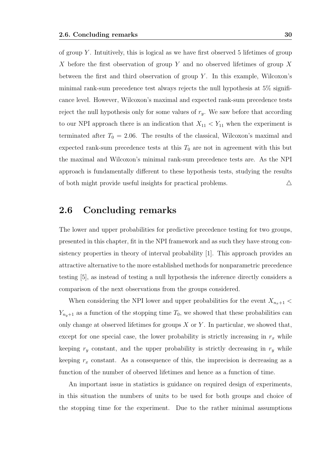of group  $Y$ . Intuitively, this is logical as we have first observed 5 lifetimes of group X before the first observation of group Y and no observed lifetimes of group X between the first and third observation of group  $Y$ . In this example, Wilcoxon's minimal rank-sum precedence test always rejects the null hypothesis at 5% significance level. However, Wilcoxon's maximal and expected rank-sum precedence tests reject the null hypothesis only for some values of  $r_y$ . We saw before that according to our NPI approach there is an indication that  $X_{11} < Y_{11}$  when the experiment is terminated after  $T_0 = 2.06$ . The results of the classical, Wilcoxon's maximal and expected rank-sum precedence tests at this  $T_0$  are not in agreement with this but the maximal and Wilcoxon's minimal rank-sum precedence tests are. As the NPI approach is fundamentally different to these hypothesis tests, studying the results of both might provide useful insights for practical problems.  $\triangle$ 

# 2.6 Concluding remarks

The lower and upper probabilities for predictive precedence testing for two groups, presented in this chapter, fit in the NPI framework and as such they have strong consistency properties in theory of interval probability [1]. This approach provides an attractive alternative to the more established methods for nonparametric precedence testing [5], as instead of testing a null hypothesis the inference directly considers a comparison of the next observations from the groups considered.

When considering the NPI lower and upper probabilities for the event  $X_{n_x+1}$  <  $Y_{n_{y}+1}$  as a function of the stopping time  $T_0$ , we showed that these probabilities can only change at observed lifetimes for groups  $X$  or  $Y$ . In particular, we showed that, except for one special case, the lower probability is strictly increasing in  $r_x$  while keeping  $r_y$  constant, and the upper probability is strictly decreasing in  $r_y$  while keeping  $r_x$  constant. As a consequence of this, the imprecision is decreasing as a function of the number of observed lifetimes and hence as a function of time.

An important issue in statistics is guidance on required design of experiments, in this situation the numbers of units to be used for both groups and choice of the stopping time for the experiment. Due to the rather minimal assumptions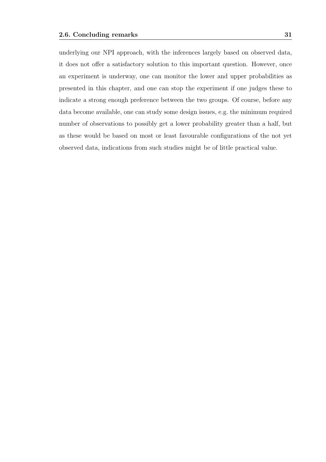underlying our NPI approach, with the inferences largely based on observed data, it does not offer a satisfactory solution to this important question. However, once an experiment is underway, one can monitor the lower and upper probabilities as presented in this chapter, and one can stop the experiment if one judges these to indicate a strong enough preference between the two groups. Of course, before any data become available, one can study some design issues, e.g. the minimum required number of observations to possibly get a lower probability greater than a half, but as these would be based on most or least favourable configurations of the not yet observed data, indications from such studies might be of little practical value.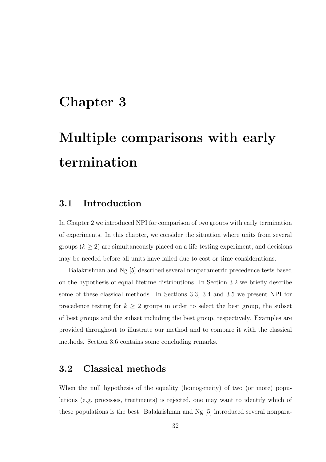# Chapter 3

# Multiple comparisons with early termination

# 3.1 Introduction

In Chapter 2 we introduced NPI for comparison of two groups with early termination of experiments. In this chapter, we consider the situation where units from several groups  $(k \geq 2)$  are simultaneously placed on a life-testing experiment, and decisions may be needed before all units have failed due to cost or time considerations.

Balakrishnan and Ng [5] described several nonparametric precedence tests based on the hypothesis of equal lifetime distributions. In Section 3.2 we briefly describe some of these classical methods. In Sections 3.3, 3.4 and 3.5 we present NPI for precedence testing for  $k \geq 2$  groups in order to select the best group, the subset of best groups and the subset including the best group, respectively. Examples are provided throughout to illustrate our method and to compare it with the classical methods. Section 3.6 contains some concluding remarks.

## 3.2 Classical methods

When the null hypothesis of the equality (homogeneity) of two (or more) populations (e.g. processes, treatments) is rejected, one may want to identify which of these populations is the best. Balakrishnan and Ng [5] introduced several nonpara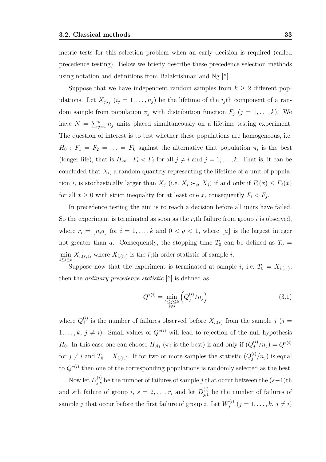metric tests for this selection problem when an early decision is required (called precedence testing). Below we briefly describe these precedence selection methods using notation and definitions from Balakrishnan and Ng [5].

Suppose that we have independent random samples from  $k \geq 2$  different populations. Let  $X_{j,i_j}$   $(i_j = 1, \ldots, n_j)$  be the lifetime of the  $i_j$ th component of a random sample from population  $\pi_j$  with distribution function  $F_j$   $(j = 1, ..., k)$ . We have  $N = \sum_{j=1}^{k} n_j$  units placed simultaneously on a lifetime testing experiment. The question of interest is to test whether these populations are homogeneous, i.e.  $H_0: F_1 = F_2 = \ldots = F_k$  against the alternative that population  $\pi_i$  is the best (longer life), that is  $H_{Ai}: F_i \leq F_j$  for all  $j \neq i$  and  $j = 1, ..., k$ . That is, it can be concluded that  $X_i$ , a random quantity representing the lifetime of a unit of population *i*, is stochastically larger than  $X_j$  (i.e.  $X_i \succ_{st} X_j$ ) if and only if  $F_i(x) \leq F_j(x)$ for all  $x \geq 0$  with strict inequality for at least one x, consequently  $F_i < F_j$ .

In precedence testing the aim is to reach a decision before all units have failed. So the experiment is terminated as soon as the  $\bar{r}_i$ th failure from group i is observed, where  $\bar{r}_i = \lfloor n_i q \rfloor$  for  $i = 1, ..., k$  and  $0 < q < 1$ , where  $\lfloor a \rfloor$  is the largest integer not greater than a. Consequently, the stopping time  $T_0$  can be defined as  $T_0$  =  $\min_{1 \leq i \leq k} X_{i,(\bar{r}_i)}$ , where  $X_{i,(\bar{r}_i)}$  is the  $\bar{r}_i$ th order statistic of sample *i*.

Suppose now that the experiment is terminated at sample *i*, i.e.  $T_0 = X_{i,(\bar{r}_i)}$ , then the ordinary precedence statistic [6] is defined as

$$
Q^{*(i)} = \min_{\substack{1 \le j \le k \\ j \ne i}} \left( Q_j^{(i)} / n_j \right) \tag{3.1}
$$

where  $Q_i^{(i)}$  $j^{(i)}$  is the number of failures observed before  $X_{i,(\bar{r})}$  from the sample  $j$  (j =  $1, \ldots, k, j \neq i$ ). Small values of  $Q^{*(i)}$  will lead to rejection of the null hypothesis  $H_0$ . In this case one can choose  $H_{Aj}(\pi_j)$  is the best) if and only if  $(Q_j^{(i)})$  $j^{(i)}/n_j = Q^{*(i)}$ for  $j \neq i$  and  $T_0 = X_{i,(\bar{r}_i)}$ . If for two or more samples the statistic  $(Q_j^{(i)})$  $j^{(i)}/n_j$ ) is equal to  $Q^{*(i)}$  then one of the corresponding populations is randomly selected as the best.

Now let  $D_{j,s}^{(i)}$  be the number of failures of sample j that occur between the  $(s-1)$ th and sth failure of group i,  $s = 2, \ldots, \bar{r}_i$  and let  $D_{j,1}^{(i)}$  be the number of failures of sample j that occur before the first failure of group *i*. Let  $W_i^{(i)}$  $j_j^{(i)}$   $(j = 1, \ldots, k, j \neq i)$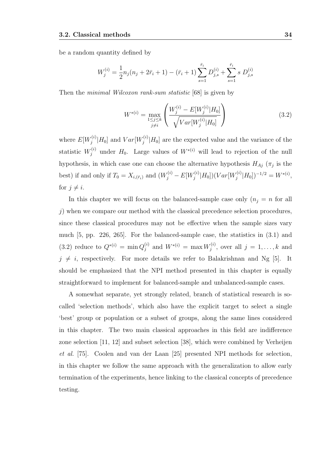be a random quantity defined by

$$
W_j^{(i)} = \frac{1}{2} n_j (n_j + 2\bar{r}_i + 1) - (\bar{r}_i + 1) \sum_{s=1}^{\bar{r}_i} D_{j,s}^{(i)} + \sum_{s=1}^{\bar{r}_i} s D_{j,s}^{(i)}
$$

Then the *minimal Wilcoxon rank-sum statistic* [68] is given by

$$
W^{*(i)} = \max_{\substack{1 \le j \le k \\ j \ne i}} \left( \frac{W_j^{(i)} - E[W_j^{(i)} | H_0]}{\sqrt{Var[W_j^{(i)} | H_0]}} \right) \tag{3.2}
$$

where  $E[W_i^{(i)}]$  $y_j^{(i)}|H_0]$  and  $Var[W_j^{(i)}]$  $j^{(i)}$  $[H_0]$  are the expected value and the variance of the statistic  $W_j^{(i)}$  under  $H_0$ . Large values of  $W^{*(i)}$  will lead to rejection of the null hypothesis, in which case one can choose the alternative hypothesis  $H_{Aj}(\pi_j)$  is the best) if and only if  $T_0 = X_{i,(\bar{r}_i)}$  and  $(W_j^{(i)} - E[W_j^{(i)}])$  $\sigma_j^{(i)}|H_0])(Var[W_j^{(i)}]$  $j^{(i)}|H_0]$ )<sup>-1/2</sup> =  $W^{*(i)}$ , for  $j \neq i$ .

In this chapter we will focus on the balanced-sample case only  $(n_j = n$  for all  $j$ ) when we compare our method with the classical precedence selection procedures, since these classical procedures may not be effective when the sample sizes vary much [5, pp. 226, 265]. For the balanced-sample case, the statistics in (3.1) and (3.2) reduce to  $Q^{*(i)} = \min Q_i^{(i)}$  $j^{(i)}$  and  $W^{*(i)} = \max W_j^{(i)}$  $j^{(i)}$ , over all  $j = 1, \ldots, k$  and  $j \neq i$ , respectively. For more details we refer to Balakrishnan and Ng [5]. It should be emphasized that the NPI method presented in this chapter is equally straightforward to implement for balanced-sample and unbalanced-sample cases.

A somewhat separate, yet strongly related, branch of statistical research is socalled 'selection methods', which also have the explicit target to select a single 'best' group or population or a subset of groups, along the same lines considered in this chapter. The two main classical approaches in this field are indifference zone selection [11, 12] and subset selection [38], which were combined by Verheijen et al. [75]. Coolen and van der Laan [25] presented NPI methods for selection, in this chapter we follow the same approach with the generalization to allow early termination of the experiments, hence linking to the classical concepts of precedence testing.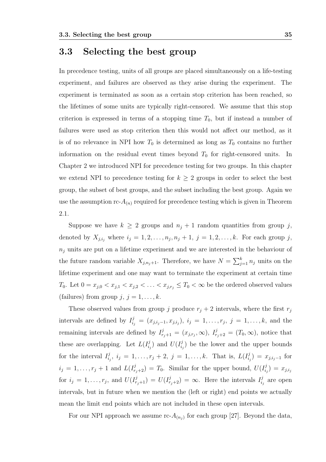# 3.3 Selecting the best group

In precedence testing, units of all groups are placed simultaneously on a life-testing experiment, and failures are observed as they arise during the experiment. The experiment is terminated as soon as a certain stop criterion has been reached, so the lifetimes of some units are typically right-censored. We assume that this stop criterion is expressed in terms of a stopping time  $T_0$ , but if instead a number of failures were used as stop criterion then this would not affect our method, as it is of no relevance in NPI how  $T_0$  is determined as long as  $T_0$  contains no further information on the residual event times beyond  $T_0$  for right-censored units. In Chapter 2 we introduced NPI for precedence testing for two groups. In this chapter we extend NPI to precedence testing for  $k \geq 2$  groups in order to select the best group, the subset of best groups, and the subset including the best group. Again we use the assumption  $\text{rc-}A_{(n)}$  required for precedence testing which is given in Theorem 2.1.

Suppose we have  $k \geq 2$  groups and  $n_j + 1$  random quantities from group j, denoted by  $X_{j,i_j}$  where  $i_j = 1, 2, \ldots, n_j, n_j + 1, j = 1, 2, \ldots, k$ . For each group j,  $n<sub>i</sub>$  units are put on a lifetime experiment and we are interested in the behaviour of the future random variable  $X_{j,n_j+1}$ . Therefore, we have  $N = \sum_{j=1}^{k} n_j$  units on the lifetime experiment and one may want to terminate the experiment at certain time  $T_0$ . Let  $0 = x_{j,0} < x_{j,1} < x_{j,2} < \ldots < x_{j,r_j} \leq T_0 < \infty$  be the ordered observed values (failures) from group  $j, j = 1, \ldots, k$ .

These observed values from group j produce  $r_i + 2$  intervals, where the first  $r_j$ intervals are defined by  $I_{i_j}^j = (x_{j,i_j-1}, x_{j,i_j}), i_j = 1, \ldots, r_j, j = 1, \ldots, k$ , and the remaining intervals are defined by  $I_{r_j+1}^j = (x_{j,r_j}, \infty)$ ,  $I_{r_j+2}^j = (T_0, \infty)$ , notice that these are overlapping. Let  $L(I_i^j)$  $\binom{j}{i_j}$  and  $U(I^j_i)$  $i_j$ ) be the lower and the upper bounds for the interval  $I_i^j$  $i_j^j, i_j = 1, \ldots, r_j + 2, j = 1, \ldots, k.$  That is,  $L(I_{i_j}^j)$  $\binom{j}{i_j} = x_{j,i_j-1}$  for  $i_j = 1, \ldots, r_j + 1$  and  $L(I_{r_j+2}^j) = T_0$ . Similar for the upper bound,  $U(I_{i_j}^j)$  $\binom{j}{i_j} \, = \, x_{j,i_j}$ for  $i_j = 1, \ldots, r_j$ , and  $U(I^j_{r_j+1}) = U(I^j_{r_j+2}) = \infty$ . Here the intervals  $I^j_{i_j}$  $i_j$  are open intervals, but in future when we mention the (left or right) end points we actually mean the limit end points which are not included in these open intervals.

For our NPI approach we assume rc- $A_{(n_j)}$  for each group [27]. Beyond the data,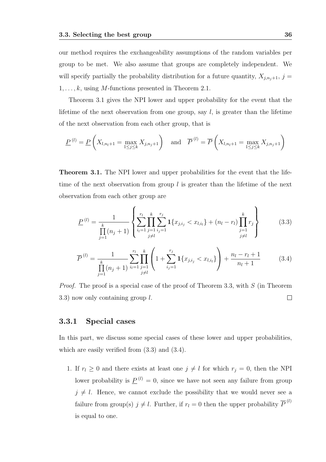our method requires the exchangeability assumptions of the random variables per group to be met. We also assume that groups are completely independent. We will specify partially the probability distribution for a future quantity,  $X_{j,n_j+1}$ ,  $j =$  $1, \ldots, k$ , using M-functions presented in Theorem 2.1.

Theorem 3.1 gives the NPI lower and upper probability for the event that the lifetime of the next observation from one group, say  $l$ , is greater than the lifetime of the next observation from each other group, that is

$$
\underline{P}^{(l)} = \underline{P}\left(X_{l,n_l+1} = \max_{1 \le j \le k} X_{j,n_j+1}\right) \text{ and } \overline{P}^{(l)} = \overline{P}\left(X_{l,n_l+1} = \max_{1 \le j \le k} X_{j,n_j+1}\right)
$$

Theorem 3.1. The NPI lower and upper probabilities for the event that the lifetime of the next observation from group  $l$  is greater than the lifetime of the next observation from each other group are

$$
\underline{P}^{(l)} = \frac{1}{\prod_{j=1}^{k} (n_j + 1)} \left\{ \sum_{i_l=1}^{r_l} \prod_{\substack{j=1 \ i_j=1}}^{k} \sum_{i_j=1}^{r_j} \mathbf{1} \{ x_{j,i_j} < x_{l,i_l} \} + (n_l - r_l) \prod_{\substack{j=1 \ j \neq l}}^{k} r_j \right\} \tag{3.3}
$$

$$
\overline{P}^{(l)} = \frac{1}{\prod_{j=1}^{k} (n_j + 1)} \sum_{i_l=1}^{r_l} \prod_{\substack{j=1 \ j \neq l}}^{k} \left( 1 + \sum_{i_j=1}^{r_j} \mathbf{1} \{ x_{j,i_j} < x_{l,i_l} \} \right) + \frac{n_l - r_l + 1}{n_l + 1} \tag{3.4}
$$

*Proof.* The proof is a special case of the proof of Theorem 3.3, with  $S$  (in Theorem  $\Box$ 3.3) now only containing group l.

#### 3.3.1 Special cases

In this part, we discuss some special cases of these lower and upper probabilities, which are easily verified from  $(3.3)$  and  $(3.4)$ .

1. If  $r_l \geq 0$  and there exists at least one  $j \neq l$  for which  $r_j = 0$ , then the NPI lower probability is  $\underline{P}^{(l)} = 0$ , since we have not seen any failure from group  $j \neq l$ . Hence, we cannot exclude the possibility that we would never see a failure from group(s)  $j \neq l$ . Further, if  $r_l = 0$  then the upper probability  $\overline{P}^{(l)}$ is equal to one.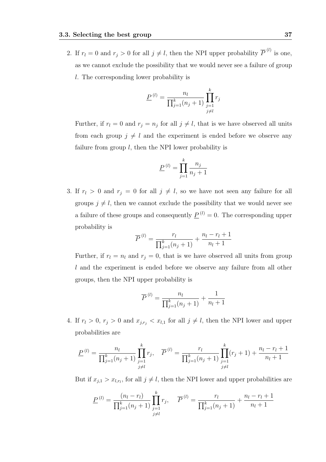2. If  $r_l = 0$  and  $r_j > 0$  for all  $j \neq l$ , then the NPI upper probability  $\overline{P}^{(l)}$  is one, as we cannot exclude the possibility that we would never see a failure of group l. The corresponding lower probability is

$$
\underline{P}^{(l)} = \frac{n_l}{\prod_{j=1}^k (n_j + 1)} \prod_{\substack{j=1 \ j \neq l}}^k r_j
$$

Further, if  $r_l = 0$  and  $r_j = n_j$  for all  $j \neq l$ , that is we have observed all units from each group  $j \neq l$  and the experiment is ended before we observe any failure from group  $l$ , then the NPI lower probability is

$$
\underline{P}^{(l)} = \prod_{j=1}^{k} \frac{n_j}{n_j + 1}
$$

3. If  $r_l > 0$  and  $r_j = 0$  for all  $j \neq l$ , so we have not seen any failure for all groups  $j \neq l$ , then we cannot exclude the possibility that we would never see a failure of these groups and consequently  $\underline{P}^{(l)} = 0$ . The corresponding upper probability is

$$
\overline{P}^{(l)} = \frac{r_l}{\prod_{j=1}^k (n_j + 1)} + \frac{n_l - r_l + 1}{n_l + 1}
$$

Further, if  $r_l = n_l$  and  $r_j = 0$ , that is we have observed all units from group l and the experiment is ended before we observe any failure from all other groups, then the NPI upper probability is

$$
\overline{P}^{(l)} = \frac{n_l}{\prod_{j=1}^k (n_j + 1)} + \frac{1}{n_l + 1}
$$

4. If  $r_l > 0$ ,  $r_j > 0$  and  $x_{j,r_j} < x_{l,1}$  for all  $j \neq l$ , then the NPI lower and upper probabilities are

$$
\underline{P}^{(l)} = \frac{n_l}{\prod_{j=1}^k (n_j + 1)} \prod_{\substack{j=1 \ j \neq l}}^k r_j, \quad \overline{P}^{(l)} = \frac{r_l}{\prod_{j=1}^k (n_j + 1)} \prod_{\substack{j=1 \ j \neq l}}^k (r_j + 1) + \frac{n_l - r_l + 1}{n_l + 1}
$$

But if  $x_{j,1} > x_{l,r_l}$ , for all  $j \neq l$ , then the NPI lower and upper probabilities are

$$
\underline{P}^{(l)} = \frac{(n_l - r_l)}{\prod_{j=1}^k (n_j + 1)} \prod_{\substack{j=1 \ j \neq l}}^k r_j, \quad \overline{P}^{(l)} = \frac{r_l}{\prod_{j=1}^k (n_j + 1)} + \frac{n_l - r_l + 1}{n_l + 1}
$$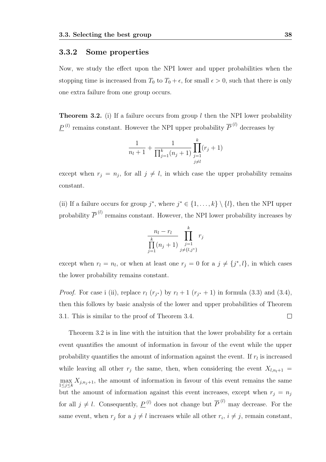#### 3.3.2 Some properties

Now, we study the effect upon the NPI lower and upper probabilities when the stopping time is increased from  $T_0$  to  $T_0 + \epsilon$ , for small  $\epsilon > 0$ , such that there is only one extra failure from one group occurs.

**Theorem 3.2.** (i) If a failure occurs from group  $l$  then the NPI lower probability  $\underline{P}^{(l)}$  remains constant. However the NPI upper probability  $\overline{P}^{(l)}$  decreases by

$$
\frac{1}{n_l+1} + \frac{1}{\prod_{j=1}^k (n_j+1)} \prod_{\substack{j=1 \ j \neq l}}^k (r_j+1)
$$

except when  $r_j = n_j$ , for all  $j \neq l$ , in which case the upper probability remains constant.

(ii) If a failure occurs for group  $j^*$ , where  $j^* \in \{1, \ldots, k\} \setminus \{l\}$ , then the NPI upper probability  $\overline{P}^{(l)}$  remains constant. However, the NPI lower probability increases by

$$
\frac{n_l - r_l}{\prod_{j=1}^k (n_j + 1)} \prod_{\substack{j=1 \ j \neq \{l,j^*\}}}^k r_j
$$

except when  $r_l = n_l$ , or when at least one  $r_j = 0$  for a  $j \neq \{j^*, l\}$ , in which cases the lower probability remains constant.

*Proof.* For case i (ii), replace  $r_l$  ( $r_{j*}$ ) by  $r_l + 1$  ( $r_{j*} + 1$ ) in formula (3.3) and (3.4), then this follows by basic analysis of the lower and upper probabilities of Theorem 3.1. This is similar to the proof of Theorem 3.4.  $\Box$ 

Theorem 3.2 is in line with the intuition that the lower probability for a certain event quantifies the amount of information in favour of the event while the upper probability quantifies the amount of information against the event. If  $r_l$  is increased while leaving all other  $r_j$  the same, then, when considering the event  $X_{l,n_l+1} =$  $\max_{1 \leq j \leq k} X_{j,n_j+1}$ , the amount of information in favour of this event remains the same but the amount of information against this event increases, except when  $r_i = n_j$ for all  $j \neq l$ . Consequently,  $\underline{P}^{(l)}$  does not change but  $\overline{P}^{(l)}$  may decrease. For the same event, when  $r_j$  for a  $j \neq l$  increases while all other  $r_i$ ,  $i \neq j$ , remain constant,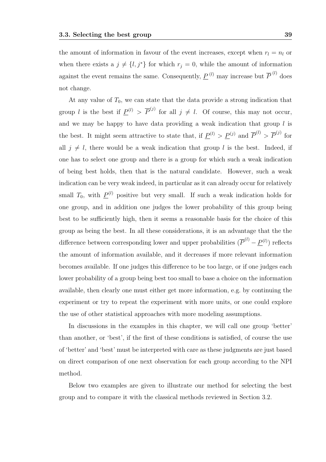the amount of information in favour of the event increases, except when  $r_l = n_l$  or when there exists a  $j \neq \{l, j^*\}$  for which  $r_j = 0$ , while the amount of information against the event remains the same. Consequently,  $\underline{P}^{(l)}$  may increase but  $\overline{P}^{(l)}$  does not change.

At any value of  $T_0$ , we can state that the data provide a strong indication that group *l* is the best if  $\underline{P}^{(l)} > \overline{P}^{(j)}$  for all  $j \neq l$ . Of course, this may not occur, and we may be happy to have data providing a weak indication that group  $l$  is the best. It might seem attractive to state that, if  $\underline{P}^{(l)} > \underline{P}^{(j)}$  and  $\overline{P}^{(l)} > \overline{P}^{(j)}$  for all  $j \neq l$ , there would be a weak indication that group l is the best. Indeed, if one has to select one group and there is a group for which such a weak indication of being best holds, then that is the natural candidate. However, such a weak indication can be very weak indeed, in particular as it can already occur for relatively small  $T_0$ , with  $\underline{P}^{(l)}$  positive but very small. If such a weak indication holds for one group, and in addition one judges the lower probability of this group being best to be sufficiently high, then it seems a reasonable basis for the choice of this group as being the best. In all these considerations, it is an advantage that the the difference between corresponding lower and upper probabilities  $(\overline{P}^{(l)} - \underline{P}^{(l)})$  reflects the amount of information available, and it decreases if more relevant information becomes available. If one judges this difference to be too large, or if one judges each lower probability of a group being best too small to base a choice on the information available, then clearly one must either get more information, e.g. by continuing the experiment or try to repeat the experiment with more units, or one could explore the use of other statistical approaches with more modeling assumptions.

In discussions in the examples in this chapter, we will call one group 'better' than another, or 'best', if the first of these conditions is satisfied, of course the use of 'better' and 'best' must be interpreted with care as these judgments are just based on direct comparison of one next observation for each group according to the NPI method.

Below two examples are given to illustrate our method for selecting the best group and to compare it with the classical methods reviewed in Section 3.2.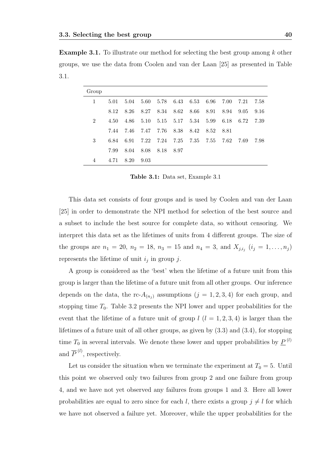Example 3.1. To illustrate our method for selecting the best group among k other groups, we use the data from Coolen and van der Laan [25] as presented in Table 3.1.

| Group          |      |      |      |      |        |        |       |        |       |      |
|----------------|------|------|------|------|--------|--------|-------|--------|-------|------|
| 1              | 5.01 | 5.04 | 5.60 | 5.78 | 6.43   | 6.53   | -6.96 | 7.00   | 7.21  | 7.58 |
|                | 8.12 | 8.26 | 8.27 | 8.34 | 8.62   | - 8.66 | 8.91  | 8.94   | 9.05  | 9.16 |
| $\overline{2}$ | 4.50 | 4.86 | 5.10 | 5.15 | 5.17   | 5.34   | 5.99  | 6.18   | 6.72  | 7.39 |
|                | 7.44 | 7.46 | 7.47 | 7.76 | 8.38   | 8.42   | 8.52  | - 8.81 |       |      |
| 3              | 6.84 | 6.91 | 7.22 | 7.24 | 7.25   | 7.35   | 7.55  | 7.62   | -7.69 | 7.98 |
|                | 7.99 | 8.04 | 8.08 | 8.18 | - 8.97 |        |       |        |       |      |
| 4              | 4.71 | 8.20 | 9.03 |      |        |        |       |        |       |      |

Table 3.1: Data set, Example 3.1

This data set consists of four groups and is used by Coolen and van der Laan [25] in order to demonstrate the NPI method for selection of the best source and a subset to include the best source for complete data, so without censoring. We interpret this data set as the lifetimes of units from 4 different groups. The size of the groups are  $n_1 = 20$ ,  $n_2 = 18$ ,  $n_3 = 15$  and  $n_4 = 3$ , and  $X_{j,i_j}$   $(i_j = 1, \ldots, n_j)$ represents the lifetime of unit  $i_j$  in group j.

A group is considered as the 'best' when the lifetime of a future unit from this group is larger than the lifetime of a future unit from all other groups. Our inference depends on the data, the rc- $A_{(n_j)}$  assumptions  $(j = 1, 2, 3, 4)$  for each group, and stopping time  $T_0$ . Table 3.2 presents the NPI lower and upper probabilities for the event that the lifetime of a future unit of group  $l$   $(l = 1, 2, 3, 4)$  is larger than the lifetimes of a future unit of all other groups, as given by (3.3) and (3.4), for stopping time  $T_0$  in several intervals. We denote these lower and upper probabilities by  $\underline{P}^{(l)}$ and  $\overline{P}^{(l)}$ , respectively.

Let us consider the situation when we terminate the experiment at  $T_0 = 5$ . Until this point we observed only two failures from group 2 and one failure from group 4, and we have not yet observed any failures from groups 1 and 3. Here all lower probabilities are equal to zero since for each l, there exists a group  $j \neq l$  for which we have not observed a failure yet. Moreover, while the upper probabilities for the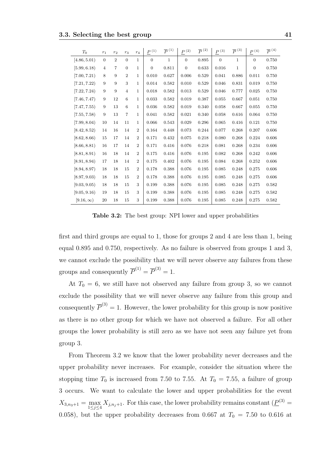| $T_0$           | $r_1$          | r <sub>2</sub> | $r_3$          | $r_4$            | $\underline{P}$ <sup>(1)</sup> | $\overline{P}^{(1)}$ | $\underline{P}$ (2) | $\overline{P}^{(2)}$ | $P^{(3)}$      | $\overline{P}^{(3)}$ | $P^{\;(4)}$    | $\overline{P}^{(4)}$ |
|-----------------|----------------|----------------|----------------|------------------|--------------------------------|----------------------|---------------------|----------------------|----------------|----------------------|----------------|----------------------|
| [4.86, 5.01)    | $\theta$       | $\overline{2}$ | $\theta$       | $\mathbf{1}$     | $\Omega$                       | $\mathbf{1}$         | $\overline{0}$      | 0.895                | $\overline{0}$ | $\mathbf{1}$         | $\overline{0}$ | 0.750                |
| [5.99, 6.18]    | $\overline{4}$ | 7              | $\overline{0}$ | $\mathbf{1}$     | $\theta$                       | 0.811                | $\overline{0}$      | 0.633                | 0.016          | $\,1$                | $\overline{0}$ | 0.750                |
| [7.00, 7.21)    | 8              | 9              | $\overline{2}$ | 1                | 0.010                          | 0.627                | 0.006               | 0.529                | 0.041          | 0.886                | 0.011          | 0.750                |
| [7.21, 7.22]    | 9              | 9              | 3              | $\mathbf 1$      | 0.014                          | 0.582                | 0.010               | 0.529                | 0.046          | 0.831                | 0.019          | 0.750                |
| [7.22, 7.24]    | 9              | 9              | 4              | $\mathbf{1}$     | 0.018                          | 0.582                | 0.013               | 0.529                | 0.046          | 0.777                | 0.025          | 0.750                |
| [7.46, 7.47)    | 9              | 12             | 6              | 1                | 0.033                          | $\,0.582\,$          | 0.019               | 0.387                | 0.055          | 0.667                | 0.051          | 0.750                |
| [7.47, 7.55]    | 9              | 13             | 6              | 1                | 0.036                          | 0.582                | 0.019               | 0.340                | 0.058          | 0.667                | 0.055          | 0.750                |
| [7.55, 7.58]    | 9              | 13             | 7              | $\mathbf{1}$     | 0.041                          | 0.582                | 0.021               | 0.340                | 0.058          | 0.616                | 0.064          | 0.750                |
| [7.99, 8.04]    | 10             | 14             | 11             | 1                | 0.066                          | 0.543                | 0.029               | 0.296                | 0.065          | 0.416                | 0.121          | 0.750                |
| [8.42, 8.52]    | 14             | 16             | 14             | $\boldsymbol{2}$ | 0.164                          | 0.448                | 0.073               | 0.244                | 0.077          | 0.268                | 0.207          | 0.606                |
| [8.62, 8.66]    | 15             | 17             | 14             | $\overline{2}$   | 0.171                          | 0.432                | 0.075               | 0.218                | 0.080          | 0.268                | 0.224          | 0.606                |
| [8.66, 8.81)    | 16             | 17             | 14             | $\overline{2}$   | 0.171                          | 0.416                | 0.076               | 0.218                | 0.081          | 0.268                | 0.234          | 0.606                |
| [8.81, 8.91)    | 16             | 18             | 14             | $\overline{2}$   | 0.175                          | 0.416                | 0.076               | 0.195                | 0.082          | 0.268                | 0.242          | 0.606                |
| [8.91, 8.94]    | 17             | 18             | 14             | $\overline{2}$   | 0.175                          | 0.402                | 0.076               | 0.195                | 0.084          | 0.268                | 0.252          | 0.606                |
| [8.94, 8.97]    | 18             | 18             | 15             | $\overline{2}$   | 0.178                          | 0.388                | 0.076               | 0.195                | 0.085          | 0.248                | 0.275          | 0.606                |
| [8.97, 9.03]    | 18             | 18             | 15             | $\boldsymbol{2}$ | 0.178                          | 0.388                | 0.076               | 0.195                | 0.085          | 0.248                | 0.275          | 0.606                |
| [9.03, 9.05)    | 18             | 18             | 15             | 3                | 0.199                          | 0.388                | 0.076               | 0.195                | 0.085          | 0.248                | 0.275          | 0.582                |
| [9.05, 9.16]    | 19             | 18             | 15             | 3                | 0.199                          | 0.388                | 0.076               | 0.195                | 0.085          | 0.248                | 0.275          | 0.582                |
| $[9.16,\infty)$ | 20             | 18             | 15             | 3                | 0.199                          | 0.388                | 0.076               | 0.195                | 0.085          | 0.248                | 0.275          | 0.582                |

Table 3.2: The best group: NPI lower and upper probabilities

first and third groups are equal to 1, those for groups 2 and 4 are less than 1, being equal 0.895 and 0.750, respectively. As no failure is observed from groups 1 and 3, we cannot exclude the possibility that we will never observe any failures from these groups and consequently  $\overline{P}^{(1)} = \overline{P}^{(3)} = 1$ .

At  $T_0 = 6$ , we still have not observed any failure from group 3, so we cannot exclude the possibility that we will never observe any failure from this group and consequently  $\overline{P}^{(3)} = 1$ . However, the lower probability for this group is now positive as there is no other group for which we have not observed a failure. For all other groups the lower probability is still zero as we have not seen any failure yet from group 3.

From Theorem 3.2 we know that the lower probability never decreases and the upper probability never increases. For example, consider the situation where the stopping time  $T_0$  is increased from 7.50 to 7.55. At  $T_0 = 7.55$ , a failure of group 3 occurs. We want to calculate the lower and upper probabilities for the event  $X_{3,n_3+1} = \max_{1 \leq j \leq 4} X_{j,n_j+1}$ . For this case, the lower probability remains constant  $(\underline{P}^{(3)} =$ 0.058), but the upper probability decreases from 0.667 at  $T_0 = 7.50$  to 0.616 at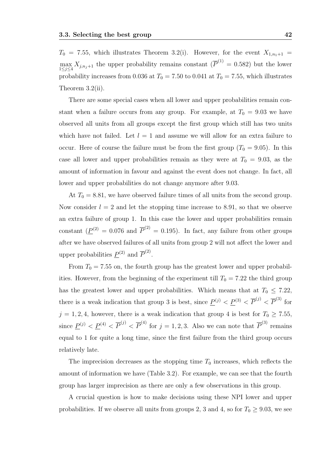$T_0$  = 7.55, which illustrates Theorem 3.2(i). However, for the event  $X_{1,n_1+1}$  =  $\max_{1 \leq j \leq 4} X_{j,n_j+1}$  the upper probability remains constant  $(\overline{P}^{(1)} = 0.582)$  but the lower probability increases from 0.036 at  $T_0 = 7.50$  to 0.041 at  $T_0 = 7.55$ , which illustrates Theorem 3.2(ii).

There are some special cases when all lower and upper probabilities remain constant when a failure occurs from any group. For example, at  $T_0 = 9.03$  we have observed all units from all groups except the first group which still has two units which have not failed. Let  $l = 1$  and assume we will allow for an extra failure to occur. Here of course the failure must be from the first group  $(T_0 = 9.05)$ . In this case all lower and upper probabilities remain as they were at  $T_0 = 9.03$ , as the amount of information in favour and against the event does not change. In fact, all lower and upper probabilities do not change anymore after 9.03.

At  $T_0 = 8.81$ , we have observed failure times of all units from the second group. Now consider  $l = 2$  and let the stopping time increase to 8.91, so that we observe an extra failure of group 1. In this case the lower and upper probabilities remain constant ( $\underline{P}^{(2)} = 0.076$  and  $\overline{P}^{(2)} = 0.195$ ). In fact, any failure from other groups after we have observed failures of all units from group 2 will not affect the lower and upper probabilities  $\underline{P}^{(2)}$  and  $\overline{P}^{(2)}$ .

From  $T_0 = 7.55$  on, the fourth group has the greatest lower and upper probabilities. However, from the beginning of the experiment till  $T_0 = 7.22$  the third group has the greatest lower and upper probabilities. Which means that at  $T_0 \leq 7.22$ , there is a weak indication that group 3 is best, since  $\underline{P}^{(j)} < \underline{P}^{(3)} < \overline{P}^{(j)} < \overline{P}^{(3)}$  for  $j = 1, 2, 4$ , however, there is a weak indication that group 4 is best for  $T_0 \ge 7.55$ , since  $\underline{P}^{(j)} < \underline{P}^{(4)} < \overline{P}^{(j)} < \overline{P}^{(4)}$  for  $j = 1, 2, 3$ . Also we can note that  $\overline{P}^{(3)}$  remains equal to 1 for quite a long time, since the first failure from the third group occurs relatively late.

The imprecision decreases as the stopping time  $T_0$  increases, which reflects the amount of information we have (Table 3.2). For example, we can see that the fourth group has larger imprecision as there are only a few observations in this group.

A crucial question is how to make decisions using these NPI lower and upper probabilities. If we observe all units from groups 2, 3 and 4, so for  $T_0 \ge 9.03$ , we see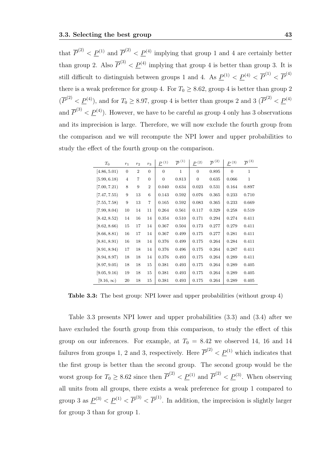that  $\overline{P}^{(2)} < \underline{P}^{(1)}$  and  $\overline{P}^{(2)} < \underline{P}^{(4)}$  implying that group 1 and 4 are certainly better than group 2. Also  $\overline{P}^{(3)} < \underline{P}^{(4)}$  implying that group 4 is better than group 3. It is still difficult to distinguish between groups 1 and 4. As  $\underline{P}^{(1)} < \underline{P}^{(4)} < \overline{P}^{(1)} < \overline{P}^{(4)}$ there is a weak preference for group 4. For  $T_0 \geq 8.62$ , group 4 is better than group 2  $(\overline{P}^{(2)} < \underline{P}^{(4)})$ , and for  $T_0 \ge 8.97$ , group 4 is better than groups 2 and 3  $(\overline{P}^{(2)} < \underline{P}^{(4)})$ and  $\overline{P}^{(3)} < \underline{P}^{(4)}$ ). However, we have to be careful as group 4 only has 3 observations and its imprecision is large. Therefore, we will now exclude the fourth group from the comparison and we will recompute the NPI lower and upper probabilities to study the effect of the fourth group on the comparison.

| $T_0$           | $r_1$            | r <sub>2</sub> | $r_3$          | $\underline{P}$ $^{(1)}$ | $\overline{P}^{(1)}$ | $\underline{P}$ $^{(2)}$ | $\overline{P}^{(2)}$ | $\underline{P}$<br>(3) | $\overline{P}^{(3)}$ |
|-----------------|------------------|----------------|----------------|--------------------------|----------------------|--------------------------|----------------------|------------------------|----------------------|
| [4.86, 5.01)    | $\boldsymbol{0}$ | $\overline{2}$ | $\overline{0}$ | $\overline{0}$           | $\mathbf{1}$         | $\overline{0}$           | 0.895                | $\overline{0}$         | $\mathbf{1}$         |
| [5.99, 6.18]    | $\overline{4}$   | 7              | $\overline{0}$ | $\overline{0}$           | 0.813                | $\overline{0}$           | 0.635                | 0.066                  | $\mathbf{1}$         |
| [7.00, 7.21)    | 8                | 9              | $\overline{2}$ | 0.040                    | 0.634                | 0.023                    | 0.531                | 0.164                  | 0.897                |
| [7.47, 7.55]    | 9                | 13             | 6              | 0.143                    | 0.592                | 0.076                    | 0.365                | 0.233                  | 0.710                |
| [7.55, 7.58]    | 9                | 13             | $\overline{7}$ | 0.165                    | 0.592                | 0.083                    | 0.365                | 0.233                  | 0.669                |
| [7.99, 8.04]    | 10               | 14             | 11             | 0.264                    | 0.561                | 0.117                    | 0.329                | 0.258                  | 0.519                |
| [8.42, 8.52]    | 14               | 16             | 14             | 0.354                    | 0.510                | 0.171                    | 0.294                | 0.274                  | 0.411                |
| [8.62, 8.66]    | 15               | 17             | 14             | 0.367                    | 0.504                | 0.173                    | 0.277                | 0.279                  | 0.411                |
| [8.66, 8.81)    | 16               | 17             | 14             | 0.367                    | 0.499                | 0.175                    | 0.277                | 0.281                  | 0.411                |
| [8.81, 8.91)    | 16               | 18             | 14             | 0.376                    | 0.499                | 0.175                    | 0.264                | 0.284                  | 0.411                |
| [8.91, 8.94]    | 17               | 18             | 14             | 0.376                    | 0.496                | 0.175                    | 0.264                | 0.287                  | 0.411                |
| [8.94, 8.97]    | 18               | 18             | 14             | 0.376                    | 0.493                | 0.175                    | 0.264                | 0.289                  | 0.411                |
| [8.97, 9.05]    | 18               | 18             | 15             | 0.381                    | 0.493                | 0.175                    | 0.264                | 0.289                  | 0.405                |
| [9.05, 9.16]    | 19               | 18             | 15             | 0.381                    | 0.493                | 0.175                    | 0.264                | 0.289                  | 0.405                |
| $[9.16,\infty)$ | 20               | 18             | 15             | 0.381                    | 0.493                | 0.175                    | 0.264                | 0.289                  | 0.405                |

Table 3.3: The best group: NPI lower and upper probabilities (without group 4)

Table 3.3 presents NPI lower and upper probabilities (3.3) and (3.4) after we have excluded the fourth group from this comparison, to study the effect of this group on our inferences. For example, at  $T_0 = 8.42$  we observed 14, 16 and 14 failures from groups 1, 2 and 3, respectively. Here  $\overline{P}^{(2)} < \underline{P}^{(1)}$  which indicates that the first group is better than the second group. The second group would be the worst group for  $T_0 \geq 8.62$  since then  $\overline{P}^{(2)} < \underline{P}^{(1)}$  and  $\overline{P}^{(2)} < \underline{P}^{(3)}$ . When observing all units from all groups, there exists a weak preference for group 1 compared to group 3 as  $\underline{P}^{(3)} < \underline{P}^{(1)} < \overline{P}^{(3)} < \overline{P}^{(1)}$ . In addition, the imprecision is slightly larger for group 3 than for group 1.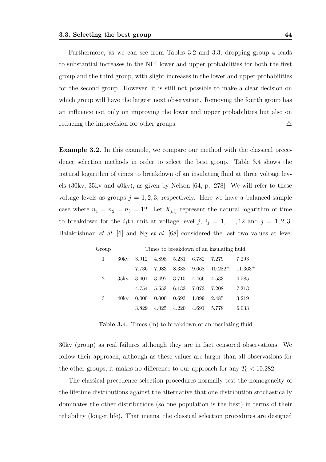Furthermore, as we can see from Tables 3.2 and 3.3, dropping group 4 leads to substantial increases in the NPI lower and upper probabilities for both the first group and the third group, with slight increases in the lower and upper probabilities for the second group. However, it is still not possible to make a clear decision on which group will have the largest next observation. Removing the fourth group has an influence not only on improving the lower and upper probabilities but also on reducing the imprecision for other groups.  $\triangle$ 

Example 3.2. In this example, we compare our method with the classical precedence selection methods in order to select the best group. Table 3.4 shows the natural logarithm of times to breakdown of an insulating fluid at three voltage levels (30kv, 35kv and 40kv), as given by Nelson [64, p. 278]. We will refer to these voltage levels as groups  $j = 1, 2, 3$ , respectively. Here we have a balanced-sample case where  $n_1 = n_2 = n_3 = 12$ . Let  $X_{j,i_j}$  represent the natural logarithm of time to breakdown for the  $i_j$ th unit at voltage level  $j, i_j = 1, ..., 12$  and  $j = 1, 2, 3$ . Balakrishnan et al. [6] and Ng et al. [68] considered the last two values at level

| Group          |         | Times to breakdown of an insulating fluid |       |       |       |            |           |  |  |  |  |
|----------------|---------|-------------------------------------------|-------|-------|-------|------------|-----------|--|--|--|--|
|                | 30kv    | 3.912                                     | 4.898 | 5.231 | 6.782 | 7.279      | 7.293     |  |  |  |  |
|                |         | 7.736                                     | 7.983 | 8.338 | 9.668 | $10.282^+$ | $11.363+$ |  |  |  |  |
| $\overline{2}$ | 35kv    | 3.401                                     | 3.497 | 3.715 | 4.466 | 4.533      | 4.585     |  |  |  |  |
|                |         | 4.754                                     | 5.553 | 6.133 | 7.073 | 7.208      | 7.313     |  |  |  |  |
| 3              | $40k$ v | 0.000                                     | 0.000 | 0.693 | 1.099 | 2.485      | 3.219     |  |  |  |  |
|                |         | 3.829                                     | 4.025 | 4.220 | 4.691 | 5.778      | 6.033     |  |  |  |  |

Table 3.4: Times (ln) to breakdown of an insulating fluid

30kv (group) as real failures although they are in fact censored observations. We follow their approach, although as these values are larger than all observations for the other groups, it makes no difference to our approach for any  $T_0 < 10.282$ .

The classical precedence selection procedures normally test the homogeneity of the lifetime distributions against the alternative that one distribution stochastically dominates the other distributions (so one population is the best) in terms of their reliability (longer life). That means, the classical selection procedures are designed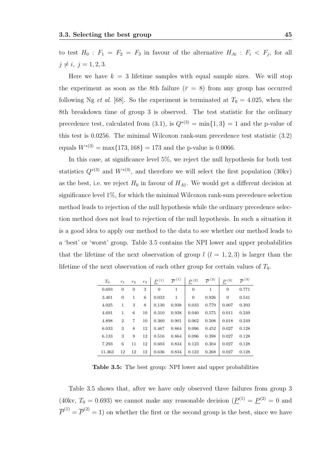to test  $H_0$ :  $F_1 = F_2 = F_3$  in favour of the alternative  $H_{Ai}$ :  $F_i < F_j$ , for all  $j \neq i, j = 1, 2, 3.$ 

Here we have  $k = 3$  lifetime samples with equal sample sizes. We will stop the experiment as soon as the 8th failure ( $\bar{r} = 8$ ) from any group has occurred following Ng *et al.* [68]. So the experiment is terminated at  $T_0 = 4.025$ , when the 8th breakdown time of group 3 is observed. The test statistic for the ordinary precedence test, calculated from (3.1), is  $Q^{*(3)} = \min\{1,3\} = 1$  and the p-value of this test is 0.0256. The minimal Wilcoxon rank-sum precedence test statistic (3.2) equals  $W^{*(3)} = \max\{173, 168\} = 173$  and the p-value is 0.0066.

In this case, at significance level 5%, we reject the null hypothesis for both test statistics  $Q^{*(3)}$  and  $W^{*(3)}$ , and therefore we will select the first population (30kv) as the best, i.e. we reject  $H_0$  in favour of  $H_{A1}$ . We would get a different decision at significance level 1%, for which the minimal Wilcoxon rank-sum precedence selection method leads to rejection of the null hypothesis while the ordinary precedence selection method does not lead to rejection of the null hypothesis. In such a situation it is a good idea to apply our method to the data to see whether our method leads to a 'best' or 'worst' group. Table 3.5 contains the NPI lower and upper probabilities that the lifetime of the next observation of group  $l$   $(l = 1, 2, 3)$  is larger than the lifetime of the next observation of each other group for certain values of  $T_0$ .

| $T_0$  | $r_1$          | $r_2$ | $r_3$ | $P^{(1)}$ | $\overline{P}^{(1)}$ | $P^{(2)}$      | $\overline{P}^{(2)}$ | P <sup>(3)</sup> | $\overline{P}^{(3)}$ |
|--------|----------------|-------|-------|-----------|----------------------|----------------|----------------------|------------------|----------------------|
| 0.693  | $\overline{0}$ | 0     | 3     | $\Omega$  | 1                    | $\overline{0}$ | 1                    | $\Omega$         | 0.771                |
| 3.401  | $\Omega$       | 1     | 6     | 0.033     | 1                    | $\overline{0}$ | 0.926                | $\Omega$         | 0.541                |
| 4.025  | 1              | 3     | 8     | 0.130     | 0.938                | 0.033          | 0.779                | 0.007            | 0.393                |
| 4.691  | 1              | 6     | 10    | 0.310     | 0.938                | 0.040          | 0.575                | 0.011            | 0.249                |
| 4.898  | $\overline{2}$ | 7     | 10    | 0.360     | 0.901                | 0.062          | 0.508                | 0.018            | 0.249                |
| 6.033  | 3              | 8     | 12    | 0.467     | 0.864                | 0.096          | 0.452                | 0.027            | 0.128                |
| 6.133  | 3              | 9     | 12    | 0.516     | 0.864                | 0.096          | 0.398                | 0.027            | 0.128                |
| 7.293  | 6              | 11    | 12    | 0.603     | 0.834                | 0.123          | 0.304                | 0.027            | 0.128                |
| 11.363 | 12             | 12    | 12    | 0.636     | 0.834                | 0.123          | 0.268                | 0.027            | 0.128                |

Table 3.5: The best group: NPI lower and upper probabilities

Table 3.5 shows that, after we have only observed three failures from group 3 (40kv,  $T_0 = 0.693$ ) we cannot make any reasonable decision  $(\underline{P}^{(1)} = \underline{P}^{(2)} = 0$  and  $\overline{P}^{(1)} = \overline{P}^{(2)} = 1$  on whether the first or the second group is the best, since we have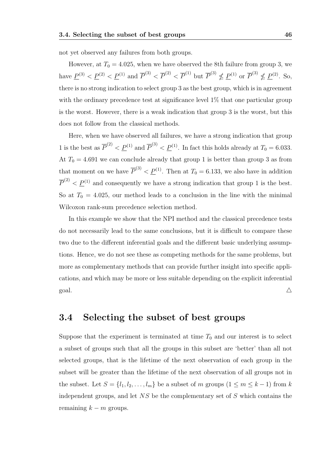not yet observed any failures from both groups.

However, at  $T_0 = 4.025$ , when we have observed the 8th failure from group 3, we have  $\underline{P}^{(3)} < \underline{P}^{(2)} < \underline{P}^{(1)}$  and  $\overline{P}^{(3)} < \overline{P}^{(2)} < \overline{P}^{(1)}$  but  $\overline{P}^{(3)} \nleq \underline{P}^{(1)}$  or  $\overline{P}^{(3)} \nleq \underline{P}^{(2)}$ . So, there is no strong indication to select group 3 as the best group, which is in agreement with the ordinary precedence test at significance level 1\% that one particular group is the worst. However, there is a weak indication that group 3 is the worst, but this does not follow from the classical methods.

Here, when we have observed all failures, we have a strong indication that group 1 is the best as  $\overline{P}^{(2)} < \underline{P}^{(1)}$  and  $\overline{P}^{(3)} < \underline{P}^{(1)}$ . In fact this holds already at  $T_0 = 6.033$ . At  $T_0 = 4.691$  we can conclude already that group 1 is better than group 3 as from that moment on we have  $\overline{P}^{(3)} < \underline{P}^{(1)}$ . Then at  $T_0 = 6.133$ , we also have in addition  $\overline{P}^{(2)} < \underline{P}^{(1)}$  and consequently we have a strong indication that group 1 is the best. So at  $T_0 = 4.025$ , our method leads to a conclusion in the line with the minimal Wilcoxon rank-sum precedence selection method.

In this example we show that the NPI method and the classical precedence tests do not necessarily lead to the same conclusions, but it is difficult to compare these two due to the different inferential goals and the different basic underlying assumptions. Hence, we do not see these as competing methods for the same problems, but more as complementary methods that can provide further insight into specific applications, and which may be more or less suitable depending on the explicit inferential goal.  $\triangle$ 

# 3.4 Selecting the subset of best groups

Suppose that the experiment is terminated at time  $T_0$  and our interest is to select a subset of groups such that all the groups in this subset are 'better' than all not selected groups, that is the lifetime of the next observation of each group in the subset will be greater than the lifetime of the next observation of all groups not in the subset. Let  $S = \{l_1, l_2, \ldots, l_m\}$  be a subset of m groups  $(1 \le m \le k - 1)$  from k independent groups, and let NS be the complementary set of S which contains the remaining  $k - m$  groups.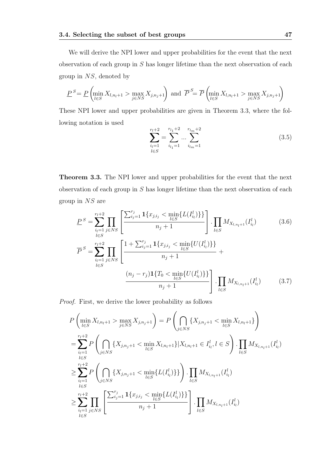We will derive the NPI lower and upper probabilities for the event that the next observation of each group in S has longer lifetime than the next observation of each group in NS, denoted by

$$
\underline{P}^S = \underline{P} \left( \min_{l \in S} X_{l, n_l + 1} > \max_{j \in NS} X_{j, n_j + 1} \right) \text{ and } \overline{P}^S = \overline{P} \left( \min_{l \in S} X_{l, n_l + 1} > \max_{j \in NS} X_{j, n_j + 1} \right)
$$

These NPI lower and upper probabilities are given in Theorem 3.3, where the following notation is used

$$
\sum_{\substack{i_l=1 \ l \in S}}^{r_l+2} = \sum_{i_{l_1}=1}^{r_{l_1}+2} \dots \sum_{i_{l_m}=1}^{r_{l_m}+2} \tag{3.5}
$$

Theorem 3.3. The NPI lower and upper probabilities for the event that the next observation of each group in S has longer lifetime than the next observation of each group in NS are

$$
P^{S} = \sum_{\substack{i_{l}=1 \ i \in S}}^{r_{l}+2} \prod_{j \in NS} \left[ \frac{\sum_{i_{j}=1}^{r_{j}} \mathbf{1}\{x_{j,i_{j}} < \min_{l \in S} \{L(I_{i_{l}}^{l})\}\}}{n_{j}+1} \right] \cdot \prod_{l \in S} M_{X_{l,n_{l}+1}}(I_{i_{l}}^{l}) \tag{3.6}
$$
\n
$$
\overline{P}^{S} = \sum_{\substack{i_{l}=1 \ i \in S}}^{r_{l}+2} \prod_{j \in NS} \left[ \frac{1+\sum_{i_{j}=1}^{r_{j}} \mathbf{1}\{x_{j,i_{j}} < \min_{l \in S} \{U(I_{i_{l}}^{l})\}\}}{n_{j}+1} + \frac{(n_{j}-r_{j})\mathbf{1}\{T_{0} < \min_{l \in S} \{U(I_{i_{l}}^{l})\}\}}{n_{j}+1} \right] \cdot \prod_{l \in S} M_{X_{l,n_{l}+1}}(I_{i_{l}}^{l}) \tag{3.7}
$$

Proof. First, we derive the lower probability as follows

$$
P\left(\min_{l\in S} X_{l,n_{l}+1} > \max_{j\in NS} X_{j,n_{j}+1}\right) = P\left(\bigcap_{j\in NS} \{X_{j,n_{j}+1} < \min_{l\in S} X_{l,n_{l}+1}\}\right)
$$
  
\n
$$
= \sum_{\substack{i_{l}=1 \ i_{l}\in S}}^{r_{l}+2} P\left(\bigcap_{j\in NS} \{X_{j,n_{j}+1} < \min_{l\in S} X_{l,n_{l}+1}\} | X_{l,n_{l}+1} \in I_{i_{l}}^{l}, l \in S\right) \cdot \prod_{l\in S} M_{X_{l,n_{l}+1}}(I_{i_{l}}^{l})
$$
  
\n
$$
\geq \sum_{\substack{i_{l}=1 \ i_{l}\in S}}^{r_{l}+2} P\left(\bigcap_{j\in NS} \{X_{j,n_{j}+1} < \min_{l\in S} \{L(I_{i_{l}}^{l})\}\}\right) \cdot \prod_{l\in S} M_{X_{l,n_{l}+1}}(I_{i_{l}}^{l})
$$
  
\n
$$
\geq \sum_{\substack{i_{l}=1 \ i_{l}\in S}}^{r_{l}+2} \prod_{j\in NS} \left[\frac{\sum_{i_{j}=1}^{r_{j}} \mathbf{1}\{x_{j,i_{j}} < \min_{l\in S} \{L(I_{i_{l}}^{l})\}\}}{n_{j}+1}\right] \cdot \prod_{l\in S} M_{X_{l,n_{l}+1}}(I_{i_{l}}^{l})
$$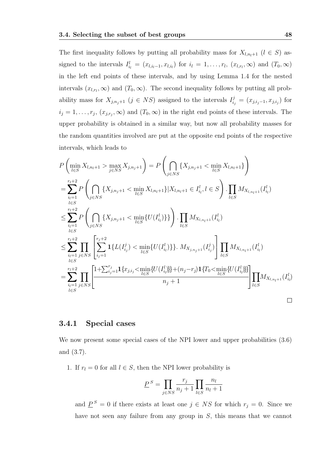The first inequality follows by putting all probability mass for  $X_{l,n_l+1}$   $(l \in S)$  assigned to the intervals  $I_{i_l}^l = (x_{l,i_l-1}, x_{l,i_l})$  for  $i_l = 1, \ldots, r_l$ ,  $(x_{l,r_l}, \infty)$  and  $(T_0, \infty)$ in the left end points of these intervals, and by using Lemma 1.4 for the nested intervals  $(x_{l,r_l}, \infty)$  and  $(T_0, \infty)$ . The second inequality follows by putting all probability mass for  $X_{j,n_j+1}$   $(j \in NS)$  assigned to the intervals  $I_{i_j}^j = (x_{j,i_j-1}, x_{j,i_j})$  for  $i_j = 1, \ldots, r_j, (x_{j,r_j}, \infty)$  and  $(T_0, \infty)$  in the right end points of these intervals. The upper probability is obtained in a similar way, but now all probability masses for the random quantities involved are put at the opposite end points of the respective intervals, which leads to

$$
P\left(\min_{l\in S} X_{l,n_{l}+1} > \max_{j\in NS} X_{j,n_{j}+1}\right) = P\left(\bigcap_{j\in NS} \{X_{j,n_{j}+1} < \min_{l\in S} X_{l,n_{l}+1}\}\right)
$$
  
\n
$$
= \sum_{\substack{i_{l}=1 \ i_{l}\in S}}^{r_{l}+2} P\left(\bigcap_{j\in NS} \{X_{j,n_{j}+1} < \min_{l\in S} X_{l,n_{l}+1}\}|X_{l,n_{l}+1} \in I_{i_{l}}^{l}, l \in S\right) \cdot \prod_{l\in S} M_{X_{l,n_{l}+1}}(I_{i_{l}}^{l})
$$
  
\n
$$
\leq \sum_{\substack{i_{l}=1 \ i_{l}\in S}}^{r_{l}+2} P\left(\bigcap_{j\in NS} \{X_{j,n_{j}+1} < \min_{l\in S} \{U(I_{i_{l}}^{l})\}\}\right) \cdot \prod_{l\in S} M_{X_{l,n_{l}+1}}(I_{i_{l}}^{l})
$$
  
\n
$$
\leq \sum_{\substack{i_{l}=1 \ i_{l}\in S}}^{r_{l}+2} \prod_{l\in S} \left[\sum_{i_{j}=1}^{r_{j}+2} \mathbf{1}\{L(I_{i_{j}}^{j}) < \min_{l\in S} \{U(I_{i_{l}}^{l})\}\}\right] \cdot M_{X_{j,n_{j}+1}}(I_{i_{j}}^{j})\right] \prod_{l\in S} M_{X_{l,n_{l}+1}}(I_{i_{l}}^{l})
$$
  
\n
$$
= \sum_{\substack{i_{l}=1 \ i_{l}\in S}}^{r_{l}+2} \prod_{j\in NS} \left[\frac{1+\sum_{i_{j}=1}^{r_{j}} \mathbf{1}\{x_{j,i_{j}} < \min_{l\in S} \{U(I_{i_{l}}^{l})\}\} + (n_{j}-r_{j}) \mathbf{1}\{T_{0} < \min_{l\in S} \{U(I_{i_{l}}^{l})\}\}\right] \prod_{l\in S} M_{X_{l,n_{l}+1}}(I_{i_{l}}^{l})
$$
  
\n
$$
= \sum_{\substack{i_{l}=1 \ i_{l}\in S}}^{r_{l}+2} \prod_{l\in S} \left[\frac{
$$

#### 3.4.1 Special cases

We now present some special cases of the NPI lower and upper probabilities  $(3.6)$ and (3.7).

1. If  $r_l = 0$  for all  $l \in S$ , then the NPI lower probability is

$$
\underline{P}^S = \prod_{j \in NS} \frac{r_j}{n_j + 1} \prod_{l \in S} \frac{n_l}{n_l + 1}
$$

and  $\underline{P}^S = 0$  if there exists at least one  $j \in NS$  for which  $r_j = 0$ . Since we have not seen any failure from any group in S, this means that we cannot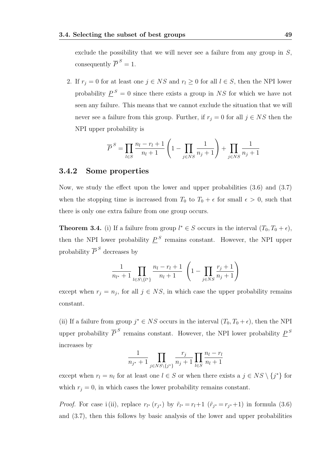exclude the possibility that we will never see a failure from any group in  $S$ , consequently  $\overline{P}^S = 1$ .

2. If  $r_j = 0$  for at least one  $j \in NS$  and  $r_l \geq 0$  for all  $l \in S$ , then the NPI lower probability  $\underline{P}^S = 0$  since there exists a group in NS for which we have not seen any failure. This means that we cannot exclude the situation that we will never see a failure from this group. Further, if  $r_j = 0$  for all  $j \in NS$  then the NPI upper probability is

$$
\overline{P}^{S} = \prod_{l \in S} \frac{n_l - r_l + 1}{n_l + 1} \left( 1 - \prod_{j \in NS} \frac{1}{n_j + 1} \right) + \prod_{j \in NS} \frac{1}{n_j + 1}
$$

#### 3.4.2 Some properties

Now, we study the effect upon the lower and upper probabilities (3.6) and (3.7) when the stopping time is increased from  $T_0$  to  $T_0 + \epsilon$  for small  $\epsilon > 0$ , such that there is only one extra failure from one group occurs.

**Theorem 3.4.** (i) If a failure from group  $l^* \in S$  occurs in the interval  $(T_0, T_0 + \epsilon)$ , then the NPI lower probability  $\underline{P}^S$  remains constant. However, the NPI upper probability  $\overline{P}^S$  decreases by

$$
\frac{1}{n_{l^*}+1} \prod_{l \in S \setminus \{l^*\}} \frac{n_l - r_l + 1}{n_l + 1} \left( 1 - \prod_{j \in NS} \frac{r_j + 1}{n_j + 1} \right)
$$

except when  $r_j = n_j$ , for all  $j \in NS$ , in which case the upper probability remains constant.

(ii) If a failure from group  $j^* \in NS$  occurs in the interval  $(T_0, T_0 + \epsilon)$ , then the NPI upper probability  $\overline{P}^S$  remains constant. However, the NPI lower probability  $\underline{P}^S$ increases by

$$
\frac{1}{n_{j^*}+1} \prod_{j \in NS \setminus \{j^*\}} \frac{r_j}{n_j+1} \prod_{l \in S} \frac{n_l - r_l}{n_l + 1}
$$

except when  $r_l = n_l$  for at least one  $l \in S$  or when there exists a  $j \in NS \setminus \{j^*\}$  for which  $r_i = 0$ , in which cases the lower probability remains constant.

*Proof.* For case i(ii), replace  $r_{l^*}(r_{j^*})$  by  $\tilde{r}_{l^*}=r_{l}+1$  ( $\tilde{r}_{j^*}=r_{j^*}+1$ ) in formula (3.6) and (3.7), then this follows by basic analysis of the lower and upper probabilities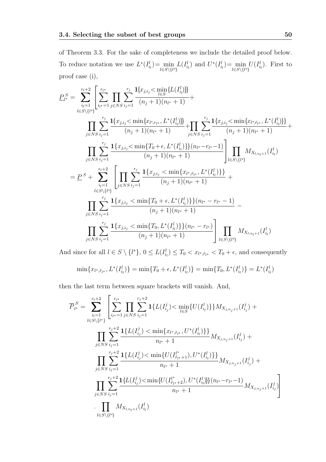of Theorem 3.3. For the sake of completeness we include the detailed proof below. To reduce notation we use  $L^*(I_{i_l}^l) = \min_{l \in S \setminus \{l^*\}} L(I_{i_l}^l)$  and  $U^*(I_{i_l}^l) = \min_{l \in S \setminus \{l^*\}} U(I_{i_l}^l)$ . First to proof case (i),

$$
P_{l^*}^S = \sum_{i_l=1}^{r_l+2} \left[ \sum_{i_{l^*}=1}^{r_{l^*}} \prod_{j \in NS} \sum_{i_j=1}^{r_j} \frac{1\{x_{j,i_j} < \min\{L(I_{i_l}^l)\}\}}{(n_j+1)(n_{l^*}+1)} + \frac{\prod_{j \in NS} \sum_{i_j=1}^{r_j} \frac{1\{x_{j,i_j} < \min\{x_{l^*,r_{l^*}}, L^*(I_{i_l}^l)\}\}}{(n_j+1)(n_{l^*}+1)} + \prod_{j \in NS} \sum_{i_j=1}^{r_j} \frac{1\{x_{j,i_j} < \min\{T_{l^*,r_{l^*}}, L^*(I_{i_l}^l)\}\}}{(n_j+1)(n_{l^*}+1)} + \frac{\prod_{j \in NS} \sum_{i_j=1}^{r_j} \frac{1\{x_{j,i_j} < \min\{T_0 + \epsilon, L^*(I_{i_l}^l)\}\}(n_{l^*} - r_{l^*} - 1)}{(n_j+1)(n_{l^*}+1)}}{\prod_{l \in S \setminus \{l^* \}} M_{X_{l,n_l+1}}(I_{i_l}^l)}\n= P^S + \sum_{i_l=1}^{r_l+2} \left[ \prod_{j \in NS} \sum_{i_j=1}^{r_j} \frac{1\{x_{j,i_j} < \min\{x_{l^*,r_{l^*}}, L^*(I_{i_l}^l)\}\}}{(n_j+1)(n_{l^*}+1)} + \frac{\prod_{l \in S \setminus \{l^* \}} \sum_{i_j=1}^{r_j} \frac{1\{x_{j,i_j} < \min\{T_0 + \epsilon, L^*(I_{i_l}^l)\}\}(n_{l^*} - r_{l^*} - 1)}{(n_j+1)(n_{l^*}+1)}}{-\prod_{j \in NS} \sum_{i_j=1}^{r_j} \frac{1\{x_{j,i_j} < \min\{T_0, L^*(I_{i_l}^l)\}\}(n_{l^*} - r_{l^*})}{(n_j+1)(n_{l^*}+1)}}\right] \prod_{l \in S \setminus \{l^* \}} M_{X_{l,n_l+1}}(I_{i_l}^l)
$$

And since for all  $l \in S \setminus \{l^*\}, 0 \le L(I_{i_l}^l) \le T_0 < x_{l^*,\tilde{r}_{l^*}} < T_0 + \epsilon$ , and consequently

$$
\min\{x_{l^*,\tilde{r}_{l^*}},L^*(I_{i_l}^l)\}=\min\{T_0+\epsilon,L^*(I_{i_l}^l)\}=\min\{T_0,L^*(I_{i_l}^l)\}=L^*(I_{i_l}^l)
$$

then the last term between square brackets will vanish. And,

$$
\overline{P}_{l^*}^S = \sum_{i_l=1}^{r_l+2} \left[ \sum_{i_{l^*}=1}^{r_{l^*}} \prod_{j \in NS} \sum_{i_j=1}^{r_j+2} \mathbf{1}\{L(I_{i_j}^j) < \min_{l \in S} \{U(I_{i_l}^l)\} \} M_{X_{j,n_j+1}}(I_{i_j}^j) + \right] \prod_{j \in NS} \sum_{i_j=1}^{r_j+2} \frac{\mathbf{1}\{L(I_{i_j}^j) < \min\{x_{l^*,\tilde{r}_{l^*}}, U^*(I_{i_l}^l)\} \}}{n_{l^*}+1} M_{X_{j,n_j+1}}(I_{i_j}^j) + \prod_{j \in NS} \sum_{i_j=1}^{r_j+2} \frac{\mathbf{1}\{L(I_{i_j}^j) < \min\{U(I_{\tilde{r}_{l^*}+1}^l), U^*(I_{i_l}^l)\} \}}{n_{l^*}+1} M_{X_{j,n_j+1}}(I_{i_j}^j) + \prod_{j \in NS} \sum_{i_j=1}^{r_j+2} \frac{\mathbf{1}\{L(I_{i_j}^j) < \min\{U(I_{\tilde{r}_{l^*}+2}), U^*(I_{i_l}^l)\} \}}{n_{l^*}+1} (n_{l^*}+1) M_{X_{j,n_j+1}}(I_{i_j}^j) \right]} \prod_{l \in S \setminus \{l^* \}} M_{X_{l,n_l+1}}(I_{i_l}^l)
$$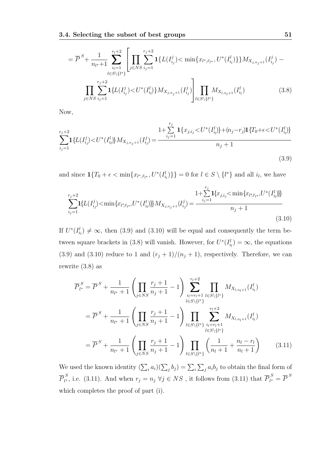$$
= \overline{P}^{S} + \frac{1}{n_{l^{*}}+1} \sum_{i_{l}=1}^{r_{l}+2} \left[ \prod_{j \in NS} \sum_{i_{j}=1}^{r_{j}+2} \mathbf{1}\{L(I_{i_{j}}^{j}) < \min\{x_{l^{*},\tilde{r}_{l^{*}}}, U^{*}(I_{i_{l}}^{l})\}\} M_{X_{j,n_{j}+1}}(I_{i_{j}}^{j}) - \prod_{j \in NS} \sum_{i_{j}=1}^{r_{j}+2} \mathbf{1}\{L(I_{i_{j}}^{j}) < U^{*}(I_{i_{l}}^{l})\} M_{X_{j,n_{j}+1}}(I_{i_{j}}^{j}) \right] \prod_{l \in S \setminus \{l^{*}\}} M_{X_{l,n_{l}+1}}(I_{i_{l}}^{l}) \qquad (3.8)
$$

Now,

$$
\sum_{i_j=1}^{r_j+2} \mathbf{1}\left\{L(I_{i_j}^j) < U^*(I_{i_l}^l\right\} M_{X_{j,n_j+1}}(I_{i_j}^j) = \frac{1+\sum_{i_j=1}^{r_j} \mathbf{1}\left\{x_{j,i_j} < U^*(I_{i_l}^l\right\} + (n_j - r_j)\mathbf{1}\left\{T_0 + \epsilon < U^*(I_{i_l}^l\right\}\right)}{n_j+1} \tag{3.9}
$$

and since  $\mathbf{1}\{T_0 + \epsilon < \min\{x_{l^*,\tilde{r}_{l^*}}, U^*(I_{i_l}^l)\}\} = 0$  for  $l \in S \setminus \{l^*\}$  and all  $i_l$ , we have

$$
\sum_{i_j=1}^{r_j+2} \mathbf{1}\{L(I_{i_j}^j) < \min\{x_{l^*,\tilde{r}_{l^*}}, U^*(I_{i_l}^l)\}\} M_{X_{j,n_j+1}}(I_{i_j}^j) = \frac{1 + \sum_{i_j=1}^{r_j} \mathbf{1}\{x_{j,i_j} < \min\{x_{l^*,\tilde{r}_{l^*}}, U^*(I_{i_l}^l)\}\}}{n_j+1}
$$
\n(3.10)

If  $U^*(I_{i_l}^l) \neq \infty$ , then (3.9) and (3.10) will be equal and consequently the term between square brackets in (3.8) will vanish. However, for  $U^*(I_{i_l}^l) = \infty$ , the equations (3.9) and (3.10) reduce to 1 and  $(r_j + 1)/(n_j + 1)$ , respectively. Therefore, we can rewrite (3.8) as

$$
\overline{P}_{l^*}^S = \overline{P}^S + \frac{1}{n_{l^*} + 1} \left( \prod_{j \in NS} \frac{r_j + 1}{n_j + 1} - 1 \right) \sum_{\substack{i_l = r_l + 1 \\ l \in S \setminus \{l^* \}}}^{r_l + 2} \prod_{l \in S \setminus \{l^* \}} M_{X_{l, n_l + 1}}(I_{i_l}^l)
$$
\n
$$
= \overline{P}^S + \frac{1}{n_{l^*} + 1} \left( \prod_{j \in NS} \frac{r_j + 1}{n_j + 1} - 1 \right) \prod_{l \in S \setminus \{l^* \}} \sum_{\substack{i_l = r_l + 1 \\ l \in S \setminus \{l^* \}}}^{r_l + 2} M_{X_{l, n_l + 1}}(I_{i_l}^l)
$$
\n
$$
= \overline{P}^S + \frac{1}{n_{l^*} + 1} \left( \prod_{j \in NS} \frac{r_j + 1}{n_j + 1} - 1 \right) \prod_{l \in S \setminus \{l^* \}} \left( \frac{1}{n_l + 1} + \frac{n_l - r_l}{n_l + 1} \right) \tag{3.11}
$$

We used the known identity  $(\sum_i a_i)(\sum_j b_j) = \sum_i \sum_j a_i b_j$  to obtain the final form of  $\overline{P}_{l^*}^{\,S}$  $l_i^S$ , i.e. (3.11). And when  $r_j = n_j \; \forall j \in NS$ , it follows from (3.11) that  $\overline{P}_{l^*}^S$  $\sum_{l^*}^S = \overline{P}^S$ which completes the proof of part (i).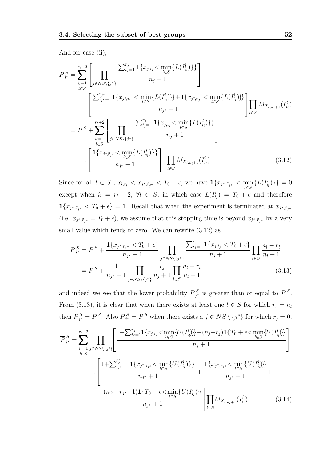And for case (ii),

$$
\underline{P}_{j^*}^S = \sum_{i_l=1}^{r_l+2} \left[ \prod_{j \in NS \setminus \{j^*\}} \frac{\sum_{i_j=1}^{r_j} \mathbf{1}\{x_{j,i_j} < \min_{l \in S} \{L(I_{i_l}^l)\}\}}{n_j+1} \right] \n\cdot \left[ \frac{\sum_{i_j=1}^{r_j*} \mathbf{1}\{x_{j^*,i_j} < \min_{l \in S} \{L(I_{i_l}^l)\}\} + \mathbf{1}\{x_{j^*,i_j} < \min_{l \in S} \{L(I_{i_l}^l)\}\}}{n_{j^*}+1} \right] \prod_{l \in S} M_{X_{l,n_l+1}}(I_{i_l}^l) \n= \underline{P}^S + \sum_{i_l=1}^{r_l+2} \left[ \prod_{j \in NS \setminus \{j^*\}} \frac{\sum_{i_j=1}^{r_j} \mathbf{1}\{x_{j,i_j} < \min_{l \in S} \{L(I_{i_l}^l)\}\}}{n_j+1} \right] \n\cdot \left[ \frac{\mathbf{1}\{x_{j^*,i_j} < \min_{l \in S} \{L(I_{i_l}^l)\}\}}{n_{j^*}+1} \right] \cdot \prod_{l \in S} M_{X_{l,n_l+1}}(I_{i_l}^l)
$$
\n(3.12)

Since for all  $l \in S$ ,  $x_{l,r_l} < x_{j^*,\tilde{r}_{j^*}} < T_0 + \epsilon$ , we have  $\mathbf{1}\{x_{j^*,\tilde{r}_{j^*}} < \min_{l \in S} \{L(I_{i_l}^l)\}\} = 0$ except when  $i_l = r_l + 2$ ,  $\forall l \in S$ , in which case  $L(I_{i_l}^l) = T_0 + \epsilon$  and therefore  $\mathbf{1}\{x_{j^*,\tilde{r}_{j^*}} < T_0 + \epsilon\} = 1.$  Recall that when the experiment is terminated at  $x_{j^*,\tilde{r}_{j^*}}$ (i.e.  $x_{j^*,\tilde{r}_{j^*}} = T_0 + \epsilon$ ), we assume that this stopping time is beyond  $x_{j^*,\tilde{r}_{j^*}}$  by a very small value which tends to zero. We can rewrite (3.12) as

$$
\underline{P}_{j^*}^S = \underline{P}^S + \frac{\mathbf{1}\{x_{j^*,\tilde{r}_{j^*}} < T_0 + \epsilon\}}{n_{j^*} + 1} \prod_{j \in NS \setminus \{j^*\}} \frac{\sum_{i_j=1}^{r_j} \mathbf{1}\{x_{j,i_j} < T_0 + \epsilon\}}{n_j + 1} \prod_{l \in S} \frac{n_l - r_l}{n_l + 1}
$$
\n
$$
= \underline{P}^S + \frac{1}{n_{j^*} + 1} \prod_{j \in NS \setminus \{j^*\}} \frac{r_j}{n_j + 1} \prod_{l \in S} \frac{n_l - r_l}{n_l + 1} \tag{3.13}
$$

and indeed we see that the lower probability  $\underline{P}_{j^*}^S$  is greater than or equal to  $\underline{P}^S$ . From (3.13), it is clear that when there exists at least one  $l \in S$  for which  $r_l = n_l$ then  $\underline{P}_{j^*}^S = \underline{P}^S$ . Also  $\underline{P}_{j^*}^S = \underline{P}^S$  when there exists a  $j \in NS \setminus \{j^*\}$  for which  $r_j = 0$ .

$$
\overline{P}_{j^*}^S = \sum_{\substack{i_l=1 \ i \in S}}^{r_l+2} \prod_{j \in NS \setminus \{j^*\}} \left[ \frac{1+\sum_{i_j=1}^{r_j} \mathbf{1}\{x_{j,i_j} < \min_{l \in S} \{U(I_{i_l}^l)\} + (n_j - r_j)\mathbf{1}\{T_0 + \epsilon < \min_{l \in S} \{U(I_{i_l}^l)\} \}}{n_j + 1} \right]
$$
\n
$$
\cdot \left[ \frac{1+\sum_{i_j=1}^{r_j^*} \mathbf{1}\{x_{j^*,i_j} < \min_{l \in S} \{U(I_{i_l}^l)\} \}}{n_{j^*} + 1} + \frac{\mathbf{1}\{x_{j^*,\tilde{r}_{j^*}} < \min_{l \in S} \{U(I_{i_l}^l)\} \}}{n_{j^*} + 1} + \frac{(n_{j^*} - r_{j^*} - 1)\mathbf{1}\{T_0 + \epsilon < \min_{l \in S} \{U(I_{i_l}^l)\} \}}{n_{j^*} + 1} \right]
$$
\n
$$
\prod_{l \in S} M_{X_{l,n_l+1}}(I_{i_l}^l) \tag{3.14}
$$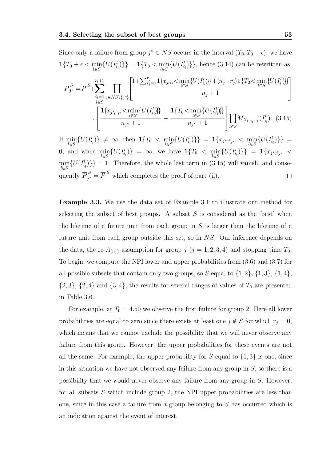Since only a failure from group  $j^* \in NS$  occurs in the interval  $(T_0, T_0 + \epsilon)$ , we have  $\mathbf{1}\{T_0 + \epsilon \le \min_{l \in S} \{U(I_{i_l}^l)\}\} = \mathbf{1}\{T_0 \le \min_{l \in S} \{U(I_{i_l}^l)\}\}\$ , hence (3.14) can be rewritten as  $\overline{P}^{\,S}_{i^*}$  $s_j^s = \overline{P}^S + \sum_{i=1}^{r_l+2}$  $i_l=1$ l∈S  $\Pi$  $j \in NS\backslash\{j^*\}$ F  $\overline{1}$  $1+\sum_{ij=1}^{r_j} \mathbf{1}\{x_{j, i_j} < \min_{l \in S} \{U(I_{i_l}^l)\} + (n_j - r_j)\mathbf{1}\{T_0 < \min_{l \in S} \{U(I_{i_l}^l)\}\}$  $n_j+1$ 1  $\mathbb{I}$ .  $\sqrt{ }$  $\overline{1}$  $1\{x_{j^*,\tilde{r}_{j^*}}<\min_{l\in S}\{U(I^l_{i_l})\}\}\$  $\frac{n_{j^*}+1}{n_{j^*}+1}$  –  $\mathbf{1}\{T_0 \leq \min_{l \in S} \{U(I_{i_l}^l)\}\}\$  $n_{j^*}+1$ 1  $\mathbf{L}$  $\Pi$ l∈S  $M_{X_{l,n_l+1}}(I_{i_l}^l)$  (3.15)

 $\text{If } \min_{l \in S} \{ U(I_{i_l}^l) \} \neq \infty, \text{ then } \mathbf{1} \{ T_0 < \min_{l \in S} \{ U(I_{i_l}^l) \} \} = \mathbf{1} \{ x_{j^*, \tilde{r}_{j^*}} < \min_{l \in S} \{ U(I_{i_l}^l) \} \} =$  $0, \text{ and when } \min_{l \in S} \{ U(I_{i_l}^l) \} = \infty, \text{ we have } \mathbf{1}\{T_0 < \min_{l \in S} \{ U(I_{i_l}^l) \} \} = \mathbf{1}\{x_{j^*,\tilde{r}_{j^*}} < \infty\}$  $\min_{l \in S} \{U(I_{i_l}^l)\}\}=1.$  Therefore, the whole last term in (3.15) will vanish, and consequently  $\overline{P}_{i^*}^S$  $S_{j^*}^S = \overline{P}^S$  which completes the proof of part (ii).  $\Box$ 

Example 3.3. We use the data set of Example 3.1 to illustrate our method for selecting the subset of best groups. A subset  $S$  is considered as the 'best' when the lifetime of a future unit from each group in  $S$  is larger than the lifetime of a future unit from each group outside this set, so in NS. Our inference depends on the data, the rc- $A_{(n_j)}$  assumption for group j  $(j = 1, 2, 3, 4)$  and stopping time  $T_0$ . To begin, we compute the NPI lower and upper probabilities from (3.6) and (3.7) for all possible subsets that contain only two groups, so  $S$  equal to  $\{1, 2\}$ ,  $\{1, 3\}$ ,  $\{1, 4\}$ ,  $\{2,3\},\ \{2,4\}$  and  $\{3,4\},\$  the results for several ranges of values of  $T_0$  are presented in Table 3.6.

For example, at  $T_0 = 4.50$  we observe the first failure for group 2. Here all lower probabilities are equal to zero since there exists at least one  $j \notin S$  for which  $r_j = 0$ , which means that we cannot exclude the possibility that we will never observe any failure from this group. However, the upper probabilities for these events are not all the same. For example, the upper probability for  $S$  equal to  $\{1,3\}$  is one, since in this situation we have not observed any failure from any group in  $S$ , so there is a possibility that we would never observe any failure from any group in S. However, for all subsets  $S$  which include group 2, the NPI upper probabilities are less than one, since in this case a failure from a group belonging to S has occurred which is an indication against the event of interest.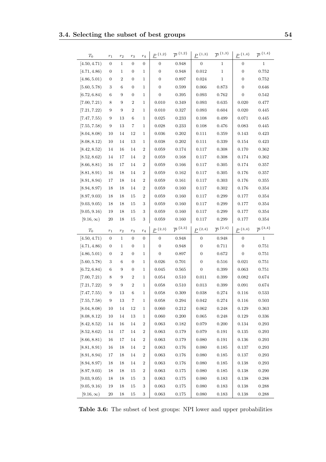| $T_0$                           | $r_1$            | $r_2$          | $r_3$             | $r_4$            | $P^{\ \{1,2\}}$            | $\overline{P}$ <sup>{1,2}</sup> | $P^{\ \{1,3\}}$       | $\overline{P}$ <sup>{1,3}</sup> | $P^{\ \{1,4\}}$  | $\overline{P}$ <sup>{1,4}</sup> |
|---------------------------------|------------------|----------------|-------------------|------------------|----------------------------|---------------------------------|-----------------------|---------------------------------|------------------|---------------------------------|
| [4.50, 4.71)                    | $\boldsymbol{0}$ | $\mathbf{1}$   | $\boldsymbol{0}$  | $\boldsymbol{0}$ | $\boldsymbol{0}$           | 0.948                           | $\boldsymbol{0}$      | $\mathbf{1}$                    | 0                | $\mathbf{1}$                    |
| [4.71, 4.86]                    | $\boldsymbol{0}$ | $\mathbf 1$    | $\boldsymbol{0}$  | 1                | $\boldsymbol{0}$           | 0.948                           | 0.012                 | $\mathbf{1}$                    | $\boldsymbol{0}$ | 0.752                           |
| [4.86, 5.01)                    | 0                | $\overline{2}$ | $\boldsymbol{0}$  | 1                | $\boldsymbol{0}$           | 0.897                           | 0.024                 | $\,1$                           | $\boldsymbol{0}$ | 0.752                           |
| [5.60, 5.78)                    | 3                | 6              | $\boldsymbol{0}$  | 1                | $\boldsymbol{0}$           | 0.599                           | 0.066                 | 0.873                           | $\boldsymbol{0}$ | 0.646                           |
| [6.72, 6.84]                    | 6                | 9              | $\boldsymbol{0}$  | 1                | $\overline{0}$             | 0.395                           | 0.093                 | 0.762                           | $\boldsymbol{0}$ | 0.542                           |
| [7.00, 7.21)                    | 8                | 9              | $\sqrt{2}$        | 1                | 0.010                      | 0.349                           | 0.093                 | 0.635                           | 0.020            | 0.477                           |
| [7.21, 7.22)                    | 9                | 9              | $\sqrt{2}$        | 1                | 0.010                      | 0.327                           | 0.093                 | 0.604                           | 0.020            | 0.445                           |
| [7.47, 7.55)                    | 9                | 13             | 6                 | 1                | 0.025                      | 0.233                           | 0.108                 | 0.499                           | 0.071            | 0.445                           |
| [7.55, 7.58)                    | 9                | 13             | 7                 | 1                | 0.028                      | 0.233                           | 0.108                 | 0.476                           | 0.083            | 0.445                           |
| [8.04, 8.08]                    | 10               | 14             | 12                | 1                | 0.036                      | 0.202                           | 0.111                 | 0.359                           | 0.143            | 0.423                           |
| [8.08, 8.12)                    | 10               | 14             | 13                | 1                | 0.038                      | 0.202                           | 0.111                 | 0.339                           | 0.154            | 0.423                           |
| [8.42, 8.52)                    | 14               | 16             | 14                | 2                | 0.059                      | 0.174                           | 0.117                 | 0.308                           | 0.170            | 0.362                           |
| [8.52, 8.62)                    | 14               | 17             | 14                | 2                | 0.059                      | 0.168                           | 0.117                 | 0.308                           | 0.174            | 0.362                           |
| [8.66, 8.81)                    | 16               | 17             | 14                | 2                | 0.059                      | 0.166                           | 0.117                 | 0.305                           | 0.174            | 0.357                           |
| [8.81, 8.91)                    | 16               | 18             | 14                | 2                | 0.059                      | 0.162                           | 0.117                 | 0.305                           | 0.176            | 0.357                           |
| [8.91, 8.94]                    | 17               | 18             | 14                | 2                | 0.059                      | 0.161                           | 0.117                 | 0.303                           | 0.176            | 0.355                           |
| [8.94, 8.97]                    | 18               | 18             | 14                | 2                | 0.059                      | 0.160                           | 0.117                 | 0.302                           | 0.176            | 0.354                           |
| [8.97, 9.03]                    | 18               | 18             | 15                | 2                | 0.059                      | 0.160                           | 0.117                 | 0.299                           | 0.177            | 0.354                           |
| [9.03, 9.05)                    | 18               | 18             | 15                | 3                | 0.059                      | 0.160                           | 0.117                 | 0.299                           | 0.177            | 0.354                           |
| [9.05, 9.16]                    | 19               | 18             | 15                | 3                | 0.059                      | 0.160                           | 0.117                 | 0.299                           | 0.177            | 0.354                           |
| $[9.16,\infty)$                 | 20               | 18             | 15                | 3                | 0.059                      | 0.160                           | 0.117                 | 0.299                           | 0.177            | 0.354                           |
|                                 |                  |                |                   |                  |                            |                                 |                       |                                 |                  |                                 |
| $T_0$                           | $r_{\rm 1}$      | $r_2$          | $r_{3}$           | $r_4$            | $\underline{P}$ {2,3}      | $\bar{P}^{\{2,3\}}$             | $\underline{P}$ {2,4} | $\overline{P}$ <sup>{2,4}</sup> | $P^{\ \{3,4\}}$  | $\overline{P}$ <sup>{3,4}</sup> |
| [4.50, 4.71)                    | $\boldsymbol{0}$ | $\mathbf 1$    | $\boldsymbol{0}$  | $\boldsymbol{0}$ | $\boldsymbol{0}$           | 0.948                           | 0                     | 0.948                           | $\boldsymbol{0}$ | $\mathbf{1}$                    |
| [4.71, 4.86]                    | 0                | $\mathbf 1$    | $\boldsymbol{0}$  | 1                | $\boldsymbol{0}$           | 0.948                           | 0                     | 0.711                           | $\boldsymbol{0}$ | 0.751                           |
| [4.86, 5.01)                    | 0                | $\overline{2}$ | $\boldsymbol{0}$  | 1                | $\boldsymbol{0}$           | 0.897                           | $\boldsymbol{0}$      | 0.672                           | $\boldsymbol{0}$ | 0.751                           |
| [5.60, 5.78)                    | 3                | 6              | $\boldsymbol{0}$  | 1                | 0.026                      | 0.701                           | 0                     | 0.516                           | 0.021            | 0.751                           |
| [6.72, 6.84)                    | 6                | 9              | $\boldsymbol{0}$  | 1                | 0.045                      | 0.565                           | $\boldsymbol{0}$      | 0.399                           | 0.063            | 0.751                           |
| [7.00, 7.21)                    | 8                | 9              | $\sqrt{2}$        | 1                | 0.054                      | 0.510                           | 0.011                 | 0.399                           | 0.082            | 0.674                           |
| [7.21, 7.22]                    | 9                | 9              | $\overline{2}$    | 1                | 0.058                      | 0.510                           | 0.013                 | 0.399                           | 0.091            | 0.674                           |
| [7.47, 7.55]                    | 9                | 13             | 6                 | 1                | 0.058                      | 0.309                           | 0.038                 | 0.274                           | 0.116            | 0.533                           |
| [7.55, 7.58)                    | $\boldsymbol{9}$ | $13\,$         | $\scriptstyle{7}$ | $\mathbf 1$      | $\,0.058\,$                | $\,0.294\,$                     | $\,0.042\,$           | 0.274                           | 0.116            | 0.503                           |
| [8.04, 8.08]                    | 10               | 14             | $12\,$            | 1                | 0.060                      | 0.212                           | 0.062                 | 0.248                           | 0.129            | 0.363                           |
| [8.08, 8.12]                    | $10\,$           | 14             | 13                | 1                | 0.060                      | 0.200                           | 0.065                 | 0.248                           | 0.129            | 0.336                           |
| [8.42, 8.52)                    | 14               | 16             | 14                | $\,2$            | 0.063                      | 0.182                           | 0.079                 | 0.200                           | 0.134            | 0.293                           |
| [8.52, 8.62]                    | 14               | 17             | $14\,$            | $\,2$            | 0.063                      | 0.179                           | 0.079                 | 0.191                           | 0.135            | $\,0.293\,$                     |
| [8.66, 8.81)                    | 16               | 17             | 14                | $\boldsymbol{2}$ | 0.063                      | 0.179                           | 0.080                 | 0.191                           | 0.136            | 0.293                           |
| [8.81, 8.91)                    | $16\,$           | 18             | 14                | $\boldsymbol{2}$ | 0.063                      | 0.176                           | 0.080                 | 0.185                           | 0.137            | 0.293                           |
| [8.91, 8.94]                    | 17               | 18             | 14                | $\boldsymbol{2}$ | 0.063                      | 0.176                           | 0.080                 | 0.185                           | 0.137            | 0.293                           |
| [8.94, 8.97]                    | 18               | 18             | 14                | $\boldsymbol{2}$ | $\,0.063\,$                | 0.176                           | 0.080                 | 0.185                           | 0.138            | $\,0.293\,$                     |
| [8.97, 9.03]                    | 18               | 18             | 15                | $\,2$            | 0.063                      | 0.175                           | 0.080                 | 0.185                           | 0.138            | 0.290                           |
| [9.03, 9.05)                    | 18               | 18             | 15                | 3                | 0.063                      | 0.175                           | 0.080                 | 0.183                           | 0.138            | 0.288                           |
| [9.05, 9.16)<br>$[9.16,\infty)$ | $19\,$<br>$20\,$ | 18             | 15                | 3                | $\,0.063\,$<br>$\,0.063\,$ | 0.175                           | 0.080<br>$0.080\,$    | 0.183<br>$\rm 0.183$            | 0.138            | 0.288<br>$0.288\,$              |

Table 3.6: The subset of best groups: NPI lower and upper probabilities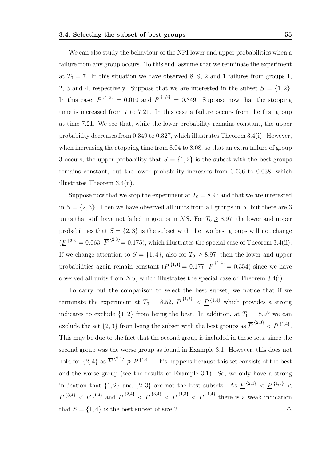We can also study the behaviour of the NPI lower and upper probabilities when a failure from any group occurs. To this end, assume that we terminate the experiment at  $T_0 = 7$ . In this situation we have observed 8, 9, 2 and 1 failures from groups 1, 2, 3 and 4, respectively. Suppose that we are interested in the subset  $S = \{1, 2\}$ . In this case,  $\underline{P}^{\{1,2\}} = 0.010$  and  $\overline{P}^{\{1,2\}} = 0.349$ . Suppose now that the stopping time is increased from 7 to 7.21. In this case a failure occurs from the first group at time 7.21. We see that, while the lower probability remains constant, the upper probability decreases from 0.349 to 0.327, which illustrates Theorem 3.4(i). However, when increasing the stopping time from 8.04 to 8.08, so that an extra failure of group 3 occurs, the upper probability that  $S = \{1, 2\}$  is the subset with the best groups remains constant, but the lower probability increases from 0.036 to 0.038, which illustrates Theorem 3.4(ii).

Suppose now that we stop the experiment at  $T_0 = 8.97$  and that we are interested in  $S = \{2, 3\}$ . Then we have observed all units from all groups in S, but there are 3 units that still have not failed in groups in NS. For  $T_0 \geq 8.97$ , the lower and upper probabilities that  $S = \{2, 3\}$  is the subset with the two best groups will not change  $(\underline{P}^{\{2,3\}}=0.063,\overline{P}^{\{2,3\}}=0.175)$ , which illustrates the special case of Theorem 3.4(ii). If we change attention to  $S = \{1, 4\}$ , also for  $T_0 \geq 8.97$ , then the lower and upper probabilities again remain constant  $(\underline{P}^{\{1,4\}} = 0.177, \overline{P}^{\{1,4\}} = 0.354)$  since we have observed all units from NS, which illustrates the special case of Theorem 3.4(i).

To carry out the comparison to select the best subset, we notice that if we terminate the experiment at  $T_0 = 8.52, \overline{P}^{\{1,2\}} < \underline{P}^{\{1,4\}}$  which provides a strong indicates to exclude  $\{1, 2\}$  from being the best. In addition, at  $T_0 = 8.97$  we can exclude the set  $\{2,3\}$  from being the subset with the best groups as  $\overline{P}^{\{2,3\}} < \underline{P}^{\{1,4\}}$ . This may be due to the fact that the second group is included in these sets, since the second group was the worse group as found in Example 3.1. However, this does not hold for  $\{2,4\}$  as  $\overline{P}^{\{2,4\}} \nless \underline{P}^{\{1,4\}}$ . This happens because this set consists of the best and the worse group (see the results of Example 3.1). So, we only have a strong indication that  $\{1,2\}$  and  $\{2,3\}$  are not the best subsets. As  $\underline{P}^{\{2,4\}} < \underline{P}^{\{1,3\}} <$  $\underline{P}^{\{3,4\}} < \underline{P}^{\{1,4\}}$  and  $\overline{P}^{\{2,4\}} < \overline{P}^{\{3,4\}} < \overline{P}^{\{1,3\}} < \overline{P}^{\{1,4\}}$  there is a weak indication that  $S = \{1, 4\}$  is the best subset of size 2.  $\triangle$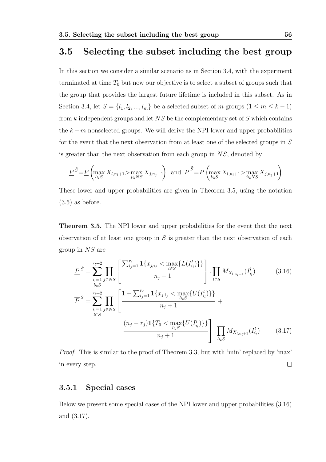## 3.5 Selecting the subset including the best group

In this section we consider a similar scenario as in Section 3.4, with the experiment terminated at time  $T_0$  but now our objective is to select a subset of groups such that the group that provides the largest future lifetime is included in this subset. As in Section 3.4, let  $S = \{l_1, l_2, ..., l_m\}$  be a selected subset of m groups  $(1 \le m \le k - 1)$ from  $k$  independent groups and let  $NS$  be the complementary set of  $S$  which contains the  $k - m$  nonselected groups. We will derive the NPI lower and upper probabilities for the event that the next observation from at least one of the selected groups in S is greater than the next observation from each group in  $NS$ , denoted by

$$
\underline{P}^{\tilde{S}} = \underline{P} \left( \max_{l \in S} X_{l, n_l + 1} > \max_{j \in NS} X_{j, n_j + 1} \right) \text{ and } \overline{P}^{\tilde{S}} = \overline{P} \left( \max_{l \in S} X_{l, n_l + 1} > \max_{j \in NS} X_{j, n_j + 1} \right)
$$

These lower and upper probabilities are given in Theorem 3.5, using the notation (3.5) as before.

Theorem 3.5. The NPI lower and upper probabilities for the event that the next observation of at least one group in  $S$  is greater than the next observation of each group in NS are

$$
\underline{P}^{\tilde{S}} = \sum_{i_l=1}^{r_l+2} \prod_{j \in NS} \left[ \frac{\sum_{i_j=1}^{r_j} \mathbf{1}\{x_{j,i_j} < \max_{l \in S} \{L(I_{i_l}^l)\}\}}{n_j+1} \right] \cdot \prod_{l \in S} M_{X_{l,n_l+1}}(I_{i_l}^l) \tag{3.16}
$$
\n
$$
\overline{P}^{\tilde{S}} = \sum_{i_l=1}^{r_l+2} \prod_{j \in NS} \left[ \frac{1+\sum_{i_j=1}^{r_j} \mathbf{1}\{x_{j,i_j} < \max_{l \in S} \{U(I_{i_l}^l)\}\}}{n_j+1} + \frac{(n_j-r_j)\mathbf{1}\{T_0 < \max_{l \in S} \{U(I_{i_l}^l)\}\}}{n_j+1} \right] \cdot \prod_{l \in S} M_{X_{l,n_l+1}}(I_{i_l}^l) \tag{3.17}
$$

Proof. This is similar to the proof of Theorem 3.3, but with 'min' replaced by 'max' in every step.  $\Box$ 

#### 3.5.1 Special cases

Below we present some special cases of the NPI lower and upper probabilities (3.16) and (3.17).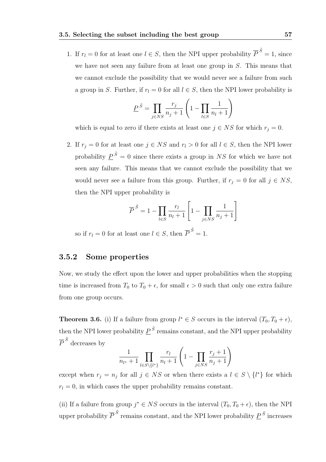1. If  $r_l = 0$  for at least one  $l \in S$ , then the NPI upper probability  $\overline{P}^{\tilde{S}} = 1$ , since we have not seen any failure from at least one group in S. This means that we cannot exclude the possibility that we would never see a failure from such a group in S. Further, if  $r_l = 0$  for all  $l \in S$ , then the NPI lower probability is

$$
\underline{P}^{\tilde{S}} = \prod_{j \in NS} \frac{r_j}{n_j + 1} \left( 1 - \prod_{l \in S} \frac{1}{n_l + 1} \right)
$$

which is equal to zero if there exists at least one  $j \in NS$  for which  $r_j = 0$ .

2. If  $r_j = 0$  for at least one  $j \in NS$  and  $r_l > 0$  for all  $l \in S$ , then the NPI lower probability  $\underline{P}^{\tilde{S}} = 0$  since there exists a group in NS for which we have not seen any failure. This means that we cannot exclude the possibility that we would never see a failure from this group. Further, if  $r_j = 0$  for all  $j \in NS$ , then the NPI upper probability is

$$
\overline{P}^{\tilde{S}} = 1 - \prod_{l \in S} \frac{r_l}{n_l + 1} \left[ 1 - \prod_{j \in NS} \frac{1}{n_j + 1} \right]
$$

so if  $r_l = 0$  for at least one  $l \in S$ , then  $\overline{P}^{\tilde{S}} = 1$ .

#### 3.5.2 Some properties

Now, we study the effect upon the lower and upper probabilities when the stopping time is increased from  $T_0$  to  $T_0 + \epsilon$ , for small  $\epsilon > 0$  such that only one extra failure from one group occurs.

**Theorem 3.6.** (i) If a failure from group  $l^* \in S$  occurs in the interval  $(T_0, T_0 + \epsilon)$ , then the NPI lower probability  $\underline{P}^{\,\tilde{S}}$  remains constant, and the NPI upper probability  $\overline{P}^{\,\tilde{S}}$  decreases by

$$
\frac{1}{n_{l^*}+1} \prod_{l \in S \setminus \{l^*\}} \frac{r_l}{n_l+1} \left(1 - \prod_{j \in NS} \frac{r_j+1}{n_j+1}\right)
$$

except when  $r_j = n_j$  for all  $j \in NS$  or when there exists a  $l \in S \setminus \{l^*\}$  for which  $r_l = 0$ , in which cases the upper probability remains constant.

(ii) If a failure from group  $j^* \in NS$  occurs in the interval  $(T_0, T_0 + \epsilon)$ , then the NPI upper probability  $\overline{P}^{\tilde{S}}$  remains constant, and the NPI lower probability  $\underline{P}^{\tilde{S}}$  increases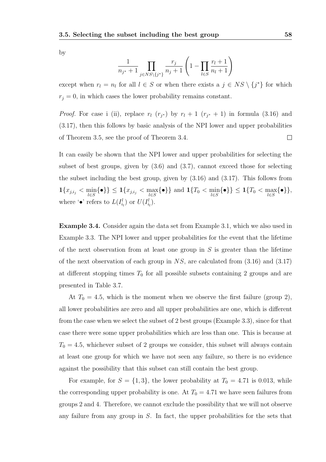by

$$
\frac{1}{n_{j^*}+1} \prod_{j \in NS \setminus \{j^*\}} \frac{r_j}{n_j+1} \left(1 - \prod_{l \in S} \frac{r_l+1}{n_l+1}\right)
$$

except when  $r_l = n_l$  for all  $l \in S$  or when there exists a  $j \in NS \setminus \{j^*\}$  for which  $r_j = 0$ , in which cases the lower probability remains constant.

*Proof.* For case i (ii), replace  $r_l$  ( $r_{j*}$ ) by  $r_l + 1$  ( $r_{j*} + 1$ ) in formula (3.16) and (3.17), then this follows by basic analysis of the NPI lower and upper probabilities  $\Box$ of Theorem 3.5, see the proof of Theorem 3.4.

It can easily be shown that the NPI lower and upper probabilities for selecting the subset of best groups, given by (3.6) and (3.7), cannot exceed those for selecting the subset including the best group, given by (3.16) and (3.17). This follows from  $\mathbf{1}\{x_{j,i_j} < \min_{l \in S}\{\bullet\}\} \leq \mathbf{1}\{x_{j,i_j} < \max_{l \in S}\{\bullet\}\} \text{ and } \mathbf{1}\{T_0 < \min_{l \in S}\{\bullet\}\} \leq \mathbf{1}\{T_0 < \max_{l \in S}\{\bullet\}\},$ where ' $\bullet$ ' refers to  $L(I_{i_l}^l)$  or  $U(I_{i_l}^l)$ .

Example 3.4. Consider again the data set from Example 3.1, which we also used in Example 3.3. The NPI lower and upper probabilities for the event that the lifetime of the next observation from at least one group in  $S$  is greater than the lifetime of the next observation of each group in  $NS$ , are calculated from  $(3.16)$  and  $(3.17)$ at different stopping times  $T_0$  for all possible subsets containing 2 groups and are presented in Table 3.7.

At  $T_0 = 4.5$ , which is the moment when we observe the first failure (group 2), all lower probabilities are zero and all upper probabilities are one, which is different from the case when we select the subset of 2 best groups (Example 3.3), since for that case there were some upper probabilities which are less than one. This is because at  $T_0 = 4.5$ , whichever subset of 2 groups we consider, this subset will always contain at least one group for which we have not seen any failure, so there is no evidence against the possibility that this subset can still contain the best group.

For example, for  $S = \{1, 3\}$ , the lower probability at  $T_0 = 4.71$  is 0.013, while the corresponding upper probability is one. At  $T_0 = 4.71$  we have seen failures from groups 2 and 4. Therefore, we cannot exclude the possibility that we will not observe any failure from any group in  $S$ . In fact, the upper probabilities for the sets that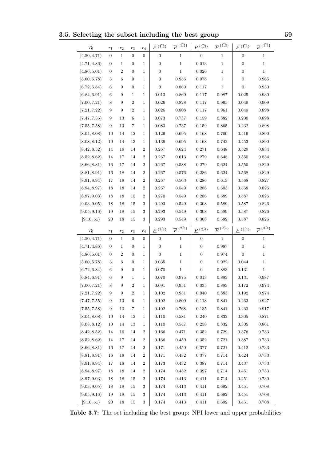3.5. Selecting the subset including the best group 59

| $T_0$                            | $r_{\rm 1}$      | $r_2$            | $r_3$            | $r_4$            | $P^{\ \{ \widetilde{1,2} \}}$ | $\overline{P}^{\{1,2\}}$                 | $P^{ \{ \widetilde{1,3} \}}$ | $\overline{P}^{\;\{ \widetilde{1,3}\}}$ | $P^{ \text{ }\{\widetilde{1,4}\}}$ | $\overline{P} \, \{ \widetilde{1,4} \}$ |
|----------------------------------|------------------|------------------|------------------|------------------|-------------------------------|------------------------------------------|------------------------------|-----------------------------------------|------------------------------------|-----------------------------------------|
| [4.50, 4.71)                     | $\overline{0}$   | $\mathbf{1}$     | $\boldsymbol{0}$ | $\boldsymbol{0}$ | $\boldsymbol{0}$              | $\mathbf 1$                              | 0                            | $\,1$                                   | $\boldsymbol{0}$                   | $\mathbf{1}$                            |
| [4.71, 4.86]                     | $\mathbf{0}$     | 1                | $\boldsymbol{0}$ | 1                | 0                             | $\mathbf{1}$                             | 0.013                        | $\mathbf{1}$                            | $\boldsymbol{0}$                   | $\mathbf{1}$                            |
| [4.86, 5.01)                     | 0                | $\boldsymbol{2}$ | $\boldsymbol{0}$ | 1                | 0                             | 1                                        | 0.026                        | $\mathbf{1}$                            | $\boldsymbol{0}$                   | $\mathbf{1}$                            |
| [5.60, 5.78)                     | 3                | 6                | $\boldsymbol{0}$ | 1                | 0                             | 0.956                                    | 0.078                        | $\mathbf{1}$                            | $\boldsymbol{0}$                   | 0.965                                   |
| [6.72, 6.84]                     | 6                | 9                | $\boldsymbol{0}$ | $\mathbf 1$      | 0                             | 0.869                                    | 0.117                        | $\mathbf{1}$                            | $\boldsymbol{0}$                   | 0.930                                   |
| [6.84, 6.91)                     | 6                | 9                | 1                | $\mathbf 1$      | 0.013                         | 0.869                                    | 0.117                        | 0.987                                   | 0.025                              | 0.930                                   |
| [7.00, 7.21)                     | 8                | 9                | $\overline{2}$   | $\mathbf 1$      | 0.026                         | 0.828                                    | 0.117                        | 0.965                                   | 0.049                              | 0.909                                   |
| [7.21, 7.22]                     | 9                | 9                | $\overline{2}$   | $\mathbf{1}$     | 0.026                         | 0.808                                    | 0.117                        | 0.961                                   | 0.049                              | 0.898                                   |
| [7.47, 7.55]                     | 9                | 13               | 6                | 1                | 0.073                         | 0.737                                    | 0.159                        | 0.882                                   | 0.200                              | 0.898                                   |
| [7.55, 7.58]                     | 9                | 13               | 7                | 1                | 0.083                         | 0.737                                    | 0.159                        | 0.865                                   | 0.232                              | 0.898                                   |
| [8.04, 8.08]                     | 10               | 14               | 12               | $\mathbf 1$      | 0.129                         | 0.695                                    | 0.168                        | 0.760                                   | 0.419                              | 0.890                                   |
| [8.08, 8.12]                     | 10               | 14               | 13               | $\mathbf{1}$     | 0.139                         | 0.695                                    | 0.168                        | 0.742                                   | 0.453                              | 0.890                                   |
| [8.42, 8.52]                     | 14               | 16               | 14               | $\overline{2}$   | 0.267                         | 0.624                                    | 0.271                        | 0.648                                   | 0.529                              | 0.834                                   |
| [8.52, 8.62]                     | 14               | 17               | 14               | $\overline{2}$   | 0.267                         | 0.613                                    | 0.279                        | 0.648                                   | 0.550                              | 0.834                                   |
| [8.66, 8.81)                     | 16               | 17               | 14               | $\overline{2}$   | 0.267                         | 0.588                                    | 0.279                        | 0.624                                   | 0.550                              | 0.829                                   |
| [8.81, 8.91)                     | 16               | 18               | 14               | $\overline{2}$   | 0.267                         | 0.576                                    | 0.286                        | 0.624                                   | 0.568                              | 0.829                                   |
| [8.91, 8.94]                     | 17               | 18               | 14               | $\overline{2}$   | 0.267                         | 0.563                                    | 0.286                        | 0.613                                   | 0.568                              | 0.827                                   |
| [8.94, 8.97]                     | 18               | 18               | 14               | $\overline{2}$   | 0.267                         | 0.549                                    | 0.286                        | 0.603                                   | 0.568                              | 0.826                                   |
| [8.97, 9.03]                     | 18               | 18               | 15               | $\overline{2}$   | 0.270                         | 0.549                                    | 0.286                        | 0.589                                   | 0.587                              | 0.826                                   |
| [9.03, 9.05]                     | 18               | 18               | 15               | 3                | 0.293                         | 0.549                                    | 0.308                        | 0.589                                   | 0.587                              | 0.826                                   |
| [9.05, 9.16]                     | 19               | 18               | 15               | 3                | 0.293                         | 0.549                                    | 0.308                        | 0.589                                   | 0.587                              | 0.826                                   |
| $[9.16,\infty)$                  | 20               | 18               | 15               | $\,3$            | 0.293                         | 0.549                                    | 0.308                        | 0.589                                   | 0.587                              | 0.826                                   |
|                                  |                  |                  |                  |                  |                               |                                          |                              |                                         |                                    |                                         |
|                                  |                  |                  |                  |                  |                               |                                          |                              |                                         |                                    |                                         |
| $T_0$                            | $r_1$            | $r_2$            | $r_3$            | $r_4$            | $P$ $\{\widetilde{2,3}\}$     | $\overline{P}^{\;\{ \widetilde{2,3} \}}$ | $P^{\{2,4\}}$                | $\overline{P}^{\{2,4\}}$                | $P^{\{3,4\}}$                      | $\overline{P} \widehat{3,4}$            |
| [4.50, 4.71)                     | $\boldsymbol{0}$ | $\mathbf{1}$     | $\boldsymbol{0}$ | $\boldsymbol{0}$ | $\boldsymbol{0}$              | $\mathbf 1$                              | $\boldsymbol{0}$             | $\mathbf{1}$                            | $\boldsymbol{0}$                   | $\mathbf{1}$                            |
| [4.71, 4.86]                     | $\mathbf{0}$     | 1                | $\boldsymbol{0}$ | 1                | $\boldsymbol{0}$              | 1                                        | $\boldsymbol{0}$             | 0.987                                   | $\boldsymbol{0}$                   | $\mathbf{1}$                            |
| [4.86, 5.01)                     | 0                | $\boldsymbol{2}$ | $\boldsymbol{0}$ | 1                | $\overline{0}$                | 1                                        | 0                            | 0.974                                   | $\boldsymbol{0}$                   | $\mathbf{1}$                            |
| [5.60, 5.78)                     | 3                | 6                | $\boldsymbol{0}$ | $\mathbf 1$      | 0.035                         | $\mathbf 1$                              | 0                            | 0.922                                   | 0.044                              | $\mathbf{1}$                            |
| [6.72, 6.84]                     | 6                | 9                | $\boldsymbol{0}$ | $\mathbf{1}$     | 0.070                         | $\mathbf{1}$                             | 0                            | 0.883                                   | 0.131                              | $\mathbf 1$                             |
| [6.84, 6.91)                     | 6                | 9                | 1                | 1                | 0.070                         | 0.975                                    | 0.013                        | 0.883                                   | 0.131                              | 0.987                                   |
| [7.00, 7.21)                     | 8                | 9                | $\overline{2}$   | $\mathbf 1$      | 0.091                         | 0.951                                    | 0.035                        | 0.883                                   | 0.172                              | 0.974                                   |
| [7.21, 7.22)                     | 9                | 9                | $\sqrt{2}$       | 1                | 0.102                         | $\,0.951\,$                              | 0.040                        | 0.883                                   | 0.192                              | $\,0.974\,$                             |
| [7.47, 7.55)                     | $\boldsymbol{9}$ | 13               | 6                | $\mathbf 1$      | 0.102                         | 0.800                                    | 0.118                        | 0.841                                   | 0.263                              | 0.927                                   |
| [7.55, 7.58]                     | 9                | 13               | $\overline{7}$   | 1                | 0.102                         | 0.768                                    | 0.135                        | 0.841                                   | 0.263                              | 0.917                                   |
| [8.04, 8.08]                     | 10               | 14               | 12               | 1                | 0.110                         | $\,0.581\,$                              | 0.240                        | $\,0.832\,$                             | 0.305                              | 0.871                                   |
| [8.08, 8.12]                     | 10               | 14               | 13               | 1                | 0.110                         | 0.547                                    | 0.258                        | 0.832                                   | 0.305                              | 0.861                                   |
| [8.42, 8.52)                     | 14               | 16               | 14               | 2                | 0.166                         | 0.471                                    | 0.352                        | 0.729                                   | 0.376                              | $\rm 0.733$                             |
| [8.52, 8.62]                     | 14               | 17               | 14               | 2                | 0.166                         | 0.450                                    | 0.352                        | 0.721                                   | 0.387                              | 0.733                                   |
| [8.66, 8.81)                     | 16               | 17               | 14               | 2                | 0.171                         | 0.450                                    | 0.377                        | 0.721                                   | 0.412                              | 0.733                                   |
| [8.81, 8.91)                     | 16               | 18               | 14               | $\,2$            | 0.171                         | 0.432                                    | 0.377                        | 0.714                                   | 0.424                              | $\rm 0.733$                             |
| [8.91, 8.94]                     | 17               | 18               | 14               | 2                | 0.173                         | 0.432                                    | 0.387                        | 0.714                                   | 0.437                              | 0.733                                   |
| [8.94, 8.97]                     | 18               | 18               | 14               | $\,2$            | 0.174                         | 0.432                                    | 0.397                        | 0.714                                   | 0.451                              | 0.733                                   |
| [8.97, 9.03]                     | 18               | 18               | 15               | 2                | 0.174                         | 0.413                                    | 0.411                        | 0.714                                   | 0.451                              | 0.730                                   |
| [9.03, 9.05)                     | 18               | 18               | 15               | 3                | 0.174                         | 0.413                                    | 0.411                        | 0.692                                   | 0.451                              | 0.708                                   |
| [9.05, 9.16)<br>$[9.16, \infty)$ | 19<br>$20\,$     | 18               | 15<br>$15\,$     | $\sqrt{3}$<br>3  | 0.174<br>0.174                | $\rm 0.413$<br>0.413                     | $0.411\,$<br>$0.411\,$       | $\,0.692\,$<br>$\,0.692\,$              | 0.451<br>$0.451\,$                 | $0.708\,$<br>$0.708\,$                  |

Table 3.7: The set including the best group: NPI lower and upper probabilities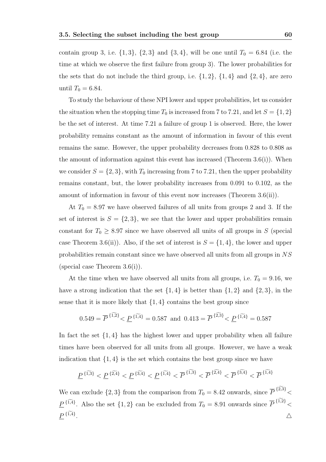contain group 3, i.e.  $\{1, 3\}$ ,  $\{2, 3\}$  and  $\{3, 4\}$ , will be one until  $T_0 = 6.84$  (i.e. the time at which we observe the first failure from group 3). The lower probabilities for the sets that do not include the third group, i.e.  $\{1, 2\}$ ,  $\{1, 4\}$  and  $\{2, 4\}$ , are zero until  $T_0 = 6.84$ .

To study the behaviour of these NPI lower and upper probabilities, let us consider the situation when the stopping time  $T_0$  is increased from 7 to 7.21, and let  $S = \{1, 2\}$ be the set of interest. At time 7.21 a failure of group 1 is observed. Here, the lower probability remains constant as the amount of information in favour of this event remains the same. However, the upper probability decreases from 0.828 to 0.808 as the amount of information against this event has increased (Theorem  $3.6(i)$ ). When we consider  $S = \{2, 3\}$ , with  $T_0$  increasing from 7 to 7.21, then the upper probability remains constant, but, the lower probability increases from 0.091 to 0.102, as the amount of information in favour of this event now increases (Theorem 3.6(ii)).

At  $T_0 = 8.97$  we have observed failures of all units from groups 2 and 3. If the set of interest is  $S = \{2, 3\}$ , we see that the lower and upper probabilities remain constant for  $T_0 \geq 8.97$  since we have observed all units of all groups in S (special case Theorem 3.6(ii)). Also, if the set of interest is  $S = \{1, 4\}$ , the lower and upper probabilities remain constant since we have observed all units from all groups in NS (special case Theorem 3.6(i)).

At the time when we have observed all units from all groups, i.e.  $T_0 = 9.16$ , we have a strong indication that the set  $\{1,4\}$  is better than  $\{1,2\}$  and  $\{2,3\}$ , in the sense that it is more likely that  $\{1,4\}$  contains the best group since

$$
0.549 = \overline{P}^{\{1,2\}} < \underline{P}^{\{1,4\}} = 0.587
$$
 and  $0.413 = \overline{P}^{\{2,3\}} < \underline{P}^{\{1,4\}} = 0.587$ 

In fact the set  $\{1,4\}$  has the highest lower and upper probability when all failure times have been observed for all units from all groups. However, we have a weak indication that  $\{1,4\}$  is the set which contains the best group since we have

$$
\underline{P}^{\{\widetilde{1,3}\}} < \underline{P}^{\{\widetilde{2,4}\}} < \underline{P}^{\{\widetilde{3,4}\}} < \underline{P}^{\{\widetilde{1,4}\}} < \overline{P}^{\{\widetilde{1,3}\}} < \overline{P}^{\{\widetilde{2,4}\}} < \overline{P}^{\{\widetilde{3,4}\}} < \overline{P}^{\{\widetilde{1,4}\}}
$$

We can exclude  $\{2,3\}$  from the comparison from  $T_0 = 8.42$  onwards, since P  $\{2,3\}$  $\lt$  $\underline{P}^{\{\widetilde{1,4}\}}$ . Also the set  $\{1,2\}$  can be excluded from  $T_0 = 8.91$  onwards since  $\overline{P}$  $\{1,2\}$  $\lt$  $P^{\,\{ \widetilde{1,4} \}}$ . And the contract of the contract of  $\Delta$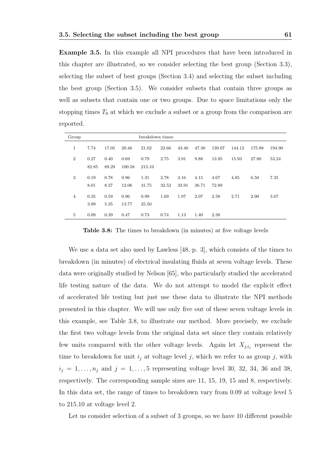Example 3.5. In this example all NPI procedures that have been introduced in this chapter are illustrated, so we consider selecting the best group (Section 3.3), selecting the subset of best groups (Section 3.4) and selecting the subset including the best group (Section 3.5). We consider subsets that contain three groups as well as subsets that contain one or two groups. Due to space limitations only the stopping times  $T_0$  at which we exclude a subset or a group from the comparison are reported.

| Group          |               |               |                | breakdown times |               |               |               |               |        |        |        |
|----------------|---------------|---------------|----------------|-----------------|---------------|---------------|---------------|---------------|--------|--------|--------|
| 1              | 7.74          | 17.05         | 20.46          | 21.02           | 22.66         | 43.40         | 47.30         | 139.07        | 144.12 | 175.88 | 194.90 |
| $\overline{2}$ | 0.27<br>82.85 | 0.40<br>89.29 | 0.69<br>100.58 | 0.79<br>215.10  | 2.75          | 3.91          | 9.88          | 13.95         | 15.93  | 27.80  | 53.24  |
| 3              | 0.19<br>8.01  | 0.78<br>8.27  | 0.96<br>12.06  | 1.31<br>31.75   | 2.78<br>32.52 | 3.16<br>33.91 | 4.15<br>36.71 | 4.67<br>72.89 | 4.85   | 6.50   | 7.35   |
| $\overline{4}$ | 0.35<br>3.99  | 0.59<br>5.35  | 0.96<br>13.77  | 0.99<br>25.50   | 1.69          | 1.97          | 2.07          | 2.58          | 2.71   | 2.90   | 3.67   |
| 5              | 0.09          | 0.39          | 0.47           | 0.73            | 0.74          | 1.13          | 1.40          | 2.38          |        |        |        |

Table 3.8: The times to breakdown (in minutes) at five voltage levels

We use a data set also used by Lawless [48, p. 3], which consists of the times to breakdown (in minutes) of electrical insulating fluids at seven voltage levels. These data were originally studied by Nelson [65], who particularly studied the accelerated life testing nature of the data. We do not attempt to model the explicit effect of accelerated life testing but just use these data to illustrate the NPI methods presented in this chapter. We will use only five out of these seven voltage levels in this example, see Table 3.8, to illustrate our method. More precisely, we exclude the first two voltage levels from the original data set since they contain relatively few units compared with the other voltage levels. Again let  $X_{j,i_j}$  represent the time to breakdown for unit  $i_j$  at voltage level j, which we refer to as group j, with  $i_j = 1, ..., n_j$  and  $j = 1, ..., 5$  representing voltage level 30, 32, 34, 36 and 38, respectively. The corresponding sample sizes are 11, 15, 19, 15 and 8, respectively. In this data set, the range of times to breakdown vary from 0.09 at voltage level 5 to 215.10 at voltage level 2.

Let us consider selection of a subset of 3 groups, so we have 10 different possible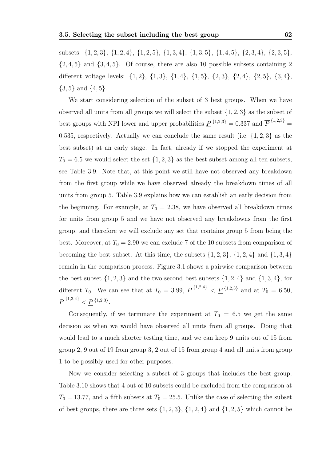subsets: {1, 2, 3}, {1, 2, 4}, {1, 2, 5}, {1, 3, 4}, {1, 3, 5}, {1, 4, 5}, {2, 3, 4}, {2, 3, 5},  $\{2,4,5\}$  and  $\{3,4,5\}$ . Of course, there are also 10 possible subsets containing 2 different voltage levels: {1, 2}, {1, 3}, {1, 4}, {1, 5}, {2, 3}, {2, 4}, {2, 5}, {3, 4},  $\{3, 5\}$  and  $\{4, 5\}$ .

We start considering selection of the subset of 3 best groups. When we have observed all units from all groups we will select the subset  $\{1, 2, 3\}$  as the subset of best groups with NPI lower and upper probabilities  $\underline{P}^{\{1,2,3\}} = 0.337$  and  $\overline{P}^{\{1,2,3\}} =$ 0.535, respectively. Actually we can conclude the same result (i.e.  $\{1, 2, 3\}$ ) as the best subset) at an early stage. In fact, already if we stopped the experiment at  $T_0 = 6.5$  we would select the set  $\{1, 2, 3\}$  as the best subset among all ten subsets, see Table 3.9. Note that, at this point we still have not observed any breakdown from the first group while we have observed already the breakdown times of all units from group 5. Table 3.9 explains how we can establish an early decision from the beginning. For example, at  $T_0 = 2.38$ , we have observed all breakdown times for units from group 5 and we have not observed any breakdowns from the first group, and therefore we will exclude any set that contains group 5 from being the best. Moreover, at  $T_0 = 2.90$  we can exclude 7 of the 10 subsets from comparison of becoming the best subset. At this time, the subsets  $\{1, 2, 3\}$ ,  $\{1, 2, 4\}$  and  $\{1, 3, 4\}$ remain in the comparison process. Figure 3.1 shows a pairwise comparison between the best subset  $\{1, 2, 3\}$  and the two second best subsets  $\{1, 2, 4\}$  and  $\{1, 3, 4\}$ , for different  $T_0$ . We can see that at  $T_0 = 3.99, \overline{P}^{\{1,2,4\}} < \underline{P}^{\{1,2,3\}}$  and at  $T_0 = 6.50,$  $\overline{P}^{\{1,3,4\}} < \underline{P}^{\{1,2,3\}}.$ 

Consequently, if we terminate the experiment at  $T_0 = 6.5$  we get the same decision as when we would have observed all units from all groups. Doing that would lead to a much shorter testing time, and we can keep 9 units out of 15 from group 2, 9 out of 19 from group 3, 2 out of 15 from group 4 and all units from group 1 to be possibly used for other purposes.

Now we consider selecting a subset of 3 groups that includes the best group. Table 3.10 shows that 4 out of 10 subsets could be excluded from the comparison at  $T_0 = 13.77$ , and a fifth subsets at  $T_0 = 25.5$ . Unlike the case of selecting the subset of best groups, there are three sets  $\{1, 2, 3\}$ ,  $\{1, 2, 4\}$  and  $\{1, 2, 5\}$  which cannot be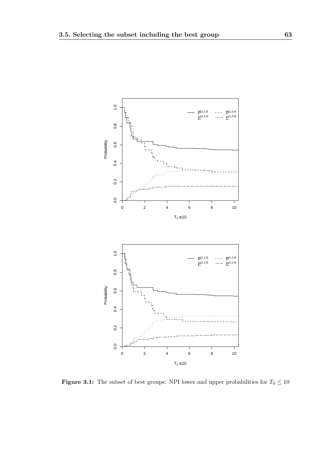

Figure 3.1: The subset of best groups: NPI lower and upper probabilities for  $T_0 \le 10$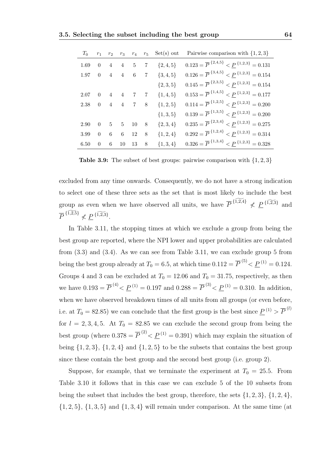| $T_{0}$        |                |   |                     |                                     |                | $r_1$ $r_2$ $r_3$ $r_4$ $r_5$ Set(s) out | Pairwise comparison with $\{1,2,3\}$                                     |
|----------------|----------------|---|---------------------|-------------------------------------|----------------|------------------------------------------|--------------------------------------------------------------------------|
| 1.69           | $\overline{0}$ |   |                     | $4\quad 4\quad 5\quad 7$            |                | ${2, 4, 5}$                              | $0.123 = \overline{P}^{2,4,5} < \underline{P}^{1,2,3} = 0.131$           |
| 1.97           |                |   |                     | $0 \quad 4 \quad 4 \quad 6 \quad 7$ |                | $\{3,4,5\}$                              | $0.126 = \overline{P}^{\{3,4,5\}} < \underline{P}^{\{1,2,3\}} = 0.154$   |
|                |                |   |                     |                                     |                | $\{2,3,5\}$                              | $0.145 = \overline{P}^{ {2,3,5} } < \underline{P}^{ {1,2,3} } = 0.154$   |
| 2.07           |                |   | $0 \quad 4 \quad 4$ | $7\overline{ }$                     | $\overline{7}$ | $\{1,4,5\}$                              | $0.153 = \overline{P}^{ \{1,4,5\}} < \underline{P}^{ \{1,2,3\}} = 0.177$ |
| 2.38 0 4 4 7 8 |                |   |                     |                                     |                | $\{1, 2, 5\}$                            | $0.114 = \overline{P}^{ \{1,2,5\}} < \underline{P}^{ \{1,2,3\}} = 0.200$ |
|                |                |   |                     |                                     |                | $\{1,3,5\}$                              | $0.139 = \overline{P}^{{1,3,5}} < \underline{P}^{{1,2,3}} = 0.200$       |
| 2.90           | $\overline{0}$ |   | $5\quad 5$          | 10                                  | 8 <sup>8</sup> | $\{2,3,4\}$                              | $0.235 = \overline{P}^{ {2,3,4}} < \underline{P}^{ {1,2,3}} = 0.275$     |
| 3.99           | $\overline{0}$ | 6 | $6\quad$            | 12 8                                |                | $\{1, 2, 4\}$                            | $0.292 = \overline{P}^{ \{1,2,4\}} < \underline{P}^{ \{1,2,3\}} = 0.314$ |
| 6.50           | $\theta$       | 6 | 10                  | 13 8                                |                | $\{1, 3, 4\}$                            | $0.326 = \overline{P}^{{1,3,4}} < \underline{P}^{{1,2,3}} = 0.328$       |

**Table 3.9:** The subset of best groups: pairwise comparison with  $\{1, 2, 3\}$ 

excluded from any time onwards. Consequently, we do not have a strong indication to select one of these three sets as the set that is most likely to include the best group as even when we have observed all units, we have  $\overline{P}^{\{1,2,4\}} \nless \underline{P}^{\{1,2,3\}}$  and  $\overline{P}^{\{1,2,5\}} \nless \underline{P}^{\{1,2,3\}}.$ 

In Table 3.11, the stopping times at which we exclude a group from being the best group are reported, where the NPI lower and upper probabilities are calculated from (3.3) and (3.4). As we can see from Table 3.11, we can exclude group 5 from being the best group already at  $T_0 = 6.5$ , at which time  $0.112 = \overline{P}^{(5)} < \underline{P}^{(1)} = 0.124$ . Groups 4 and 3 can be excluded at  $T_0 = 12.06$  and  $T_0 = 31.75$ , respectively, as then we have  $0.193 = \overline{P}^{(4)} < \underline{P}^{(1)} = 0.197$  and  $0.288 = \overline{P}^{(3)} < \underline{P}^{(1)} = 0.310$ . In addition, when we have observed breakdown times of all units from all groups (or even before, i.e. at  $T_0 = 82.85$ ) we can conclude that the first group is the best since  $\underline{P}^{(1)} > \overline{P}^{(l)}$ for  $l = 2, 3, 4, 5$ . At  $T_0 = 82.85$  we can exclude the second group from being the best group (where  $0.378 = \overline{P}^{(2)} < \underline{P}^{(1)} = 0.391$ ) which may explain the situation of being  $\{1, 2, 3\}$ ,  $\{1, 2, 4\}$  and  $\{1, 2, 5\}$  to be the subsets that contains the best group since these contain the best group and the second best group (i.e. group 2).

Suppose, for example, that we terminate the experiment at  $T_0 = 25.5$ . From Table 3.10 it follows that in this case we can exclude 5 of the 10 subsets from being the subset that includes the best group, therefore, the sets  $\{1, 2, 3\}$ ,  $\{1, 2, 4\}$ ,  $\{1, 2, 5\}, \{1, 3, 5\}$  and  $\{1, 3, 4\}$  will remain under comparison. At the same time (at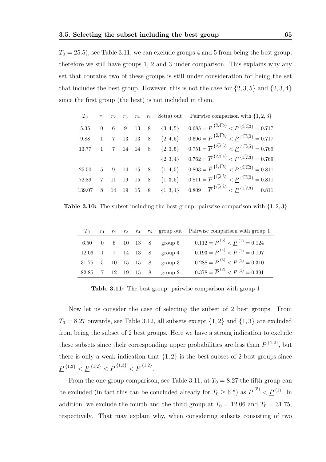$T_0 = 25.5$ , see Table 3.11, we can exclude groups 4 and 5 from being the best group, therefore we still have groups 1, 2 and 3 under comparison. This explains why any set that contains two of these groups is still under consideration for being the set that includes the best group. However, this is not the case for  $\{2, 3, 5\}$  and  $\{2, 3, 4\}$ since the first group (the best) is not included in them.

| $T_0$  |              |                |             |                        | $r_1$ $r_2$ $r_3$ $r_4$ $r_5$ Set(s) out Pairwise comparison with $\{1,2,3\}$            |
|--------|--------------|----------------|-------------|------------------------|------------------------------------------------------------------------------------------|
| 5.35   |              |                |             | 0 6 9 13 8 $\{3,4,5\}$ | $0.685 = \overline{P}^{\{3,4,5\}} < P^{\{1,2,3\}} = 0.717$                               |
| 9.88   | $\mathbf{1}$ | $\overline{7}$ |             | 13 13 8 $\{2,4,5\}$    | $0.696 = \overline{P}^{\{2,4,5\}} < P^{\{1,2,3\}} = 0.717$                               |
| 13.77  |              |                | 7 14 14 8   | $\{2,3,5\}$            | $0.751 = \overline{P}^{ \{2,3,5\}} < P^{ \{1,2,3\}} = 0.769$                             |
|        |              |                |             |                        | ${2,3,4}$ $0.762 = \overline{P}^{2,3,4} < \underline{P}^{1,2,3} = 0.769$                 |
| 25.50  |              |                | 5 9 14 15 8 | $\{1,4,5\}$            | $0.803 = \overline{P}^{\{1,4,5\}} < P^{\{1,2,3\}} = 0.811$                               |
| 72.89  |              | 7 11           | 19 15 8     | $\{1,3,5\}$            | $0.811 = \overline{P}^{ \{ \widetilde{1,3,5} \}} < P^{ \{ \widetilde{1,2,3} \}} = 0.811$ |
| 139.07 | 8            | 14             | 19 15 8     |                        | $\{1,3,4\}$ $0.809 = \overline{P}^{\{1,3,4\}} < \underline{P}^{\{1,2,3\}} = 0.811$       |

**Table 3.10:** The subset including the best group: pairwise comparison with  $\{1, 2, 3\}$ 

|  |  |  |                                                                         | $T_0$ $r_1$ $r_2$ $r_3$ $r_4$ $r_5$ group out Pairwise comparison with group 1 |
|--|--|--|-------------------------------------------------------------------------|--------------------------------------------------------------------------------|
|  |  |  | 6.50 0 6 10 13 8 group 5                                                | $0.112 = \overline{P}^{(5)} < P^{(1)} = 0.124$                                 |
|  |  |  | $12.06 \quad 1 \quad 7 \quad 14 \quad 13 \quad 8 \quad \text{group } 4$ | $0.193 = \overline{P}^{(4)} < P^{(1)} = 0.197$                                 |
|  |  |  | 31.75 5 10 15 15 8 group 3                                              | $0.288 = \overline{P}^{(3)} < P^{(1)} = 0.310$                                 |
|  |  |  | 82.85 7 12 19 15 8 group 2                                              | $0.378 = \overline{P}^{(2)} < P^{(1)} = 0.391$                                 |

Table 3.11: The best group: pairwise comparison with group 1

Now let us consider the case of selecting the subset of 2 best groups. From  $T_0 = 8.27$  onwards, see Table 3.12, all subsets except  $\{1,2\}$  and  $\{1,3\}$  are excluded from being the subset of 2 best groups. Here we have a strong indication to exclude these subsets since their corresponding upper probabilities are less than  $\underline{P}^{\{1,2\}}$ , but there is only a weak indication that  $\{1, 2\}$  is the best subset of 2 best groups since  $\underline{P}^{\{1,3\}} < \underline{P}^{\{1,2\}} < \overline{P}^{\{1,3\}} < \overline{P}^{\{1,2\}}.$ 

From the one-group comparison, see Table 3.11, at  $T_0 = 8.27$  the fifth group can be excluded (in fact this can be concluded already for  $T_0 \geq 6.5$ ) as  $\overline{P}^{(5)} < \underline{P}^{(1)}$ . In addition, we exclude the fourth and the third group at  $T_0 = 12.06$  and  $T_0 = 31.75$ , respectively. That may explain why, when considering subsets consisting of two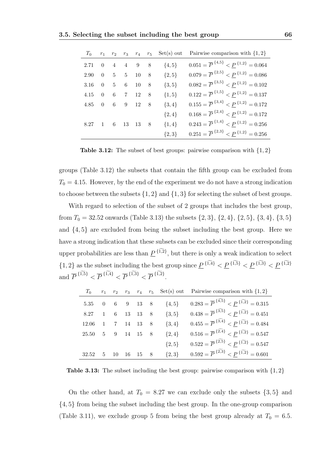|                        |                |            |                   |                             |            | $T_0$ $r_1$ $r_2$ $r_3$ $r_4$ $r_5$ Set(s) out Pairwise comparison with $\{1,2\}$ |
|------------------------|----------------|------------|-------------------|-----------------------------|------------|-----------------------------------------------------------------------------------|
| 2.71                   | $\overline{0}$ |            |                   | $4 \quad 4 \quad 9 \quad 8$ | $\{4, 5\}$ | $0.051 = \overline{P}^{4,5} < \underline{P}^{1,2} = 0.064$                        |
| 2.90                   |                |            | $0\quad 5\quad 5$ | 10 8                        | $\{2, 5\}$ | $0.079 = \overline{P}^{2,5} < \underline{P}^{1,2} = 0.086$                        |
| $3.16\,$               |                |            | $0\quad 5\quad 6$ | 10 8                        | $\{3, 5\}$ | $0.082 = \overline{P}^{3,5}$ $\leq P^{1,2} = 0.102$                               |
| 4.15                   | $\overline{0}$ | $6\degree$ | $\overline{7}$    | 12 8                        | $\{1, 5\}$ | $0.122 = \overline{P}^{{1,5} < \underline{P}^{1,2} = 0.137$                       |
| $4.85$ 0 6 9 12 8      |                |            |                   |                             | $\{3,4\}$  | $0.155 = \overline{P}^{3,4} < \underline{P}^{1,2} = 0.172$                        |
|                        |                |            |                   |                             | $\{2,4\}$  | $0.168 = \overline{P}^{2,4} < \underline{P}^{1,2} = 0.172$                        |
| $8.27 \quad 1 \quad 6$ |                |            | 13                | 13 8                        | $\{1,4\}$  | $0.243 = \overline{P}^{{1,4} < \underline{P}^{1,2} = 0.256$                       |
|                        |                |            |                   |                             | ${2,3}$    | $0.251 = \overline{P}^{2,3}$ $\leq P^{1,2} = 0.256$                               |

**Table 3.12:** The subset of best groups: pairwise comparison with  $\{1, 2\}$ 

groups (Table 3.12) the subsets that contain the fifth group can be excluded from  $T_0 = 4.15$ . However, by the end of the experiment we do not have a strong indication to choose between the subsets  $\{1, 2\}$  and  $\{1, 3\}$  for selecting the subset of best groups.

With regard to selection of the subset of 2 groups that includes the best group, from  $T_0 = 32.52$  onwards (Table 3.13) the subsets  $\{2, 3\}$ ,  $\{2, 4\}$ ,  $\{2, 5\}$ ,  $\{3, 4\}$ ,  $\{3, 5\}$ and {4, 5} are excluded from being the subset including the best group. Here we have a strong indication that these subsets can be excluded since their corresponding upper probabilities are less than  $\underline{P}^{\{\widetilde{1,2}\}}$ , but there is only a weak indication to select  $\{1,2\}$  as the subset including the best group since  $\underline{P}^{\{\widetilde{1,4}\}} < \underline{P}^{\{\widetilde{1,5}\}} < \underline{P}^{\{\widetilde{1,3}\}} < \underline{P}^{\{\widetilde{1,2}\}}$ and P  $\{1, 5\}$  $\leq F$  $\{1,4\}$  $\leq F$  $\{1,3\}$  $\leq F$  $\{1, 2\}$ .

| $T_0$                                             |   |            |  |                           | $r_1$ $r_2$ $r_3$ $r_4$ $r_5$ Set(s) out Pairwise comparison with $\{1,2\}$          |
|---------------------------------------------------|---|------------|--|---------------------------|--------------------------------------------------------------------------------------|
|                                                   |   |            |  | 5.35 0 6 9 13 8 $\{4,5\}$ | $0.283 = \overline{P}^{\{4,5\}} < P^{\{1,2\}} = 0.315$                               |
| $8.27 \quad 1$                                    |   | 6 13 13 8  |  | $\{3, 5\}$                | $0.438 = \overline{P}^{\{3,5\}} < P^{\{1,2\}} = 0.451$                               |
| $12.06$ 1 7 14 13 8                               |   |            |  | $\{3,4\}$                 | $0.455 = \overline{P}^{3.4} < P^{1.2} = 0.484$                                       |
| $25.50 \quad 5 \quad 9 \quad 14 \quad 15 \quad 8$ |   |            |  | $\{2,4\}$                 | $0.516 = \overline{P}^{ {\{\widetilde{2,4}\}}} < P^{ {\{\widetilde{1,2}\}}} = 0.547$ |
|                                                   |   |            |  | $\{2, 5\}$                | $0.522 = \overline{P}^{ {\{\widetilde{2,5}\}}} < P^{ {\{\widetilde{1,2}\}}} = 0.547$ |
| 32.52                                             | 5 | 10 16 15 8 |  | $\{2,3\}$                 | $0.592 = \overline{P}^{ {\{\widetilde{2,3}\}}} < P^{ {\{\widetilde{1,2}\}}} = 0.601$ |

**Table 3.13:** The subset including the best group: pairwise comparison with  $\{1, 2\}$ 

On the other hand, at  $T_0 = 8.27$  we can exclude only the subsets  $\{3, 5\}$  and {4, 5} from being the subset including the best group. In the one-group comparison (Table 3.11), we exclude group 5 from being the best group already at  $T_0 = 6.5$ .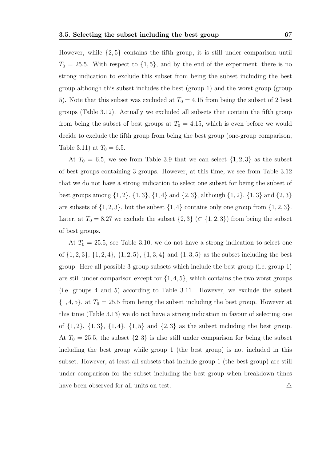However, while {2, 5} contains the fifth group, it is still under comparison until  $T_0 = 25.5$ . With respect to  $\{1, 5\}$ , and by the end of the experiment, there is no strong indication to exclude this subset from being the subset including the best group although this subset includes the best (group 1) and the worst group (group 5). Note that this subset was excluded at  $T_0 = 4.15$  from being the subset of 2 best groups (Table 3.12). Actually we excluded all subsets that contain the fifth group from being the subset of best groups at  $T_0 = 4.15$ , which is even before we would decide to exclude the fifth group from being the best group (one-group comparison, Table 3.11) at  $T_0 = 6.5$ .

At  $T_0 = 6.5$ , we see from Table 3.9 that we can select  $\{1, 2, 3\}$  as the subset of best groups containing 3 groups. However, at this time, we see from Table 3.12 that we do not have a strong indication to select one subset for being the subset of best groups among  $\{1, 2\}, \{1, 3\}, \{1, 4\}$  and  $\{2, 3\}$ , although  $\{1, 2\}, \{1, 3\}$  and  $\{2, 3\}$ are subsets of  $\{1, 2, 3\}$ , but the subset  $\{1, 4\}$  contains only one group from  $\{1, 2, 3\}$ . Later, at  $T_0 = 8.27$  we exclude the subset  $\{2,3\}$  ( $\subset \{1,2,3\}$ ) from being the subset of best groups.

At  $T_0 = 25.5$ , see Table 3.10, we do not have a strong indication to select one of  $\{1, 2, 3\}, \{1, 2, 4\}, \{1, 2, 5\}, \{1, 3, 4\}$  and  $\{1, 3, 5\}$  as the subset including the best group. Here all possible 3-group subsets which include the best group (i.e. group 1) are still under comparison except for  $\{1,4,5\}$ , which contains the two worst groups (i.e. groups 4 and 5) according to Table 3.11. However, we exclude the subset  $\{1, 4, 5\}$ , at  $T_0 = 25.5$  from being the subset including the best group. However at this time (Table 3.13) we do not have a strong indication in favour of selecting one of  $\{1, 2\}$ ,  $\{1, 3\}$ ,  $\{1, 4\}$ ,  $\{1, 5\}$  and  $\{2, 3\}$  as the subset including the best group. At  $T_0 = 25.5$ , the subset  $\{2, 3\}$  is also still under comparison for being the subset including the best group while group 1 (the best group) is not included in this subset. However, at least all subsets that include group 1 (the best group) are still under comparison for the subset including the best group when breakdown times have been observed for all units on test.  $\triangle$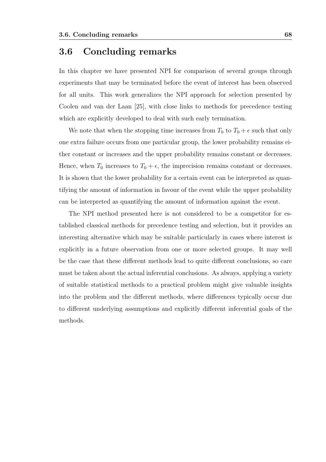#### 3.6 Concluding remarks

In this chapter we have presented NPI for comparison of several groups through experiments that may be terminated before the event of interest has been observed for all units. This work generalizes the NPI approach for selection presented by Coolen and van der Laan [25], with close links to methods for precedence testing which are explicitly developed to deal with such early termination.

We note that when the stopping time increases from  $T_0$  to  $T_0 + \epsilon$  such that only one extra failure occurs from one particular group, the lower probability remains either constant or increases and the upper probability remains constant or decreases. Hence, when  $T_0$  increases to  $T_0 + \epsilon$ , the imprecision remains constant or decreases. It is shown that the lower probability for a certain event can be interpreted as quantifying the amount of information in favour of the event while the upper probability can be interpreted as quantifying the amount of information against the event.

The NPI method presented here is not considered to be a competitor for established classical methods for precedence testing and selection, but it provides an interesting alternative which may be suitable particularly in cases where interest is explicitly in a future observation from one or more selected groups. It may well be the case that these different methods lead to quite different conclusions, so care must be taken about the actual inferential conclusions. As always, applying a variety of suitable statistical methods to a practical problem might give valuable insights into the problem and the different methods, where differences typically occur due to different underlying assumptions and explicitly different inferential goals of the methods.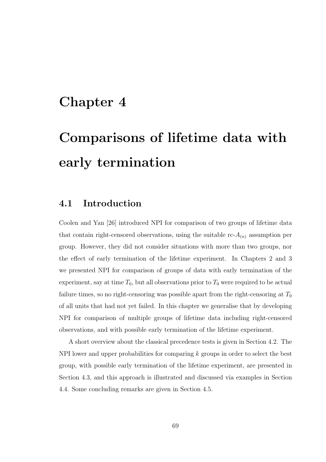# Chapter 4

# Comparisons of lifetime data with early termination

## 4.1 Introduction

Coolen and Yan [26] introduced NPI for comparison of two groups of lifetime data that contain right-censored observations, using the suitable  $\text{rc-}A_{(n)}$  assumption per group. However, they did not consider situations with more than two groups, nor the effect of early termination of the lifetime experiment. In Chapters 2 and 3 we presented NPI for comparison of groups of data with early termination of the experiment, say at time  $T_0$ , but all observations prior to  $T_0$  were required to be actual failure times, so no right-censoring was possible apart from the right-censoring at  $T_0$ of all units that had not yet failed. In this chapter we generalise that by developing NPI for comparison of multiple groups of lifetime data including right-censored observations, and with possible early termination of the lifetime experiment.

A short overview about the classical precedence tests is given in Section 4.2. The NPI lower and upper probabilities for comparing k groups in order to select the best group, with possible early termination of the lifetime experiment, are presented in Section 4.3, and this approach is illustrated and discussed via examples in Section 4.4. Some concluding remarks are given in Section 4.5.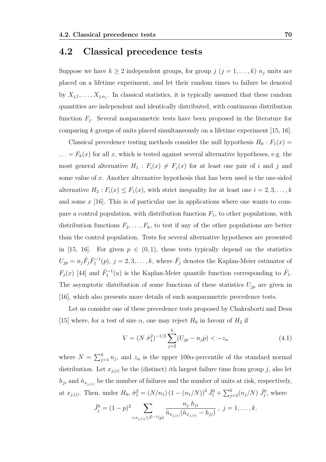#### 4.2 Classical precedence tests

Suppose we have  $k \geq 2$  independent groups, for group  $j$   $(j = 1, ..., k)$   $n_j$  units are placed on a lifetime experiment, and let their random times to failure be denoted by  $X_{j,1}, \ldots, X_{j,n_j}$ . In classical statistics, it is typically assumed that these random quantities are independent and identically distributed, with continuous distribution function  $F_j$ . Several nonparametric tests have been proposed in the literature for comparing  $k$  groups of units placed simultaneously on a lifetime experiment [15, 16].

Classical precedence testing methods consider the null hypothesis  $H_0 : F_1(x) =$  $\ldots = F_k(x)$  for all x, which is tested against several alternative hypotheses, e.g. the most general alternative  $H_1$ :  $F_i(x) \neq F_j(x)$  for at least one pair of i and j and some value of x. Another alternative hypothesis that has been used is the one-sided alternative  $H_2: F_i(x) \leq F_1(x)$ , with strict inequality for at least one  $i = 2, 3, ..., k$ and some  $x$  [16]. This is of particular use in applications where one wants to compare a control population, with distribution function  $F_1$ , to other populations, with distribution functions  $F_2, \ldots, F_k$ , to test if any of the other populations are better than the control population. Tests for several alternative hypotheses are presented in [15, 16]. For given  $p \in (0,1)$ , these tests typically depend on the statistics  $U_{jp} = n_j \hat{F}_j \hat{F}_1^{-1}(p), j = 2, 3, \ldots, k$ , where  $\hat{F}_j$  denotes the Kaplan-Meier estimator of  $F_j(x)$  [44] and  $\hat{F}_1^{-1}(u)$  is the Kaplan-Meier quantile function corresponding to  $\hat{F}_1$ . The asymptotic distribution of some functions of these statistics  $U_{jp}$  are given in [16], which also presents more details of such nonparametric precedence tests.

Let us consider one of these precedence tests proposed by Chakraborti and Desu [15] where, for a test of size  $\alpha$ , one may reject  $H_0$  in favour of  $H_2$  if

$$
V = (N \hat{\sigma}_1^2)^{-1/2} \sum_{j=2}^{k} (U_{jp} - n_j p) < -z_\alpha \tag{4.1}
$$

where  $N = \sum_{j=1}^{k} n_j$ , and  $z_{\alpha}$  is the upper 100 $\alpha$ -percentile of the standard normal distribution. Let  $x_{j,(i)}$  be the (distinct) *i*th largest failure time from group *j*, also let  $h_{ji}$  and  $\tilde{n}_{x_{j,(i)}}$  be the number of failures and the number of units at risk, respectively, at  $x_{j,(i)}$ . Then, under  $H_0$ ,  $\hat{\sigma}_1^2 = (N/n_1) (1 - (n_1/N))^2 \hat{J}_1^0 + \sum_{j=2}^k (n_j/N) \hat{J}_j^0$ , where

$$
\hat{J}_j^0 = (1-p)^2 \sum_{i:x_{j,(i)} \leq \hat{F}^{-1}(p)} \frac{n_j h_{ji}}{\tilde{n}_{x_{j,(i)}}(\tilde{n}_{x_{j,(i)}} - h_{ji})}, \ j = 1, \ldots, k.
$$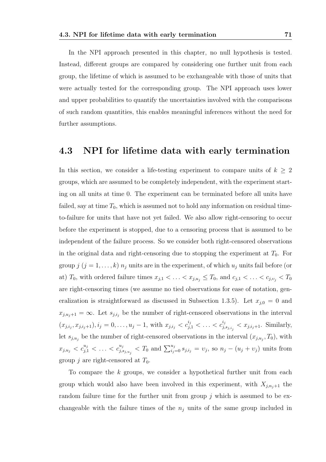In the NPI approach presented in this chapter, no null hypothesis is tested. Instead, different groups are compared by considering one further unit from each group, the lifetime of which is assumed to be exchangeable with those of units that were actually tested for the corresponding group. The NPI approach uses lower and upper probabilities to quantify the uncertainties involved with the comparisons of such random quantities, this enables meaningful inferences without the need for further assumptions.

#### 4.3 NPI for lifetime data with early termination

In this section, we consider a life-testing experiment to compare units of  $k \geq 2$ groups, which are assumed to be completely independent, with the experiment starting on all units at time 0. The experiment can be terminated before all units have failed, say at time  $T_0$ , which is assumed not to hold any information on residual timeto-failure for units that have not yet failed. We also allow right-censoring to occur before the experiment is stopped, due to a censoring process that is assumed to be independent of the failure process. So we consider both right-censored observations in the original data and right-censoring due to stopping the experiment at  $T_0$ . For group  $j$   $(j = 1, ..., k)$   $n_j$  units are in the experiment, of which  $u_j$  units fail before (or at)  $T_0$ , with ordered failure times  $x_{j,1} < \ldots < x_{j,u_j} \leq T_0$ , and  $c_{j,1} < \ldots < c_{j,v_j} < T_0$ are right-censoring times (we assume no tied observations for ease of notation, generalization is straightforward as discussed in Subsection 1.3.5). Let  $x_{j,0} = 0$  and  $x_{j,u_j+1} = \infty$ . Let  $s_{j,i_j}$  be the number of right-censored observations in the interval  $(x_{j,i_j}, x_{j,i_j+1}), i_j = 0, \ldots, u_j - 1$ , with  $x_{j,i_j} < c_{j,1}^{i_j} < \ldots < c_{j,1}^{i_j}$  $y_{j,s_{j,i_j}}^i < x_{j,i_j+1}$ . Similarly, let  $s_{j,u_j}$  be the number of right-censored observations in the interval  $(x_{j,u_j}, T_0)$ , with  $x_{j,u_j} < c_{j,1}^{u_j} < \ldots < c_{j,i}^{u_j}$  $j_{j,s_{j,u_j}}^{u_j} < T_0$  and  $\sum_{i_j=0}^{u_j} s_{j,i_j} = v_j$ , so  $n_j - (u_j + v_j)$  units from group j are right-censored at  $T_0$ .

To compare the k groups, we consider a hypothetical further unit from each group which would also have been involved in this experiment, with  $X_{i,n_i+1}$  the random failure time for the further unit from group  $j$  which is assumed to be exchangeable with the failure times of the  $n_j$  units of the same group included in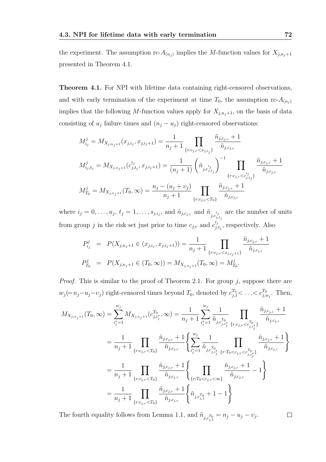the experiment. The assumption rc- $A_{(n_j)}$  implies the M-function values for  $X_{j,n_j+1}$ presented in Theorem 4.1.

Theorem 4.1. For NPI with lifetime data containing right-censored observations, and with early termination of the experiment at time  $T_0$ , the assumption rc- $A_{(n_j)}$ implies that the following M-function values apply for  $X_{j,n_j+1}$ , on the basis of data consisting of  $u_j$  failure times and  $(n_j - u_j)$  right-censored observations:

$$
M_{ij}^j = M_{X_{j,n_j+1}}(x_{j,i_j}, x_{j,i_j+1}) = \frac{1}{n_j+1} \prod_{\{r:c_{j,r} < x_{j,i_j}\}} \frac{\tilde{n}_{j,c_{j,r}}+1}{\tilde{n}_{j,c_{j,r}}}
$$
\n
$$
M_{i_j,t_j}^j = M_{X_{j,n_j+1}}(c_{j,t_j}^{i_j}, x_{j,i_j+1}) = \frac{1}{(n_j+1)} \left(\tilde{n}_{j,c_{j,t_j}^{i_j}}\right)^{-1} \prod_{\{r:c_{j,r} < c_{j,t_j}^{i_j}\}} \frac{\tilde{n}_{j,c_{j,r}}+1}{\tilde{n}_{j,c_{j,r}}}
$$
\n
$$
M_{T_0}^j = M_{X_{j,n_j+1}}(T_0, \infty) = \frac{n_j - (u_j + v_j)}{n_j+1} \prod_{\{r:c_{j,r} < T_0\}} \frac{\tilde{n}_{j,c_{j,r}}+1}{\tilde{n}_{j,c_{j,r}}}
$$

where  $i_j = 0, \ldots, u_j, t_j = 1, \ldots, s_{j,i_j}$ , and  $\tilde{n}_{j,c_{j,r}}$  and  $\tilde{n}_{j,c_i}$  $j,t_j$ are the number of units from group j in the risk set just prior to time  $c_{j,r}$  and  $c_{j,t}^{i_j}$  $j_{j,t_j}^{i_j}$ , respectively. Also

$$
P_{i_j}^j = P(X_{j,n_j+1} \in (x_{j,i_j}, x_{j,i_j+1})) = \frac{1}{n_j+1} \prod_{\{r:c_{j,r} < x_{j,i_j+1}\}} \frac{\tilde{n}_{j,c_{j,r}} + 1}{\tilde{n}_{j,c_{j,r}}}
$$
\n
$$
P_{T_0}^j = P(X_{j,n_j+1} \in (T_0, \infty)) = M_{X_{j,n_j+1}}(T_0, \infty) = M_{T_0}^j.
$$

*Proof.* This is similar to the proof of Theorem 2.1. For group  $j$ , suppose there are  $w_j (= n_j - u_j - v_j)$  right-censored times beyond  $T_0$ , denoted by  $c_{j,1}^{T_0} < \ldots < c_{j,w_j}^{T_0}$ . Then,

$$
M_{X_{j,n_j+1}}(T_0, \infty) = \sum_{i_j^* = 1}^{w_j} M_{X_{j,n_j+1}}(c_{j,i_j^*}^{T_0}, \infty) = \frac{1}{n_j+1} \sum_{i_j^* = 1}^{w_j} \frac{1}{\tilde{n}_{j,c_{j,i_j^*}}}\prod_{\{r:c_{j,r} < c_{j,i_j^*}\}} \frac{\tilde{n}_{j,c_{j,r}} + 1}{\tilde{n}_{j,c_{j,r}}}
$$
\n
$$
= \frac{1}{n_j+1} \prod_{\{r:c_{j,r} < T_0\}} \frac{\tilde{n}_{j,c_{j,r}} + 1}{\tilde{n}_{j,c_{j,r}}} \left\{ \sum_{i_j^* = 1}^{w_j} \frac{1}{\tilde{n}_{j,c_{j,i_j^*}}}\prod_{\{r:T_0 < c_{j,r} < c_{j,i_j^*}\}} \frac{\tilde{n}_{j,c_{j,r}} + 1}{\tilde{n}_{j,c_{j,r}}} \right\}
$$
\n
$$
= \frac{1}{n_j+1} \prod_{\{r:c_{j,r} < T_0\}} \frac{\tilde{n}_{j,c_{j,r}} + 1}{\tilde{n}_{j,c_{j,r}}} \left\{ \prod_{\{r:T_0 < c_{j,r} < \infty\}} \frac{\tilde{n}_{j,c_{j,r}} + 1}{\tilde{n}_{j,c_{j,r}}} - 1 \right\}
$$
\n
$$
= \frac{1}{n_j+1} \prod_{\{r:c_{j,r} < T_0\}} \frac{\tilde{n}_{j,c_{j,r}} + 1}{\tilde{n}_{j,c_{j,r}}} \left\{ \tilde{n}_{j,c_{j,r}} + 1 - 1 \right\}
$$

 $\Box$ The fourth equality follows from Lemma 1.1, and  $\tilde{n}_{j,c_{j,1}^{T_0}} = n_j - u_j - v_j$ .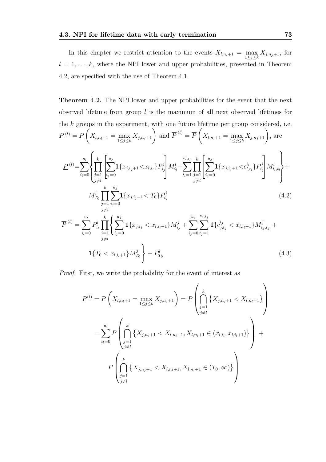In this chapter we restrict attention to the events  $X_{l,n_l+1} = \max_{1 \leq j \leq k} X_{j,n_j+1}$ , for  $l = 1, \ldots, k$ , where the NPI lower and upper probabilities, presented in Theorem 4.2, are specified with the use of Theorem 4.1.

Theorem 4.2. The NPI lower and upper probabilities for the event that the next observed lifetime from group  $l$  is the maximum of all next observed lifetimes for the  $k$  groups in the experiment, with one future lifetime per group considered, i.e.  $\underline{P}^{(l)} = \underline{P}$  $X_{l,n_l+1} = \max_{1 \leq j \leq k} X_{j,n_j+1}$  and  $\overline{P}^{(l)} = \overline{P}$  $\sqrt{ }$  $X_{l,n_l+1} = \max_{1 \le j \le k} X_{j,n_j+1}$ , are  $\underline{P}^{(l)} = \sum_{l=1}^{u_l}$  $i_l=0$  $\sqrt{ }$  $\int$  $\mathbf{C}$  $\Pi$ k  $j=1$ j $\neq l$  $\sqrt{ }$  $\frac{1}{2}$  $\sum_{i=1}^{n}$  $i_j=0$  ${\bf 1}\{x_{j,i_j+1} {<} x_{l,i_l}\} P^j_{i_j}$  $i_j$ 1  $\left|M_{i_l}^l + \right|$  $\sum$  $t_l=1$  $\Pi$ k  $j=1$ j $\neq l$  $\sqrt{ }$  $\cdot$  $\sum_{i=1}^{n}$  $i_j=0$  ${\bf 1}\{x_{j,i_j+1} {<} c^{i_l}_{l,t_l}\} P^j_{i_j}$  $i_j$ 1  $\left| M_{i_l,t_l}^l \right.$  $\mathcal{L}$  $\overline{\mathcal{L}}$  $\int$  $+$ 

$$
M_{T_0}^l \prod_{\substack{j=1 \ j \neq l}}^k \sum_{i_j=0}^{u_j} \mathbf{1}\{x_{j,i_j+1} < T_0\} P_{i_j}^j \tag{4.2}
$$

$$
\overline{P}^{(l)} = \sum_{i_l=0}^{u_l} P_{i_l}^l \prod_{j=1}^k \left\{ \sum_{i_j=0}^{u_j} \mathbf{1} \{x_{j,i_j} < x_{l,i_l+1}\} M_{i_j}^j + \sum_{i_j=0}^{u_j} \sum_{t_j=1}^{s_{j,i_j}} \mathbf{1} \{c_{j,t_j}^{i_j} < x_{l,i_l+1}\} M_{i_j,t_j}^j + \mathbf{1} \{T_0 < x_{l,i_l+1}\} M_{T_0}^j \right\} + P_{T_0}^l \tag{4.3}
$$

Proof. First, we write the probability for the event of interest as

$$
P^{(l)} = P\left(X_{l,n_l+1} = \max_{1 \leq j \leq k} X_{j,n_j+1}\right) = P\left(\bigcap_{\substack{j=1 \ i \neq l}}^k \{X_{j,n_j+1} < X_{l,n_l+1}\}\right)
$$
\n
$$
= \sum_{i_l=0}^{u_l} P\left(\bigcap_{\substack{j=1 \ j \neq l}}^k \{X_{j,n_j+1} < X_{l,n_l+1}, X_{l,n_l+1} \in (x_{l,i_l}, x_{l,i_l+1})\}\right) + P\left(\bigcap_{\substack{j=1 \ j \neq l}}^k \{X_{j,n_j+1} < X_{l,n_l+1}, X_{l,n_l+1} \in (T_0, \infty)\}\right)
$$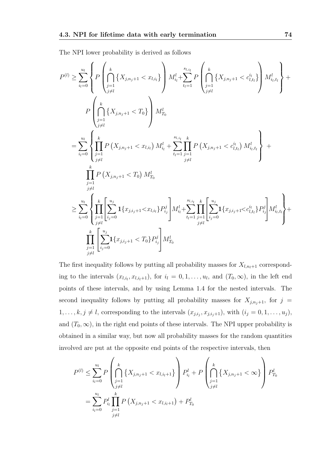The NPI lower probability is derived as follows

$$
P^{(l)} \geq \sum_{i_l=0}^{u_l} \left\{ P \left( \bigcap_{\substack{j=1 \ i \neq l}}^k \{X_{j,n_j+1} < x_{l,i_l}\} \right) M_{i_l}^l + \sum_{t_l=1}^{s_{l,i_l}} P \left( \bigcap_{\substack{j=1 \ i \neq l}}^k \{X_{j,n_j+1} < c_{l,t_l}^{i_l}\} \right) M_{i_l,t_l}^l \right\} + \frac{P \left( \bigcap_{\substack{j=1 \ i \neq l}}^k \{X_{j,n_j+1} < T_0\} \right) M_{T_0}^l}{\prod_{\substack{j=1 \ i \neq l}}^k P \left( X_{j,n_j+1} < x_{l,i_l} \right) M_{i_l}^l + \sum_{t_l=1}^{s_{l,i_l}} \prod_{\substack{j=1 \ j \neq l}}^k P \left( X_{j,n_j+1} < c_{l,t_l}^{i_l} \right) M_{i_l,t_l}^l \right\} + \frac{P \left( X_{j,n_j+1} < T_0 \right) M_{T_0}^l}{\prod_{\substack{j=1 \ j \neq l}}^k P \left( X_{j,n_j+1} < T_0 \right) M_{T_0}^l}
$$
\n
$$
\geq \sum_{i_l=0}^{u_l} \left\{ \prod_{\substack{j=1 \ i \neq l}}^k \left[ \sum_{i_j=0}^{u_j} \{x_{j,i_j+1} < x_{l,i_l}\} P_{i_j}^j \right] M_{i_l}^l + \sum_{t_l=1}^{s_{l,i_l}} \prod_{\substack{j=1 \ j \neq l}}^s \left[ \sum_{i_j=0}^{u_j} \{x_{j,i_j+1} < c_{l,t_l}^{i_l}\} P_{i_j}^j \right] M_{i_l,t_l}^l \right\} + \frac{1}{\prod_{j=1}^k} \left[ \sum_{i_j=0}^{u_j} \{x_{j,i_j+1} < T_0\} P_{i_j}^j \right] M_{T_0}^l
$$

The first inequality follows by putting all probability masses for  $X_{l,n_l+1}$  corresponding to the intervals  $(x_{l,i_l}, x_{l,i_{l+1}})$ , for  $i_l = 0, 1, \ldots, u_l$ , and  $(T_0, \infty)$ , in the left end points of these intervals, and by using Lemma 1.4 for the nested intervals. The second inequality follows by putting all probability masses for  $X_{j,n_j+1}$ , for  $j =$  $1, \ldots, k, j \neq l$ , corresponding to the intervals  $(x_{j,i_j}, x_{j,i_j+1})$ , with  $(i_j = 0, 1, \ldots, u_j)$ , and  $(T_0, \infty)$ , in the right end points of these intervals. The NPI upper probability is obtained in a similar way, but now all probability masses for the random quantities involved are put at the opposite end points of the respective intervals, then

$$
P^{(l)} \leq \sum_{i_l=0}^{u_l} P\left(\bigcap_{\substack{j=1 \ i \neq l}}^k \{X_{j,n_j+1} < x_{l,i_l+1}\} \right) P^l_{i_l} + P\left(\bigcap_{\substack{j=1 \ i \neq l}}^k \{X_{j,n_j+1} < \infty\} \right) P^l_{T_0}
$$
\n
$$
= \sum_{i_l=0}^{u_l} P^l_{i_l} \prod_{\substack{j=1 \ i \neq l}}^k P\left(X_{j,n_j+1} < x_{l,i_l+1}\right) + P^l_{T_0}
$$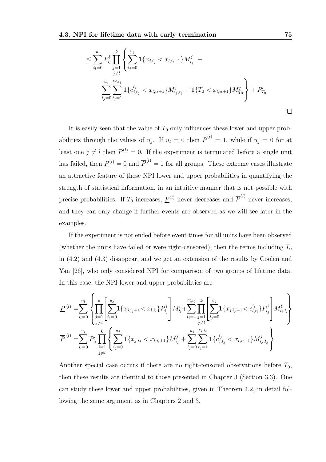$$
\leq \sum_{i_l=0}^{u_l} P_{i_l}^l \prod_{j=1}^k \left\{ \sum_{i_j=0}^{u_j} \mathbf{1}_{\{x_{j,i_j} < x_{l,i_{l}+1}\} M_{i_j}^j + \frac{1}{j} \right\}
$$
\n
$$
\sum_{i_j=0}^{u_j} \sum_{t_j=1}^{s_{j,i_j}} \mathbf{1}_{\{c_{j,t_j}^{i_j} < x_{l,i_{l}+1}\} M_{i_j,t_j}^j + 1 \{T_0 < x_{l,i_{l}+1}\} M_{T_0}^j \right\} + P_{T_0}^l
$$

It is easily seen that the value of  $T_0$  only influences these lower and upper probabilities through the values of  $u_j$ . If  $u_l = 0$  then  $\overline{P}^{(l)} = 1$ , while if  $u_j = 0$  for at least one  $j \neq l$  then  $\underline{P}^{(l)} = 0$ . If the experiment is terminated before a single unit has failed, then  $\underline{P}^{(l)} = 0$  and  $\overline{P}^{(l)} = 1$  for all groups. These extreme cases illustrate an attractive feature of these NPI lower and upper probabilities in quantifying the strength of statistical information, in an intuitive manner that is not possible with precise probabilities. If  $T_0$  increases,  $\underline{P}^{(l)}$  never decreases and  $\overline{P}^{(l)}$  never increases, and they can only change if further events are observed as we will see later in the examples.

If the experiment is not ended before event times for all units have been observed (whether the units have failed or were right-censored), then the terms including  $T_0$ in (4.2) and (4.3) disappear, and we get an extension of the results by Coolen and Yan [26], who only considered NPI for comparison of two groups of lifetime data. In this case, the NPI lower and upper probabilities are

$$
P^{(l)} = \sum_{i_l=0}^{u_l} \left\{ \prod_{\substack{j=1 \ j \neq l}}^{k} \left[ \sum_{i_j=0}^{u_j} \mathbf{1}_{\{x_{j,i_j+1} < x_{l,i_l}\}} P_{i_j}^j \right] M_{i_l}^l + \sum_{t_l=1}^{s_{l,i_l}} \prod_{j=1}^k \left[ \sum_{i_j=0}^{u_j} \mathbf{1}_{\{x_{j,i_j+1} < c_{l,t_l}\}} P_{i_j}^j \right] M_{i_l, t_l}^l \right\}
$$
\n
$$
\overline{P}^{(l)} = \sum_{i_l=0}^{u_l} P_{i_l}^l \prod_{j=1}^k \left\{ \sum_{i_j=0}^{u_j} \mathbf{1}_{\{x_{j,i_j} < x_{l,i_l+1}\}} M_{i_j}^j + \sum_{i_j=0}^{u_j} \sum_{t_j=1}^{s_{j,i_j}} \mathbf{1}_{\{c_{j,t_j}^{i_j} < x_{l,i_l+1}\}} M_{i_j, t_j}^j \right\}
$$

Another special case occurs if there are no right-censored observations before  $T_0$ , then these results are identical to those presented in Chapter 3 (Section 3.3). One can study these lower and upper probabilities, given in Theorem 4.2, in detail following the same argument as in Chapters 2 and 3.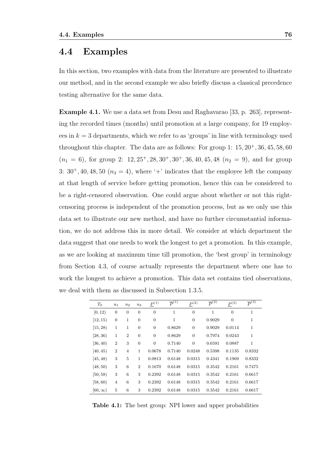### 4.4 Examples

In this section, two examples with data from the literature are presented to illustrate our method, and in the second example we also briefly discuss a classical precedence testing alternative for the same data.

Example 4.1. We use a data set from Desu and Raghavarao [33, p. 263], representing the recorded times (months) until promotion at a large company, for 19 employees in  $k = 3$  departments, which we refer to as 'groups' in line with terminology used throughout this chapter. The data are as follows: For group 1:  $15, 20^+, 36, 45, 58, 60$  $(n_1 = 6)$ , for group 2:  $12, 25^+, 28, 30^+, 30^+, 36, 40, 45, 48$   $(n_2 = 9)$ , and for group 3:  $30^+, 40, 48, 50$   $(n_3 = 4)$ , where '+' indicates that the employee left the company at that length of service before getting promotion, hence this can be considered to be a right-censored observation. One could argue about whether or not this rightcensoring process is independent of the promotion process, but as we only use this data set to illustrate our new method, and have no further circumstantial information, we do not address this in more detail. We consider at which department the data suggest that one needs to work the longest to get a promotion. In this example, as we are looking at maximum time till promotion, the 'best group' in terminology from Section 4.3, of course actually represents the department where one has to work the longest to achieve a promotion. This data set contains tied observations, we deal with them as discussed in Subsection 1.3.5.

| $T_0$         | $u_1$          | $u_2$          | $u_3$          | $P^{(1)}$        | $\overline{P}^{(1)}$ | $P^{(2)}$      | $\overline{P}^{(2)}$ | P <sup>(3)</sup> | $\overline{P}^{(3)}$ |
|---------------|----------------|----------------|----------------|------------------|----------------------|----------------|----------------------|------------------|----------------------|
| [0, 12)       | $\theta$       | $\theta$       | $\overline{0}$ | $\overline{0}$   | 1                    | $\overline{0}$ | 1                    | $\theta$         | $\mathbf{1}$         |
| [12, 15)      | $\theta$       | 1              | $\overline{0}$ | $\mathbf{0}$     | 1                    | $\overline{0}$ | 0.9029               | $\theta$         | $\mathbf{1}$         |
| [15, 28]      | 1              | 1              | $\overline{0}$ | $\boldsymbol{0}$ | 0.8629               | $\overline{0}$ | 0.9029               | 0.0114           | 1                    |
| [28, 36)      | 1              | $\overline{2}$ | $\mathbf{0}$   | $\boldsymbol{0}$ | 0.8629               | $\overline{0}$ | 0.7974               | 0.0243           | 1                    |
| [36, 40)      | $\overline{2}$ | 3              | $\overline{0}$ | $\boldsymbol{0}$ | 0.7140               | $\overline{0}$ | 0.6591               | 0.0887           | 1                    |
| [40, 45)      | $\overline{2}$ | $\overline{4}$ | 1              | 0.0678           | 0.7140               | 0.0248         | 0.5398               | 0.1135           | 0.8332               |
| [45, 48)      | 3              | 5              | 1              | 0.0813           | 0.6148               | 0.0315         | 0.4341               | 0.1969           | 0.8332               |
| [48, 50)      | 3              | 6              | $\overline{2}$ | 0.1670           | 0.6148               | 0.0315         | 0.3542               | 0.2161           | 0.7475               |
| [50, 58)      | 3              | 6              | 3              | 0.2392           | 0.6148               | 0.0315         | 0.3542               | 0.2161           | 0.6617               |
| [58, 60)      | $\overline{4}$ | 6              | 3              | 0.2392           | 0.6148               | 0.0315         | 0.3542               | 0.2161           | 0.6617               |
| $[60,\infty)$ | 5              | 6              | 3              | 0.2392           | 0.6148               | 0.0315         | 0.3542               | 0.2161           | 0.6617               |

Table 4.1: The best group: NPI lower and upper probabilities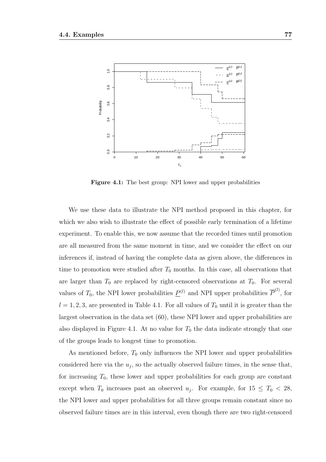

Figure 4.1: The best group: NPI lower and upper probabilities

We use these data to illustrate the NPI method proposed in this chapter, for which we also wish to illustrate the effect of possible early termination of a lifetime experiment. To enable this, we now assume that the recorded times until promotion are all measured from the same moment in time, and we consider the effect on our inferences if, instead of having the complete data as given above, the differences in time to promotion were studied after  $T_0$  months. In this case, all observations that are larger than  $T_0$  are replaced by right-censored observations at  $T_0$ . For several values of  $T_0$ , the NPI lower probabilities  $\underline{P}^{(l)}$  and NPI upper probabilities  $\overline{P}^{(l)}$ , for  $l = 1, 2, 3$ , are presented in Table 4.1. For all values of  $T_0$  until it is greater than the largest observation in the data set (60), these NPI lower and upper probabilities are also displayed in Figure 4.1. At no value for  $T_0$  the data indicate strongly that one of the groups leads to longest time to promotion.

As mentioned before,  $T_0$  only influences the NPI lower and upper probabilities considered here via the  $u_j$ , so the actually observed failure times, in the sense that, for increasing  $T_0$ , these lower and upper probabilities for each group are constant except when  $T_0$  increases past an observed  $u_j$ . For example, for  $15 \le T_0 < 28$ , the NPI lower and upper probabilities for all three groups remain constant since no observed failure times are in this interval, even though there are two right-censored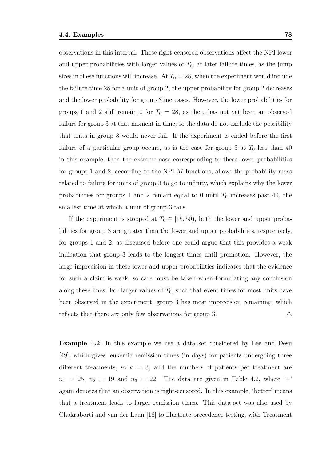observations in this interval. These right-censored observations affect the NPI lower and upper probabilities with larger values of  $T_0$ , at later failure times, as the jump sizes in these functions will increase. At  $T_0 = 28$ , when the experiment would include the failure time 28 for a unit of group 2, the upper probability for group 2 decreases and the lower probability for group 3 increases. However, the lower probabilities for groups 1 and 2 still remain 0 for  $T_0 = 28$ , as there has not yet been an observed failure for group 3 at that moment in time, so the data do not exclude the possibility that units in group 3 would never fail. If the experiment is ended before the first failure of a particular group occurs, as is the case for group 3 at  $T_0$  less than 40 in this example, then the extreme case corresponding to these lower probabilities for groups 1 and 2, according to the NPI M-functions, allows the probability mass related to failure for units of group 3 to go to infinity, which explains why the lower probabilities for groups 1 and 2 remain equal to 0 until  $T_0$  increases past 40, the smallest time at which a unit of group 3 fails.

If the experiment is stopped at  $T_0 \in [15, 50)$ , both the lower and upper probabilities for group 3 are greater than the lower and upper probabilities, respectively, for groups 1 and 2, as discussed before one could argue that this provides a weak indication that group 3 leads to the longest times until promotion. However, the large imprecision in these lower and upper probabilities indicates that the evidence for such a claim is weak, so care must be taken when formulating any conclusion along these lines. For larger values of  $T_0$ , such that event times for most units have been observed in the experiment, group 3 has most imprecision remaining, which reflects that there are only few observations for group 3.  $\triangle$ 

Example 4.2. In this example we use a data set considered by Lee and Desu [49], which gives leukemia remission times (in days) for patients undergoing three different treatments, so  $k = 3$ , and the numbers of patients per treatment are  $n_1 = 25$ ,  $n_2 = 19$  and  $n_3 = 22$ . The data are given in Table 4.2, where '+' again denotes that an observation is right-censored. In this example, 'better' means that a treatment leads to larger remission times. This data set was also used by Chakraborti and van der Laan [16] to illustrate precedence testing, with Treatment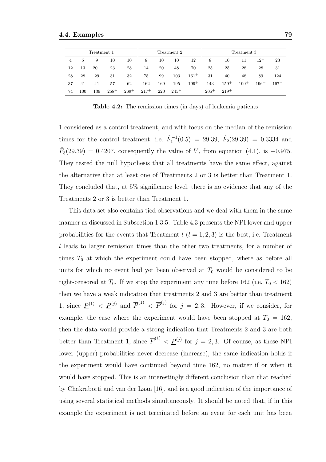|    |     | Treatment 1 |           |        |        |     | Treatment 2 |           | Treatment 3 |           |           |          |        |
|----|-----|-------------|-----------|--------|--------|-----|-------------|-----------|-------------|-----------|-----------|----------|--------|
| 4  | 5   | 9           | 10        | 10     | 8      | 10  | 10          | 12        | 8           | 10        | 11        | $12^{+}$ | 23     |
| 12 | 13  | $20^{+}$    | 23        | 28     | 14     | 20  | 48          | 70        | 25          | 25        | 28        | 28       | 31     |
| 28 | 28  | 29          | 31        | 32     | 75     | 99  | 103         | $161^{+}$ | 31          | 40        | 48        | 89       | 124    |
| 37 | 41  | 41          | 57        | 62     | 162    | 169 | 195         | $199+$    | 143         | $159^{+}$ | $190^{+}$ | $196+$   | $197+$ |
| 74 | 100 | 139         | $258^{+}$ | $269+$ | $217+$ | 220 | $245+$      |           | $205+$      | $219^{+}$ |           |          |        |

Table 4.2: The remission times (in days) of leukemia patients

1 considered as a control treatment, and with focus on the median of the remission times for the control treatment, i.e.  $F_1^{-1}(0.5) = 29.39, F_2(29.39) = 0.3334$  and  $\hat{F}_3(29.39) = 0.4207$ , consequently the value of V, from equation (4.1), is -0.975. They tested the null hypothesis that all treatments have the same effect, against the alternative that at least one of Treatments 2 or 3 is better than Treatment 1. They concluded that, at 5% significance level, there is no evidence that any of the Treatments 2 or 3 is better than Treatment 1.

This data set also contains tied observations and we deal with them in the same manner as discussed in Subsection 1.3.5. Table 4.3 presents the NPI lower and upper probabilities for the events that Treatment  $l$   $(l = 1, 2, 3)$  is the best, i.e. Treatment l leads to larger remission times than the other two treatments, for a number of times  $T_0$  at which the experiment could have been stopped, where as before all units for which no event had yet been observed at  $T_0$  would be considered to be right-censored at  $T_0$ . If we stop the experiment any time before 162 (i.e.  $T_0 < 162$ ) then we have a weak indication that treatments 2 and 3 are better than treatment 1, since  $\underline{P}^{(1)} < \underline{P}^{(j)}$  and  $\overline{P}^{(1)} < \overline{P}^{(j)}$  for  $j = 2, 3$ . However, if we consider, for example, the case where the experiment would have been stopped at  $T_0 = 162$ . then the data would provide a strong indication that Treatments 2 and 3 are both better than Treatment 1, since  $\overline{P}^{(1)} < \underline{P}^{(j)}$  for  $j = 2,3$ . Of course, as these NPI lower (upper) probabilities never decrease (increase), the same indication holds if the experiment would have continued beyond time 162, no matter if or when it would have stopped. This is an interestingly different conclusion than that reached by Chakraborti and van der Laan [16], and is a good indication of the importance of using several statistical methods simultaneously. It should be noted that, if in this example the experiment is not terminated before an event for each unit has been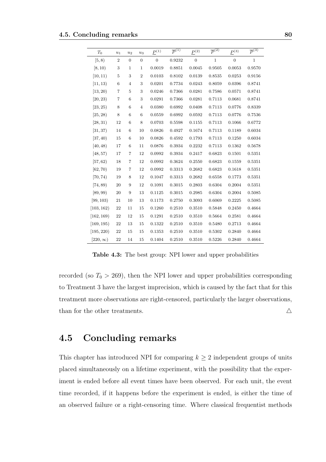| $T_0$          | $\boldsymbol{u}_1$ | $u_2$          | $u_3$           | ${\cal P}^{(1)}$ | $\overline{P}^{(1)}$ | ${\cal P}^{(2)}$ | $\overline{P}^{(2)}$ | ${\cal P}^{(3)}$ | $\overline{P}^{(3)}$ |
|----------------|--------------------|----------------|-----------------|------------------|----------------------|------------------|----------------------|------------------|----------------------|
| [5, 8)         | $\boldsymbol{2}$   | $\overline{0}$ | $\overline{0}$  | $\mathbf{0}$     | 0.9232               | $\mathbf{0}$     | $\mathbf{1}$         | $\overline{0}$   | $\mathbf{1}$         |
| [8, 10)        | 3                  | $\mathbf{1}$   | $\mathbf{1}$    | 0.0019           | 0.8851               | 0.0045           | 0.9505               | 0.0053           | 0.9570               |
| [10, 11]       | 5                  | 3              | $\overline{2}$  | 0.0103           | 0.8102               | 0.0139           | 0.8535               | 0.0253           | 0.9156               |
| [11, 13)       | $\,6$              | $\overline{4}$ | 3               | 0.0201           | 0.7734               | 0.0243           | 0.8059               | 0.0396           | 0.8741               |
| [13, 20)       | 7                  | 5              | 3               | 0.0246           | 0.7366               | 0.0281           | 0.7586               | 0.0571           | 0.8741               |
| [20, 23)       | $\overline{7}$     | $\,6$          | 3               | 0.0291           | 0.7366               | 0.0281           | 0.7113               | 0.0681           | 0.8741               |
| [23, 25)       | 8                  | $\,6$          | $\overline{4}$  | 0.0380           | 0.6992               | 0.0408           | 0.7113               | 0.0776           | 0.8339               |
| [25, 28)       | 8                  | 6              | $6\phantom{1}6$ | 0.0559           | 0.6992               | 0.0592           | 0.7113               | 0.0776           | 0.7536               |
| [28, 31)       | 12                 | $\,6$          | 8               | 0.0703           | 0.5598               | 0.1155           | 0.7113               | 0.1066           | 0.6772               |
| [31, 37)       | 14                 | $\,6$          | 10              | 0.0826           | 0.4927               | 0.1674           | 0.7113               | 0.1189           | 0.6034               |
| [37, 40)       | 15                 | 6              | 10              | 0.0826           | 0.4592               | 0.1793           | 0.7113               | 0.1250           | 0.6034               |
| [40, 48)       | 17                 | 6              | 11              | 0.0876           | 0.3934               | 0.2232           | 0.7113               | 0.1362           | 0.5678               |
| [48, 57)       | 17                 | 7              | 12              | 0.0992           | 0.3934               | 0.2417           | 0.6823               | 0.1501           | 0.5351               |
| [57, 62)       | 18                 | 7              | 12              | 0.0992           | 0.3624               | 0.2550           | 0.6823               | 0.1559           | 0.5351               |
| [62, 70)       | 19                 | 7              | 12              | 0.0992           | 0.3313               | 0.2682           | 0.6823               | 0.1618           | 0.5351               |
| [70, 74)       | 19                 | 8              | 12              | 0.1047           | 0.3313               | 0.2682           | 0.6558               | 0.1773           | 0.5351               |
| [74, 89]       | 20                 | 9              | 12              | 0.1091           | 0.3015               | 0.2803           | 0.6304               | 0.2004           | 0.5351               |
| [89, 99]       | 20                 | 9              | 13              | 0.1125           | 0.3015               | 0.2985           | 0.6304               | 0.2004           | 0.5085               |
| [99, 103)      | 21                 | 10             | 13              | 0.1173           | 0.2750               | 0.3093           | 0.6069               | 0.2225           | 0.5085               |
| [103, 162)     | 22                 | 11             | 15              | 0.1260           | 0.2510               | 0.3510           | 0.5848               | 0.2450           | 0.4664               |
| [162, 169]     | $22\,$             | 12             | 15              | 0.1291           | 0.2510               | 0.3510           | 0.5664               | 0.2581           | 0.4664               |
| [169, 195)     | 22                 | 13             | 15              | 0.1322           | 0.2510               | 0.3510           | 0.5480               | 0.2713           | 0.4664               |
| [195, 220]     | 22                 | 15             | 15              | 0.1353           | 0.2510               | 0.3510           | 0.5302               | 0.2840           | 0.4664               |
| $[220,\infty)$ | 22                 | 14             | 15              | 0.1404           | 0.2510               | 0.3510           | 0.5226               | 0.2840           | 0.4664               |

Table 4.3: The best group: NPI lower and upper probabilities

recorded (so  $T_0 > 269$ ), then the NPI lower and upper probabilities corresponding to Treatment 3 have the largest imprecision, which is caused by the fact that for this treatment more observations are right-censored, particularly the larger observations, than for the other treatments.  $\triangle$ 

### 4.5 Concluding remarks

This chapter has introduced NPI for comparing  $k \geq 2$  independent groups of units placed simultaneously on a lifetime experiment, with the possibility that the experiment is ended before all event times have been observed. For each unit, the event time recorded, if it happens before the experiment is ended, is either the time of an observed failure or a right-censoring time. Where classical frequentist methods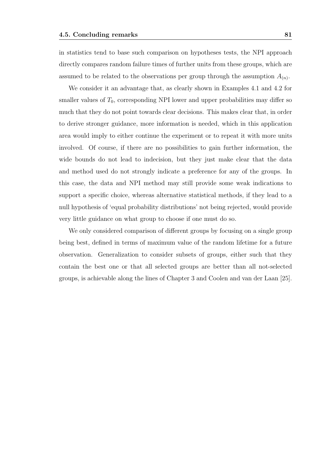in statistics tend to base such comparison on hypotheses tests, the NPI approach directly compares random failure times of further units from these groups, which are assumed to be related to the observations per group through the assumption  $A_{(n)}$ .

We consider it an advantage that, as clearly shown in Examples 4.1 and 4.2 for smaller values of  $T_0$ , corresponding NPI lower and upper probabilities may differ so much that they do not point towards clear decisions. This makes clear that, in order to derive stronger guidance, more information is needed, which in this application area would imply to either continue the experiment or to repeat it with more units involved. Of course, if there are no possibilities to gain further information, the wide bounds do not lead to indecision, but they just make clear that the data and method used do not strongly indicate a preference for any of the groups. In this case, the data and NPI method may still provide some weak indications to support a specific choice, whereas alternative statistical methods, if they lead to a null hypothesis of 'equal probability distributions' not being rejected, would provide very little guidance on what group to choose if one must do so.

We only considered comparison of different groups by focusing on a single group being best, defined in terms of maximum value of the random lifetime for a future observation. Generalization to consider subsets of groups, either such that they contain the best one or that all selected groups are better than all not-selected groups, is achievable along the lines of Chapter 3 and Coolen and van der Laan [25].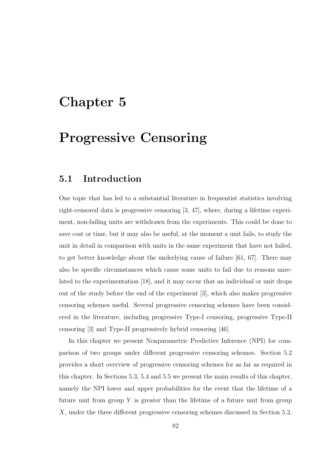# Chapter 5

# Progressive Censoring

### 5.1 Introduction

One topic that has led to a substantial literature in frequentist statistics involving right-censored data is progressive censoring [3, 47], where, during a lifetime experiment, non-failing units are withdrawn from the experiments. This could be done to save cost or time, but it may also be useful, at the moment a unit fails, to study the unit in detail in comparison with units in the same experiment that have not failed, to get better knowledge about the underlying cause of failure [61, 67]. There may also be specific circumstances which cause some units to fail due to reasons unrelated to the experimentation [18], and it may occur that an individual or unit drops out of the study before the end of the experiment [3], which also makes progressive censoring schemes useful. Several progressive censoring schemes have been considered in the literature, including progressive Type-I censoring, progressive Type-II censoring [3] and Type-II progressively hybrid censoring [46].

In this chapter we present Nonparametric Predictive Inference (NPI) for comparison of two groups under different progressive censoring schemes. Section 5.2 provides a short overview of progressive censoring schemes for as far as required in this chapter. In Sections 5.3, 5.4 and 5.5 we present the main results of this chapter, namely the NPI lower and upper probabilities for the event that the lifetime of a future unit from group  $Y$  is greater than the lifetime of a future unit from group X, under the three different progressive censoring schemes discussed in Section 5.2.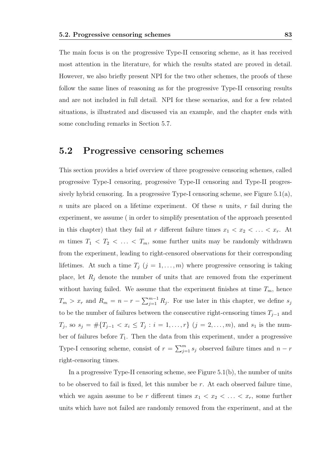The main focus is on the progressive Type-II censoring scheme, as it has received most attention in the literature, for which the results stated are proved in detail. However, we also briefly present NPI for the two other schemes, the proofs of these follow the same lines of reasoning as for the progressive Type-II censoring results and are not included in full detail. NPI for these scenarios, and for a few related situations, is illustrated and discussed via an example, and the chapter ends with some concluding remarks in Section 5.7.

### 5.2 Progressive censoring schemes

This section provides a brief overview of three progressive censoring schemes, called progressive Type-I censoring, progressive Type-II censoring and Type-II progressively hybrid censoring. In a progressive Type-I censoring scheme, see Figure 5.1(a), n units are placed on a lifetime experiment. Of these n units,  $r$  fail during the experiment, we assume ( in order to simplify presentation of the approach presented in this chapter) that they fail at r different failure times  $x_1 < x_2 < \ldots < x_r$ . At m times  $T_1 \, < \, T_2 \, < \, \ldots \, < \, T_m$ , some further units may be randomly withdrawn from the experiment, leading to right-censored observations for their corresponding lifetimes. At such a time  $T_j$   $(j = 1, \ldots, m)$  where progressive censoring is taking place, let  $R_j$  denote the number of units that are removed from the experiment without having failed. We assume that the experiment finishes at time  $T_m$ , hence  $T_m > x_r$  and  $R_m = n - r - \sum_{j=1}^{m-1} R_j$ . For use later in this chapter, we define  $s_j$ to be the number of failures between the consecutive right-censoring times  $T_{j-1}$  and  $T_j$ , so  $s_j = \#\{T_{j-1} < x_i \leq T_j : i = 1, \ldots, r\} \ (j = 2, \ldots, m)$ , and  $s_1$  is the number of failures before  $T_1$ . Then the data from this experiment, under a progressive Type-I censoring scheme, consist of  $r = \sum_{j=1}^{m} s_j$  observed failure times and  $n - r$ right-censoring times.

In a progressive Type-II censoring scheme, see Figure 5.1(b), the number of units to be observed to fail is fixed, let this number be r. At each observed failure time, which we again assume to be r different times  $x_1 \, \langle x_2 \, \langle \, \ldots \, \langle x_r \rangle$  some further units which have not failed are randomly removed from the experiment, and at the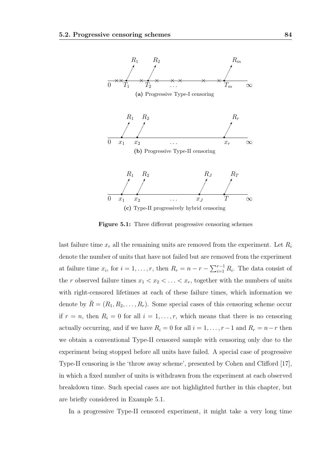

Figure 5.1: Three different progressive censoring schemes

last failure time  $x_r$  all the remaining units are removed from the experiment. Let  $R_i$ denote the number of units that have not failed but are removed from the experiment at failure time  $x_i$ , for  $i = 1, \ldots, r$ , then  $R_r = n - r - \sum_{i=1}^{r-1} R_i$ . The data consist of the r observed failure times  $x_1 < x_2 < \ldots < x_r$ , together with the numbers of units with right-censored lifetimes at each of these failure times, which information we denote by  $\tilde{R} = (R_1, R_2, \ldots, R_r)$ . Some special cases of this censoring scheme occur if  $r = n$ , then  $R_i = 0$  for all  $i = 1, \ldots, r$ , which means that there is no censoring actually occurring, and if we have  $R_i = 0$  for all  $i = 1, \ldots, r-1$  and  $R_r = n-r$  then we obtain a conventional Type-II censored sample with censoring only due to the experiment being stopped before all units have failed. A special case of progressive Type-II censoring is the 'throw away scheme', presented by Cohen and Clifford [17], in which a fixed number of units is withdrawn from the experiment at each observed breakdown time. Such special cases are not highlighted further in this chapter, but are briefly considered in Example 5.1.

In a progressive Type-II censored experiment, it might take a very long time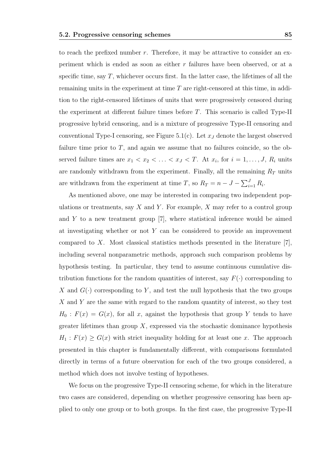to reach the prefixed number  $r$ . Therefore, it may be attractive to consider an experiment which is ended as soon as either r failures have been observed, or at a specific time, say  $T$ , whichever occurs first. In the latter case, the lifetimes of all the remaining units in the experiment at time  $T$  are right-censored at this time, in addition to the right-censored lifetimes of units that were progressively censored during the experiment at different failure times before T. This scenario is called Type-II progressive hybrid censoring, and is a mixture of progressive Type-II censoring and conventional Type-I censoring, see Figure 5.1(c). Let  $x_J$  denote the largest observed failure time prior to T, and again we assume that no failures coincide, so the observed failure times are  $x_1 < x_2 < \ldots < x_J < T$ . At  $x_i$ , for  $i = 1, \ldots, J$ ,  $R_i$  units are randomly withdrawn from the experiment. Finally, all the remaining  $R_T$  units are withdrawn from the experiment at time T, so  $R_T = n - J - \sum_{i=1}^{J} R_i$ .

As mentioned above, one may be interested in comparing two independent populations or treatments, say  $X$  and  $Y$ . For example,  $X$  may refer to a control group and  $Y$  to a new treatment group [7], where statistical inference would be aimed at investigating whether or not Y can be considered to provide an improvement compared to X. Most classical statistics methods presented in the literature [7], including several nonparametric methods, approach such comparison problems by hypothesis testing. In particular, they tend to assume continuous cumulative distribution functions for the random quantities of interest, say  $F(\cdot)$  corresponding to X and  $G(\cdot)$  corresponding to Y, and test the null hypothesis that the two groups X and Y are the same with regard to the random quantity of interest, so they test  $H_0$ :  $F(x) = G(x)$ , for all x, against the hypothesis that group Y tends to have greater lifetimes than group  $X$ , expressed via the stochastic dominance hypothesis  $H_1$ :  $F(x) \ge G(x)$  with strict inequality holding for at least one x. The approach presented in this chapter is fundamentally different, with comparisons formulated directly in terms of a future observation for each of the two groups considered, a method which does not involve testing of hypotheses.

We focus on the progressive Type-II censoring scheme, for which in the literature two cases are considered, depending on whether progressive censoring has been applied to only one group or to both groups. In the first case, the progressive Type-II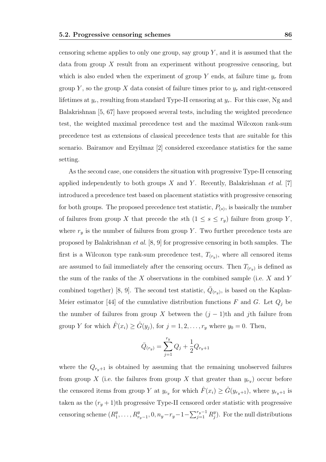censoring scheme applies to only one group, say group  $Y$ , and it is assumed that the data from group  $X$  result from an experiment without progressive censoring, but which is also ended when the experiment of group Y ends, at failure time  $y_r$  from group Y, so the group X data consist of failure times prior to  $y_r$  and right-censored lifetimes at  $y_r$ , resulting from standard Type-II censoring at  $y_r$ . For this case, Ng and Balakrishnan [5, 67] have proposed several tests, including the weighted precedence test, the weighted maximal precedence test and the maximal Wilcoxon rank-sum precedence test as extensions of classical precedence tests that are suitable for this scenario. Bairamov and Eryilmaz [2] considered exceedance statistics for the same setting.

As the second case, one considers the situation with progressive Type-II censoring applied independently to both groups X and Y. Recently, Balakrishnan et al. [7] introduced a precedence test based on placement statistics with progressive censoring for both groups. The proposed precedence test statistic,  $P_{(s)}$ , is basically the number of failures from group X that precede the sth  $(1 \leq s \leq r_y)$  failure from group Y, where  $r_y$  is the number of failures from group Y. Two further precedence tests are proposed by Balakrishnan et al. [8, 9] for progressive censoring in both samples. The first is a Wilcoxon type rank-sum precedence test,  $T_{(r_y)}$ , where all censored items are assumed to fail immediately after the censoring occurs. Then  $T_{(r_y)}$  is defined as the sum of the ranks of the  $X$  observations in the combined sample (i.e.  $X$  and  $Y$ combined together) [8, 9]. The second test statistic,  $\overline{Q}_{(r_y)}$ , is based on the Kaplan-Meier estimator [44] of the cumulative distribution functions F and G. Let  $Q_j$  be the number of failures from group X between the  $(j - 1)$ th and jth failure from group Y for which  $\hat{F}(x_i) \geq \hat{G}(y_j)$ , for  $j = 1, 2, \ldots, r_y$  where  $y_0 = 0$ . Then,

$$
\bar{Q}_{(r_y)} = \sum_{j=1}^{r_y} Q_j + \frac{1}{2} Q_{r_y+1}
$$

where the  $Q_{r_y+1}$  is obtained by assuming that the remaining unobserved failures from group X (i.e. the failures from group X that greater than  $y_{r_y}$ ) occur before the censored items from group Y at  $y_{r_y}$  for which  $\hat{F}(x_i) \geq \hat{G}(y_{r_y+1})$ , where  $y_{r_y+1}$  is taken as the  $(r_y + 1)$ th progressive Type-II censored order statistic with progressive censoring scheme  $(R_1^y)$  $x_1^y, \ldots, R_{r_y-1}^y, 0, n_y-r_y-1-\sum_{j=1}^{r_y-1} R_j^y$  $_{j}^{y}$ ). For the null distributions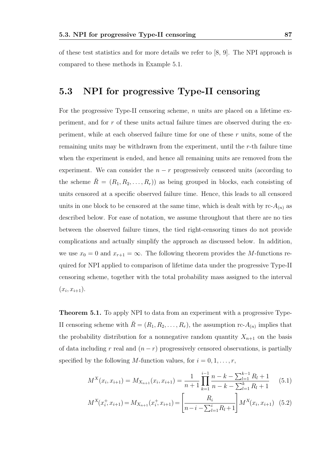of these test statistics and for more details we refer to [8, 9]. The NPI approach is compared to these methods in Example 5.1.

## 5.3 NPI for progressive Type-II censoring

For the progressive Type-II censoring scheme, n units are placed on a lifetime experiment, and for r of these units actual failure times are observed during the experiment, while at each observed failure time for one of these  $r$  units, some of the remaining units may be withdrawn from the experiment, until the r-th failure time when the experiment is ended, and hence all remaining units are removed from the experiment. We can consider the  $n - r$  progressively censored units (according to the scheme  $\check{R} = (R_1, R_2, \ldots, R_r)$  as being grouped in blocks, each consisting of units censored at a specific observed failure time. Hence, this leads to all censored units in one block to be censored at the same time, which is dealt with by  $rc-A_{(n)}$  as described below. For ease of notation, we assume throughout that there are no ties between the observed failure times, the tied right-censoring times do not provide complications and actually simplify the approach as discussed below. In addition, we use  $x_0 = 0$  and  $x_{r+1} = \infty$ . The following theorem provides the M-functions required for NPI applied to comparison of lifetime data under the progressive Type-II censoring scheme, together with the total probability mass assigned to the interval  $(x_i, x_{i+1}).$ 

Theorem 5.1. To apply NPI to data from an experiment with a progressive Type-II censoring scheme with  $\check{R} = (R_1, R_2, \ldots, R_r)$ , the assumption rc- $A_{(n)}$  implies that the probability distribution for a nonnegative random quantity  $X_{n+1}$  on the basis of data including r real and  $(n - r)$  progressively censored observations, is partially specified by the following M-function values, for  $i = 0, 1, \ldots, r$ ,

$$
M^{X}(x_{i}, x_{i+1}) = M_{X_{n+1}}(x_{i}, x_{i+1}) = \frac{1}{n+1} \prod_{k=1}^{i-1} \frac{n-k - \sum_{l=1}^{k-1} R_{l+1}}{n-k - \sum_{l=1}^{k} R_{l+1}} \qquad (5.1)
$$

$$
M^{X}(x_{i}^{+}, x_{i+1}) = M_{X_{n+1}}(x_{i}^{+}, x_{i+1}) = \left[\frac{R_{i}}{n-i - \sum_{l=1}^{i} R_{l} + 1}\right] M^{X}(x_{i}, x_{i+1}) \tag{5.2}
$$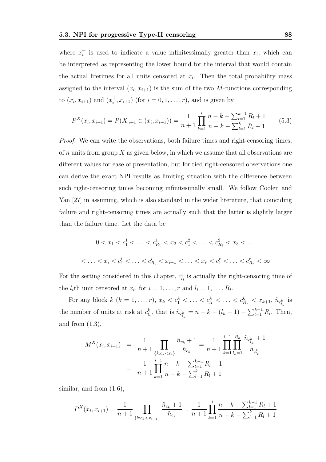where  $x_i^+$ <sup> $\dot{i}$ </sup> is used to indicate a value infinitesimally greater than  $x_i$ , which can be interpreted as representing the lower bound for the interval that would contain the actual lifetimes for all units censored at  $x_i$ . Then the total probability mass assigned to the interval  $(x_i, x_{i+1})$  is the sum of the two M-functions corresponding to  $(x_i, x_{i+1})$  and  $(x_i^+$  $(i, x_{i+1})$  (for  $i = 0, 1, ..., r$ ), and is given by

$$
P^{X}(x_{i}, x_{i+1}) = P(X_{n+1} \in (x_{i}, x_{i+1})) = \frac{1}{n+1} \prod_{k=1}^{i} \frac{n-k - \sum_{l=1}^{k-1} R_{l} + 1}{n-k - \sum_{l=1}^{k} R_{l} + 1}
$$
(5.3)

Proof. We can write the observations, both failure times and right-censoring times, of  $n$  units from group  $X$  as given below, in which we assume that all observations are different values for ease of presentation, but for tied right-censored observations one can derive the exact NPI results as limiting situation with the difference between such right-censoring times becoming infinitesimally small. We follow Coolen and Yan [27] in assuming, which is also standard in the wider literature, that coinciding failure and right-censoring times are actually such that the latter is slightly larger than the failure time. Let the data be

$$
0 < x_1 < c_1^1 < \ldots < c_{R_1}^1 < x_2 < c_1^2 < \ldots < c_{R_2}^2 < x_3 < \ldots
$$
\n
$$
\langle \ldots < x_i < c_1^i < \ldots < c_{R_i}^i < x_{i+1} < \ldots < x_r < c_1^r < \ldots < c_{R_r}^r < \infty
$$

For the setting considered in this chapter,  $c_{l_i}^i$  is actually the right-censoring time of the  $l_i$ th unit censored at  $x_i$ , for  $i = 1, ..., r$  and  $l_i = 1, ..., R_i$ .

For any block  $k$   $(k = 1, ..., r)$ ,  $x_k < c_1^k < ... < c_{l_k}^k < ... < c_{R_k}^k < x_{k+1}$ ,  $\tilde{n}_{c_{l_k}}^k$  is the number of units at risk at  $c_{l_k}^k$ , that is  $\tilde{n}_{c_{l_k}}^k = n - k - (l_k - 1) - \sum_{l=1}^{k-1} R_l$ . Then, and from  $(1.3)$ ,

$$
M^{X}(x_{i}, x_{i+1}) = \frac{1}{n+1} \prod_{\{k:c_k < x_i\}} \frac{\tilde{n}_{c_k} + 1}{\tilde{n}_{c_k}} = \frac{1}{n+1} \prod_{k=1}^{i-1} \prod_{l_k=1}^{R_k} \frac{\tilde{n}_{c_{l_k}^k} + 1}{\tilde{n}_{c_{l_k}^k}}
$$
\n
$$
= \frac{1}{n+1} \prod_{k=1}^{i-1} \frac{n-k - \sum_{l=1}^{k-1} R_l + 1}{n-k - \sum_{l=1}^k R_l + 1}
$$

similar, and from  $(1.6)$ ,

$$
P^{X}(x_i, x_{i+1}) = \frac{1}{n+1} \prod_{\{k:c_k < x_{i+1}\}} \frac{\tilde{n}_{c_k} + 1}{\tilde{n}_{c_k}} = \frac{1}{n+1} \prod_{k=1}^{i} \frac{n-k - \sum_{l=1}^{k-1} R_l + 1}{n-k - \sum_{l=1}^{k} R_l + 1}
$$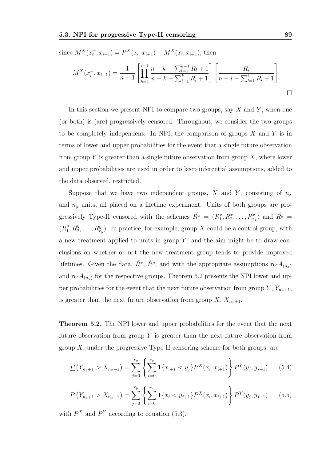since 
$$
M^X(x_i^+, x_{i+1}) = P^X(x_i, x_{i+1}) - M^X(x_i, x_{i+1})
$$
, then  
\n
$$
M^X(x_i^+, x_{i+1}) = \frac{1}{n+1} \left[ \prod_{k=1}^{i-1} \frac{n-k - \sum_{l=1}^{k-1} R_l + 1}{n-k - \sum_{l=1}^k R_l + 1} \right] \left[ \frac{R_i}{n-i - \sum_{l=1}^i R_l + 1} \right]
$$

In this section we present NPI to compare two groups, say  $X$  and  $Y$ , when one (or both) is (are) progressively censored. Throughout, we consider the two groups to be completely independent. In NPI, the comparison of groups  $X$  and  $Y$  is in terms of lower and upper probabilities for the event that a single future observation from group Y is greater than a single future observation from group  $X$ , where lower and upper probabilities are used in order to keep inferential assumptions, added to the data observed, restricted.

Suppose that we have two independent groups, X and Y, consisting of  $n_x$ and  $n_y$  units, all placed on a lifetime experiment. Units of both groups are progressively Type-II censored with the schemes  $\check{R}^x = (R_1^x, R_2^x, \ldots, R_{r_x}^x)$  and  $\check{R}^y =$  $(R_1^y$  $_1^y, R_2^y, \ldots, R_{r_y}^y$ . In practice, for example, group X could be a control group, with a new treatment applied to units in group  $Y$ , and the aim might be to draw conclusions on whether or not the new treatment group tends to provide improved lifetimes. Given the data,  $\check{R}^x$ ,  $\check{R}^y$ , and with the appropriate assumptions rc- $A_{(n_x)}$ and rc- $A_{(n_y)}$  for the respective groups, Theorem 5.2 presents the NPI lower and upper probabilities for the event that the next future observation from group Y,  $Y_{n_y+1}$ , is greater than the next future observation from group  $X, X_{n_x+1}$ .

Theorem 5.2. The NPI lower and upper probabilities for the event that the next future observation from group Y is greater than the next future observation from group  $X$ , under the progressive Type-II censoring scheme for both groups, are

$$
\underline{P}\left(Y_{n_y+1} > X_{n_x+1}\right) = \sum_{j=0}^{r_y} \left\{ \sum_{i=0}^{r_x} \mathbf{1}\{x_{i+1} < y_j\} P^X(x_i, x_{i+1}) \right\} P^Y(y_j, y_{j+1}) \tag{5.4}
$$

$$
\overline{P}\left(Y_{n_y+1} > X_{n_x+1}\right) = \sum_{j=0}^{r_y} \left\{ \sum_{i=0}^{r_x} \mathbf{1}\{x_i < y_{j+1}\} P^X(x_i, x_{i+1}) \right\} P^Y(y_j, y_{j+1}) \tag{5.5}
$$

with  $P^X$  and  $P^Y$  according to equation (5.3).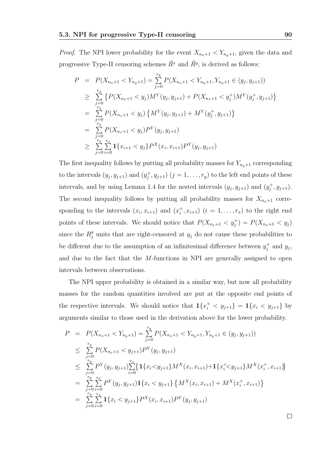*Proof.* The NPI lower probability for the event  $X_{n_x+1} < Y_{n_y+1}$ , given the data and progressive Type-II censoring schemes  $\check{R}^x$  and  $\check{R}^y$ , is derived as follows:

$$
P = P(X_{n_x+1} < Y_{n_y+1}) = \sum_{j=0}^{r_y} P(X_{n_x+1} < Y_{n_y+1}, Y_{n_y+1} \in (y_j, y_{j+1}))
$$
\n
$$
\geq \sum_{j=0}^{r_y} \left\{ P(X_{n_x+1} < y_j) M^Y(y_j, y_{j+1}) + P(X_{n_x+1} < y_j^+) M^Y(y_j^+, y_{j+1}) \right\}
$$
\n
$$
= \sum_{j=0}^{r_y} P(X_{n_x+1} < y_j) \left\{ M^Y(y_j, y_{j+1}) + M^Y(y_j^+, y_{j+1}) \right\}
$$
\n
$$
= \sum_{j=0}^{r_y} P(X_{n_x+1} < y_j) P^Y(y_j, y_{j+1})
$$
\n
$$
\geq \sum_{j=0}^{r_y} \sum_{i=0}^{r_x} \mathbf{1} \{x_{i+1} < y_j\} P^X(x_i, x_{i+1}) P^Y(y_j, y_{j+1})
$$

The first inequality follows by putting all probability masses for  $Y_{n_y+1}$  corresponding to the intervals  $(y_j, y_{j+1})$  and  $(y_j^+)$  $j^{\dagger}, y_{j+1})$   $(j = 1, \ldots, r_y)$  to the left end points of these intervals, and by using Lemma 1.4 for the nested intervals  $(y_j, y_{j+1})$  and  $(y_j^+$  $j^+, y_{j+1}).$ The second inequality follows by putting all probability masses for  $X_{n_x+1}$  corresponding to the intervals  $(x_i, x_{i+1})$  and  $(x_i^+$  $(i, x_{i+1})$   $(i = 1, ..., r_x)$  to the right end points of these intervals. We should notice that  $P(X_{n_x+1} < y_j^+) = P(X_{n_x+1} < y_j)$ since the  $R_j^y$  units that are right-censored at  $y_j$  do not cause these probabilities to be different due to the assumption of an infinitesimal difference between  $y_i^+$  $j^+$  and  $y_j$ , and due to the fact that the M-functions in NPI are generally assigned to open intervals between observations.

The NPI upper probability is obtained in a similar way, but now all probability masses for the random quantities involved are put at the opposite end points of the respective intervals. We should notice that  $\mathbf{1}\{x_i^+ < y_{j+1}\} = \mathbf{1}\{x_i < y_{j+1}\}$  by arguments similar to those used in the derivation above for the lower probability.

$$
P = P(X_{n_x+1} < Y_{n_y+1}) = \sum_{j=0}^{r_y} P(X_{n_x+1} < Y_{n_y+1}, Y_{n_y+1} \in (y_j, y_{j+1}))
$$
\n
$$
\leq \sum_{j=0}^{r_y} P(X_{n_x+1} < y_{j+1}) P^{Y}(y_j, y_{j+1})
$$
\n
$$
\leq \sum_{j=0}^{r_y} P^{Y}(y_j, y_{j+1}) \sum_{i=0}^{r_x} \{ \mathbf{1} \{ x_i < y_{j+1} \} M^{X}(x_i, x_{i+1}) + \mathbf{1} \{ x_i^{+} < y_{j+1} \} M^{X}(x_i^{+}, x_{i+1}) \}
$$
\n
$$
= \sum_{j=0}^{r_y} \sum_{i=0}^{r_x} P^{Y}(y_j, y_{j+1}) \mathbf{1} \{ x_i < y_{j+1} \} \{ M^{X}(x_i, x_{i+1}) + M^{X}(x_i^{+}, x_{i+1}) \}
$$
\n
$$
= \sum_{j=0}^{r_y} \sum_{i=0}^{r_x} \mathbf{1} \{ x_i < y_{j+1} \} P^{X}(x_i, x_{i+1}) P^{Y}(y_j, y_{j+1})
$$

 $\Box$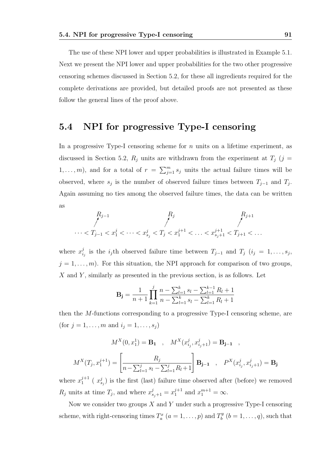The use of these NPI lower and upper probabilities is illustrated in Example 5.1. Next we present the NPI lower and upper probabilities for the two other progressive censoring schemes discussed in Section 5.2, for these all ingredients required for the complete derivations are provided, but detailed proofs are not presented as these follow the general lines of the proof above.

#### 5.4 NPI for progressive Type-I censoring

In a progressive Type-I censoring scheme for  $n$  units on a lifetime experiment, as discussed in Section 5.2,  $R_j$  units are withdrawn from the experiment at  $T_j$  (j =  $1, \ldots, m$ , and for a total of  $r = \sum_{j=1}^{m} s_j$  units the actual failure times will be observed, where  $s_j$  is the number of observed failure times between  $T_{j-1}$  and  $T_j$ . Again assuming no ties among the observed failure times, the data can be written as

$$
R_{j-1} \nightharpoonup \nightharpoonup^{R_j} \nightharpoonup^{R_{j+1}} \nightharpoonup^{R_{j+1}} \nightharpoonup^{R_{j+1}} \nightharpoonup^{R_{j+1}} \nightharpoonup^{R_{j+1}} \nightharpoonup^{R_{j+1}} \nightharpoonup^{R_{j+1}} \nightharpoonup^{R_{j+1}} \nightharpoonup^{R_{j+1}} \nightharpoonup^{R_{j+1}} \nightharpoonup^{R_{j+1}} \nightharpoonup^{R_{j+1}} \nightharpoonup^{R_{j+1}} \nightharpoonup^{R_{j+1}} \nightharpoonup^{R_{j+1}} \nightharpoonup^{R_{j+1}} \nightharpoonup^{R_{j+1}} \nightharpoonup^{R_{j+1}} \nightharpoonup^{R_{j+1}} \nightharpoonup^{R_{j+1}} \nightharpoonup^{R_{j+1}} \nightharpoonup^{R_{j+1}} \nightharpoonup^{R_{j+1}} \nightharpoonup^{R_{j+1}} \nightharpoonup^{R_{j+1}} \nightharpoonup^{R_{j+1}} \nightharpoonup^{R_{j+1}} \nightharpoonup^{R_{j+1}} \nightharpoonup^{R_{j+1}} \nightharpoonup^{R_{j+1}} \nightharpoonup^{R_{j+1}} \nightharpoonup^{R_{j+1}} \nightharpoonup^{R_{j+1}} \nightharpoonup^{R_{j+1}} \nightharpoonup^{R_{j+1}} \nightharpoonup^{R_{j+1}} \nightharpoonup^{R_{j+1}} \nightharpoonup^{R_{j+1}} \nightharpoonup^{R_{j+1}} \nightharpoonup^{R_{j+1}} \nightharpoonup^{R_{j+1}} \nightharpoonup^{R_{j+1}} \nightharpoonup^{R_{j+1}} \nightharpoonup^{R_{j+1}} \nightharpoonup^{R_{j+1}} \nightharpoonup^{R_{j+1}} \nightharpoonup^{R_{j+1}} \nightharpoonup^{R_{j+1}} \nightharpoonup^{R_{j+1}} \nightharpoonup^{R_{j+1}} \nightharpoonup^{R_{j+1}} \nightharpoonup^{R_{j+1}} \nightharpoonup^{R_{j+1}} \nightharpoonup^{R_{j+1}} \nightharpoonup^{R_{j+1}} \nightharpoonup^{R_{j+1}} \nightharpoonup^{R_{
$$

where  $x_i^j$  $i_j$  is the  $i_j$ th observed failure time between  $T_{j-1}$  and  $T_j$   $(i_j = 1, \ldots, s_j,$  $j = 1, \ldots, m$ . For this situation, the NPI approach for comparison of two groups,  $X$  and  $Y$ , similarly as presented in the previous section, is as follows. Let

$$
\mathbf{B_j} = \frac{1}{n+1} \prod_{k=1}^{j} \frac{n - \sum_{l=1}^{k} s_l - \sum_{l=1}^{k-1} R_l + 1}{n - \sum_{l=1}^{k} s_l - \sum_{l=1}^{k} R_l + 1}
$$

then the M-functions corresponding to a progressive Type-I censoring scheme, are (for  $j = 1, ..., m$  and  $i_j = 1, ..., s_j$ )

$$
M^{X}(0, x_1^1) = \mathbf{B_1} , M^{X}(x_{i_j}^j, x_{i_j+1}^j) = \mathbf{B_{j-1} } ,
$$
  

$$
M^{X}(T_j, x_1^{j+1}) = \left[ \frac{R_j}{n - \sum_{l=1}^j s_l - \sum_{l=1}^j R_l + 1} \right] \mathbf{B_{j-1} } , P^{X}(x_{i_j}^j, x_{i_j+1}^j) = \mathbf{B_j}
$$

where  $x_1^{j+1}$  $j_{1}^{j+1}$  ( $x_{s_j}^{j}$ ) is the first (last) failure time observed after (before) we removed  $R_j$  units at time  $T_j$ , and where  $x_{s_j+1}^j = x_1^{j+1}$  $j+1 \atop 1$  and  $x_1^{m+1} = \infty$ .

Now we consider two groups  $X$  and Y under such a progressive Type-I censoring scheme, with right-censoring times  $T_a^x$   $(a = 1, \ldots, p)$  and  $T_b^y$  $b^y_b$   $(b = 1, \ldots, q)$ , such that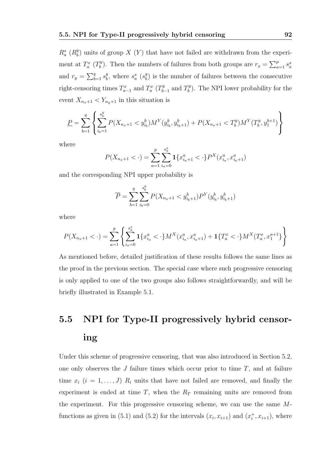$R_a^x$  ( $R_b^y$  $\binom{y}{b}$  units of group X  $(Y)$  that have not failed are withdrawn from the experiment at  $T_a^x$  ( $T_b^y$ ) <sup>y</sup>, Then the numbers of failures from both groups are  $r_x = \sum_{a=1}^{p} s_a^x$ and  $r_y = \sum_{b=1}^q s_b^y$  $\frac{y}{b}$ , where  $s_a^x$  ( $s_b^y$  $\binom{y}{b}$  is the number of failures between the consecutive right-censoring times  $T_{a-1}^x$  and  $T_a^x$  ( $T_b^y$ )  $T_{b-1}^y$  and  $T_b^y$  $b<sup>y</sup>$ ). The NPI lower probability for the event  $X_{n_x+1} < Y_{n_y+1}$  in this situation is

$$
\underline{P} = \sum_{b=1}^{q} \left\{ \sum_{i_b=1}^{s_b^y} P(X_{n_x+1} < y_{i_b}^b) M^Y(y_{i_b}^b, y_{i_b+1}^b) + P(X_{n_x+1} < T_b^y) M^Y(T_b^y, y_1^{b+1}) \right\}
$$

where

$$
P(X_{n_x+1} < \cdot) = \sum_{a=1}^{p} \sum_{i_a=0}^{s_a^x} \mathbf{1}\{x_{i_a+1}^a < \cdot\} P^X(x_{i_a}^a, x_{i_a+1}^a)
$$

and the corresponding NPI upper probability is

$$
\overline{P} = \sum_{b=1}^q \sum_{i_b=0}^{s_b^y} P(X_{n_x+1} < y_{i_b+1}^b) P^Y(y_{i_b}^b, y_{i_b+1}^b)
$$

where

$$
P(X_{n_x+1} < \cdot) = \sum_{a=1}^{p} \left\{ \sum_{i_a=0}^{s_a^x} \mathbf{1}\{x_{i_a}^a < \cdot\} M^X(x_{i_a}^a, x_{i_a+1}^a) + \mathbf{1}\{T_a^x < \cdot\} M^X(T_a^x, x_1^{a+1}) \right\}
$$

As mentioned before, detailed justification of these results follows the same lines as the proof in the previous section. The special case where such progressive censoring is only applied to one of the two groups also follows straightforwardly, and will be briefly illustrated in Example 5.1.

# 5.5 NPI for Type-II progressively hybrid censoring

Under this scheme of progressive censoring, that was also introduced in Section 5.2, one only observes the  $J$  failure times which occur prior to time  $T$ , and at failure time  $x_i$   $(i = 1, ..., J)$   $R_i$  units that have not failed are removed, and finally the experiment is ended at time  $T$ , when the  $R_T$  remaining units are removed from the experiment. For this progressive censoring scheme, we can use the same Mfunctions as given in (5.1) and (5.2) for the intervals  $(x_i, x_{i+1})$  and  $(x_i^+$  $i^{\dagger}$ ,  $x_{i+1}$ ), where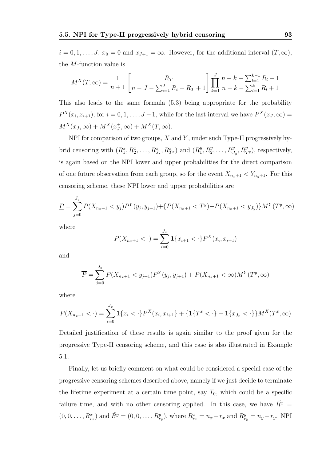$i = 0, 1, \ldots, J$ ,  $x_0 = 0$  and  $x_{J+1} = \infty$ . However, for the additional interval  $(T, \infty)$ , the M-function value is

$$
M^{X}(T,\infty) = \frac{1}{n+1} \left[ \frac{R_{T}}{n-J - \sum_{i=1}^{J} R_{i} - R_{T} + 1} \right] \prod_{k=1}^{J} \frac{n-k - \sum_{l=1}^{k-1} R_{l} + 1}{n-k - \sum_{l=1}^{k} R_{l} + 1}
$$

This also leads to the same formula (5.3) being appropriate for the probability  $P^X(x_i, x_{i+1})$ , for  $i = 0, 1, \ldots, J-1$ , while for the last interval we have  $P^X(x_J, \infty)$  =  $M^X(x_J,\infty) + M^X(x_J^+)$  $_J^+, \infty) + M^X(T, \infty).$ 

NPI for comparison of two groups,  $X$  and  $Y$ , under such Type-II progressively hybrid censoring with  $(R_1^x, R_2^x, \ldots, R_{J_x}^x, R_{T^x}^x)$  and  $(R_1^y, R_2^x, \ldots, R_{J_x}^x, R_{T^x}^x)$  $_1^y, R_2^y, \ldots, R_{J_y}^y, R_{T^y}^y$ , respectively, is again based on the NPI lower and upper probabilities for the direct comparison of one future observation from each group, so for the event  $X_{n_x+1} < Y_{n_y+1}$ . For this censoring scheme, these NPI lower and upper probabilities are

$$
\underline{P} = \sum_{j=0}^{J_y} P(X_{n_x+1} < y_j) P^Y(y_j, y_{j+1}) + \{ P(X_{n_x+1} < T^y) - P(X_{n_x+1} < y_{J_y}) \} M^Y(T^y, \infty)
$$

where

$$
P(X_{n_x+1} < \cdot) = \sum_{i=0}^{J_x} \mathbf{1}\{x_{i+1} < \cdot\} P^X(x_i, x_{i+1})
$$

and

$$
\overline{P} = \sum_{j=0}^{J_y} P(X_{n_x+1} < y_{j+1}) P^{Y}(y_j, y_{j+1}) + P(X_{n_x+1} < \infty) M^{Y}(T^y, \infty)
$$

where

$$
P(X_{n_x+1} < \cdot) = \sum_{i=0}^{J_x} \mathbf{1}\{x_i < \cdot\} P^X(x_i, x_{i+1}\} + \{\mathbf{1}\{T^x < \cdot\} - \mathbf{1}\{x_{J_x} < \cdot\}\} M^X(T^x, \infty)
$$

Detailed justification of these results is again similar to the proof given for the progressive Type-II censoring scheme, and this case is also illustrated in Example 5.1.

Finally, let us briefly comment on what could be considered a special case of the progressive censoring schemes described above, namely if we just decide to terminate the lifetime experiment at a certain time point, say  $T_0$ , which could be a specific failure time, and with no other censoring applied. In this case, we have  $\tilde{R}^x$  =  $(0, 0, \ldots, R_{r_x}^x)$  and  $\check{R}^y = (0, 0, \ldots, R_{r_y}^y)$ , where  $R_{r_x}^x = n_x - r_x$  and  $R_{r_y}^y = n_y - r_y$ . NPI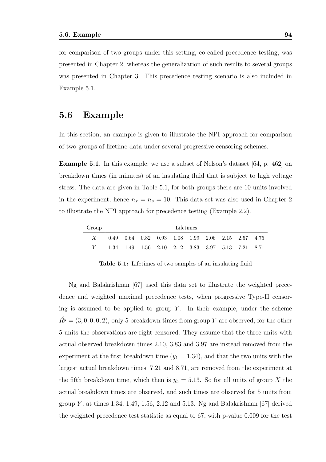for comparison of two groups under this setting, co-called precedence testing, was presented in Chapter 2, whereas the generalization of such results to several groups was presented in Chapter 3. This precedence testing scenario is also included in Example 5.1.

#### 5.6 Example

In this section, an example is given to illustrate the NPI approach for comparison of two groups of lifetime data under several progressive censoring schemes.

Example 5.1. In this example, we use a subset of Nelson's dataset [64, p. 462] on breakdown times (in minutes) of an insulating fluid that is subject to high voltage stress. The data are given in Table 5.1, for both groups there are 10 units involved in the experiment, hence  $n_x = n_y = 10$ . This data set was also used in Chapter 2 to illustrate the NPI approach for precedence testing (Example 2.2).

| Group | Lifetimes                                                                                               |  |  |  |  |  |  |  |  |  |
|-------|---------------------------------------------------------------------------------------------------------|--|--|--|--|--|--|--|--|--|
|       | $X = \begin{bmatrix} 0.49 & 0.64 & 0.82 & 0.93 & 1.08 & 1.99 & 2.06 & 2.15 & 2.57 & 4.75 \end{bmatrix}$ |  |  |  |  |  |  |  |  |  |
|       | Y   1.34 1.49 1.56 2.10 2.12 3.83 3.97 5.13 7.21 8.71                                                   |  |  |  |  |  |  |  |  |  |

Table 5.1: Lifetimes of two samples of an insulating fluid

Ng and Balakrishnan [67] used this data set to illustrate the weighted precedence and weighted maximal precedence tests, when progressive Type-II censoring is assumed to be applied to group  $Y$ . In their example, under the scheme  $\tilde{R}^{y} = (3, 0, 0, 0, 2)$ , only 5 breakdown times from group Y are observed, for the other 5 units the observations are right-censored. They assume that the three units with actual observed breakdown times 2.10, 3.83 and 3.97 are instead removed from the experiment at the first breakdown time  $(y_1 = 1.34)$ , and that the two units with the largest actual breakdown times, 7.21 and 8.71, are removed from the experiment at the fifth breakdown time, which then is  $y_5 = 5.13$ . So for all units of group X the actual breakdown times are observed, and such times are observed for 5 units from group Y, at times 1.34, 1.49, 1.56, 2.12 and 5.13. Ng and Balakrishnan [67] derived the weighted precedence test statistic as equal to 67, with p-value 0.009 for the test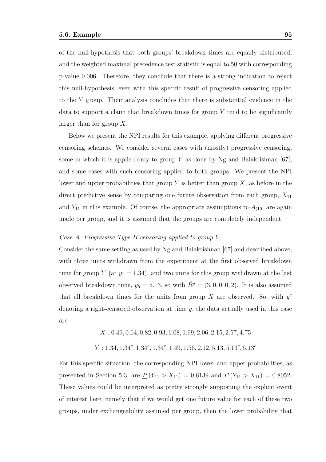of the null-hypothesis that both groups' breakdown times are equally distributed, and the weighted maximal precedence test statistic is equal to 50 with corresponding p-value 0.006. Therefore, they conclude that there is a strong indication to reject this null-hypothesis, even with this specific result of progressive censoring applied to the Y group. Their analysis concludes that there is substantial evidence in the data to support a claim that breakdown times for group  $Y$  tend to be significantly larger than for group  $X$ .

Below we present the NPI results for this example, applying different progressive censoring schemes. We consider several cases with (mostly) progressive censoring, some in which it is applied only to group Y as done by Ng and Balakrishnan  $[67]$ , and some cases with such censoring applied to both groups. We present the NPI lower and upper probabilities that group Y is better than group  $X$ , as before in the direct predictive sense by comparing one future observation from each group,  $X_{11}$ and  $Y_{11}$  in this example. Of course, the appropriate assumptions rc- $A_{(10)}$  are again made per group, and it is assumed that the groups are completely independent.

#### Case A: Progressive Type-II censoring applied to group Y

Consider the same setting as used by Ng and Balakrishnan [67] and described above, with three units withdrawn from the experiment at the first observed breakdown time for group Y (at  $y_1 = 1.34$ ), and two units for this group withdrawn at the last observed breakdown time,  $y_5 = 5.13$ , so with  $\tilde{R}^y = (3, 0, 0, 0, 2)$ . It is also assumed that all breakdown times for the units from group  $X$  are observed. So, with  $y^c$ denoting a right-censored observation at time  $y$ , the data actually used in this case are

 $X: 0.49, 0.64, 0.82, 0.93, 1.08, 1.99, 2.06, 2.15, 2.57, 4.75$ 

 $Y: 1.34, 1.34^c, 1.34^c, 1.34^c, 1.49, 1.56, 2.12, 5.13, 5.13^c, 5.13^c$ 

For this specific situation, the corresponding NPI lower and upper probabilities, as presented in Section 5.3, are  $\underline{P}(Y_{11} > X_{11}) = 0.6139$  and  $\overline{P}(Y_{11} > X_{11}) = 0.8052$ . These values could be interpreted as pretty strongly supporting the explicit event of interest here, namely that if we would get one future value for each of these two groups, under exchangeability assumed per group, then the lower probability that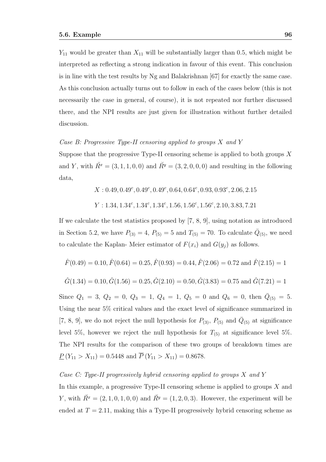$Y_{11}$  would be greater than  $X_{11}$  will be substantially larger than 0.5, which might be interpreted as reflecting a strong indication in favour of this event. This conclusion is in line with the test results by Ng and Balakrishnan [67] for exactly the same case. As this conclusion actually turns out to follow in each of the cases below (this is not necessarily the case in general, of course), it is not repeated nor further discussed there, and the NPI results are just given for illustration without further detailed discussion.

#### Case B: Progressive Type-II censoring applied to groups  $X$  and  $Y$

Suppose that the progressive Type-II censoring scheme is applied to both groups  $X$ and Y, with  $\check{R}^x = (3, 1, 1, 0, 0)$  and  $\check{R}^y = (3, 2, 0, 0, 0)$  and resulting in the following data,

$$
X: 0.49, 0.49^c, 0.49^c, 0.49^c, 0.64, 0.64^c, 0.93, 0.93^c, 2.06, 2.15
$$
  

$$
Y: 1.34, 1.34^c, 1.34^c, 1.34^c, 1.56, 1.56^c, 1.56^c, 2.10, 3.83, 7.21
$$

If we calculate the test statistics proposed by [7, 8, 9], using notation as introduced in Section 5.2, we have  $P_{(3)} = 4$ ,  $P_{(5)} = 5$  and  $T_{(5)} = 70$ . To calculate  $\bar{Q}_{(5)}$ , we need to calculate the Kaplan-Meier estimator of  $F(x_i)$  and  $G(y_j)$  as follows.

$$
\hat{F}(0.49) = 0.10, \hat{F}(0.64) = 0.25, \hat{F}(0.93) = 0.44, \hat{F}(2.06) = 0.72 \text{ and } \hat{F}(2.15) = 1
$$
  

$$
\hat{G}(1.34) = 0.10, \hat{G}(1.56) = 0.25, \hat{G}(2.10) = 0.50, \hat{G}(3.83) = 0.75 \text{ and } \hat{G}(7.21) = 1
$$

Since  $Q_1 = 3$ ,  $Q_2 = 0$ ,  $Q_3 = 1$ ,  $Q_4 = 1$ ,  $Q_5 = 0$  and  $Q_6 = 0$ , then  $\overline{Q}_{(5)} = 5$ . Using the near 5% critical values and the exact level of significance summarized in [7, 8, 9], we do not reject the null hypothesis for  $P_{(3)}$ ,  $P_{(5)}$  and  $\bar{Q}_{(5)}$  at significance level 5%, however we reject the null hypothesis for  $T_{(5)}$  at significance level 5%. The NPI results for the comparison of these two groups of breakdown times are  $\underline{P}(Y_{11} > X_{11}) = 0.5448$  and  $\overline{P}(Y_{11} > X_{11}) = 0.8678$ .

#### Case C: Type-II progressively hybrid censoring applied to groups  $X$  and  $Y$

In this example, a progressive Type-II censoring scheme is applied to groups  $X$  and Y, with  $\check{R}^x = (2, 1, 0, 1, 0, 0)$  and  $\check{R}^y = (1, 2, 0, 3)$ . However, the experiment will be ended at  $T = 2.11$ , making this a Type-II progressively hybrid censoring scheme as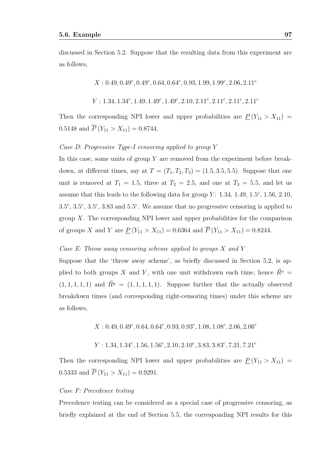discussed in Section 5.2. Suppose that the resulting data from this experiment are as follows,

 $X: 0.49, 0.49^c, 0.49^c, 0.64, 0.64^c, 0.93, 1.99, 1.99^c, 2.06, 2.11^c$ 

$$
Y: 1.34, 1.34^c, 1.49, 1.49^c, 1.49^c, 2.10, 2.11^c, 2.11^c, 2.11^c, 2.11^c
$$

Then the corresponding NPI lower and upper probabilities are  $\underline{P}(Y_{11} > X_{11}) =$ 0.5148 and  $\overline{P}(Y_{11} > X_{11}) = 0.8744$ .

#### Case D: Progressive Type-I censoring applied to group Y

In this case, some units of group Y are removed from the experiment before breakdown, at different times, say at  $T = (T_1, T_2, T_3) = (1.5, 3.5, 5.5)$ . Suppose that one unit is removed at  $T_1 = 1.5$ , three at  $T_2 = 2.5$ , and one at  $T_3 = 5.5$ , and let us assume that this leads to the following data for group  $Y: 1.34, 1.49, 1.5^c, 1.56, 2.10,$  $3.5^c$ ,  $3.5^c$ ,  $3.5^c$ ,  $3.83$  and  $5.5^c$ . We assume that no progressive censoring is applied to group  $X$ . The corresponding NPI lower and upper probabilities for the comparison of groups X and Y are  $\underline{P}(Y_{11} > X_{11}) = 0.6364$  and  $\overline{P}(Y_{11} > X_{11}) = 0.8244$ .

#### Case E: Throw away censoring scheme applied to groups  $X$  and  $Y$

Suppose that the 'throw away scheme', as briefly discussed in Section 5.2, is applied to both groups X and Y, with one unit withdrawn each time, hence  $\check{R}^x$  =  $(1, 1, 1, 1, 1)$  and  $\tilde{R}^y = (1, 1, 1, 1, 1)$ . Suppose further that the actually observed breakdown times (and corresponding right-censoring times) under this scheme are as follows,

 $X: 0.49, 0.49^c, 0.64, 0.64^c, 0.93, 0.93^c, 1.08, 1.08^c, 2.06, 2.06^c$ 

 $Y: 1.34, 1.34^c, 1.56, 1.56^c, 2.10, 2.10^c, 3.83, 3.83^c, 7.21, 7.21^c$ 

Then the corresponding NPI lower and upper probabilities are  $\underline{P}(Y_{11} > X_{11}) =$ 0.5333 and  $\overline{P}(Y_{11} > X_{11}) = 0.9291$ .

#### Case F: Precedence testing

Precedence testing can be considered as a special case of progressive censoring, as briefly explained at the end of Section 5.5, the corresponding NPI results for this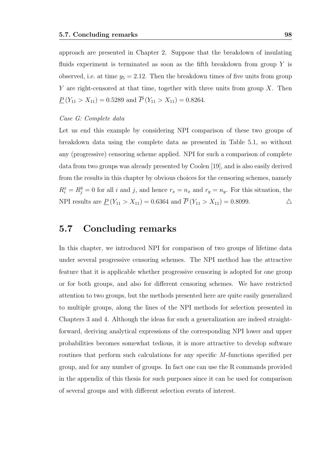approach are presented in Chapter 2. Suppose that the breakdown of insulating fluids experiment is terminated as soon as the fifth breakdown from group  $Y$  is observed, i.e. at time  $y_5 = 2.12$ . Then the breakdown times of five units from group Y are right-censored at that time, together with three units from group  $X$ . Then  $\underline{P}(Y_{11} > X_{11}) = 0.5289$  and  $\overline{P}(Y_{11} > X_{11}) = 0.8264$ .

#### Case G: Complete data

Let us end this example by considering NPI comparison of these two groups of breakdown data using the complete data as presented in Table 5.1, so without any (progressive) censoring scheme applied. NPI for such a comparison of complete data from two groups was already presented by Coolen [19], and is also easily derived from the results in this chapter by obvious choices for the censoring schemes, namely  $R_i^x = R_j^y = 0$  for all i and j, and hence  $r_x = n_x$  and  $r_y = n_y$ . For this situation, the NPI results are  $\underline{P}(Y_{11} > X_{11}) = 0.6364$  and  $\overline{P}(Y_{11} > X_{11}) = 0.8099$ .

### 5.7 Concluding remarks

In this chapter, we introduced NPI for comparison of two groups of lifetime data under several progressive censoring schemes. The NPI method has the attractive feature that it is applicable whether progressive censoring is adopted for one group or for both groups, and also for different censoring schemes. We have restricted attention to two groups, but the methods presented here are quite easily generalized to multiple groups, along the lines of the NPI methods for selection presented in Chapters 3 and 4. Although the ideas for such a generalization are indeed straightforward, deriving analytical expressions of the corresponding NPI lower and upper probabilities becomes somewhat tedious, it is more attractive to develop software routines that perform such calculations for any specific M-functions specified per group, and for any number of groups. In fact one can use the R commands provided in the appendix of this thesis for such purposes since it can be used for comparison of several groups and with different selection events of interest.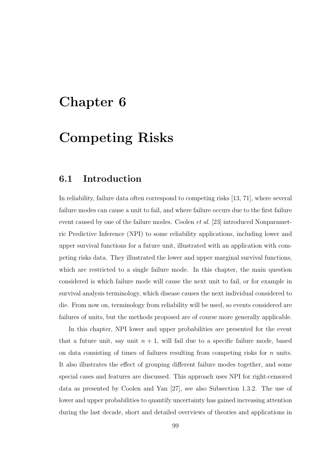# Chapter 6

# Competing Risks

## 6.1 Introduction

In reliability, failure data often correspond to competing risks [13, 71], where several failure modes can cause a unit to fail, and where failure occurs due to the first failure event caused by one of the failure modes. Coolen et al. [23] introduced Nonparametric Predictive Inference (NPI) to some reliability applications, including lower and upper survival functions for a future unit, illustrated with an application with competing risks data. They illustrated the lower and upper marginal survival functions, which are restricted to a single failure mode. In this chapter, the main question considered is which failure mode will cause the next unit to fail, or for example in survival analysis terminology, which disease causes the next individual considered to die. From now on, terminology from reliability will be used, so events considered are failures of units, but the methods proposed are of course more generally applicable.

In this chapter, NPI lower and upper probabilities are presented for the event that a future unit, say unit  $n + 1$ , will fail due to a specific failure mode, based on data consisting of times of failures resulting from competing risks for  $n$  units. It also illustrates the effect of grouping different failure modes together, and some special cases and features are discussed. This approach uses NPI for right-censored data as presented by Coolen and Yan [27], see also Subsection 1.3.2. The use of lower and upper probabilities to quantify uncertainty has gained increasing attention during the last decade, short and detailed overviews of theories and applications in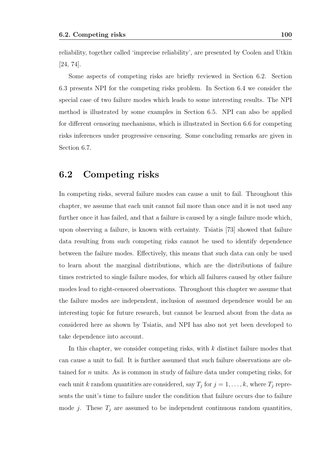reliability, together called 'imprecise reliability', are presented by Coolen and Utkin [24, 74].

Some aspects of competing risks are briefly reviewed in Section 6.2. Section 6.3 presents NPI for the competing risks problem. In Section 6.4 we consider the special case of two failure modes which leads to some interesting results. The NPI method is illustrated by some examples in Section 6.5. NPI can also be applied for different censoring mechanisms, which is illustrated in Section 6.6 for competing risks inferences under progressive censoring. Some concluding remarks are given in Section 6.7.

### 6.2 Competing risks

In competing risks, several failure modes can cause a unit to fail. Throughout this chapter, we assume that each unit cannot fail more than once and it is not used any further once it has failed, and that a failure is caused by a single failure mode which, upon observing a failure, is known with certainty. Tsiatis [73] showed that failure data resulting from such competing risks cannot be used to identify dependence between the failure modes. Effectively, this means that such data can only be used to learn about the marginal distributions, which are the distributions of failure times restricted to single failure modes, for which all failures caused by other failure modes lead to right-censored observations. Throughout this chapter we assume that the failure modes are independent, inclusion of assumed dependence would be an interesting topic for future research, but cannot be learned about from the data as considered here as shown by Tsiatis, and NPI has also not yet been developed to take dependence into account.

In this chapter, we consider competing risks, with  $k$  distinct failure modes that can cause a unit to fail. It is further assumed that such failure observations are obtained for n units. As is common in study of failure data under competing risks, for each unit k random quantities are considered, say  $T_j$  for  $j = 1, \ldots, k$ , where  $T_j$  represents the unit's time to failure under the condition that failure occurs due to failure mode j. These  $T_j$  are assumed to be independent continuous random quantities,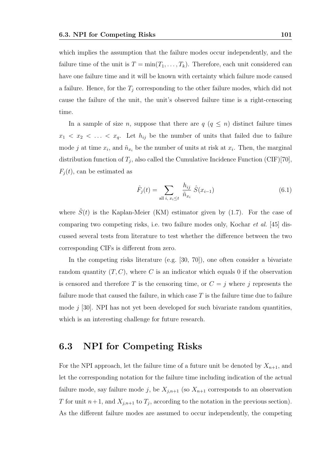which implies the assumption that the failure modes occur independently, and the failure time of the unit is  $T = \min(T_1, \ldots, T_k)$ . Therefore, each unit considered can have one failure time and it will be known with certainty which failure mode caused a failure. Hence, for the  $T_j$  corresponding to the other failure modes, which did not cause the failure of the unit, the unit's observed failure time is a right-censoring time.

In a sample of size n, suppose that there are  $q$   $(q \leq n)$  distinct failure times  $x_1 \leq x_2 \leq \ldots \leq x_q$ . Let  $h_{ij}$  be the number of units that failed due to failure mode *j* at time  $x_i$ , and  $\tilde{n}_{x_i}$  be the number of units at risk at  $x_i$ . Then, the marginal distribution function of  $T_j$ , also called the Cumulative Incidence Function (CIF)[70],  $F_i(t)$ , can be estimated as

$$
\hat{F}_j(t) = \sum_{\text{all } i, x_i \le t} \frac{h_{ij}}{\tilde{n}_{x_i}} \hat{S}(x_{i-1})
$$
\n(6.1)

where  $\hat{S}(t)$  is the Kaplan-Meier (KM) estimator given by (1.7). For the case of comparing two competing risks, i.e. two failure modes only, Kochar et al. [45] discussed several tests from literature to test whether the difference between the two corresponding CIFs is different from zero.

In the competing risks literature (e.g. [30, 70]), one often consider a bivariate random quantity  $(T, C)$ , where C is an indicator which equals 0 if the observation is censored and therefore T is the censoring time, or  $C = j$  where j represents the failure mode that caused the failure, in which case  $T$  is the failure time due to failure mode  $j$  [30]. NPI has not yet been developed for such bivariate random quantities, which is an interesting challenge for future research.

## 6.3 NPI for Competing Risks

For the NPI approach, let the failure time of a future unit be denoted by  $X_{n+1}$ , and let the corresponding notation for the failure time including indication of the actual failure mode, say failure mode j, be  $X_{j,n+1}$  (so  $X_{n+1}$  corresponds to an observation T for unit  $n+1$ , and  $X_{j,n+1}$  to  $T_j$ , according to the notation in the previous section). As the different failure modes are assumed to occur independently, the competing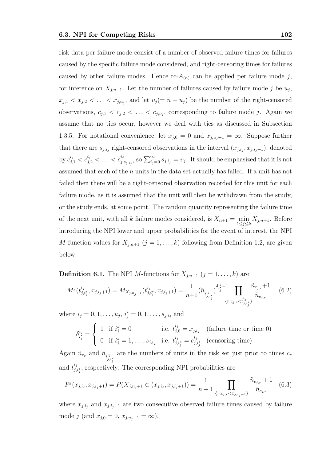risk data per failure mode consist of a number of observed failure times for failures caused by the specific failure mode considered, and right-censoring times for failures caused by other failure modes. Hence  $\text{rc-}A_{(n)}$  can be applied per failure mode j, for inference on  $X_{j,n+1}$ . Let the number of failures caused by failure mode j be  $u_j$ ,  $x_{j,1} < x_{j,2} < \ldots < x_{j,u_j}$ , and let  $v_j (= n - u_j)$  be the number of the right-censored observations,  $c_{j,1} < c_{j,2} < \ldots < c_{j,v_j}$ , corresponding to failure mode j. Again we assume that no ties occur, however we deal with ties as discussed in Subsection 1.3.5. For notational convenience, let  $x_{j,0} = 0$  and  $x_{j,u_j+1} = \infty$ . Suppose further that there are  $s_{j,i_j}$  right-censored observations in the interval  $(x_{j,i_j}, x_{j,i_j+1})$ , denoted by  $c_{j,1}^{i_j} < c_{j,2}^{i_j} < \ldots < c_{j,1}^{i_j}$  $j_{j,s_{j,i_j}}$ , so  $\sum_{i_j=0}^{u_j} s_{j,i_j} = v_j$ . It should be emphasized that it is not assumed that each of the n units in the data set actually has failed. If a unit has not failed then there will be a right-censored observation recorded for this unit for each failure mode, as it is assumed that the unit will then be withdrawn from the study, or the study ends, at some point. The random quantity representing the failure time of the next unit, with all k failure modes considered, is  $X_{n+1} = \min_{1 \le j \le k} X_{j,n+1}$ . Before introducing the NPI lower and upper probabilities for the event of interest, the NPI M-function values for  $X_{j,n+1}$   $(j = 1, \ldots, k)$  following from Definition 1.2, are given below.

**Definition 6.1.** The NPI *M*-functions for  $X_{j,n+1}$   $(j = 1, ..., k)$  are

$$
M^{j}(t^{i_{j}}_{j,i^{*}_{j}},x_{j,i_{j}+1}) = M_{X_{j,n_{j}+1}}(t^{i_{j}}_{j,i^{*}_{j}},x_{j,i_{j}+1}) = \frac{1}{n+1}(\tilde{n}_{t^{i_{j}}_{j,i^{*}_{j}}})^{\delta^{i_{j}-1}_{i^{*}_{j}-1}} \prod_{\{r:c_{j,r} < t^{i_{j}}_{j,i^{*}_{j}}\}} \frac{\tilde{n}_{c_{j,r}}+1}{\tilde{n}_{c_{j,r}}} \tag{6.2}
$$

where  $i_j = 0, 1, \ldots, u_j, i_j^* = 0, 1, \ldots, s_{j,i_j}$  and

$$
\delta_{i_j^*}^{i_j} = \begin{cases} 1 & \text{if } i_j^* = 0 & \text{i.e. } t_{j,0}^{i_j} = x_{j,i_j} \quad \text{(failure time or time 0)}\\ 0 & \text{if } i_j^* = 1, \dots, s_{j,i_j} \quad \text{i.e. } t_{j,i_j^*}^{i_j} = c_{j,i_j^*}^{i_j} \quad \text{(censoring time)} \end{cases}
$$

Again  $\tilde{n}_{c_r}$  and  $\tilde{n}_{t^{i_j}_{j,i^*_j}}$ are the numbers of units in the risk set just prior to times  $c_r$ and  $t_i^{i_j}$  $j_{j,i_j^*}$ , respectively. The corresponding NPI probabilities are

$$
P^{j}(x_{j,i_{j}}, x_{j,i_{j}+1}) = P(X_{j,n_{j}+1} \in (x_{j,i_{j}}, x_{j,i_{j}+1})) = \frac{1}{n+1} \prod_{\{r:c_{j,r} < x_{j,i_{j}+1}\}} \frac{\tilde{n}_{c_{j,r}} + 1}{\tilde{n}_{c_{j,r}}} \tag{6.3}
$$

where  $x_{j,i_j}$  and  $x_{j,i_j+1}$  are two consecutive observed failure times caused by failure mode j (and  $x_{j,0} = 0, x_{j,u_j+1} = \infty$ ).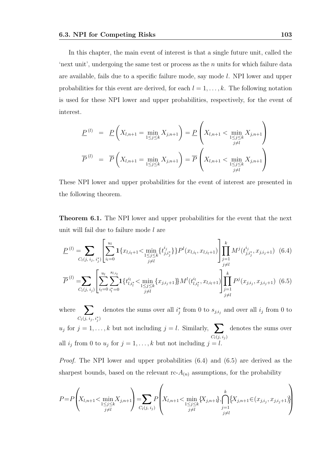In this chapter, the main event of interest is that a single future unit, called the 'next unit', undergoing the same test or process as the  $n$  units for which failure data are available, fails due to a specific failure mode, say mode l. NPI lower and upper probabilities for this event are derived, for each  $l = 1, \ldots, k$ . The following notation is used for these NPI lower and upper probabilities, respectively, for the event of interest.

$$
\underline{P}^{(l)} = \underline{P}\left(X_{l,n+1} = \min_{1 \le j \le k} X_{j,n+1}\right) = \underline{P}\left(X_{l,n+1} < \min_{1 \le j \le k} X_{j,n+1}\right)
$$
\n
$$
\overline{P}^{(l)} = \overline{P}\left(X_{l,n+1} = \min_{1 \le j \le k} X_{j,n+1}\right) = \overline{P}\left(X_{l,n+1} < \min_{1 \le j \le k} X_{j,n+1}\right)
$$

These NPI lower and upper probabilities for the event of interest are presented in the following theorem.

Theorem 6.1. The NPI lower and upper probabilities for the event that the next unit will fail due to failure mode l are

$$
\underline{P}^{(l)} = \sum_{C_l(j, i_j, i_j^*)} \left[ \sum_{i_l=0}^{u_l} \mathbf{1} \{ x_{l, i_l+1} < \min_{1 \le j \le k} \{ t_{j, i_j^*}^{i_j} \} \} P^l(x_{l, i_l}, x_{l, i_l+1}) \right] \prod_{j=1}^k M^j(t_{j, i_j^*}^{i_j}, x_{j, i_j+1}) \tag{6.4}
$$
\n
$$
\overline{P}^{(l)} = \sum_{C_l(j, i_j)} \left[ \sum_{i_l=0}^{u_l} \sum_{i_l^*=0}^{s_{l, i_l}} \mathbf{1} \{ t_{l, i_l^*}^{i_l} < \min_{j \ne l} \{ x_{j, i_j+1} \} M^l(t_{l, i_l^*}^{i_l}, x_{l, i_l+1}) \right] \prod_{j=1}^k P^j(x_{j, i_j}, x_{j, i_j+1}) \tag{6.5}
$$

where  $\sum$  $C_l(j, i_j, i_j^*)$ denotes the sums over all  $i_j^*$  from 0 to  $s_{j,i_j}$  and over all  $i_j$  from 0 to  $u_j$  for  $j = 1, \ldots, k$  but not including  $j = l$ . Similarly,  $\sum$  $C_l(j, i_j)$ denotes the sums over all  $i_j$  from 0 to  $u_j$  for  $j = 1, ..., k$  but not including  $j = l$ .

Proof. The NPI lower and upper probabilities (6.4) and (6.5) are derived as the sharpest bounds, based on the relevant  $\text{rc-}A_{(n)}$  assumptions, for the probability

$$
P = P\left(X_{l,n+1} < \min_{\substack{1 \le j \le k \\ j \ne l}} X_{j,n+1}\right) = \sum_{C_l(j, i_j)} P\left(X_{l,n+1} < \min_{\substack{1 \le j \le k \\ j \ne l}} \{X_{j,n+1}\}, \bigcap_{\substack{j=1 \\ j \ne l}}^k \{X_{j,n+1} \in (x_{j,i_j}, x_{j,i_j+1})\}\right)
$$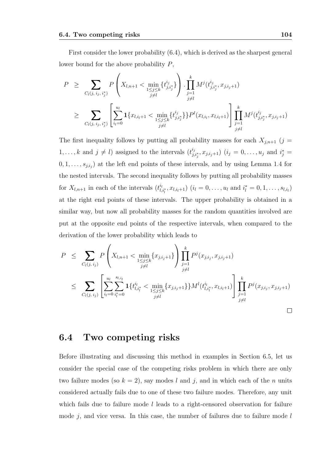First consider the lower probability (6.4), which is derived as the sharpest general lower bound for the above probability P,

$$
P \geq \sum_{C_l(j, i_j, i_j^*)} P\left(X_{l, n+1} < \min_{\substack{1 \leq j \leq k \\ j \neq l}} \{t_{j, i_j^*}^{i_j}\}\right) \cdot \prod_{\substack{j=1 \\ j \neq l}}^k M^j(t_{j, i_j^*}^{i_j}, x_{j, i_j+1})
$$
\n
$$
\geq \sum_{C_l(j, i_j, i_j^*)} \left[\sum_{i_l=0}^{u_l} \mathbf{1}\{x_{l, i_l+1} < \min_{\substack{1 \leq j \leq k \\ j \neq l}} \{t_{j, i_j^*}^{i_j}\}\} P^l(x_{l, i_l}, x_{l, i_l+1})\right] \prod_{\substack{j=1 \\ j \neq l}}^k M^j(t_{j, i_j^*}^{i_j}, x_{j, i_j+1})
$$

The first inequality follows by putting all probability masses for each  $X_{j,n+1}$  (j =  $1, \ldots, k$  and  $j \neq l$ ) assigned to the intervals  $(t_{j,1}^{i,j})$  $(i_{j,i_j^*}, x_{j,i_j+1})$   $(i_j = 0, \ldots, u_j \text{ and } i_j^* =$  $(0, 1, \ldots, s_{j,i_j})$  at the left end points of these intervals, and by using Lemma 1.4 for the nested intervals. The second inequality follows by putting all probability masses for  $X_{l,n+1}$  in each of the intervals  $(t^{i_l}_{l,i_l^*}, x_{l,i_l+1})$   $(i_l = 0, \ldots, u_l \text{ and } i_l^* = 0, 1, \ldots, s_{l,i_l})$ at the right end points of these intervals. The upper probability is obtained in a similar way, but now all probability masses for the random quantities involved are put at the opposite end points of the respective intervals, when compared to the derivation of the lower probability which leads to

$$
P \leq \sum_{C_l(j, i_j)} P\left(X_{l, n+1} < \min_{1 \leq j \leq k} \{x_{j, i_j+1}\}\right) \prod_{\substack{j=1 \ j \neq l}}^k P^j(x_{j, i_j}, x_{j, i_j+1})
$$
\n
$$
\leq \sum_{C_l(j, i_j)} \left[\sum_{i_l=0}^{u_l} \sum_{\substack{i=1 \ i_l \neq l}}^{s_{l, i_l}} \mathbf{1}\{t_{l, i_l^*}^{i_l} < \min_{1 \leq j \leq k} \{x_{j, i_j+1}\}\} M^l(t_{l, i_l^*}^{i_l}, x_{l, i_l+1})\right] \prod_{\substack{j=1 \ j \neq l}}^k P^j(x_{j, i_j}, x_{j, i_j+1})
$$
\n
$$
\square
$$

### 6.4 Two competing risks

Before illustrating and discussing this method in examples in Section 6.5, let us consider the special case of the competing risks problem in which there are only two failure modes (so  $k = 2$ ), say modes l and j, and in which each of the n units considered actually fails due to one of these two failure modes. Therefore, any unit which fails due to failure mode  $l$  leads to a right-censored observation for failure mode  $j$ , and vice versa. In this case, the number of failures due to failure mode  $l$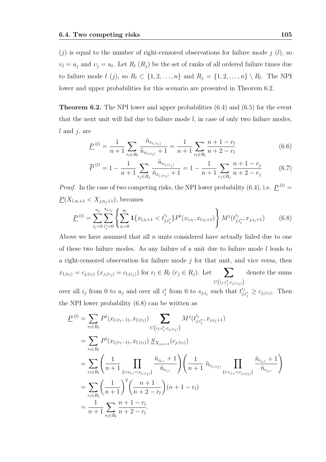$(j)$  is equal to the number of right-censored observations for failure mode j  $(l)$ , so  $v_l = u_j$  and  $v_j = u_l$ . Let  $R_l$   $(R_j)$  be the set of ranks of all ordered failure times due to failure mode  $l(j)$ , so  $R_l \subset \{1, 2, \ldots, n\}$  and  $R_j = \{1, 2, \ldots, n\} \setminus R_l$ . The NPI lower and upper probabilities for this scenario are presented in Theorem 6.2.

**Theorem 6.2.** The NPI lower and upper probabilities  $(6.4)$  and  $(6.5)$  for the event that the next unit will fail due to failure mode  $l$ , in case of only two failure modes,  $l$  and  $j$ , are

$$
\underline{P}^{(l)} = \frac{1}{n+1} \sum_{r_l \in R_l} \frac{\tilde{n}_{x_{l,(r_l)}}}{\tilde{n}_{x_{l,(r_l)}} + 1} = \frac{1}{n+1} \sum_{r_l \in R_l} \frac{n+1-r_l}{n+2-r_l}
$$
(6.6)

$$
\overline{P}^{(l)} = 1 - \frac{1}{n+1} \sum_{r_j \in R_j} \frac{\tilde{n}_{x_{j,(r_j)}}}{\tilde{n}_{x_{j,(r_j)}} + 1} = 1 - \frac{1}{n+1} \sum_{r_j \in R_j} \frac{n+1-r_j}{n+2-r_j} \tag{6.7}
$$

*Proof.* In the case of two competing risks, the NPI lower probability (6.4), i.e.  $\underline{P}^{(l)} =$  $\underline{P}(X_{l,n_l+1} < X_{j,n_j+1}),$  becomes

$$
\underline{P}^{(l)} = \sum_{i_j=0}^{u_j} \sum_{i_j=0}^{s_{j,i_j}} \left\{ \sum_{i_l=0}^{u_l} \mathbf{1} \{ x_{l,i_l+1} < t_{j,i_j}^{i_j} \} P^l(x_{l,i_l}, x_{l,i_l+1}) \right\} M^j(t_{j,i_j}^{i_j}, x_{j,i_j+1}) \tag{6.8}
$$

Above we have assumed that all  $n$  units considered have actually failed due to one of these two failure modes. As any failure of a unit due to failure mode  $l$  leads to a right-censored observation for failure mode  $j$  for that unit, and vice versa, then  $x_{l,(r_i)} = c_{j,(r_i)} (x_{j,(r_j)} = c_{l,(r_j)})$  for  $r_l \in R_l$   $(r_j \in R_j)$ . Let  $\sum$  $C\left(i_j, i_j^*, c_{j, (r_l)}\right)$ denote the sums

over all  $i_j$  from 0 to  $u_j$  and over all  $i_j^*$  from 0 to  $s_{j,i_j}$  such that  $t_{j_i}^{i_j}$  $c_{j,i_j^*} \geq c_{j,(r_l)}$ . Then the NPI lower probability (6.8) can be written as

$$
\underline{P}^{(l)} = \sum_{r_l \in R_l} P^l(x_{l, (r_l-1)}, x_{l, (r_l)}) \sum_{C(i_j, i_j^*, c_{j, (r_l)})} M^j(t_{j, i_j^*}^{i_j}, x_{j, i_j+1})
$$
\n
$$
= \sum_{r_l \in R_l} P^l(x_{l, (r_l-1)}, x_{l, (r_l)}) \underline{S}_{X_{j, n+1}}(c_{j, (r_l)})
$$
\n
$$
= \sum_{r_l \in R_l} \left( \frac{1}{n+1} \prod_{\{r : c_{l,r} < x_{l, (r_l)}\}} \frac{\tilde{n}_{c_{l,r}} + 1}{\tilde{n}_{c_{l,r}}} \right) \left( \frac{1}{n+1} \tilde{n}_{c_{j, (r_l)}} \prod_{\{r : c_{j,r} < c_{j, (r_l)\}}} \frac{\tilde{n}_{c_{j,r}} + 1}{\tilde{n}_{c_{j,r}}} \right)
$$
\n
$$
= \sum_{r_l \in R_l} \left( \frac{1}{n+1} \right)^2 \left( \frac{n+1}{n+2-r_l} \right) (n+1-r_l)
$$
\n
$$
= \frac{1}{n+1} \sum_{r_l \in R_l} \frac{n+1-r_l}{n+2-r_l}.
$$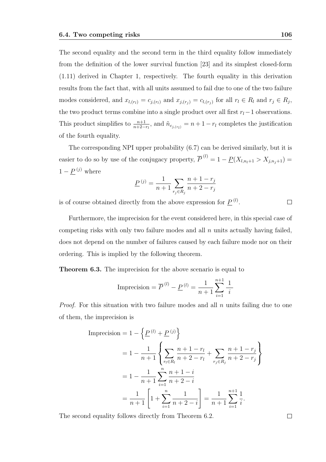The second equality and the second term in the third equality follow immediately from the definition of the lower survival function [23] and its simplest closed-form (1.11) derived in Chapter 1, respectively. The fourth equality in this derivation results from the fact that, with all units assumed to fail due to one of the two failure modes considered, and  $x_{l,(r_l)} = c_{j,(r_l)}$  and  $x_{j,(r_j)} = c_{l,(r_j)}$  for all  $r_l \in R_l$  and  $r_j \in R_j$ , the two product terms combine into a single product over all first  $r_l-1$  observations. This product simplifies to  $\frac{n+1}{n+2-r_l}$ , and  $\tilde{n}_{c_{j,(r_l)}} = n+1-r_l$  completes the justification of the fourth equality.

The corresponding NPI upper probability (6.7) can be derived similarly, but it is easier to do so by use of the conjugacy property,  $\overline{P}^{(l)} = 1 - \underline{P}(X_{l,n_l+1} > X_{j,n_j+1}) =$  $1 - \underline{P}^{(j)}$  where

$$
\underline{P}^{(j)} = \frac{1}{n+1} \sum_{r_j \in R_j} \frac{n+1-r_j}{n+2-r_j}
$$

is of course obtained directly from the above expression for  $\underline{P}^{(l)}$ .

Furthermore, the imprecision for the event considered here, in this special case of competing risks with only two failure modes and all  $n$  units actually having failed, does not depend on the number of failures caused by each failure mode nor on their ordering. This is implied by the following theorem.

Theorem 6.3. The imprecision for the above scenario is equal to

Imprecision = 
$$
\overline{P}^{(l)} - \underline{P}^{(l)} = \frac{1}{n+1} \sum_{i=1}^{n+1} \frac{1}{i}
$$

*Proof.* For this situation with two failure modes and all  $n$  units failing due to one of them, the imprecision is

Imprecision = 
$$
1 - \left\{ \frac{P^{(l)} + P^{(j)}}{n+1} \right\}
$$
  
\n=  $1 - \frac{1}{n+1} \left\{ \sum_{r_l \in R_l} \frac{n+1-r_l}{n+2-r_l} + \sum_{r_j \in R_j} \frac{n+1-r_j}{n+2-r_j} \right\}$   
\n=  $1 - \frac{1}{n+1} \sum_{i=1}^n \frac{n+1-i}{n+2-i}$   
\n=  $\frac{1}{n+1} \left[ 1 + \sum_{i=1}^n \frac{1}{n+2-i} \right] = \frac{1}{n+1} \sum_{i=1}^{n+1} \frac{1}{i}.$ 

The second equality follows directly from Theorem 6.2.

 $\Box$ 

 $\Box$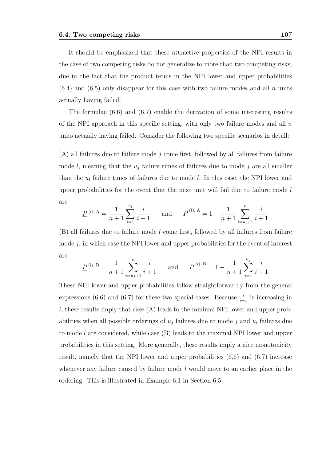It should be emphasized that these attractive properties of the NPI results in the case of two competing risks do not generalize to more than two competing risks, due to the fact that the product terms in the NPI lower and upper probabilities  $(6.4)$  and  $(6.5)$  only disappear for this case with two failure modes and all n units actually having failed.

The formulae (6.6) and (6.7) enable the derivation of some interesting results of the NPI approach in this specific setting, with only two failure modes and all  $n$ units actually having failed. Consider the following two specific scenarios in detail:

 $(A)$  all failures due to failure mode j come first, followed by all failures from failure mode  $l$ , meaning that the  $u_j$  failure times of failures due to mode  $j$  are all smaller than the  $u_l$  failure times of failures due to mode l. In this case, the NPI lower and upper probabilities for the event that the next unit will fail due to failure mode  $l$ are

$$
\underline{P}^{(l), A} = \frac{1}{n+1} \sum_{i=1}^{u_l} \frac{i}{i+1}
$$
 and 
$$
\overline{P}^{(l), A} = 1 - \frac{1}{n+1} \sum_{i=u_l+1}^{n} \frac{i}{i+1}
$$

(B) all failures due to failure mode l come first, followed by all failures from failure mode  $j$ , in which case the NPI lower and upper probabilities for the event of interest are

$$
\underline{P}^{(l), B} = \frac{1}{n+1} \sum_{i=u_j+1}^{n} \frac{i}{i+1}
$$
 and 
$$
\overline{P}^{(l), B} = 1 - \frac{1}{n+1} \sum_{i=1}^{u_j} \frac{i}{i+1}
$$

These NPI lower and upper probabilities follow straightforwardly from the general expressions (6.6) and (6.7) for these two special cases. Because  $\frac{i}{i+1}$  is increasing in i, these results imply that case  $(A)$  leads to the minimal NPI lower and upper probabilities when all possible orderings of  $u_j$  failures due to mode j and  $u_l$  failures due to mode l are considered, while case  $(B)$  leads to the maximal NPI lower and upper probabilities in this setting. More generally, these results imply a nice monotonicity result, namely that the NPI lower and upper probabilities (6.6) and (6.7) increase whenever any failure caused by failure mode  $l$  would move to an earlier place in the ordering. This is illustrated in Example 6.1 in Section 6.5.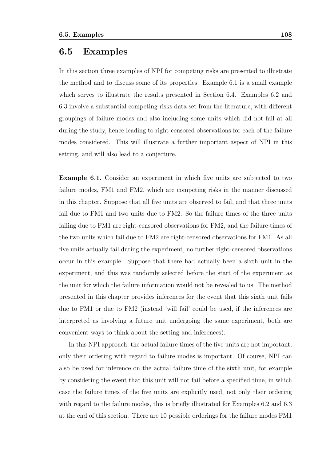#### 6.5 Examples

In this section three examples of NPI for competing risks are presented to illustrate the method and to discuss some of its properties. Example 6.1 is a small example which serves to illustrate the results presented in Section 6.4. Examples 6.2 and 6.3 involve a substantial competing risks data set from the literature, with different groupings of failure modes and also including some units which did not fail at all during the study, hence leading to right-censored observations for each of the failure modes considered. This will illustrate a further important aspect of NPI in this setting, and will also lead to a conjecture.

Example 6.1. Consider an experiment in which five units are subjected to two failure modes, FM1 and FM2, which are competing risks in the manner discussed in this chapter. Suppose that all five units are observed to fail, and that three units fail due to FM1 and two units due to FM2. So the failure times of the three units failing due to FM1 are right-censored observations for FM2, and the failure times of the two units which fail due to FM2 are right-censored observations for FM1. As all five units actually fail during the experiment, no further right-censored observations occur in this example. Suppose that there had actually been a sixth unit in the experiment, and this was randomly selected before the start of the experiment as the unit for which the failure information would not be revealed to us. The method presented in this chapter provides inferences for the event that this sixth unit fails due to FM1 or due to FM2 (instead 'will fail' could be used, if the inferences are interpreted as involving a future unit undergoing the same experiment, both are convenient ways to think about the setting and inferences).

In this NPI approach, the actual failure times of the five units are not important, only their ordering with regard to failure modes is important. Of course, NPI can also be used for inference on the actual failure time of the sixth unit, for example by considering the event that this unit will not fail before a specified time, in which case the failure times of the five units are explicitly used, not only their ordering with regard to the failure modes, this is briefly illustrated for Examples 6.2 and 6.3 at the end of this section. There are 10 possible orderings for the failure modes FM1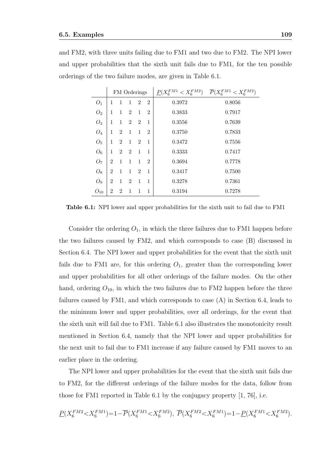and FM2, with three units failing due to FM1 and two due to FM2. The NPI lower and upper probabilities that the sixth unit fails due to FM1, for the ten possible orderings of the two failure modes, are given in Table 6.1.

|                 | FM Orderings   |                |                |                |                | $\underline{P}(X_6^{FM1}$<br>$< X_6^{FM2}$ | $\overline{P}(X_6^{FM1} < X_6^{FM2})$ |
|-----------------|----------------|----------------|----------------|----------------|----------------|--------------------------------------------|---------------------------------------|
| $O_1$           | 1              | -1             | $\mathbf{1}$   | $\overline{2}$ | $\overline{2}$ | 0.3972                                     | 0.8056                                |
| O <sub>2</sub>  | 1              | $\mathbf{1}$   | $\overline{2}$ | $\mathbf{1}$   | $\overline{2}$ | 0.3833                                     | 0.7917                                |
| $O_3$           | 1              | $\mathbf{1}$   | $\overline{2}$ | $\overline{2}$ | 1              | 0.3556                                     | 0.7639                                |
| $O_4$           | 1              | $\overline{2}$ | 1              | $\mathbf{1}$   | $\overline{2}$ | 0.3750                                     | 0.7833                                |
| O <sub>5</sub>  | 1              | $\overline{2}$ | $\mathbf{1}$   | $\overline{2}$ | 1              | 0.3472                                     | 0.7556                                |
| $O_6$           | 1              | $\overline{2}$ | - 2            | $\mathbf{1}$   | 1              | 0.3333                                     | 0.7417                                |
| O <sub>7</sub>  | $\overline{2}$ | $\mathbf{1}$   | $\mathbf{1}$   | $\mathbf{1}$   | $\overline{2}$ | 0.3694                                     | 0.7778                                |
| $O_8$           | $\overline{2}$ | 1              | $\mathbf{1}$   | $\overline{2}$ | 1              | 0.3417                                     | 0.7500                                |
| $O_9$           | 2              | 1              | $\overline{2}$ | 1              | 1              | 0.3278                                     | 0.7361                                |
| ${\cal O}_{10}$ | 2              | $\overline{2}$ | $\mathbf{1}$   | 1              | 1              | 0.3194                                     | 0.7278                                |

Table 6.1: NPI lower and upper probabilities for the sixth unit to fail due to FM1

Consider the ordering  $O_1$ , in which the three failures due to FM1 happen before the two failures caused by FM2, and which corresponds to case (B) discussed in Section 6.4. The NPI lower and upper probabilities for the event that the sixth unit fails due to FM1 are, for this ordering  $O<sub>1</sub>$ , greater than the corresponding lower and upper probabilities for all other orderings of the failure modes. On the other hand, ordering  $O_{10}$ , in which the two failures due to FM2 happen before the three failures caused by FM1, and which corresponds to case (A) in Section 6.4, leads to the minimum lower and upper probabilities, over all orderings, for the event that the sixth unit will fail due to FM1. Table 6.1 also illustrates the monotonicity result mentioned in Section 6.4, namely that the NPI lower and upper probabilities for the next unit to fail due to FM1 increase if any failure caused by FM1 moves to an earlier place in the ordering.

The NPI lower and upper probabilities for the event that the sixth unit fails due to FM2, for the different orderings of the failure modes for the data, follow from those for FM1 reported in Table 6.1 by the conjugacy property  $[1, 76]$ , i.e.

$$
\underline{P}(X_6^{FM2}{<}X_6^{FM1}){=}1{-}\overline{P}(X_6^{FM1}{<}X_6^{FM2}),\ \overline{P}(X_6^{FM2}{<}X_6^{FM1}){=}1{-}\underline{P}(X_6^{FM1}{<}X_6^{FM2}).
$$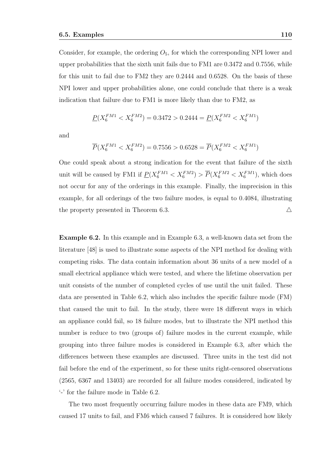Consider, for example, the ordering  $O<sub>5</sub>$ , for which the corresponding NPI lower and upper probabilities that the sixth unit fails due to FM1 are 0.3472 and 0.7556, while for this unit to fail due to FM2 they are 0.2444 and 0.6528. On the basis of these NPI lower and upper probabilities alone, one could conclude that there is a weak indication that failure due to FM1 is more likely than due to FM2, as

$$
\underline{P}(X_6^{FM1} < X_6^{FM2}) = 0.3472 > 0.2444 = \underline{P}(X_6^{FM2} < X_6^{FM1})
$$

and

$$
\overline{P}(X_6^{FM1} < X_6^{FM2}) = 0.7556 > 0.6528 = \overline{P}(X_6^{FM2} < X_6^{FM1})
$$

One could speak about a strong indication for the event that failure of the sixth unit will be caused by FM1 if  $\underline{P}(X_6^{FM1} < X_6^{FM2}) > \overline{P}(X_6^{FM2} < X_6^{FM1})$ , which does not occur for any of the orderings in this example. Finally, the imprecision in this example, for all orderings of the two failure modes, is equal to 0.4084, illustrating the property presented in Theorem 6.3.  $\triangle$ 

Example 6.2. In this example and in Example 6.3, a well-known data set from the literature [48] is used to illustrate some aspects of the NPI method for dealing with competing risks. The data contain information about 36 units of a new model of a small electrical appliance which were tested, and where the lifetime observation per unit consists of the number of completed cycles of use until the unit failed. These data are presented in Table 6.2, which also includes the specific failure mode (FM) that caused the unit to fail. In the study, there were 18 different ways in which an appliance could fail, so 18 failure modes, but to illustrate the NPI method this number is reduce to two (groups of) failure modes in the current example, while grouping into three failure modes is considered in Example 6.3, after which the differences between these examples are discussed. Three units in the test did not fail before the end of the experiment, so for these units right-censored observations (2565, 6367 and 13403) are recorded for all failure modes considered, indicated by '-' for the failure mode in Table 6.2.

The two most frequently occurring failure modes in these data are FM9, which caused 17 units to fail, and FM6 which caused 7 failures. It is considered how likely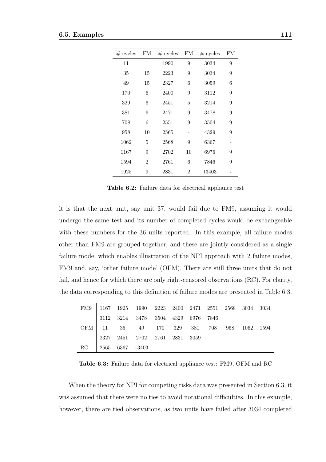| # cycles | FM             | # cycles | FM             | # cycles | FM |
|----------|----------------|----------|----------------|----------|----|
| 11       | 1              | 1990     | 9              | 3034     | 9  |
| 35       | 15             | 2223     | 9              | 3034     | 9  |
| 49       | 15             | 2327     | 6              | 3059     | 6  |
| 170      | 6              | 2400     | 9              | 3112     | 9  |
| 329      | 6              | 2451     | 5              | 3214     | 9  |
| 381      | 6              | 2471     | 9              | 3478     | 9  |
| 708      | 6              | 2551     | 9              | 3504     | 9  |
| 958      | 10             | 2565     |                | 4329     | 9  |
| 1062     | 5              | 2568     | 9              | 6367     |    |
| 1167     | 9              | 2702     | 10             | 6976     | 9  |
| 1594     | $\overline{2}$ | 2761     | 6              | 7846     | 9  |
| 1925     | 9              | 2831     | $\overline{2}$ | 13403    |    |

Table 6.2: Failure data for electrical appliance test

it is that the next unit, say unit 37, would fail due to FM9, assuming it would undergo the same test and its number of completed cycles would be exchangeable with these numbers for the 36 units reported. In this example, all failure modes other than FM9 are grouped together, and these are jointly considered as a single failure mode, which enables illustration of the NPI approach with 2 failure modes, FM9 and, say, 'other failure mode' (OFM). There are still three units that do not fail, and hence for which there are only right-censored observations (RC). For clarity, the data corresponding to this definition of failure modes are presented in Table 6.3.

|                    |  | FM9 1167 1925 1990 2223 2400 2471 2551 2568 3034 3034                                                          |  |  |  |  |
|--------------------|--|----------------------------------------------------------------------------------------------------------------|--|--|--|--|
|                    |  | $\begin{array}{ c c c c c c c c } \hline 3112 & 3214 & 3478 & 3504 & 4329 & 6976 & 7846 \\ \hline \end{array}$ |  |  |  |  |
|                    |  | OFM 11 35 49 170 329 381 708 958 1062 1594                                                                     |  |  |  |  |
|                    |  | 2327 2451 2702 2761 2831 3059                                                                                  |  |  |  |  |
| RC 2565 6367 13403 |  |                                                                                                                |  |  |  |  |

Table 6.3: Failure data for electrical appliance test: FM9, OFM and RC

When the theory for NPI for competing risks data was presented in Section 6.3, it was assumed that there were no ties to avoid notational difficulties. In this example, however, there are tied observations, as two units have failed after 3034 completed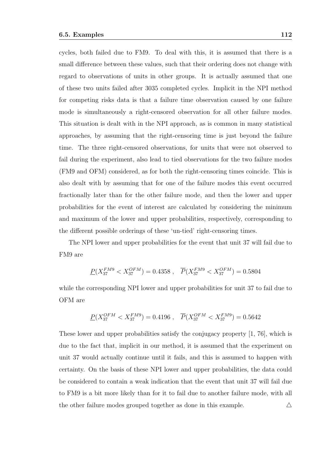cycles, both failed due to FM9. To deal with this, it is assumed that there is a small difference between these values, such that their ordering does not change with regard to observations of units in other groups. It is actually assumed that one of these two units failed after 3035 completed cycles. Implicit in the NPI method for competing risks data is that a failure time observation caused by one failure mode is simultaneously a right-censored observation for all other failure modes. This situation is dealt with in the NPI approach, as is common in many statistical approaches, by assuming that the right-censoring time is just beyond the failure time. The three right-censored observations, for units that were not observed to fail during the experiment, also lead to tied observations for the two failure modes (FM9 and OFM) considered, as for both the right-censoring times coincide. This is also dealt with by assuming that for one of the failure modes this event occurred fractionally later than for the other failure mode, and then the lower and upper probabilities for the event of interest are calculated by considering the minimum and maximum of the lower and upper probabilities, respectively, corresponding to the different possible orderings of these 'un-tied' right-censoring times.

The NPI lower and upper probabilities for the event that unit 37 will fail due to FM9 are

$$
\underline{P}(X^{FM9}_{37} < X^{OFM}_{37}) = 0.4358 \; , \quad \overline{P}(X^{FM9}_{37} < X^{OFM}_{37}) = 0.5804
$$

while the corresponding NPI lower and upper probabilities for unit 37 to fail due to OFM are

$$
\underline{P}(X^{OFM}_{37} < X^{FM9}_{37}) = 0.4196 \; , \quad \overline{P}(X^{OFM}_{37} < X^{FM9}_{37}) = 0.5642
$$

These lower and upper probabilities satisfy the conjugacy property [1, 76], which is due to the fact that, implicit in our method, it is assumed that the experiment on unit 37 would actually continue until it fails, and this is assumed to happen with certainty. On the basis of these NPI lower and upper probabilities, the data could be considered to contain a weak indication that the event that unit 37 will fail due to FM9 is a bit more likely than for it to fail due to another failure mode, with all the other failure modes grouped together as done in this example.  $\triangle$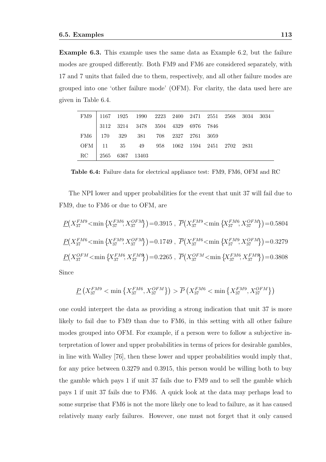Example 6.3. This example uses the same data as Example 6.2, but the failure modes are grouped differently. Both FM9 and FM6 are considered separately, with 17 and 7 units that failed due to them, respectively, and all other failure modes are grouped into one 'other failure mode' (OFM). For clarity, the data used here are given in Table 6.4.

|                    |  | ${\rm FM9} \quad   \ 1167 \quad 1925 \quad \ 1990 \quad \ 2223 \quad \ 2400 \quad \ 2471 \quad \ 2551 \quad \ 2568 \quad \ 3034 \quad \ 3034$ |  |  |  |  |
|--------------------|--|-----------------------------------------------------------------------------------------------------------------------------------------------|--|--|--|--|
|                    |  | $\begin{array}{ r} \hline 3112 & 3214 & 3478 & 3504 & 4329 & 6976 & 7846 \ \hline \end{array}$                                                |  |  |  |  |
|                    |  |                                                                                                                                               |  |  |  |  |
|                    |  | OFM 11 35 49 958 1062 1594 2451 2702 2831                                                                                                     |  |  |  |  |
| RC 2565 6367 13403 |  |                                                                                                                                               |  |  |  |  |

Table 6.4: Failure data for electrical appliance test: FM9, FM6, OFM and RC

The NPI lower and upper probabilities for the event that unit 37 will fail due to FM9, due to FM6 or due to OFM, are

$$
\underline{P}(X_{37}^{FM9} < \min \{X_{37}^{FM6}, X_{37}^{OFM}\}) = 0.3915 \ , \ \overline{P}(X_{37}^{FM9} < \min \{X_{37}^{FM6}, X_{37}^{OFM}\}) = 0.5804
$$
\n
$$
\underline{P}(X_{37}^{FM6} < \min \{X_{37}^{FM9}, X_{37}^{OFM}\}) = 0.1749 \ , \ \overline{P}(X_{37}^{FM6} < \min \{X_{37}^{FM9}, X_{37}^{OFM}\}) = 0.3279
$$
\n
$$
\underline{P}(X_{37}^{OFM} < \min \{X_{37}^{FM6}, X_{37}^{FM9}\}) = 0.2265 \ , \ \overline{P}(X_{37}^{OFM} < \min \{X_{37}^{FM6}, X_{37}^{FM9}\}) = 0.3808
$$
\nSince

Since

$$
\underline{P}\left(X_{37}^{FM9}<\min\left\{X_{37}^{FM6},X_{37}^{OFM}\right\}\right)>\overline{P}\left(X_{37}^{FM6}<\min\left\{X_{37}^{FM9},X_{37}^{OFM}\right\}\right)
$$

one could interpret the data as providing a strong indication that unit 37 is more likely to fail due to FM9 than due to FM6, in this setting with all other failure modes grouped into OFM. For example, if a person were to follow a subjective interpretation of lower and upper probabilities in terms of prices for desirable gambles, in line with Walley [76], then these lower and upper probabilities would imply that, for any price between 0.3279 and 0.3915, this person would be willing both to buy the gamble which pays 1 if unit 37 fails due to FM9 and to sell the gamble which pays 1 if unit 37 fails due to FM6. A quick look at the data may perhaps lead to some surprise that FM6 is not the more likely one to lead to failure, as it has caused relatively many early failures. However, one must not forget that it only caused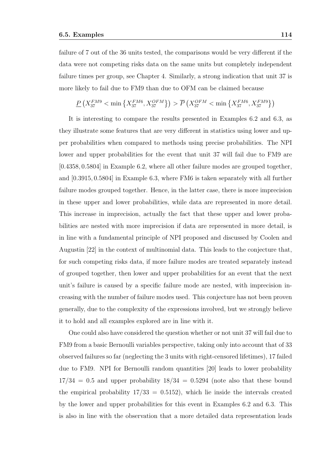failure of 7 out of the 36 units tested, the comparisons would be very different if the data were not competing risks data on the same units but completely independent failure times per group, see Chapter 4. Similarly, a strong indication that unit 37 is more likely to fail due to FM9 than due to OFM can be claimed because

$$
\underline{P}\left(X_{37}^{FM9} < \min\left\{X_{37}^{FM6}, X_{37}^{OFM}\right\}\right) > \overline{P}\left(X_{37}^{OFM} < \min\left\{X_{37}^{FM6}, X_{37}^{FM9}\right\}\right)
$$

It is interesting to compare the results presented in Examples 6.2 and 6.3, as they illustrate some features that are very different in statistics using lower and upper probabilities when compared to methods using precise probabilities. The NPI lower and upper probabilities for the event that unit 37 will fail due to FM9 are [0.4358, 0.5804] in Example 6.2, where all other failure modes are grouped together, and [0.3915, 0.5804] in Example 6.3, where FM6 is taken separately with all further failure modes grouped together. Hence, in the latter case, there is more imprecision in these upper and lower probabilities, while data are represented in more detail. This increase in imprecision, actually the fact that these upper and lower probabilities are nested with more imprecision if data are represented in more detail, is in line with a fundamental principle of NPI proposed and discussed by Coolen and Augustin [22] in the context of multinomial data. This leads to the conjecture that, for such competing risks data, if more failure modes are treated separately instead of grouped together, then lower and upper probabilities for an event that the next unit's failure is caused by a specific failure mode are nested, with imprecision increasing with the number of failure modes used. This conjecture has not been proven generally, due to the complexity of the expressions involved, but we strongly believe it to hold and all examples explored are in line with it.

One could also have considered the question whether or not unit 37 will fail due to FM9 from a basic Bernoulli variables perspective, taking only into account that of 33 observed failures so far (neglecting the 3 units with right-censored lifetimes), 17 failed due to FM9. NPI for Bernoulli random quantities [20] leads to lower probability  $17/34 = 0.5$  and upper probability  $18/34 = 0.5294$  (note also that these bound the empirical probability  $17/33 = 0.5152$ , which lie inside the intervals created by the lower and upper probabilities for this event in Examples 6.2 and 6.3. This is also in line with the observation that a more detailed data representation leads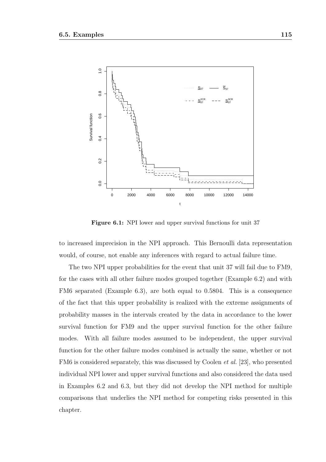

Figure 6.1: NPI lower and upper survival functions for unit 37

to increased imprecision in the NPI approach. This Bernoulli data representation would, of course, not enable any inferences with regard to actual failure time.

The two NPI upper probabilities for the event that unit 37 will fail due to FM9, for the cases with all other failure modes grouped together (Example 6.2) and with FM6 separated (Example 6.3), are both equal to 0.5804. This is a consequence of the fact that this upper probability is realized with the extreme assignments of probability masses in the intervals created by the data in accordance to the lower survival function for FM9 and the upper survival function for the other failure modes. With all failure modes assumed to be independent, the upper survival function for the other failure modes combined is actually the same, whether or not FM6 is considered separately, this was discussed by Coolen et al. [23], who presented individual NPI lower and upper survival functions and also considered the data used in Examples 6.2 and 6.3, but they did not develop the NPI method for multiple comparisons that underlies the NPI method for competing risks presented in this chapter.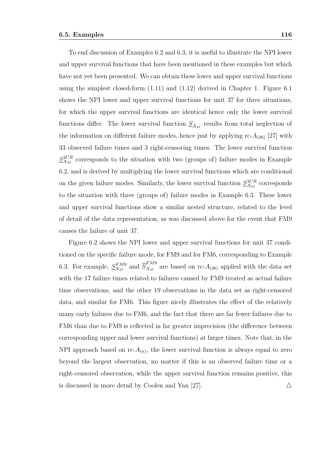To end discussion of Examples 6.2 and 6.3, it is useful to illustrate the NPI lower and upper survival functions that have been mentioned in these examples but which have not yet been presented. We can obtain these lower and upper survival functions using the simplest closed-form (1.11) and (1.12) derived in Chapter 1. Figure 6.1 shows the NPI lower and upper survival functions for unit 37 for three situations, for which the upper survival functions are identical hence only the lower survival functions differ. The lower survival function  $S_{X_{37}}$  results from total neglection of the information on different failure modes, hence just by applying  $\text{rc-}A_{(36)}$  [27] with 33 observed failure times and 3 right-censoring times. The lower survival function  $S_{X_{37}}^{2CR}$  corresponds to the situation with two (groups of) failure modes in Example 6.2, and is derived by multiplying the lower survival functions which are conditional on the given failure modes. Similarly, the lower survival function  $S^{3CR}_{X_{37}}$  corresponds to the situation with three (groups of) failure modes in Example 6.3. These lower and upper survival functions show a similar nested structure, related to the level of detail of the data representation, as was discussed above for the event that FM9 causes the failure of unit 37.

Figure 6.2 shows the NPI lower and upper survival functions for unit 37 conditioned on the specific failure mode, for FM9 and for FM6, corresponding to Example 6.3. For example,  $S_{X_{37}}^{F M 9}$  and  $\overline{S}_{X_{37}}^{F M 9}$  $X_{37}^{1}_{37}$  are based on rc- $A_{(36)}$  applied with the data set with the 17 failure times related to failures caused by FM9 treated as actual failure time observations, and the other 19 observations in the data set as right-censored data, and similar for FM6. This figure nicely illustrates the effect of the relatively many early failures due to FM6, and the fact that there are far fewer failures due to FM6 than due to FM9 is reflected in far greater imprecision (the difference between corresponding upper and lower survival functions) at larger times. Note that, in the NPI approach based on  $\text{rc-}A_{(n)}$ , the lower survival function is always equal to zero beyond the largest observation, no matter if this is an observed failure time or a right-censored observation, while the upper survival function remains positive, this is discussed in more detail by Coolen and Yan [27].  $\triangle$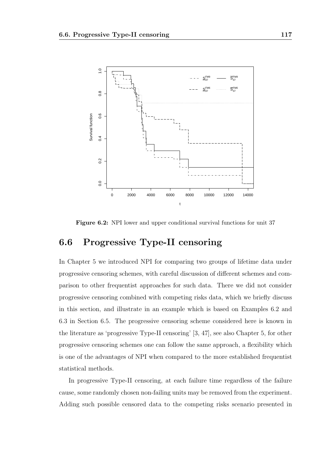

Figure 6.2: NPI lower and upper conditional survival functions for unit 37

# 6.6 Progressive Type-II censoring

In Chapter 5 we introduced NPI for comparing two groups of lifetime data under progressive censoring schemes, with careful discussion of different schemes and comparison to other frequentist approaches for such data. There we did not consider progressive censoring combined with competing risks data, which we briefly discuss in this section, and illustrate in an example which is based on Examples 6.2 and 6.3 in Section 6.5. The progressive censoring scheme considered here is known in the literature as 'progressive Type-II censoring' [3, 47], see also Chapter 5, for other progressive censoring schemes one can follow the same approach, a flexibility which is one of the advantages of NPI when compared to the more established frequentist statistical methods.

In progressive Type-II censoring, at each failure time regardless of the failure cause, some randomly chosen non-failing units may be removed from the experiment. Adding such possible censored data to the competing risks scenario presented in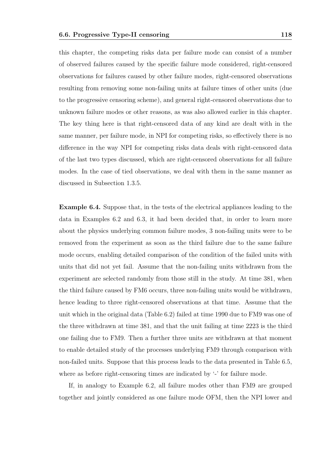this chapter, the competing risks data per failure mode can consist of a number of observed failures caused by the specific failure mode considered, right-censored observations for failures caused by other failure modes, right-censored observations resulting from removing some non-failing units at failure times of other units (due to the progressive censoring scheme), and general right-censored observations due to unknown failure modes or other reasons, as was also allowed earlier in this chapter. The key thing here is that right-censored data of any kind are dealt with in the same manner, per failure mode, in NPI for competing risks, so effectively there is no difference in the way NPI for competing risks data deals with right-censored data of the last two types discussed, which are right-censored observations for all failure modes. In the case of tied observations, we deal with them in the same manner as discussed in Subsection 1.3.5.

Example 6.4. Suppose that, in the tests of the electrical appliances leading to the data in Examples 6.2 and 6.3, it had been decided that, in order to learn more about the physics underlying common failure modes, 3 non-failing units were to be removed from the experiment as soon as the third failure due to the same failure mode occurs, enabling detailed comparison of the condition of the failed units with units that did not yet fail. Assume that the non-failing units withdrawn from the experiment are selected randomly from those still in the study. At time 381, when the third failure caused by FM6 occurs, three non-failing units would be withdrawn, hence leading to three right-censored observations at that time. Assume that the unit which in the original data (Table 6.2) failed at time 1990 due to FM9 was one of the three withdrawn at time 381, and that the unit failing at time 2223 is the third one failing due to FM9. Then a further three units are withdrawn at that moment to enable detailed study of the processes underlying FM9 through comparison with non-failed units. Suppose that this process leads to the data presented in Table 6.5, where as before right-censoring times are indicated by  $\cdot$  for failure mode.

If, in analogy to Example 6.2, all failure modes other than FM9 are grouped together and jointly considered as one failure mode OFM, then the NPI lower and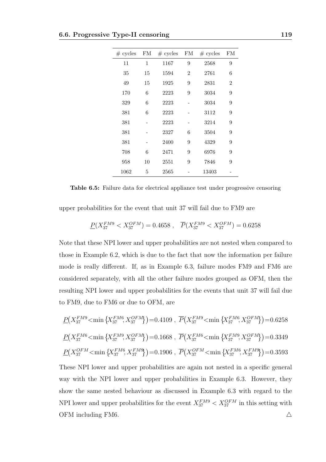| # cycles | FM | # cycles | FM             | # cycles | FM             |
|----------|----|----------|----------------|----------|----------------|
| 11       | 1  | 1167     | 9              | 2568     | 9              |
| 35       | 15 | 1594     | $\overline{2}$ | 2761     | 6              |
| 49       | 15 | 1925     | 9              | 2831     | $\overline{2}$ |
| 170      | 6  | 2223     | 9              | 3034     | 9              |
| 329      | 6  | 2223     |                | 3034     | 9              |
| 381      | 6  | 2223     |                | 3112     | 9              |
| 381      |    | 2223     |                | 3214     | 9              |
| 381      |    | 2327     | 6              | 3504     | 9              |
| 381      |    | 2400     | 9              | 4329     | 9              |
| 708      | 6  | 2471     | 9              | 6976     | 9              |
| 958      | 10 | 2551     | 9              | 7846     | 9              |
| 1062     | 5  | 2565     |                | 13403    |                |

Table 6.5: Failure data for electrical appliance test under progressive censoring

upper probabilities for the event that unit 37 will fail due to FM9 are

$$
\underline{P}(X_{37}^{FM9} < X_{37}^{OFM}) = 0.4658 \; , \quad \overline{P}(X_{37}^{FM9} < X_{37}^{OFM}) = 0.6258
$$

Note that these NPI lower and upper probabilities are not nested when compared to those in Example 6.2, which is due to the fact that now the information per failure mode is really different. If, as in Example 6.3, failure modes FM9 and FM6 are considered separately, with all the other failure modes grouped as OFM, then the resulting NPI lower and upper probabilities for the events that unit 37 will fail due to FM9, due to FM6 or due to OFM, are

$$
\underline{P}(X_{37}^{FM9} < \min\left\{X_{37}^{FM6}, X_{37}^{OFM}\right\}) = 0.4109 \ , \ \overline{P}(X_{37}^{FM6} < \min\left\{X_{37}^{FM6}, X_{37}^{OFM}\right\}) = 0.6258
$$
\n
$$
\underline{P}(X_{37}^{FM6} < \min\left\{X_{37}^{FM9}, X_{37}^{OFM}\right\}) = 0.1668 \ , \ \overline{P}(X_{37}^{FM6} < \min\left\{X_{37}^{FM9}, X_{37}^{OFM}\right\}) = 0.3349
$$
\n
$$
\underline{P}(X_{37}^{OFM} < \min\left\{X_{37}^{FM6}, X_{37}^{FM9}\right\}) = 0.1906 \ , \ \overline{P}(X_{37}^{OFM} < \min\left\{X_{37}^{FM6}, X_{37}^{FM9}\right\}) = 0.3593
$$

These NPI lower and upper probabilities are again not nested in a specific general way with the NPI lower and upper probabilities in Example 6.3. However, they show the same nested behaviour as discussed in Example 6.3 with regard to the NPI lower and upper probabilities for the event  $X_{37}^{FM9} < X_{37}^{OFM}$  in this setting with OFM including FM6.  $\triangle$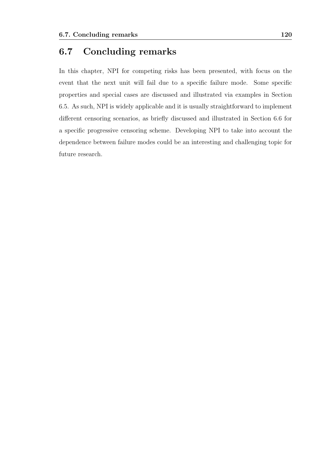## 6.7 Concluding remarks

In this chapter, NPI for competing risks has been presented, with focus on the event that the next unit will fail due to a specific failure mode. Some specific properties and special cases are discussed and illustrated via examples in Section 6.5. As such, NPI is widely applicable and it is usually straightforward to implement different censoring scenarios, as briefly discussed and illustrated in Section 6.6 for a specific progressive censoring scheme. Developing NPI to take into account the dependence between failure modes could be an interesting and challenging topic for future research.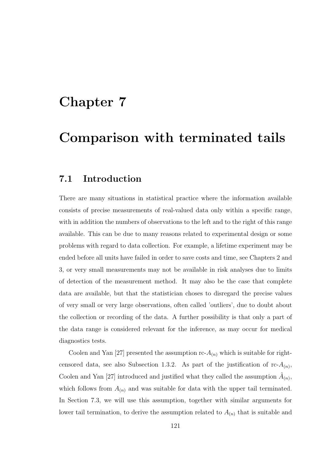# Chapter 7

# Comparison with terminated tails

### 7.1 Introduction

There are many situations in statistical practice where the information available consists of precise measurements of real-valued data only within a specific range, with in addition the numbers of observations to the left and to the right of this range available. This can be due to many reasons related to experimental design or some problems with regard to data collection. For example, a lifetime experiment may be ended before all units have failed in order to save costs and time, see Chapters 2 and 3, or very small measurements may not be available in risk analyses due to limits of detection of the measurement method. It may also be the case that complete data are available, but that the statistician choses to disregard the precise values of very small or very large observations, often called 'outliers', due to doubt about the collection or recording of the data. A further possibility is that only a part of the data range is considered relevant for the inference, as may occur for medical diagnostics tests.

Coolen and Yan [27] presented the assumption  $\text{rc-}A_{(n)}$  which is suitable for rightcensored data, see also Subsection 1.3.2. As part of the justification of  $\text{rc-}A_{(n)}$ , Coolen and Yan [27] introduced and justified what they called the assumption  $\tilde{A}_{(n)}$ , which follows from  $A_{(n)}$  and was suitable for data with the upper tail terminated. In Section 7.3, we will use this assumption, together with similar arguments for lower tail termination, to derive the assumption related to  $A_{(n)}$  that is suitable and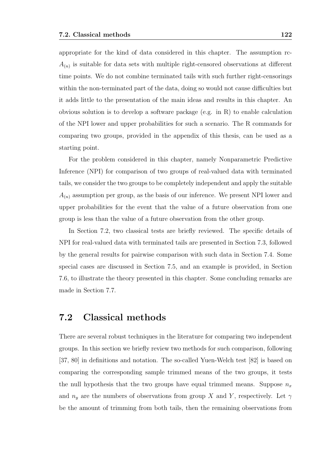appropriate for the kind of data considered in this chapter. The assumption rc- $A_{(n)}$  is suitable for data sets with multiple right-censored observations at different time points. We do not combine terminated tails with such further right-censorings within the non-terminated part of the data, doing so would not cause difficulties but it adds little to the presentation of the main ideas and results in this chapter. An obvious solution is to develop a software package (e.g. in R) to enable calculation of the NPI lower and upper probabilities for such a scenario. The R commands for comparing two groups, provided in the appendix of this thesis, can be used as a starting point.

For the problem considered in this chapter, namely Nonparametric Predictive Inference (NPI) for comparison of two groups of real-valued data with terminated tails, we consider the two groups to be completely independent and apply the suitable  $A_{(n)}$  assumption per group, as the basis of our inference. We present NPI lower and upper probabilities for the event that the value of a future observation from one group is less than the value of a future observation from the other group.

In Section 7.2, two classical tests are briefly reviewed. The specific details of NPI for real-valued data with terminated tails are presented in Section 7.3, followed by the general results for pairwise comparison with such data in Section 7.4. Some special cases are discussed in Section 7.5, and an example is provided, in Section 7.6, to illustrate the theory presented in this chapter. Some concluding remarks are made in Section 7.7.

## 7.2 Classical methods

There are several robust techniques in the literature for comparing two independent groups. In this section we briefly review two methods for such comparison, following [37, 80] in definitions and notation. The so-called Yuen-Welch test [82] is based on comparing the corresponding sample trimmed means of the two groups, it tests the null hypothesis that the two groups have equal trimmed means. Suppose  $n_x$ and  $n_y$  are the numbers of observations from group X and Y, respectively. Let  $\gamma$ be the amount of trimming from both tails, then the remaining observations from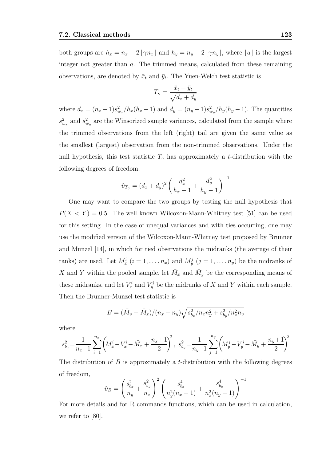both groups are  $h_x = n_x - 2 \lfloor \gamma n_x \rfloor$  and  $h_y = n_y - 2 \lfloor \gamma n_y \rfloor$ , where  $\lfloor a \rfloor$  is the largest integer not greater than a. The trimmed means, calculated from these remaining observations, are denoted by  $\bar{x}_t$  and  $\bar{y}_t$ . The Yuen-Welch test statistic is

$$
T_{\gamma} = \frac{\bar{x}_t - \bar{y}_t}{\sqrt{d_x + d_y}}
$$

where  $d_x = (n_x - 1)s_{w_x}^2/h_x(h_x - 1)$  and  $d_y = (n_y - 1)s_{w_y}^2/h_y(h_y - 1)$ . The quantities  $s_{w_x}^2$  and  $s_{w_y}^2$  are the Winsorized sample variances, calculated from the sample where the trimmed observations from the left (right) tail are given the same value as the smallest (largest) observation from the non-trimmed observations. Under the null hypothesis, this test statistic  $T_{\gamma}$  has approximately a t-distribution with the following degrees of freedom,

$$
\hat{v}_{T_{\gamma}} = (d_x + d_y)^2 \left( \frac{d_x^2}{h_x - 1} + \frac{d_y^2}{h_y - 1} \right)^{-1}
$$

One may want to compare the two groups by testing the null hypothesis that  $P(X \le Y) = 0.5$ . The well known Wilcoxon-Mann-Whitney test [51] can be used for this setting. In the case of unequal variances and with ties occurring, one may use the modified version of the Wilcoxon-Mann-Whitney test proposed by Brunner and Munzel [14], in which for tied observations the midranks (the average of their ranks) are used. Let  $M_x^i$   $(i = 1, ..., n_x)$  and  $M_y^j$   $(j = 1, ..., n_y)$  be the midranks of X and Y within the pooled sample, let  $\bar{M}_x$  and  $\bar{M}_y$  be the corresponding means of these midranks, and let  $V_x^i$  and  $V_y^j$  be the midranks of X and Y within each sample. Then the Brunner-Munzel test statistic is

$$
B = (\bar{M}_y - \bar{M}_x)/(n_x + n_y)\sqrt{s_{b_x}^2/n_x n_y^2 + s_{b_y}^2/n_x^2 n_y}
$$

where

$$
s_{b_x}^2\!=\!\frac{1}{n_x\!-\!1}\sum_{i=1}^{n_x}\!\left(\!M_x^i\!-\!V_x^i\!-\!\bar{M_x}+\frac{n_x\!+\!1}{2}\!\right)^{\!2},\; s_{b_y}^2\!=\!\frac{1}{n_y\!-\!1}\sum_{j=1}^{n_y}\!\left(\!M_y^j\!-\!V_y^j\!-\!\bar{M_y}+\frac{n_y\!+\!1}{2}\!\right)^{\!2}
$$

The distribution of  $B$  is approximately a t-distribution with the following degrees of freedom,

$$
\hat{v}_B = \left(\frac{s_{b_x}^2}{n_y} + \frac{s_{b_y}^2}{n_x}\right)^2 \left(\frac{s_{b_x}^4}{n_y^2(n_x - 1)} + \frac{s_{b_y}^4}{n_x^2(n_y - 1)}\right)^{-1}
$$

For more details and for R commands functions, which can be used in calculation, we refer to [80].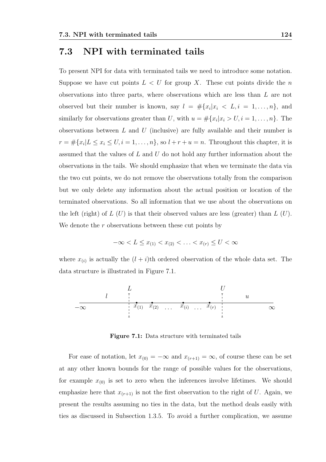### 7.3 NPI with terminated tails

To present NPI for data with terminated tails we need to introduce some notation. Suppose we have cut points  $L < U$  for group X. These cut points divide the n observations into three parts, where observations which are less than L are not observed but their number is known, say  $l = #\{x_i | x_i \le L, i = 1, ..., n\}$ , and similarly for observations greater than U, with  $u = \#\{x_i | x_i > U, i = 1, \ldots, n\}$ . The observations between  $L$  and  $U$  (inclusive) are fully available and their number is  $r = #\{x_i | L \le x_i \le U, i = 1, \ldots, n\}$ , so  $l + r + u = n$ . Throughout this chapter, it is assumed that the values of  $L$  and  $U$  do not hold any further information about the observations in the tails. We should emphasize that when we terminate the data via the two cut points, we do not remove the observations totally from the comparison but we only delete any information about the actual position or location of the terminated observations. So all information that we use about the observations on the left (right) of  $L(U)$  is that their observed values are less (greater) than  $L(U)$ . We denote the  $r$  observations between these cut points by

$$
-\infty < L \leq x_{(1)} < x_{(2)} < \ldots < x_{(r)} \leq U < \infty
$$

where  $x_{(i)}$  is actually the  $(l + i)$ th ordered observation of the whole data set. The data structure is illustrated in Figure 7.1.



Figure 7.1: Data structure with terminated tails

For ease of notation, let  $x_{(0)} = -\infty$  and  $x_{(r+1)} = \infty$ , of course these can be set at any other known bounds for the range of possible values for the observations, for example  $x_{(0)}$  is set to zero when the inferences involve lifetimes. We should emphasize here that  $x_{(r+1)}$  is not the first observation to the right of U. Again, we present the results assuming no ties in the data, but the method deals easily with ties as discussed in Subsection 1.3.5. To avoid a further complication, we assume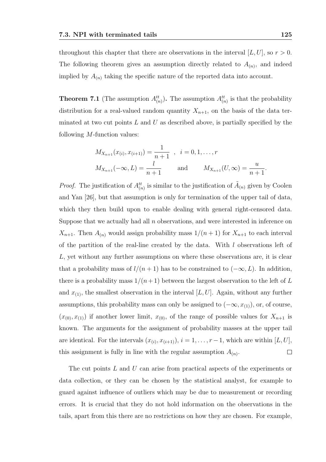throughout this chapter that there are observations in the interval  $[L, U]$ , so  $r > 0$ . The following theorem gives an assumption directly related to  $A_{(n)}$ , and indeed implied by  $A_{(n)}$  taking the specific nature of the reported data into account.

**Theorem 7.1** (The assumption  $A_{(n)}^{tt}$ ). The assumption  $A_{(n)}^{tt}$  is that the probability distribution for a real-valued random quantity  $X_{n+1}$ , on the basis of the data terminated at two cut points  $L$  and  $U$  as described above, is partially specified by the following M-function values:

$$
M_{X_{n+1}}(x_{(i)}, x_{(i+1)}) = \frac{1}{n+1} , i = 0, 1, ..., r
$$
  

$$
M_{X_{n+1}}(-\infty, L) = \frac{l}{n+1} \quad \text{and} \quad M_{X_{n+1}}(U, \infty) = \frac{u}{n+1}.
$$

*Proof.* The justification of  $A_{(n)}^{tt}$  is similar to the justification of  $\tilde{A}_{(n)}$  given by Coolen and Yan [26], but that assumption is only for termination of the upper tail of data, which they then build upon to enable dealing with general right-censored data. Suppose that we actually had all  $n$  observations, and were interested in inference on  $X_{n+1}$ . Then  $A_{(n)}$  would assign probability mass  $1/(n+1)$  for  $X_{n+1}$  to each interval of the partition of the real-line created by the data. With l observations left of L, yet without any further assumptions on where these observations are, it is clear that a probability mass of  $l/(n+1)$  has to be constrained to  $(-\infty, L)$ . In addition, there is a probability mass  $1/(n+1)$  between the largest observation to the left of L and  $x_{(1)}$ , the smallest observation in the interval [L, U]. Again, without any further assumptions, this probability mass can only be assigned to  $(-\infty, x_{(1)})$ , or, of course,  $(x_{(0)}, x_{(1)})$  if another lower limit,  $x_{(0)}$ , of the range of possible values for  $X_{n+1}$  is known. The arguments for the assignment of probability masses at the upper tail are identical. For the intervals  $(x_{(i)}, x_{(i+1)}), i = 1, \ldots, r-1$ , which are within  $[L, U],$ this assignment is fully in line with the regular assumption  $A_{(n)}$ .  $\Box$ 

The cut points  $L$  and  $U$  can arise from practical aspects of the experiments or data collection, or they can be chosen by the statistical analyst, for example to guard against influence of outliers which may be due to measurement or recording errors. It is crucial that they do not hold information on the observations in the tails, apart from this there are no restrictions on how they are chosen. For example,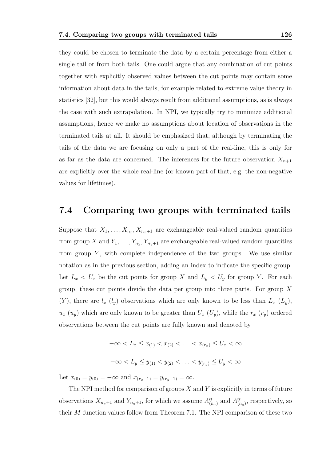they could be chosen to terminate the data by a certain percentage from either a single tail or from both tails. One could argue that any combination of cut points together with explicitly observed values between the cut points may contain some information about data in the tails, for example related to extreme value theory in statistics [32], but this would always result from additional assumptions, as is always the case with such extrapolation. In NPI, we typically try to minimize additional assumptions, hence we make no assumptions about location of observations in the terminated tails at all. It should be emphasized that, although by terminating the tails of the data we are focusing on only a part of the real-line, this is only for as far as the data are concerned. The inferences for the future observation  $X_{n+1}$ are explicitly over the whole real-line (or known part of that, e.g. the non-negative values for lifetimes).

### 7.4 Comparing two groups with terminated tails

Suppose that  $X_1, \ldots, X_{n_x}, X_{n_x+1}$  are exchangeable real-valued random quantities from group X and  $Y_1, \ldots, Y_{n_y}, Y_{n_y+1}$  are exchangeable real-valued random quantities from group  $Y$ , with complete independence of the two groups. We use similar notation as in the previous section, adding an index to indicate the specific group. Let  $L_x < U_x$  be the cut points for group X and  $L_y < U_y$  for group Y. For each group, these cut points divide the data per group into three parts. For group  $X$  $(Y)$ , there are  $l_x$   $(l_y)$  observations which are only known to be less than  $L_x$   $(L_y)$ ,  $u_x (u_y)$  which are only known to be greater than  $U_x (U_y)$ , while the  $r_x (r_y)$  ordered observations between the cut points are fully known and denoted by

$$
-\infty < L_x \le x_{(1)} < x_{(2)} < \ldots < x_{(r_x)} \le U_x < \infty
$$
\n
$$
-\infty < L_y \le y_{(1)} < y_{(2)} < \ldots < y_{(r_y)} \le U_y < \infty
$$

Let  $x_{(0)} = y_{(0)} = -\infty$  and  $x_{(r_x+1)} = y_{(r_y+1)} = \infty$ .

The NPI method for comparison of groups  $X$  and  $Y$  is explicitly in terms of future observations  $X_{n_x+1}$  and  $Y_{n_y+1}$ , for which we assume  $A_{(n_x)}^{tt}$  and  $A_{(n_y)}^{tt}$ , respectively, so their M-function values follow from Theorem 7.1. The NPI comparison of these two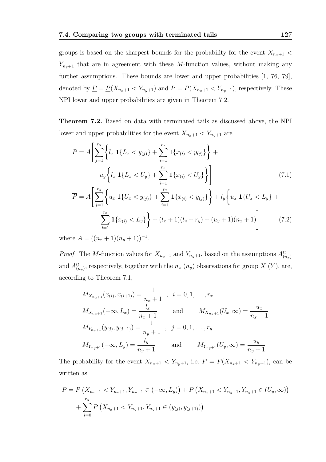groups is based on the sharpest bounds for the probability for the event  $X_{n_x+1}$  <  $Y_{n_y+1}$  that are in agreement with these M-function values, without making any further assumptions. These bounds are lower and upper probabilities [1, 76, 79], denoted by  $\underline{P} = \underline{P}(X_{n_x+1} < Y_{n_y+1})$  and  $\overline{P} = \overline{P}(X_{n_x+1} < Y_{n_y+1})$ , respectively. These NPI lower and upper probabilities are given in Theorem 7.2.

Theorem 7.2. Based on data with terminated tails as discussed above, the NPI lower and upper probabilities for the event  $X_{n_x+1} < Y_{n_y+1}$  are

$$
\underline{P} = A \left[ \sum_{j=1}^{r_y} \left\{ l_x \mathbf{1} \{ L_x < y_{(j)} \} + \sum_{i=1}^{r_x} \mathbf{1} \{ x_{(i)} < y_{(j)} \} \right\} + u_y \left\{ l_x \mathbf{1} \{ L_x < U_y \} + \sum_{i=1}^{r_x} \mathbf{1} \{ x_{(i)} < U_y \} \right\} \right] \tag{7.1}
$$
\n
$$
\overline{P} = A \left[ \sum_{i=1}^{r_y} \left\{ u_x \mathbf{1} \{ U_x < y_{(j)} \} + \sum_{i=1}^{r_x} \mathbf{1} \{ x_{(i)} < y_{(j)} \} \right\} + l_y \left\{ u_x \mathbf{1} \{ U_x < L_y \} + l_y \{ u_x \mathbf{1} \{ U_x < L_y \} \right\} \right]
$$

$$
A\left[\sum_{j=1}^{r_x} \left\{u_x \mathbf{1}\{U_x < y_{(j)}\} + \sum_{i=1}^{r_x} \mathbf{1}\{x_{(i)} < y_{(j)}\}\right\} + l_y \left\{u_x \mathbf{1}\{U_x < L_y\} + \sum_{i=1}^{r_x} \mathbf{1}\{x_{(i)} < L_y\}\right\} + (l_x + 1)(l_y + r_y) + (u_y + 1)(n_x + 1)\right] \tag{7.2}
$$

where  $A = ((n_x + 1)(n_y + 1))^{-1}$ .

*Proof.* The M-function values for  $X_{n_x+1}$  and  $Y_{n_y+1}$ , based on the assumptions  $A_{(n_x)}^{tt}$ and  $A_{(n_y)}^{tt}$ , respectively, together with the  $n_x(n_y)$  observations for group X  $(Y)$ , are, according to Theorem 7.1,

$$
M_{X_{n_x+1}}(x_{(i)}, x_{(i+1)}) = \frac{1}{n_x+1} , i = 0, 1, ..., r_x
$$
  
\n
$$
M_{X_{n_x+1}}(-\infty, L_x) = \frac{l_x}{n_x+1} \quad \text{and} \quad M_{X_{n_x+1}}(U_x, \infty) = \frac{u_x}{n_x+1}
$$
  
\n
$$
M_{Y_{n_y+1}}(y_{(j)}, y_{(j+1)}) = \frac{1}{n_y+1} , j = 0, 1, ..., r_y
$$
  
\n
$$
M_{Y_{n_y+1}}(-\infty, L_y) = \frac{l_y}{n_y+1} \quad \text{and} \quad M_{Y_{n_y+1}}(U_y, \infty) = \frac{u_y}{n_y+1}
$$

The probability for the event  $X_{n_x+1} < Y_{n_y+1}$ , i.e.  $P = P(X_{n_x+1} < Y_{n_y+1})$ , can be written as

$$
P = P\left(X_{n_x+1} < Y_{n_y+1}, Y_{n_y+1} \in (-\infty, L_y)\right) + P\left(X_{n_x+1} < Y_{n_y+1}, Y_{n_y+1} \in (U_y, \infty)\right) + \sum_{j=0}^{r_y} P\left(X_{n_x+1} < Y_{n_y+1}, Y_{n_y+1} \in (y_{(j)}, y_{(j+1)})\right)
$$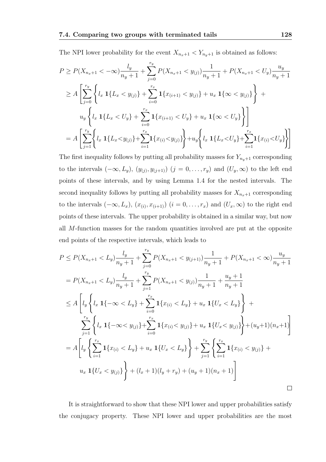The NPI lower probability for the event  $X_{n_x+1} < Y_{n_y+1}$  is obtained as follows:

$$
P \ge P(X_{n_x+1} < -\infty) \frac{l_y}{n_y+1} + \sum_{j=0}^{r_y} P(X_{n_x+1} < y_{(j)}) \frac{1}{n_y+1} + P(X_{n_x+1} < U_y) \frac{u_y}{n_y+1}
$$
\n
$$
\ge A \left[ \sum_{j=0}^{r_y} \left\{ l_x \mathbf{1} \{ L_x < y_{(j)} \} + \sum_{i=0}^{r_x} \mathbf{1} \{ x_{(i+1)} < y_{(j)} \} + u_x \mathbf{1} \{ \infty < y_{(j)} \} \right\} + u_y \left\{ l_x \mathbf{1} \{ L_x < U_y \} + \sum_{i=0}^{r_x} \mathbf{1} \{ x_{(i+1)} < U_y \} + u_x \mathbf{1} \{ \infty < U_y \} \right\} \right]
$$
\n
$$
= A \left[ \sum_{j=1}^{r_y} \left\{ l_x \mathbf{1} \{ L_x < y_{(j)} \} + \sum_{i=1}^{r_x} \mathbf{1} \{ x_{(i)} < y_{(j)} \} \right\} + u_y \left\{ l_x \mathbf{1} \{ L_x < U_y \} + \sum_{i=1}^{r_x} \mathbf{1} \{ x_{(i)} < U_y \} \right\} \right]
$$

The first inequality follows by putting all probability masses for  $Y_{n_y+1}$  corresponding to the intervals  $(-\infty, L_y)$ ,  $(y_{(j)}, y_{(j+1)})$   $(j = 0, \ldots, r_y)$  and  $(U_y, \infty)$  to the left end points of these intervals, and by using Lemma 1.4 for the nested intervals. The second inequality follows by putting all probability masses for  $X_{n_x+1}$  corresponding to the intervals  $(-\infty, L_x)$ ,  $(x_{(i)}, x_{(i+1)})$   $(i = 0, \ldots, r_x)$  and  $(U_x, \infty)$  to the right end points of these intervals. The upper probability is obtained in a similar way, but now all M-function masses for the random quantities involved are put at the opposite end points of the respective intervals, which leads to

$$
P \le P(X_{n_x+1} < L_y) \frac{l_y}{n_y+1} + \sum_{j=0}^{r_y} P(X_{n_x+1} < y_{(j+1)}) \frac{1}{n_y+1} + P(X_{n_x+1} < \infty) \frac{u_y}{n_y+1}
$$
\n
$$
= P(X_{n_x+1} < L_y) \frac{l_y}{n_y+1} + \sum_{j=1}^{r_y} P(X_{n_x+1} < y_{(j)}) \frac{1}{n_y+1} + \frac{u_y+1}{n_y+1}
$$
\n
$$
\le A \left[ l_y \left\{ l_x \ 1\{-\infty < L_y \} + \sum_{i=0}^{r_x} 1\{x_{(i)} < L_y \} + u_x \ 1\{U_x < L_y \} \right\} + \sum_{j=1}^{r_y} \left\{ l_x \ 1\{-\infty < y_{(j)} \} + \sum_{i=0}^{r_x} 1\{x_{(i)} < y_{(j)} \} + u_x \ 1\{U_x < y_{(j)} \} \right\} + (u_y+1)(n_x+1)
$$
\n
$$
= A \left[ l_y \left\{ \sum_{i=1}^{r_x} 1\{x_{(i)} < L_y \} + u_x \ 1\{U_x < L_y \} \right\} + \sum_{j=1}^{r_y} \left\{ \sum_{i=1}^{r_x} 1\{x_{(i)} < y_{(j)} \} + u_x \ 1\{U_x < y_{(j)} \} \right\} + (l_x+1)(l_y+r_y) + (u_y+1)(n_x+1) \right]
$$

It is straightforward to show that these NPI lower and upper probabilities satisfy the conjugacy property. These NPI lower and upper probabilities are the most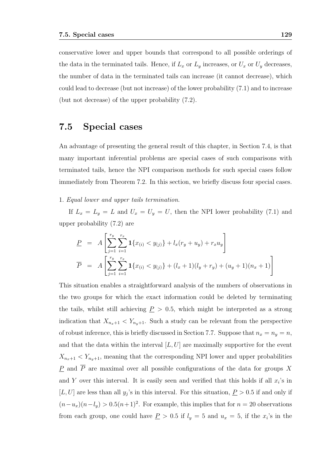conservative lower and upper bounds that correspond to all possible orderings of the data in the terminated tails. Hence, if  $L_x$  or  $L_y$  increases, or  $U_x$  or  $U_y$  decreases, the number of data in the terminated tails can increase (it cannot decrease), which could lead to decrease (but not increase) of the lower probability (7.1) and to increase (but not decrease) of the upper probability (7.2).

#### 7.5 Special cases

An advantage of presenting the general result of this chapter, in Section 7.4, is that many important inferential problems are special cases of such comparisons with terminated tails, hence the NPI comparison methods for such special cases follow immediately from Theorem 7.2. In this section, we briefly discuss four special cases.

#### 1. Equal lower and upper tails termination.

If  $L_x = L_y = L$  and  $U_x = U_y = U$ , then the NPI lower probability (7.1) and upper probability (7.2) are

$$
\underline{P} = A \left[ \sum_{j=1}^{r_y} \sum_{i=1}^{r_x} \mathbf{1} \{ x_{(i)} < y_{(j)} \} + l_x(r_y + u_y) + r_x u_y \right]
$$
\n
$$
\overline{P} = A \left[ \sum_{j=1}^{r_y} \sum_{i=1}^{r_x} \mathbf{1} \{ x_{(i)} < y_{(j)} \} + (l_x + 1)(l_y + r_y) + (u_y + 1)(n_x + 1) \right]
$$

This situation enables a straightforward analysis of the numbers of observations in the two groups for which the exact information could be deleted by terminating the tails, whilst still achieving  $P > 0.5$ , which might be interpreted as a strong indication that  $X_{n_x+1} < Y_{n_y+1}$ . Such a study can be relevant from the perspective of robust inference, this is briefly discussed in Section 7.7. Suppose that  $n_x = n_y = n$ , and that the data within the interval  $[L, U]$  are maximally supportive for the event  $X_{n_x+1} < Y_{n_y+1}$ , meaning that the corresponding NPI lower and upper probabilities  $\underline{P}$  and  $\overline{P}$  are maximal over all possible configurations of the data for groups X and Y over this interval. It is easily seen and verified that this holds if all  $x_i$ 's in [L, U] are less than all  $y_j$ 's in this interval. For this situation,  $P > 0.5$  if and only if  $(n-u_x)(n-l_y) > 0.5(n+1)^2$ . For example, this implies that for  $n = 20$  observations from each group, one could have  $\underline{P} > 0.5$  if  $l_y = 5$  and  $u_x = 5$ , if the  $x_i$ 's in the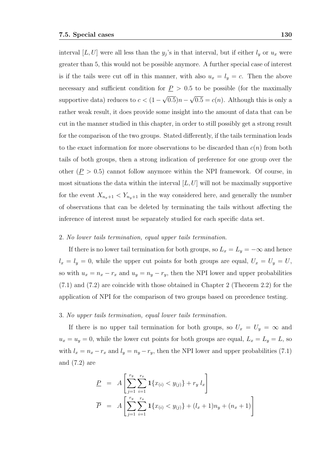interval  $[L, U]$  were all less than the  $y_j$ 's in that interval, but if either  $l_y$  or  $u_x$  were greater than 5, this would not be possible anymore. A further special case of interest is if the tails were cut off in this manner, with also  $u_x = l_y = c$ . Then the above necessary and sufficient condition for  $P > 0.5$  to be possible (for the maximally supportive data) reduces to  $c < (1 - \sqrt{0.5})n - \sqrt{0.5} = c(n)$ . Although this is only a rather weak result, it does provide some insight into the amount of data that can be cut in the manner studied in this chapter, in order to still possibly get a strong result for the comparison of the two groups. Stated differently, if the tails termination leads to the exact information for more observations to be discarded than  $c(n)$  from both tails of both groups, then a strong indication of preference for one group over the other  $(P > 0.5)$  cannot follow anymore within the NPI framework. Of course, in most situations the data within the interval  $[L, U]$  will not be maximally supportive for the event  $X_{n_x+1} < Y_{n_y+1}$  in the way considered here, and generally the number of observations that can be deleted by terminating the tails without affecting the inference of interest must be separately studied for each specific data set.

#### 2. No lower tails termination, equal upper tails termination.

If there is no lower tail termination for both groups, so  $L_x = L_y = -\infty$  and hence  $l_x = l_y = 0$ , while the upper cut points for both groups are equal,  $U_x = U_y = U$ , so with  $u_x = n_x - r_x$  and  $u_y = n_y - r_y$ , then the NPI lower and upper probabilities (7.1) and (7.2) are coincide with those obtained in Chapter 2 (Theorem 2.2) for the application of NPI for the comparison of two groups based on precedence testing.

#### 3. No upper tails termination, equal lower tails termination.

If there is no upper tail termination for both groups, so  $U_x = U_y = \infty$  and  $u_x = u_y = 0$ , while the lower cut points for both groups are equal,  $L_x = L_y = L$ , so with  $l_x = n_x - r_x$  and  $l_y = n_y - r_y$ , then the NPI lower and upper probabilities (7.1) and (7.2) are

$$
\underline{P} = A \left[ \sum_{j=1}^{r_y} \sum_{i=1}^{r_x} \mathbf{1} \{ x_{(i)} < y_{(j)} \} + r_y \, l_x \right]
$$
\n
$$
\overline{P} = A \left[ \sum_{j=1}^{r_y} \sum_{i=1}^{r_x} \mathbf{1} \{ x_{(i)} < y_{(j)} \} + (l_x + 1) n_y + (n_x + 1) \right]
$$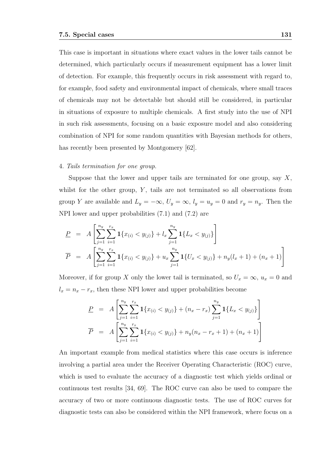This case is important in situations where exact values in the lower tails cannot be determined, which particularly occurs if measurement equipment has a lower limit of detection. For example, this frequently occurs in risk assessment with regard to, for example, food safety and environmental impact of chemicals, where small traces of chemicals may not be detectable but should still be considered, in particular in situations of exposure to multiple chemicals. A first study into the use of NPI in such risk assessments, focusing on a basic exposure model and also considering combination of NPI for some random quantities with Bayesian methods for others, has recently been presented by Montgomery [62].

#### 4. Tails termination for one group.

Suppose that the lower and upper tails are terminated for one group, say  $X$ , whilst for the other group,  $Y$ , tails are not terminated so all observations from group Y are available and  $L_y = -\infty$ ,  $U_y = \infty$ ,  $l_y = u_y = 0$  and  $r_y = n_y$ . Then the NPI lower and upper probabilities (7.1) and (7.2) are

$$
\underline{P} = A \left[ \sum_{j=1}^{n_y} \sum_{i=1}^{r_x} \mathbf{1} \{ x_{(i)} < y_{(j)} \} + l_x \sum_{j=1}^{n_y} \mathbf{1} \{ L_x < y_{(j)} \} \right]
$$
\n
$$
\overline{P} = A \left[ \sum_{j=1}^{n_y} \sum_{i=1}^{r_x} \mathbf{1} \{ x_{(i)} < y_{(j)} \} + u_x \sum_{j=1}^{n_y} \mathbf{1} \{ U_x < y_{(j)} \} + n_y (l_x + 1) + (n_x + 1) \right]
$$

Moreover, if for group X only the lower tail is terminated, so  $U_x = \infty$ ,  $u_x = 0$  and  $l_x = n_x - r_x$ , then these NPI lower and upper probabilities become

$$
\underline{P} = A \left[ \sum_{j=1}^{n_y} \sum_{i=1}^{r_x} \mathbf{1} \{ x_{(i)} < y_{(j)} \} + (n_x - r_x) \sum_{j=1}^{n_y} \mathbf{1} \{ L_x < y_{(j)} \} \right]
$$
\n
$$
\overline{P} = A \left[ \sum_{j=1}^{n_y} \sum_{i=1}^{r_x} \mathbf{1} \{ x_{(i)} < y_{(j)} \} + n_y (n_x - r_x + 1) + (n_x + 1) \right]
$$

An important example from medical statistics where this case occurs is inference involving a partial area under the Receiver Operating Characteristic (ROC) curve, which is used to evaluate the accuracy of a diagnostic test which yields ordinal or continuous test results [34, 69]. The ROC curve can also be used to compare the accuracy of two or more continuous diagnostic tests. The use of ROC curves for diagnostic tests can also be considered within the NPI framework, where focus on a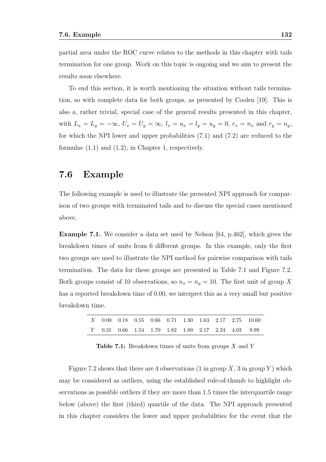partial area under the ROC curve relates to the methods in this chapter with tails termination for one group. Work on this topic is ongoing and we aim to present the results soon elsewhere.

To end this section, it is worth mentioning the situation without tails termination, so with complete data for both groups, as presented by Coolen [19]. This is also a, rather trivial, special case of the general results presented in this chapter, with  $L_x = L_y = -\infty$ ,  $U_x = U_y = \infty$ ,  $l_x = u_x = l_y = u_y = 0$ ,  $r_x = n_x$  and  $r_y = n_y$ , for which the NPI lower and upper probabilities (7.1) and (7.2) are reduced to the formulae (1.1) and (1.2), in Chapter 1, respectively.

#### 7.6 Example

The following example is used to illustrate the presented NPI approach for comparison of two groups with terminated tails and to discuss the special cases mentioned above.

Example 7.1. We consider a data set used by Nelson [64, p.462], which gives the breakdown times of units from 6 different groups. In this example, only the first two groups are used to illustrate the NPI method for pairwise comparison with tails termination. The data for these groups are presented in Table 7.1 and Figure 7.2. Both groups consist of 10 observations, so  $n_x = n_y = 10$ . The first unit of group X has a reported breakdown time of 0.00, we interpret this as a very small but positive breakdown time.

|  |  |  |  |  | X 0.00 0.18 0.55 0.66 0.71 1.30 1.63 2.17 2.75 10.60 |
|--|--|--|--|--|------------------------------------------------------|
|  |  |  |  |  | Y 0.31 0.66 1.54 1.70 1.82 1.89 2.17 2.24 4.03 9.99  |

**Table 7.1:** Breakdown times of units from groups  $X$  and  $Y$ 

Figure 7.2 shows that there are 4 observations (1 in group  $X$ , 3 in group  $Y$ ) which may be considered as outliers, using the established rule-of-thumb to highlight observations as possible outliers if they are more than 1.5 times the interquartile range below (above) the first (third) quartile of the data. The NPI approach presented in this chapter considers the lower and upper probabilities for the event that the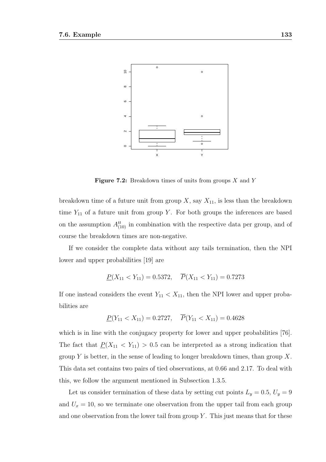

**Figure 7.2:** Breakdown times of units from groups  $X$  and  $Y$ 

breakdown time of a future unit from group  $X$ , say  $X_{11}$ , is less than the breakdown time  $Y_{11}$  of a future unit from group Y. For both groups the inferences are based on the assumption  $A_{(10)}^{tt}$  in combination with the respective data per group, and of course the breakdown times are non-negative.

If we consider the complete data without any tails termination, then the NPI lower and upper probabilities [19] are

$$
\underline{P}(X_{11} < Y_{11}) = 0.5372, \quad \overline{P}(X_{11} < Y_{11}) = 0.7273
$$

If one instead considers the event  $Y_{11} < X_{11}$ , then the NPI lower and upper probabilities are

$$
\underline{P}(Y_{11} < X_{11}) = 0.2727, \quad \overline{P}(Y_{11} < X_{11}) = 0.4628
$$

which is in line with the conjugacy property for lower and upper probabilities [76]. The fact that  $P(X_{11} < Y_{11}) > 0.5$  can be interpreted as a strong indication that group Y is better, in the sense of leading to longer breakdown times, than group  $X$ . This data set contains two pairs of tied observations, at 0.66 and 2.17. To deal with this, we follow the argument mentioned in Subsection 1.3.5.

Let us consider termination of these data by setting cut points  $L_y = 0.5, U_y = 9$ and  $U_x = 10$ , so we terminate one observation from the upper tail from each group and one observation from the lower tail from group  $Y$ . This just means that for these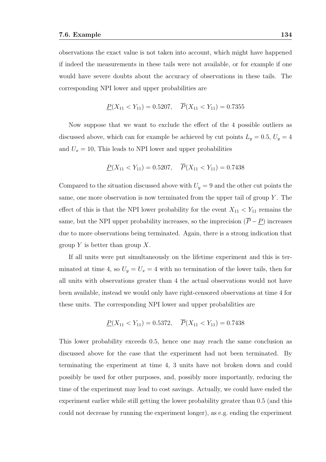observations the exact value is not taken into account, which might have happened if indeed the measurements in these tails were not available, or for example if one would have severe doubts about the accuracy of observations in these tails. The corresponding NPI lower and upper probabilities are

$$
\underline{P}(X_{11} < Y_{11}) = 0.5207, \quad \overline{P}(X_{11} < Y_{11}) = 0.7355
$$

Now suppose that we want to exclude the effect of the 4 possible outliers as discussed above, which can for example be achieved by cut points  $L_y = 0.5, U_y = 4$ and  $U_x = 10$ , This leads to NPI lower and upper probabilities

$$
\underline{P}(X_{11} < Y_{11}) = 0.5207, \quad \overline{P}(X_{11} < Y_{11}) = 0.7438
$$

Compared to the situation discussed above with  $U_y = 9$  and the other cut points the same, one more observation is now terminated from the upper tail of group  $Y$ . The effect of this is that the NPI lower probability for the event  $X_{11} < Y_{11}$  remains the same, but the NPI upper probability increases, so the imprecision  $(\overline{P} - P)$  increases due to more observations being terminated. Again, there is a strong indication that group Y is better than group  $X$ .

If all units were put simultaneously on the lifetime experiment and this is terminated at time 4, so  $U_y = U_x = 4$  with no termination of the lower tails, then for all units with observations greater than 4 the actual observations would not have been available, instead we would only have right-censored observations at time 4 for these units. The corresponding NPI lower and upper probabilities are

$$
\underline{P}(X_{11} < Y_{11}) = 0.5372, \quad \overline{P}(X_{11} < Y_{11}) = 0.7438
$$

This lower probability exceeds 0.5, hence one may reach the same conclusion as discussed above for the case that the experiment had not been terminated. By terminating the experiment at time 4, 3 units have not broken down and could possibly be used for other purposes, and, possibly more importantly, reducing the time of the experiment may lead to cost savings. Actually, we could have ended the experiment earlier while still getting the lower probability greater than 0.5 (and this could not decrease by running the experiment longer), as e.g. ending the experiment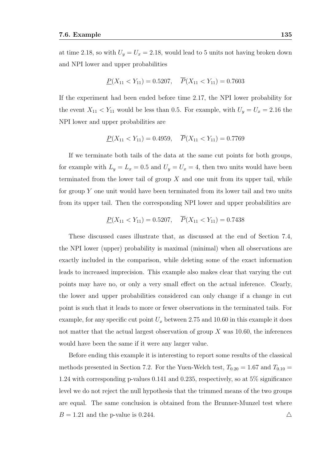at time 2.18, so with  $U_y = U_x = 2.18$ , would lead to 5 units not having broken down and NPI lower and upper probabilities

$$
\underline{P}(X_{11} < Y_{11}) = 0.5207, \quad \overline{P}(X_{11} < Y_{11}) = 0.7603
$$

If the experiment had been ended before time 2.17, the NPI lower probability for the event  $X_{11} < Y_{11}$  would be less than 0.5. For example, with  $U_y = U_x = 2.16$  the NPI lower and upper probabilities are

$$
\underline{P}(X_{11} < Y_{11}) = 0.4959, \quad \overline{P}(X_{11} < Y_{11}) = 0.7769
$$

If we terminate both tails of the data at the same cut points for both groups, for example with  $L_y = L_x = 0.5$  and  $U_y = U_x = 4$ , then two units would have been terminated from the lower tail of group  $X$  and one unit from its upper tail, while for group  $Y$  one unit would have been terminated from its lower tail and two units from its upper tail. Then the corresponding NPI lower and upper probabilities are

$$
\underline{P}(X_{11} < Y_{11}) = 0.5207, \quad \overline{P}(X_{11} < Y_{11}) = 0.7438
$$

These discussed cases illustrate that, as discussed at the end of Section 7.4, the NPI lower (upper) probability is maximal (minimal) when all observations are exactly included in the comparison, while deleting some of the exact information leads to increased imprecision. This example also makes clear that varying the cut points may have no, or only a very small effect on the actual inference. Clearly, the lower and upper probabilities considered can only change if a change in cut point is such that it leads to more or fewer observations in the terminated tails. For example, for any specific cut point  $U_x$  between 2.75 and 10.60 in this example it does not matter that the actual largest observation of group  $X$  was 10.60, the inferences would have been the same if it were any larger value.

Before ending this example it is interesting to report some results of the classical methods presented in Section 7.2. For the Yuen-Welch test,  $T_{0.20} = 1.67$  and  $T_{0.10} =$ 1.24 with corresponding p-values 0.141 and 0.235, respectively, so at 5% significance level we do not reject the null hypothesis that the trimmed means of the two groups are equal. The same conclusion is obtained from the Brunner-Munzel test where  $B = 1.21$  and the p-value is 0.244.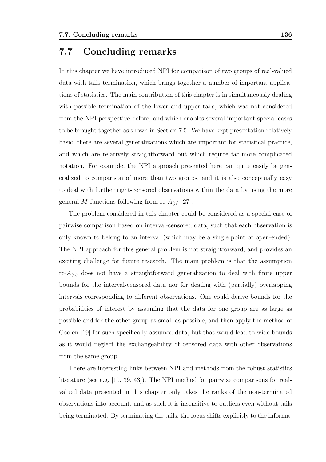#### 7.7 Concluding remarks

In this chapter we have introduced NPI for comparison of two groups of real-valued data with tails termination, which brings together a number of important applications of statistics. The main contribution of this chapter is in simultaneously dealing with possible termination of the lower and upper tails, which was not considered from the NPI perspective before, and which enables several important special cases to be brought together as shown in Section 7.5. We have kept presentation relatively basic, there are several generalizations which are important for statistical practice, and which are relatively straightforward but which require far more complicated notation. For example, the NPI approach presented here can quite easily be generalized to comparison of more than two groups, and it is also conceptually easy to deal with further right-censored observations within the data by using the more general M-functions following from rc- $A_{(n)}$  [27].

The problem considered in this chapter could be considered as a special case of pairwise comparison based on interval-censored data, such that each observation is only known to belong to an interval (which may be a single point or open-ended). The NPI approach for this general problem is not straightforward, and provides an exciting challenge for future research. The main problem is that the assumption  $rc-A_{(n)}$  does not have a straightforward generalization to deal with finite upper bounds for the interval-censored data nor for dealing with (partially) overlapping intervals corresponding to different observations. One could derive bounds for the probabilities of interest by assuming that the data for one group are as large as possible and for the other group as small as possible, and then apply the method of Coolen [19] for such specifically assumed data, but that would lead to wide bounds as it would neglect the exchangeability of censored data with other observations from the same group.

There are interesting links between NPI and methods from the robust statistics literature (see e.g. [10, 39, 43]). The NPI method for pairwise comparisons for realvalued data presented in this chapter only takes the ranks of the non-terminated observations into account, and as such it is insensitive to outliers even without tails being terminated. By terminating the tails, the focus shifts explicitly to the informa-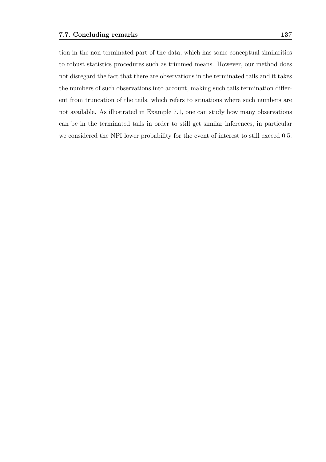tion in the non-terminated part of the data, which has some conceptual similarities to robust statistics procedures such as trimmed means. However, our method does not disregard the fact that there are observations in the terminated tails and it takes the numbers of such observations into account, making such tails termination different from truncation of the tails, which refers to situations where such numbers are not available. As illustrated in Example 7.1, one can study how many observations can be in the terminated tails in order to still get similar inferences, in particular we considered the NPI lower probability for the event of interest to still exceed 0.5.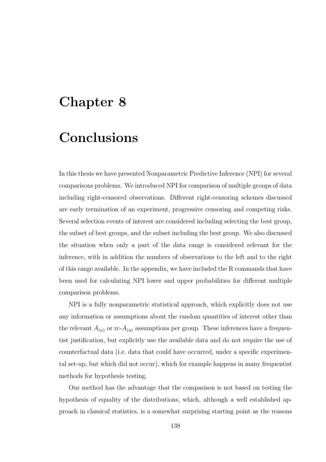#### Chapter 8

### Conclusions

In this thesis we have presented Nonparametric Predictive Inference (NPI) for several comparisons problems. We introduced NPI for comparison of multiple groups of data including right-censored observations. Different right-censoring schemes discussed are early termination of an experiment, progressive censoring and competing risks. Several selection events of interest are considered including selecting the best group, the subset of best groups, and the subset including the best group. We also discussed the situation when only a part of the data range is considered relevant for the inference, with in addition the numbers of observations to the left and to the right of this range available. In the appendix, we have included the R commands that have been used for calculating NPI lower and upper probabilities for different multiple comparison problems.

NPI is a fully nonparametric statistical approach, which explicitly does not use any information or assumptions about the random quantities of interest other than the relevant  $A_{(n)}$  or rc- $A_{(n)}$  assumptions per group. These inferences have a frequentist justification, but explicitly use the available data and do not require the use of counterfactual data (i.e. data that could have occurred, under a specific experimental set-up, but which did not occur), which for example happens in many frequentist methods for hypothesis testing.

Our method has the advantage that the comparison is not based on testing the hypothesis of equality of the distributions, which, although a well established approach in classical statistics, is a somewhat surprising starting point as the reasons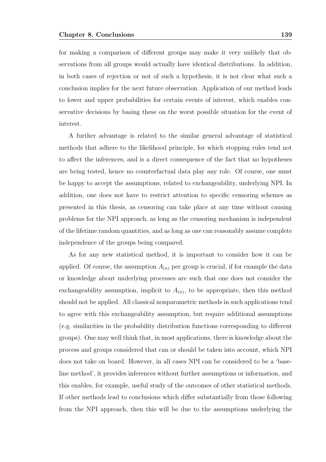for making a comparison of different groups may make it very unlikely that observations from all groups would actually have identical distributions. In addition, in both cases of rejection or not of such a hypothesis, it is not clear what such a conclusion implies for the next future observation. Application of our method leads to lower and upper probabilities for certain events of interest, which enables conservative decisions by basing these on the worst possible situation for the event of interest.

A further advantage is related to the similar general advantage of statistical methods that adhere to the likelihood principle, for which stopping rules tend not to affect the inferences, and is a direct consequence of the fact that no hypotheses are being tested, hence no counterfactual data play any role. Of course, one must be happy to accept the assumptions, related to exchangeability, underlying NPI. In addition, one does not have to restrict attention to specific censoring schemes as presented in this thesis, as censoring can take place at any time without causing problems for the NPI approach, as long as the censoring mechanism is independent of the lifetime random quantities, and as long as one can reasonably assume complete independence of the groups being compared.

As for any new statistical method, it is important to consider how it can be applied. Of course, the assumption  $A_{(n)}$  per group is crucial, if for example the data or knowledge about underlying processes are such that one does not consider the exchangeability assumption, implicit to  $A_{(n)}$ , to be appropriate, then this method should not be applied. All classical nonparametric methods in such applications tend to agree with this exchangeability assumption, but require additional assumptions (e.g. similarities in the probability distribution functions corresponding to different groups). One may well think that, in most applications, there is knowledge about the process and groups considered that can or should be taken into account, which NPI does not take on board. However, in all cases NPI can be considered to be a 'baseline method', it provides inferences without further assumptions or information, and this enables, for example, useful study of the outcomes of other statistical methods. If other methods lead to conclusions which differ substantially from those following from the NPI approach, then this will be due to the assumptions underlying the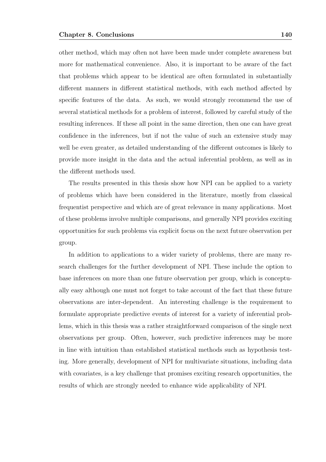other method, which may often not have been made under complete awareness but more for mathematical convenience. Also, it is important to be aware of the fact that problems which appear to be identical are often formulated in substantially different manners in different statistical methods, with each method affected by specific features of the data. As such, we would strongly recommend the use of several statistical methods for a problem of interest, followed by careful study of the resulting inferences. If these all point in the same direction, then one can have great confidence in the inferences, but if not the value of such an extensive study may well be even greater, as detailed understanding of the different outcomes is likely to provide more insight in the data and the actual inferential problem, as well as in the different methods used.

The results presented in this thesis show how NPI can be applied to a variety of problems which have been considered in the literature, mostly from classical frequentist perspective and which are of great relevance in many applications. Most of these problems involve multiple comparisons, and generally NPI provides exciting opportunities for such problems via explicit focus on the next future observation per group.

In addition to applications to a wider variety of problems, there are many research challenges for the further development of NPI. These include the option to base inferences on more than one future observation per group, which is conceptually easy although one must not forget to take account of the fact that these future observations are inter-dependent. An interesting challenge is the requirement to formulate appropriate predictive events of interest for a variety of inferential problems, which in this thesis was a rather straightforward comparison of the single next observations per group. Often, however, such predictive inferences may be more in line with intuition than established statistical methods such as hypothesis testing. More generally, development of NPI for multivariate situations, including data with covariates, is a key challenge that promises exciting research opportunities, the results of which are strongly needed to enhance wide applicability of NPI.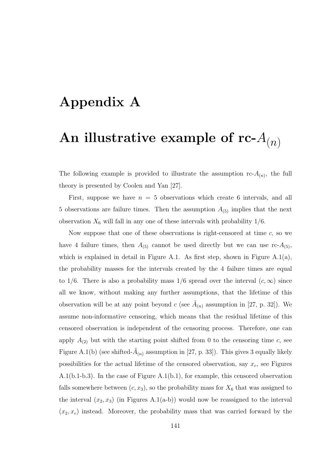## Appendix A

# An illustrative example of rc- $A_{(n)}$

The following example is provided to illustrate the assumption  $rc-A_{(n)}$ , the full theory is presented by Coolen and Yan [27].

First, suppose we have  $n = 5$  observations which create 6 intervals, and all 5 observations are failure times. Then the assumption  $A_{(5)}$  implies that the next observation  $X_6$  will fall in any one of these intervals with probability  $1/6$ .

Now suppose that one of these observations is right-censored at time  $c$ , so we have 4 failure times, then  $A_{(5)}$  cannot be used directly but we can use rc- $A_{(5)}$ , which is explained in detail in Figure A.1. As first step, shown in Figure  $A.1(a)$ , the probability masses for the intervals created by the 4 failure times are equal to 1/6. There is also a probability mass 1/6 spread over the interval  $(c, \infty)$  since all we know, without making any further assumptions, that the lifetime of this observation will be at any point beyond c (see  $\tilde{A}_{(n)}$  assumption in [27, p. 32]). We assume non-informative censoring, which means that the residual lifetime of this censored observation is independent of the censoring process. Therefore, one can apply  $A_{(2)}$  but with the starting point shifted from 0 to the censoring time c, see Figure A.1(b) (see shifted- $\tilde{A}_{(n)}$  assumption in [27, p. 33]). This gives 3 equally likely possibilities for the actual lifetime of the censored observation, say  $x_c$ , see Figures A.1(b.1-b.3). In the case of Figure A.1(b.1), for example, this censored observation falls somewhere between  $(c, x_3)$ , so the probability mass for  $X_6$  that was assigned to the interval  $(x_2, x_3)$  (in Figures A.1(a-b)) would now be reassigned to the interval  $(x_2, x_c)$  instead. Moreover, the probability mass that was carried forward by the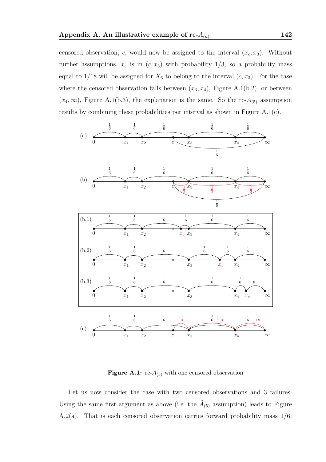censored observation, c, would now be assigned to the interval  $(x_c, x_3)$ . Without further assumptions,  $x_c$  is in  $(c, x_3)$  with probability 1/3, so a probability mass equal to  $1/18$  will be assigned for  $X_6$  to belong to the interval  $(c, x_3)$ . For the case where the censored observation falls between  $(x_3, x_4)$ , Figure A.1(b.2), or between  $(x_4, \infty)$ , Figure A.1(b.3), the explanation is the same. So the rc- $A_{(5)}$  assumption results by combining these probabilities per interval as shown in Figure A.1(c).



**Figure A.1:**  $\text{rc-}A_{(5)}$  with one censored observation

Let us now consider the case with two censored observations and 3 failures. Using the same first argument as above (i.e. the  $\tilde{A}_{(5)}$  assumption) leads to Figure A.2(a). That is each censored observation carries forward probability mass 1/6.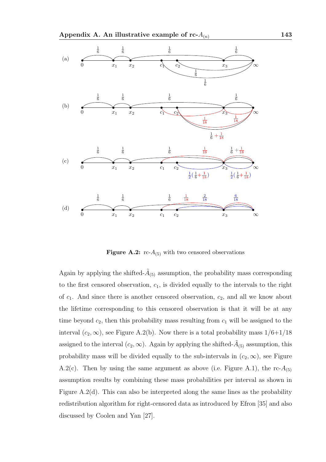

Figure A.2:  $rc-A_{(5)}$  with two censored observations

Again by applying the shifted- $\tilde{A}_{(5)}$  assumption, the probability mass corresponding to the first censored observation,  $c_1$ , is divided equally to the intervals to the right of  $c_1$ . And since there is another censored observation,  $c_2$ , and all we know about the lifetime corresponding to this censored observation is that it will be at any time beyond  $c_2$ , then this probability mass resulting from  $c_1$  will be assigned to the interval  $(c_2, \infty)$ , see Figure A.2(b). Now there is a total probability mass  $1/6+1/18$ assigned to the interval  $(c_2, \infty)$ . Again by applying the shifted- $\tilde{A}_{(5)}$  assumption, this probability mass will be divided equally to the sub-intervals in  $(c_2, \infty)$ , see Figure A.2(c). Then by using the same argument as above (i.e. Figure A.1), the rc- $A_{(5)}$ assumption results by combining these mass probabilities per interval as shown in Figure A.2(d). This can also be interpreted along the same lines as the probability redistribution algorithm for right-censored data as introduced by Efron [35] and also discussed by Coolen and Yan [27].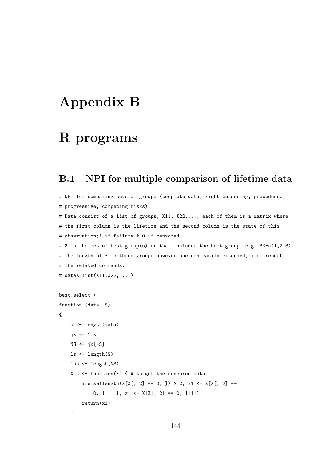## Appendix B

#### R programs

#### B.1 NPI for multiple comparison of lifetime data

```
# NPI for comparing several groups (complete data, right censoring, precedence,
# progressive, competing risks).
# Data consist of a list of groups, X11, X22,..., each of them is a matrix where
# the first column is the lifetime and the second column is the state of this
# observation;1 if failure & 0 if censored.
# S is the set of best group(s) or that includes the best group, e.g. S<-c(1,2,3).
# The length of S is three groups however one can easily extended, i.e. repeat
# the related commands.
# data<-list(X11,X22, ...)
best.select <-
function (data, S)
{
    k <- length(data)
    jk \leftarrow 1:k
    NS <- jk[-S]
    ls <- length(S)
    lns <- length(NS)
    X.c \le function(X) { # to get the censored data
        ifelse(length(X[X[, 2] == 0, ]) > 2, x1 <- X[X[, 2] ==
            0, ][, 1], x1 \leftarrow X[X[, 2] == 0, ][1]return(x1)
    }
```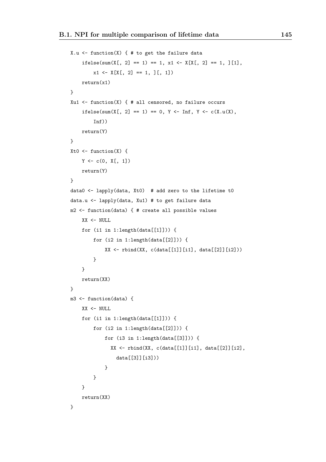```
X.u \leftarrow function(X) { # to get the failure data
    ifelse(sum(X[, 2] == 1) == 1, x1 <- X[X[, 2] == 1, ][1],
        x1 \leftarrow X[X[, 2] == 1, ][, 1])return(x1)
}
Xu1 \leftarrow function(X) { # all censored, no failure occurs
    ifelse(sum(X[, 2] == 1) == 0, Y <- Inf, Y <- c(X.u(X),
         Inf))
    return(Y)
}
Xt0 \leftarrow function(X) {
    Y \leftarrow c(0, X[, 1])return(Y)
}
data0 <- lapply(data, Xt0) # add zero to the lifetime t0
data.u <- lapply(data, Xu1) # to get failure data
m2 <- function(data) { # create all possible values
    XX < - NULL.
    for (i1 in 1:length(data[[1]])) {
        for (i2 in 1:length(data[[2]])) {
             XX \leftarrow \text{rbind}(XX, \text{c(data}[[1]][i1], \text{data}[[2]][i2]))}
    }
    return(XX)
}
m3 <- function(data) {
    XX <- NULL
    for (ii in 1:length(data[[1]])) {
        for (i2 in 1:length(data[[2]])) {
             for (i3 in 1:length(data[[3]])) {
               XX \leftarrow rbind(XX, c(data[[1]][i1], data[[2]][i2],data[[3]][i3]))
             }
         }
    }
    return(XX)
}
```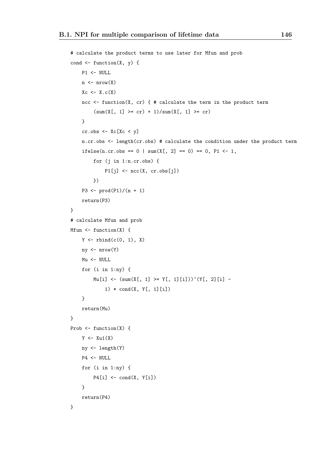```
# calculate the product terms to use later for Mfun and prob
cond \leq function(X, y) {
    P1 <- NULL
    n \leftarrow \text{nrow}(X)Xc \leftarrow X.c(X)ncc \le function(X, cr) { # calculate the term in the product term
         (sum(X[, 1] > = cr) + 1)/sum(X[, 1] > = cr)}
    cr.obs \leftarrow Xc[Xc \leftarrow y]n.cr.obs <- length(cr.obs) # calculate the condition under the product term
    ifelse(n.cr.obs == 0 | sum(X[, 2] == 0) == 0, P1 <- 1,
         for (j in 1:n.cr.obs) {
              P1[j] \leftarrow \text{ncc}(X, cr.obs[j])})
    P3 \leftarrow \text{prod}(P1)/(n + 1)return(P3)
}
# calculate Mfun and prob
Mfun \le function(X) {
    Y \leftarrow \text{rbind}(c(0, 1), X)ny \leftarrow nrow(Y)Mu <- NULL
    for (i in 1:ny) {
         Mu[i] \leftarrow (sum(X[, 1]) \geq Y[, 1][i]) \cap (Y[, 2][i] -
              1) * cond(X, Y[, 1][i])
    }
    return(Mu)
}
Prob \leq function(X) {
    Y \leftarrow Xu1(X)ny <- length(Y)
    P4 <- NULL
    for (i in 1:ny) {
         P4[i] \leftarrow cond(X, Y[i])}
    return(P4)
}
```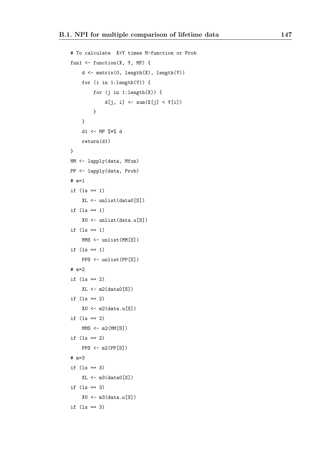```
# To calculate X<Y times M-function or Prob
fun1 <- function(X, Y, MP) {
    d <- matrix(0, length(X), length(Y))
    for (i in 1:length(Y)) {
        for (j \in i:length(X)) {
             d[j, i] \leftarrow \text{sum}(X[j] \le Y[i])}
    }
    d1 <- MP %*% d
    return(d1)
}
MM <- lapply(data, Mfun)
PP <- lapply(data, Prob)
# m=1
if (1s == 1)XL <- unlist(data0[S])
if (1s == 1)XU <- unlist(data.u[S])
if (ls == 1)MMS <- unlist(MM[S])
if (1s == 1)PPS <- unlist(PP[S])
# m=2
if (1s == 2)XL \leftarrow m2(data0[S])if (1s == 2)XU \leftarrow m2(data.u[S])if (1s == 2)MMS < - m2(MM[<sub>S</sub>])if (1s == 2)PPS <- m2(PP[S])
# m=3
if (ls == 3)
    XL \leftarrow m3(data0[S])if (1s == 3)XU <- m3(data.u[S])
if (1s == 3)
```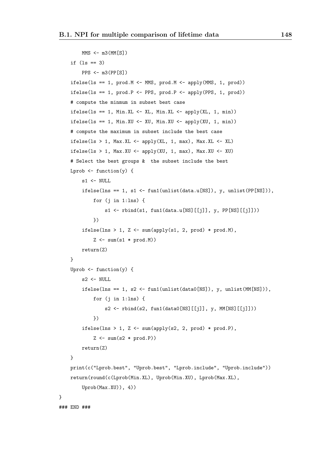```
MMS <- m3(MM[S])
    if (ls == 3)
        PPS <- m3(PP[S])
    ifelse(ls == 1, prod.M <- MMS, prod.M <- apply(MMS, 1, prod))
    ifelse(ls == 1, prod.P <- PPS, prod.P <- apply(PPS, 1, prod))
    # compute the minmum in subset best case
    ifelse(ls == 1, Min.XL \leftarrow XL, Min.XL \leftarrow apply(XL, 1, min))
    ifelse(ls == 1, Min.XU \leftarrow XU, Min.XU \leftarrow apply(XU, 1, min))
    # compute the maximum in subset include the best case
    ifelse(ls > 1, Max.XL \leq apply(XL, 1, max), Max.XL \leq XL)
    ifelse(1s > 1, Max.XU < - apply(XU, 1, max), Max.XU < -XU)# Select the best groups & the subset include the best
    Lprob \leq function(y) {
        s1 <- NULL
        ifelse(lns == 1, s1 <- fun1(unlist(data.u[NS]), y, unlist(PP[NS])),
            for (j in 1:lns) {
                 s1 \leftarrow \text{rbind}(s1, \text{ fun1}(data.u[NS][[i]], y, PP[NS][[i]]))})
        ifelse(lns > 1, Z <- sum(apply(s1, 2, prod) * prod.M),
             Z \leftarrow \text{sum}(\text{s1} * \text{prod.M})return(Z)
    }
    Uprob \leq function(y) {
        s2 <- NULL
        ifelse(lns == 1, s2 <- fun1(unlist(data0[NS]), y, unlist(MM[NS])),
            for (j in 1:lns) {
                 s2 <- rbind(s2, fun1(data)[NS][[j]], y, MM[NS][[j]]))})
        ifelse(lns > 1, Z <- sum(apply(s2, 2, prod) * prod.P),
             Z \leftarrow \text{sum}(s2 * \text{prod.P})return(Z)
    }
    print(c("Lprob.best", "Uprob.best", "Lprob.include", "Uprob.include"))
    return(round(c(Lprob(Min.XL), Uprob(Min.XU), Lprob(Max.XL),
        Uprob(Max.XU)), 4))
### END ###
```
}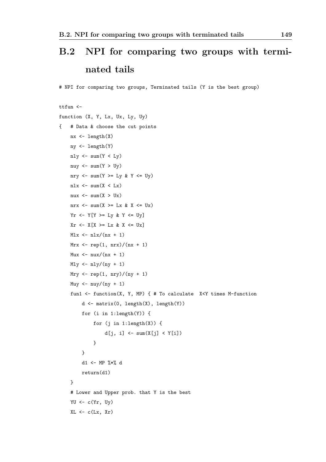# B.2 NPI for comparing two groups with terminated tails

# NPI for comparing two groups, Terminated tails (Y is the best group)

```
ttfun <-
function (X, Y, Lx, Ux, Ly, Uy)
{ # Data & choose the cut points
    nx \leftarrow length(X)ny <- length(Y)
     nly \leftarrow sum(Y < Ly)nuy \leftarrow sum(Y > Uy)nry \leftarrow sum(Y \gt Ly & Y \lt Uy)
     nlx \leq sum(X \leq Lx)nux \le sum(X > U_X)nrx \leq sum(X \geq L_X \& X \leq U_X)Yr \leftarrow Y[Y \rightleftharpoons Ly & Y \leftarrow Uy]Xr \leftarrow X[X \rangle = Lx \& X \leftarrow UxMlx \leftarrow nlx/(nx + 1)Mrx \leftarrow rep(1, nrx)/(nx + 1)Mux \leftarrow \frac{aux}{(nx + 1)}Mly \leftarrow nly/(ny + 1)Mry \leftarrow rep(1, nry)/(ny + 1)
     Muy \leftarrow nuy/(ny + 1)
     fun1 <- function(X, Y, MP) { # To calculate X<Y times M-function
          d \leftarrow \text{matrix}(0, \text{length}(X), \text{length}(Y))for (i in 1:length(Y)) {
               for (i in 1:length(X)) {
                    d[j, i] \leftarrow \text{sum}(X[j] \le Y[i])}
          }
          d1 <- MP %*% d
          return(d1)
     }
     # Lower and Upper prob. that Y is the best
     YU \leftarrow c(Yr, Uy)XL \leftarrow c(Lx, Xr)
```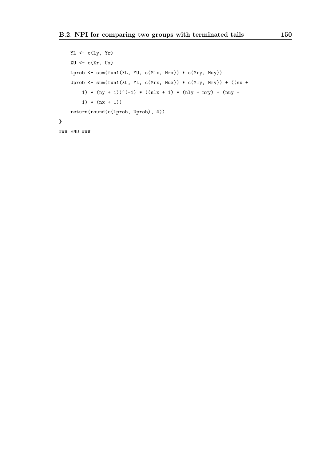```
YL <- c(Ly, Yr)XU \leftarrow c(Xr, Ux)Lprob \leq sum(fun1(XL, YU, c(Mlx, Mrx)) * c(Mry, Muy))
    Uprob \leq sum(fun1(XU, YL, c(Mrx, Mux)) * c(Mly, Mry)) + ((nx +
        1) * (ny + 1))^(-1) * ((nlx + 1) * (nly + nry) + (nuy +
        1) * (nx + 1))
    return(round(c(Lprob, Uprob), 4))
}
### END ###
```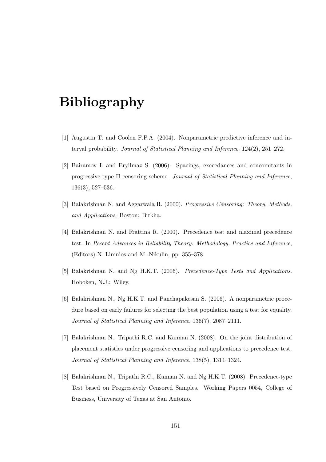## Bibliography

- [1] Augustin T. and Coolen F.P.A. (2004). Nonparametric predictive inference and interval probability. Journal of Statistical Planning and Inference, 124(2), 251–272.
- [2] Bairamov I. and Eryilmaz S. (2006). Spacings, exceedances and concomitants in progressive type II censoring scheme. Journal of Statistical Planning and Inference, 136(3), 527–536.
- [3] Balakrishnan N. and Aggarwala R. (2000). Progressive Censoring: Theory, Methods, and Applications. Boston: Birkha.
- [4] Balakrishnan N. and Frattina R. (2000). Precedence test and maximal precedence test. In Recent Advances in Reliability Theory: Methodology, Practice and Inference, (Editors) N. Limnios and M. Nikulin, pp. 355–378.
- [5] Balakrishnan N. and Ng H.K.T. (2006). Precedence-Type Tests and Applications. Hoboken, N.J.: Wiley.
- [6] Balakrishnan N., Ng H.K.T. and Panchapakesan S. (2006). A nonparametric procedure based on early failures for selecting the best population using a test for equality. Journal of Statistical Planning and Inference, 136(7), 2087–2111.
- [7] Balakrishnan N., Tripathi R.C. and Kannan N. (2008). On the joint distribution of placement statistics under progressive censoring and applications to precedence test. Journal of Statistical Planning and Inference, 138(5), 1314–1324.
- [8] Balakrishnan N., Tripathi R.C., Kannan N. and Ng H.K.T. (2008). Precedence-type Test based on Progressively Censored Samples. Working Papers 0054, College of Business, University of Texas at San Antonio.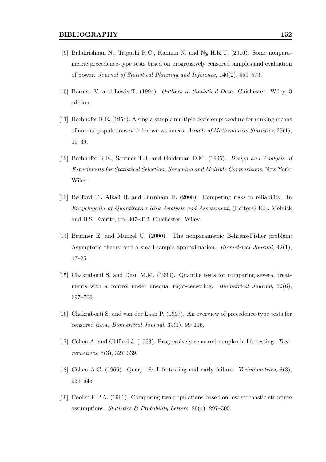- [9] Balakrishnan N., Tripathi R.C., Kannan N. and Ng H.K.T. (2010). Some nonparametric precedence-type tests based on progressively censored samples and evaluation of power. Journal of Statistical Planning and Inference, 140(2), 559–573.
- [10] Barnett V. and Lewis T. (1994). Outliers in Statistical Data. Chichester: Wiley, 3 edition.
- [11] Bechhofer R.E. (1954). A single-sample multiple decision procedure for ranking means of normal populations with known variances. Annals of Mathematical Statistics, 25(1), 16–39.
- [12] Bechhofer R.E., Santner T.J. and Goldsman D.M. (1995). Design and Analysis of Experiments for Statistical Selection, Screening and Multiple Comparisons. New York: Wiley.
- [13] Bedford T., Alkali B. and Burnham R. (2008). Competing risks in reliability. In Encyclopedia of Quantitative Risk Analysis and Assessment, (Editors) E.L. Melnick and B.S. Everitt, pp. 307–312. Chichester: Wiley.
- [14] Brunner E. and Munzel U. (2000). The nonparametric Behrens-Fisher problem: Asymptotic theory and a small-sample approximation. *Biometrical Journal*,  $42(1)$ , 17–25.
- [15] Chakraborti S. and Desu M.M. (1990). Quantile tests for comparing several treatments with a control under unequal right-censoring. *Biometrical Journal*,  $32(6)$ , 697–706.
- [16] Chakraborti S. and van der Laan P. (1997). An overview of precedence-type tests for censored data. Biometrical Journal, 39(1), 99–116.
- [17] Cohen A. and Clifford J. (1963). Progressively censored samples in life testing. Technometrics, 5(3), 327–339.
- [18] Cohen A.C. (1966). Query 18: Life testing and early failure. Technometrics, 8(3), 539–545.
- [19] Coolen F.P.A. (1996). Comparing two populations based on low stochastic structure assumptions. Statistics  $\mathcal{B}$  Probability Letters, 29(4), 297–305.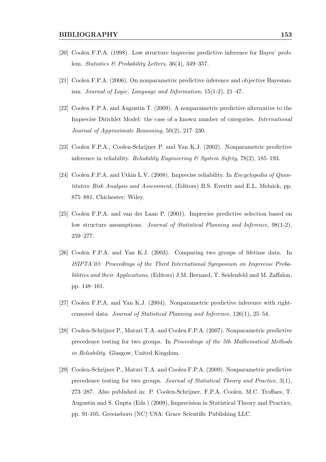- [20] Coolen F.P.A. (1998). Low structure imprecise predictive inference for Bayes' problem. Statistics & Probability Letters, 36(4), 349–357.
- [21] Coolen F.P.A. (2006). On nonparametric predictive inference and objective Bayesianism. Journal of Logic, Language and Information, 15(1-2), 21–47.
- [22] Coolen F.P.A. and Augustin T. (2009). A nonparametric predictive alternative to the Imprecise Dirichlet Model: the case of a known number of categories. International Journal of Approximate Reasoning, 50(2), 217–230.
- [23] Coolen F.P.A., Coolen-Schrijner P. and Yan K.J. (2002). Nonparametric predictive inference in reliability. Reliability Engineering & System Safety, 78(2), 185–193.
- [24] Coolen F.P.A. and Utkin L.V. (2008). Imprecise reliability. In Encyclopedia of Quantitative Risk Analysis and Assessment, (Editors) B.S. Everitt and E.L. Melnick, pp. 875–881. Chichester: Wiley.
- [25] Coolen F.P.A. and van der Laan P. (2001). Imprecise predictive selection based on low structure assumptions. Journal of Statistical Planning and Inference, 98(1-2), 259–277.
- [26] Coolen F.P.A. and Yan K.J. (2003). Comparing two groups of lifetime data. In ISIPTA'03: Proceedings of the Third International Symposium on Imprecise Probabilities and their Applications, (Editors) J.M. Bernard, T. Seidenfeld and M. Zaffalon, pp. 148–161.
- [27] Coolen F.P.A. and Yan K.J. (2004). Nonparametric predictive inference with rightcensored data. Journal of Statistical Planning and Inference, 126(1), 25–54.
- [28] Coolen-Schrijner P., Maturi T.A. and Coolen F.P.A. (2007). Nonparametric predictive precedence testing for two groups. In Proceedings of the 5th Mathematical Methods in Reliability. Glasgow, United Kingdom.
- [29] Coolen-Schrijner P., Maturi T.A. and Coolen F.P.A. (2009). Nonparametric predictive precedence testing for two groups. Journal of Statistical Theory and Practice, 3(1), 273–287. Also published in: P. Coolen-Schrijner, F.P.A. Coolen, M.C. Troffaes, T. Augustin and S. Gupta (Eds.) (2009), Imprecision in Statistical Theory and Practice, pp. 91-105. Greensboro (NC) USA: Grace Scientific Publishing LLC.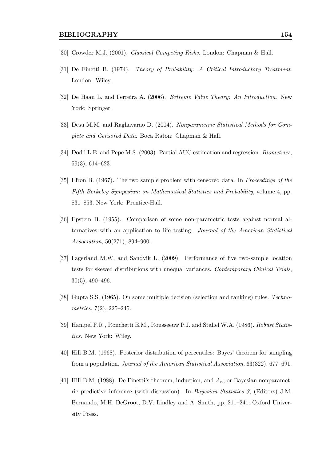- [30] Crowder M.J. (2001). Classical Competing Risks. London: Chapman & Hall.
- [31] De Finetti B. (1974). Theory of Probability: A Critical Introductory Treatment. London: Wiley.
- [32] De Haan L. and Ferreira A. (2006). Extreme Value Theory: An Introduction. New York: Springer.
- [33] Desu M.M. and Raghavarao D. (2004). Nonparametric Statistical Methods for Complete and Censored Data. Boca Raton: Chapman & Hall.
- [34] Dodd L.E. and Pepe M.S. (2003). Partial AUC estimation and regression. *Biometrics*, 59(3), 614–623.
- [35] Efron B. (1967). The two sample problem with censored data. In Proceedings of the Fifth Berkeley Symposium on Mathematical Statistics and Probability, volume 4, pp. 831–853. New York: Prentice-Hall.
- [36] Epstein B. (1955). Comparison of some non-parametric tests against normal alternatives with an application to life testing. Journal of the American Statistical Association, 50(271), 894–900.
- [37] Fagerland M.W. and Sandvik L. (2009). Performance of five two-sample location tests for skewed distributions with unequal variances. Contemporary Clinical Trials, 30(5), 490–496.
- [38] Gupta S.S. (1965). On some multiple decision (selection and ranking) rules. Technometrics, 7(2), 225–245.
- [39] Hampel F.R., Ronchetti E.M., Rousseeuw P.J. and Stahel W.A. (1986). Robust Statistics. New York: Wiley.
- [40] Hill B.M. (1968). Posterior distribution of percentiles: Bayes' theorem for sampling from a population. Journal of the American Statistical Association, 63(322), 677–691.
- [41] Hill B.M. (1988). De Finetti's theorem, induction, and  $A_n$ , or Bayesian nonparametric predictive inference (with discussion). In Bayesian Statistics 3, (Editors) J.M. Bernando, M.H. DeGroot, D.V. Lindley and A. Smith, pp. 211–241. Oxford University Press.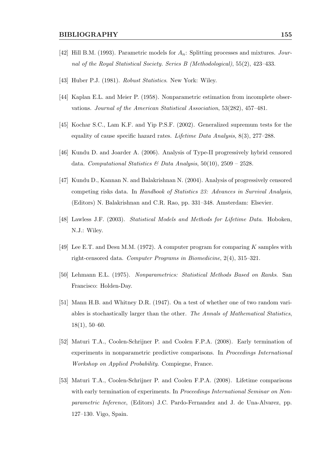- [42] Hill B.M. (1993). Parametric models for  $A_n$ : Splitting processes and mixtures. Journal of the Royal Statistical Society. Series B (Methodological), 55(2), 423–433.
- [43] Huber P.J. (1981). Robust Statistics. New York: Wiley.
- [44] Kaplan E.L. and Meier P. (1958). Nonparametric estimation from incomplete observations. Journal of the American Statistical Association, 53(282), 457–481.
- [45] Kochar S.C., Lam K.F. and Yip P.S.F. (2002). Generalized supremum tests for the equality of cause specific hazard rates. Lifetime Data Analysis, 8(3), 277–288.
- [46] Kundu D. and Joarder A. (2006). Analysis of Type-II progressively hybrid censored data. Computational Statistics & Data Analysis,  $50(10)$ ,  $2509 - 2528$ .
- [47] Kundu D., Kannan N. and Balakrishnan N. (2004). Analysis of progressively censored competing risks data. In Handbook of Statistics 23: Advances in Survival Analysis, (Editors) N. Balakrishnan and C.R. Rao, pp. 331–348. Amsterdam: Elsevier.
- [48] Lawless J.F. (2003). Statistical Models and Methods for Lifetime Data. Hoboken, N.J.: Wiley.
- [49] Lee E.T. and Desu M.M. (1972). A computer program for comparing K samples with right-censored data. Computer Programs in Biomedicine, 2(4), 315–321.
- [50] Lehmann E.L. (1975). Nonparametrics: Statistical Methods Based on Ranks. San Francisco: Holden-Day.
- [51] Mann H.B. and Whitney D.R. (1947). On a test of whether one of two random variables is stochastically larger than the other. The Annals of Mathematical Statistics, 18(1), 50–60.
- [52] Maturi T.A., Coolen-Schrijner P. and Coolen F.P.A. (2008). Early termination of experiments in nonparametric predictive comparisons. In Proceedings International Workshop on Applied Probability. Compiegne, France.
- [53] Maturi T.A., Coolen-Schrijner P. and Coolen F.P.A. (2008). Lifetime comparisons with early termination of experiments. In *Proceedings International Seminar on Non*parametric Inference, (Editors) J.C. Pardo-Fernandez and J. de Una-Alvarez, pp. 127–130. Vigo, Spain.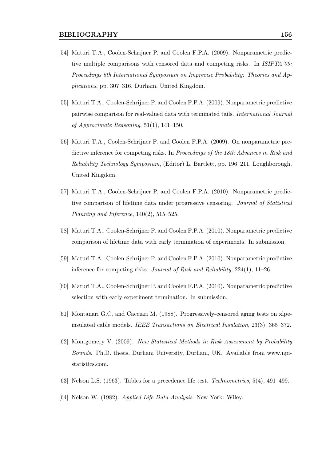- [54] Maturi T.A., Coolen-Schrijner P. and Coolen F.P.A. (2009). Nonparametric predictive multiple comparisons with censored data and competing risks. In *ISIPTA'09*: Proceedings 6th International Symposium on Imprecise Probability: Theories and Applications, pp. 307–316. Durham, United Kingdom.
- [55] Maturi T.A., Coolen-Schrijner P. and Coolen F.P.A. (2009). Nonparametric predictive pairwise comparison for real-valued data with terminated tails. International Journal of Approximate Reasoning, 51(1), 141–150.
- [56] Maturi T.A., Coolen-Schrijner P. and Coolen F.P.A. (2009). On nonparametric predictive inference for competing risks. In *Proceedings of the 18th Advances in Risk and* Reliability Technology Symposium, (Editor) L. Bartlett, pp. 196–211. Loughborough, United Kingdom.
- [57] Maturi T.A., Coolen-Schrijner P. and Coolen F.P.A. (2010). Nonparametric predictive comparison of lifetime data under progressive censoring. Journal of Statistical Planning and Inference,  $140(2)$ ,  $515-525$ .
- [58] Maturi T.A., Coolen-Schrijner P. and Coolen F.P.A. (2010). Nonparametric predictive comparison of lifetime data with early termination of experiments. In submission.
- [59] Maturi T.A., Coolen-Schrijner P. and Coolen F.P.A. (2010). Nonparametric predictive inference for competing risks. Journal of Risk and Reliability, 224(1), 11–26.
- [60] Maturi T.A., Coolen-Schrijner P. and Coolen F.P.A. (2010). Nonparametric predictive selection with early experiment termination. In submission.
- [61] Montanari G.C. and Cacciari M. (1988). Progressively-censored aging tests on xlpeinsulated cable models. IEEE Transactions on Electrical Insulation, 23(3), 365–372.
- [62] Montgomery V. (2009). New Statistical Methods in Risk Assessment by Probability Bounds. Ph.D. thesis, Durham University, Durham, UK. Available from www.npistatistics.com.
- [63] Nelson L.S. (1963). Tables for a precedence life test. Technometrics, 5(4), 491–499.
- [64] Nelson W. (1982). Applied Life Data Analysis. New York: Wiley.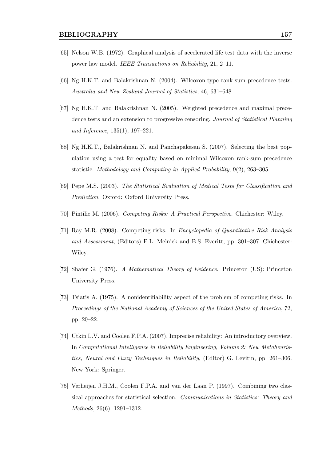- [65] Nelson W.B. (1972). Graphical analysis of accelerated life test data with the inverse power law model. IEEE Transactions on Reliability, 21, 2–11.
- [66] Ng H.K.T. and Balakrishnan N. (2004). Wilcoxon-type rank-sum precedence tests. Australia and New Zealand Journal of Statistics, 46, 631–648.
- [67] Ng H.K.T. and Balakrishnan N. (2005). Weighted precedence and maximal precedence tests and an extension to progressive censoring. Journal of Statistical Planning and Inference, 135(1), 197–221.
- [68] Ng H.K.T., Balakrishnan N. and Panchapakesan S. (2007). Selecting the best population using a test for equality based on minimal Wilcoxon rank-sum precedence statistic. Methodology and Computing in Applied Probability, 9(2), 263–305.
- [69] Pepe M.S. (2003). The Statistical Evaluation of Medical Tests for Classification and Prediction. Oxford: Oxford University Press.
- [70] Pintilie M. (2006). Competing Risks: A Practical Perspective. Chichester: Wiley.
- [71] Ray M.R. (2008). Competing risks. In Encyclopedia of Quantitative Risk Analysis and Assessment, (Editors) E.L. Melnick and B.S. Everitt, pp. 301–307. Chichester: Wiley.
- [72] Shafer G. (1976). A Mathematical Theory of Evidence. Princeton (US): Princeton University Press.
- [73] Tsiatis A. (1975). A nonidentifiability aspect of the problem of competing risks. In Proceedings of the National Academy of Sciences of the United States of America, 72, pp. 20–22.
- [74] Utkin L.V. and Coolen F.P.A. (2007). Imprecise reliability: An introductory overview. In Computational Intelligence in Reliability Engineering, Volume 2: New Metaheuristics, Neural and Fuzzy Techniques in Reliability, (Editor) G. Levitin, pp. 261–306. New York: Springer.
- [75] Verheijen J.H.M., Coolen F.P.A. and van der Laan P. (1997). Combining two classical approaches for statistical selection. Communications in Statistics: Theory and Methods, 26(6), 1291–1312.